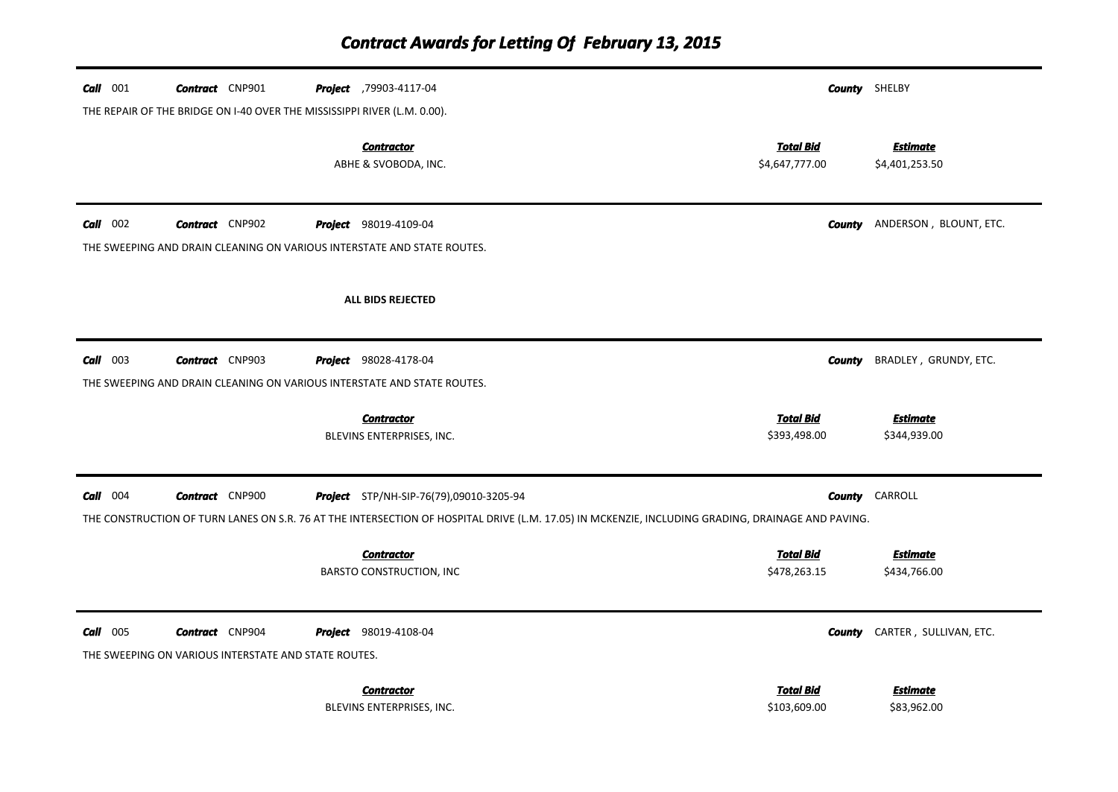| $Call$ 001      | <b>Contract</b> CNP901                                                         | Project ,79903-4117-04                                                                                                                            |                                    | <b>County</b> SHELBY            |
|-----------------|--------------------------------------------------------------------------------|---------------------------------------------------------------------------------------------------------------------------------------------------|------------------------------------|---------------------------------|
|                 |                                                                                | THE REPAIR OF THE BRIDGE ON I-40 OVER THE MISSISSIPPI RIVER (L.M. 0.00).                                                                          |                                    |                                 |
|                 |                                                                                | <b>Contractor</b><br>ABHE & SVOBODA, INC.                                                                                                         | <b>Total Bid</b><br>\$4,647,777.00 | Estimate<br>\$4,401,253.50      |
| $Call$ 002      | <b>Contract</b> CNP902                                                         | <b>Project</b> 98019-4109-04                                                                                                                      | County                             | ANDERSON, BLOUNT, ETC.          |
|                 |                                                                                | THE SWEEPING AND DRAIN CLEANING ON VARIOUS INTERSTATE AND STATE ROUTES.                                                                           |                                    |                                 |
|                 |                                                                                | <b>ALL BIDS REJECTED</b>                                                                                                                          |                                    |                                 |
| $Call$ 003      | <b>Contract</b> CNP903                                                         | <b>Project</b> 98028-4178-04                                                                                                                      | <b>County</b>                      | BRADLEY, GRUNDY, ETC.           |
|                 |                                                                                | THE SWEEPING AND DRAIN CLEANING ON VARIOUS INTERSTATE AND STATE ROUTES.                                                                           |                                    |                                 |
|                 |                                                                                | <b>Contractor</b><br>BLEVINS ENTERPRISES, INC.                                                                                                    | <b>Total Bid</b><br>\$393,498.00   | <b>Estimate</b><br>\$344,939.00 |
| $Call$ 004      | <b>Contract</b> CNP900                                                         | <b>Project</b> STP/NH-SIP-76(79),09010-3205-94                                                                                                    | County                             | CARROLL                         |
|                 |                                                                                | THE CONSTRUCTION OF TURN LANES ON S.R. 76 AT THE INTERSECTION OF HOSPITAL DRIVE (L.M. 17.05) IN MCKENZIE, INCLUDING GRADING, DRAINAGE AND PAVING. |                                    |                                 |
|                 |                                                                                | <b>Contractor</b><br><b>BARSTO CONSTRUCTION, INC</b>                                                                                              | <b>Total Bid</b><br>\$478,263.15   | <b>Estimate</b><br>\$434,766.00 |
| <b>Call</b> 005 | <b>Contract</b> CNP904<br>THE SWEEPING ON VARIOUS INTERSTATE AND STATE ROUTES. | <b>Project</b> 98019-4108-04                                                                                                                      | County                             | CARTER, SULLIVAN, ETC.          |
|                 |                                                                                | <b>Contractor</b><br>BLEVINS ENTERPRISES, INC.                                                                                                    | <b>Total Bid</b><br>\$103,609.00   | Estimate<br>\$83,962.00         |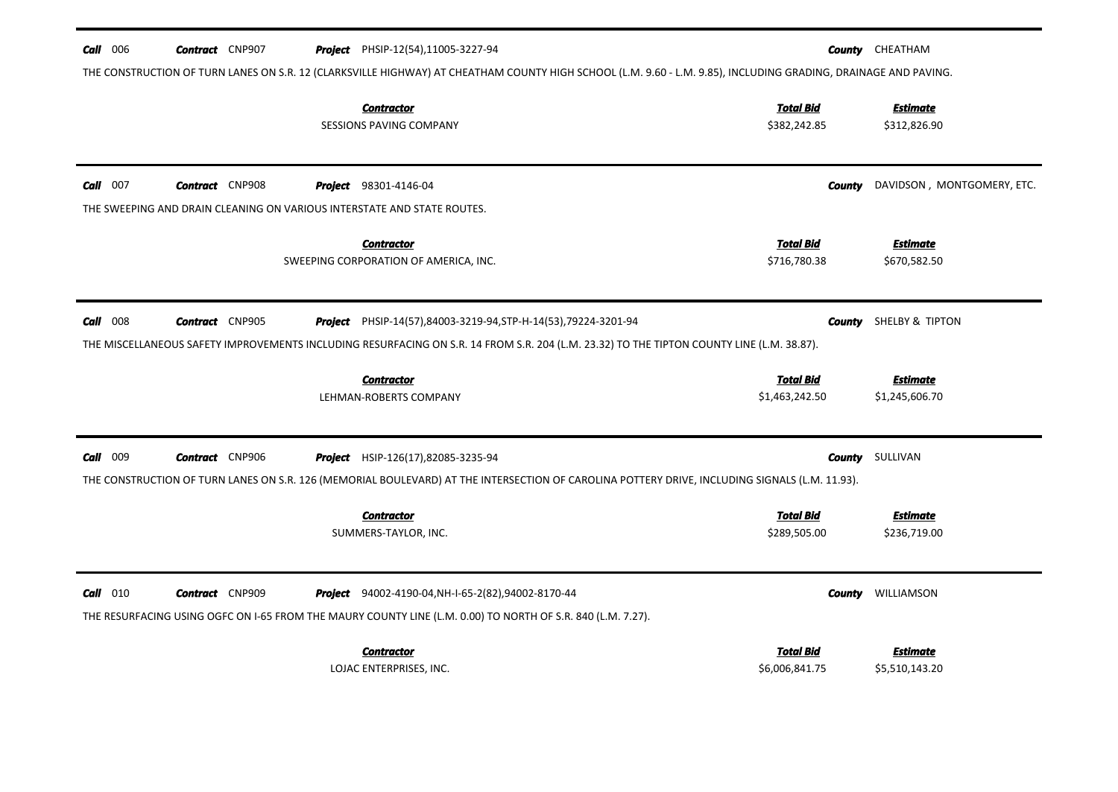| $Call$ 006 | <b>Contract</b> CNP907                                                                            | <b>Project</b> PHSIP-12(54),11005-3227-94<br>THE CONSTRUCTION OF TURN LANES ON S.R. 12 (CLARKSVILLE HIGHWAY) AT CHEATHAM COUNTY HIGH SCHOOL (L.M. 9.60 - L.M. 9.85), INCLUDING GRADING, DRAINAGE AND PAVING.        |                                    | <b>County</b> CHEATHAM            |
|------------|---------------------------------------------------------------------------------------------------|---------------------------------------------------------------------------------------------------------------------------------------------------------------------------------------------------------------------|------------------------------------|-----------------------------------|
|            |                                                                                                   | <b>Contractor</b><br>SESSIONS PAVING COMPANY                                                                                                                                                                        | <b>Total Bid</b><br>\$382,242.85   | <b>Estimate</b><br>\$312,826.90   |
| $Call$ 007 | <b>Contract</b> CNP908<br>THE SWEEPING AND DRAIN CLEANING ON VARIOUS INTERSTATE AND STATE ROUTES. | <b>Project</b> 98301-4146-04                                                                                                                                                                                        | County                             | DAVIDSON, MONTGOMERY, ETC.        |
|            |                                                                                                   | <b>Contractor</b><br>SWEEPING CORPORATION OF AMERICA, INC.                                                                                                                                                          | <b>Total Bid</b><br>\$716,780.38   | <b>Estimate</b><br>\$670,582.50   |
| $Call$ 008 | <b>Contract</b> CNP905                                                                            | <b>Project</b> PHSIP-14(57),84003-3219-94, STP-H-14(53), 79224-3201-94<br>THE MISCELLANEOUS SAFETY IMPROVEMENTS INCLUDING RESURFACING ON S.R. 14 FROM S.R. 204 (L.M. 23.32) TO THE TIPTON COUNTY LINE (L.M. 38.87). | County                             | SHELBY & TIPTON                   |
|            |                                                                                                   | <b>Contractor</b><br>LEHMAN-ROBERTS COMPANY                                                                                                                                                                         | <b>Total Bid</b><br>\$1,463,242.50 | <b>Estimate</b><br>\$1,245,606.70 |
| Call 009   | <b>Contract</b> CNP906                                                                            | Project HSIP-126(17),82085-3235-94<br>THE CONSTRUCTION OF TURN LANES ON S.R. 126 (MEMORIAL BOULEVARD) AT THE INTERSECTION OF CAROLINA POTTERY DRIVE, INCLUDING SIGNALS (L.M. 11.93).                                | County                             | SULLIVAN                          |
|            |                                                                                                   | <b>Contractor</b><br>SUMMERS-TAYLOR, INC.                                                                                                                                                                           | <b>Total Bid</b><br>\$289,505.00   | <b>Estimate</b><br>\$236,719.00   |
| $Call$ 010 | <b>Contract</b> CNP909                                                                            | <b>Project</b> 94002-4190-04, NH-I-65-2(82), 94002-8170-44<br>THE RESURFACING USING OGFC ON 1-65 FROM THE MAURY COUNTY LINE (L.M. 0.00) TO NORTH OF S.R. 840 (L.M. 7.27).                                           | County                             | WILLIAMSON                        |
|            |                                                                                                   | <b>Contractor</b><br>LOJAC ENTERPRISES, INC.                                                                                                                                                                        | <b>Total Bid</b><br>\$6,006,841.75 | Estimate<br>\$5,510,143.20        |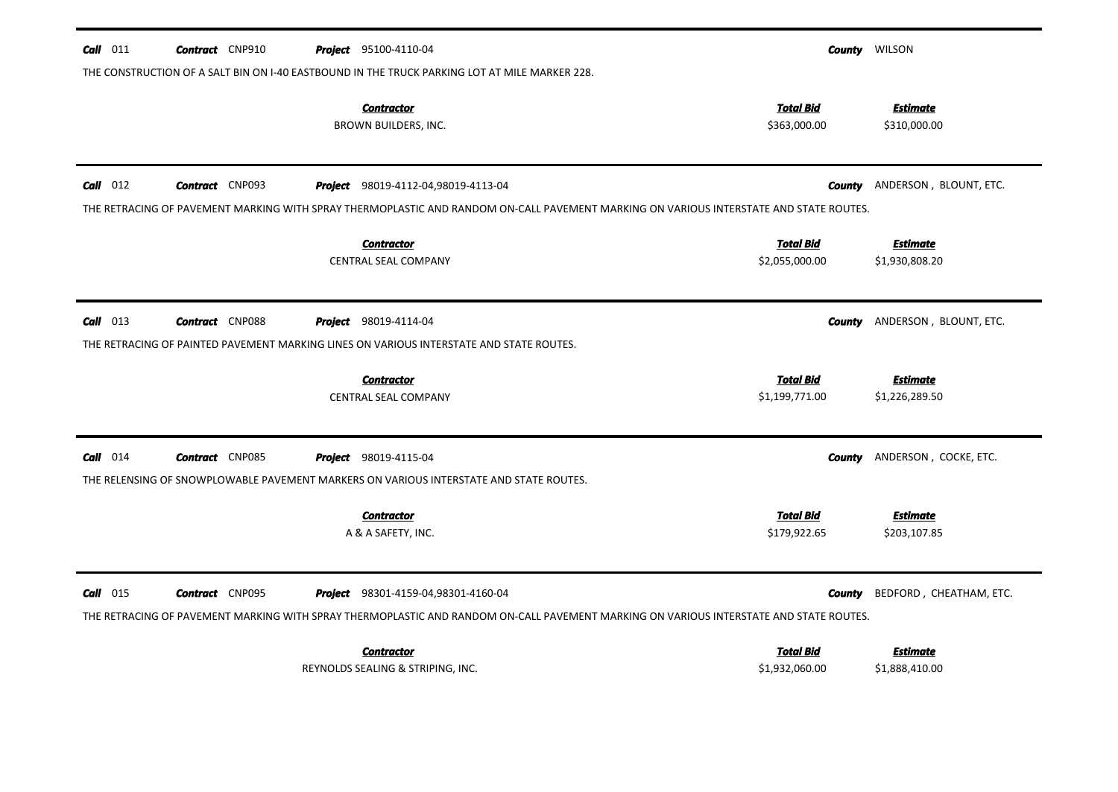| Call<br>011 | <b>Contract</b> CNP910 | <b>Project</b> 95100-4110-04                                                                                                           |                                  | <b>County WILSON</b>            |
|-------------|------------------------|----------------------------------------------------------------------------------------------------------------------------------------|----------------------------------|---------------------------------|
|             |                        | THE CONSTRUCTION OF A SALT BIN ON I-40 EASTBOUND IN THE TRUCK PARKING LOT AT MILE MARKER 228.                                          |                                  |                                 |
|             |                        | <b>Contractor</b><br>BROWN BUILDERS, INC.                                                                                              | <b>Total Bid</b><br>\$363,000.00 | <b>Estimate</b><br>\$310,000.00 |
| $Call$ 012  | <b>Contract</b> CNP093 | Project 98019-4112-04,98019-4113-04                                                                                                    | County                           | ANDERSON, BLOUNT, ETC.          |
|             |                        | THE RETRACING OF PAVEMENT MARKING WITH SPRAY THERMOPLASTIC AND RANDOM ON-CALL PAVEMENT MARKING ON VARIOUS INTERSTATE AND STATE ROUTES. |                                  |                                 |
|             |                        | <b>Contractor</b>                                                                                                                      | <b>Total Bid</b>                 | <b>Estimate</b>                 |
|             |                        | <b>CENTRAL SEAL COMPANY</b>                                                                                                            | \$2,055,000.00                   | \$1,930,808.20                  |
|             |                        |                                                                                                                                        |                                  |                                 |
| $Call$ 013  | <b>Contract</b> CNP088 | <b>Project</b> 98019-4114-04                                                                                                           | County                           | ANDERSON, BLOUNT, ETC.          |
|             |                        | THE RETRACING OF PAINTED PAVEMENT MARKING LINES ON VARIOUS INTERSTATE AND STATE ROUTES.                                                |                                  |                                 |
|             |                        | <b>Contractor</b>                                                                                                                      | <b>Total Bid</b>                 | Estimate                        |
|             |                        | CENTRAL SEAL COMPANY                                                                                                                   | \$1,199,771.00                   | \$1,226,289.50                  |
| $Call$ 014  | <b>Contract</b> CNP085 | <b>Project</b> 98019-4115-04                                                                                                           | County                           | ANDERSON, COCKE, ETC.           |
|             |                        | THE RELENSING OF SNOWPLOWABLE PAVEMENT MARKERS ON VARIOUS INTERSTATE AND STATE ROUTES.                                                 |                                  |                                 |
|             |                        | <b>Contractor</b>                                                                                                                      | <b>Total Bid</b>                 | <b>Estimate</b>                 |
|             |                        | A & A SAFETY, INC.                                                                                                                     | \$179,922.65                     | \$203,107.85                    |
|             |                        |                                                                                                                                        |                                  |                                 |
| $Call$ 015  | <b>Contract</b> CNP095 | <b>Project</b> 98301-4159-04,98301-4160-04                                                                                             | <b>County</b>                    | BEDFORD, CHEATHAM, ETC.         |
|             |                        | THE RETRACING OF PAVEMENT MARKING WITH SPRAY THERMOPLASTIC AND RANDOM ON-CALL PAVEMENT MARKING ON VARIOUS INTERSTATE AND STATE ROUTES. |                                  |                                 |
|             |                        | <b>Contractor</b>                                                                                                                      | <b>Total Bid</b>                 | Estimate                        |
|             |                        | REYNOLDS SEALING & STRIPING, INC.                                                                                                      | \$1,932,060.00                   | \$1,888,410.00                  |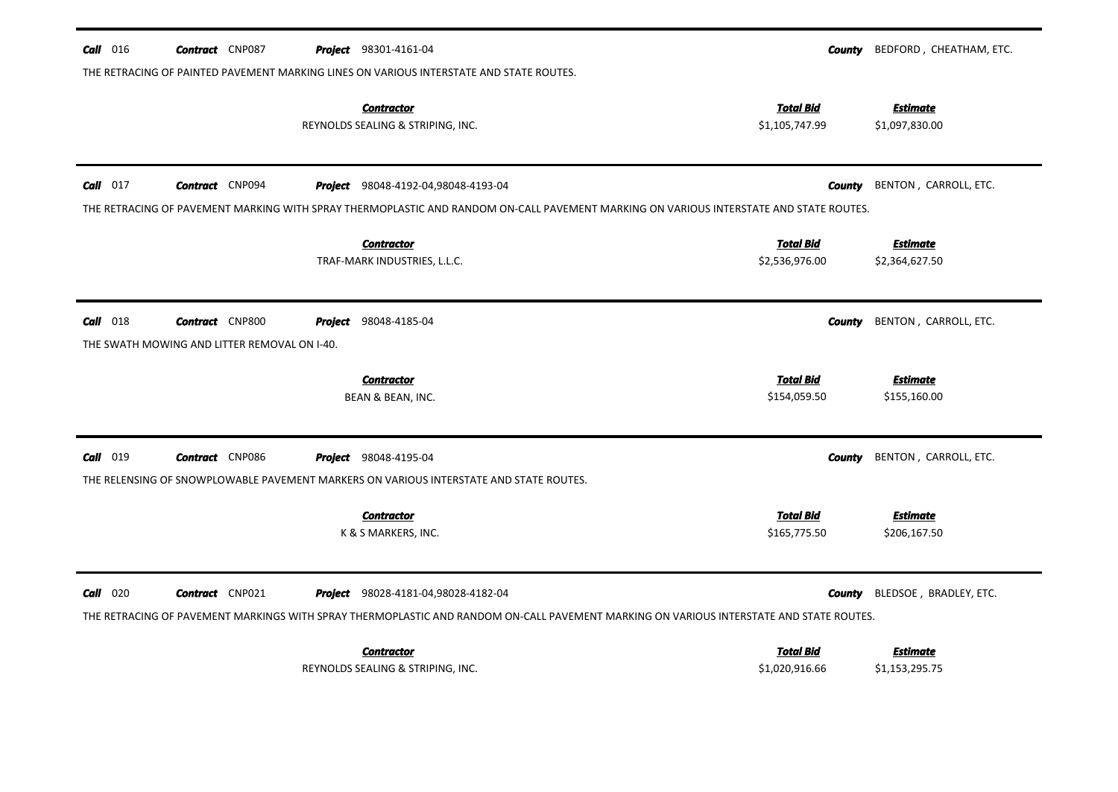| $\text{Call}$ 016 | <b>Contract</b> CNP087                       |         | <b>Project</b> 98301-4161-04                                                                                                            | County                             | BEDFORD, CHEATHAM, ETC.           |
|-------------------|----------------------------------------------|---------|-----------------------------------------------------------------------------------------------------------------------------------------|------------------------------------|-----------------------------------|
|                   |                                              |         | THE RETRACING OF PAINTED PAVEMENT MARKING LINES ON VARIOUS INTERSTATE AND STATE ROUTES.                                                 |                                    |                                   |
|                   |                                              |         | <b>Contractor</b><br>REYNOLDS SEALING & STRIPING, INC.                                                                                  | <b>Total Bid</b><br>\$1,105,747.99 | <b>Estimate</b><br>\$1,097,830.00 |
| $Call$ 017        | <b>Contract</b> CNP094                       |         | Project 98048-4192-04,98048-4193-04                                                                                                     | County                             | BENTON, CARROLL, ETC.             |
|                   |                                              |         | THE RETRACING OF PAVEMENT MARKING WITH SPRAY THERMOPLASTIC AND RANDOM ON-CALL PAVEMENT MARKING ON VARIOUS INTERSTATE AND STATE ROUTES.  |                                    |                                   |
|                   |                                              |         | <b>Contractor</b>                                                                                                                       | <b>Total Bid</b>                   | <b>Estimate</b>                   |
|                   |                                              |         | TRAF-MARK INDUSTRIES, L.L.C.                                                                                                            | \$2,536,976.00                     | \$2,364,627.50                    |
| $Call$ 018        | <b>Contract</b> CNP800                       | Project | 98048-4185-04                                                                                                                           | County                             | BENTON, CARROLL, ETC.             |
|                   | THE SWATH MOWING AND LITTER REMOVAL ON I-40. |         |                                                                                                                                         |                                    |                                   |
|                   |                                              |         | <b>Contractor</b>                                                                                                                       | <b>Total Bid</b>                   | <b>Estimate</b>                   |
|                   |                                              |         | BEAN & BEAN, INC.                                                                                                                       | \$154,059.50                       | \$155,160.00                      |
| 019<br>Call       | <b>Contract</b> CNP086                       |         | <b>Project</b> 98048-4195-04                                                                                                            | <b>County</b>                      | BENTON, CARROLL, ETC.             |
|                   |                                              |         | THE RELENSING OF SNOWPLOWABLE PAVEMENT MARKERS ON VARIOUS INTERSTATE AND STATE ROUTES.                                                  |                                    |                                   |
|                   |                                              |         | <b>Contractor</b>                                                                                                                       | <b>Total Bid</b>                   | Estimate                          |
|                   |                                              |         | K & S MARKERS, INC.                                                                                                                     | \$165,775.50                       | \$206,167.50                      |
| 020<br>Call       | <b>Contract</b> CNP021                       |         | <b>Project</b> 98028-4181-04,98028-4182-04                                                                                              | County                             | BLEDSOE, BRADLEY, ETC.            |
|                   |                                              |         | THE RETRACING OF PAVEMENT MARKINGS WITH SPRAY THERMOPLASTIC AND RANDOM ON-CALL PAVEMENT MARKING ON VARIOUS INTERSTATE AND STATE ROUTES. |                                    |                                   |
|                   |                                              |         | <b>Contractor</b>                                                                                                                       | <b>Total Bid</b>                   | Estimate                          |
|                   |                                              |         | REYNOLDS SEALING & STRIPING, INC.                                                                                                       | \$1,020,916.66                     | \$1,153,295.75                    |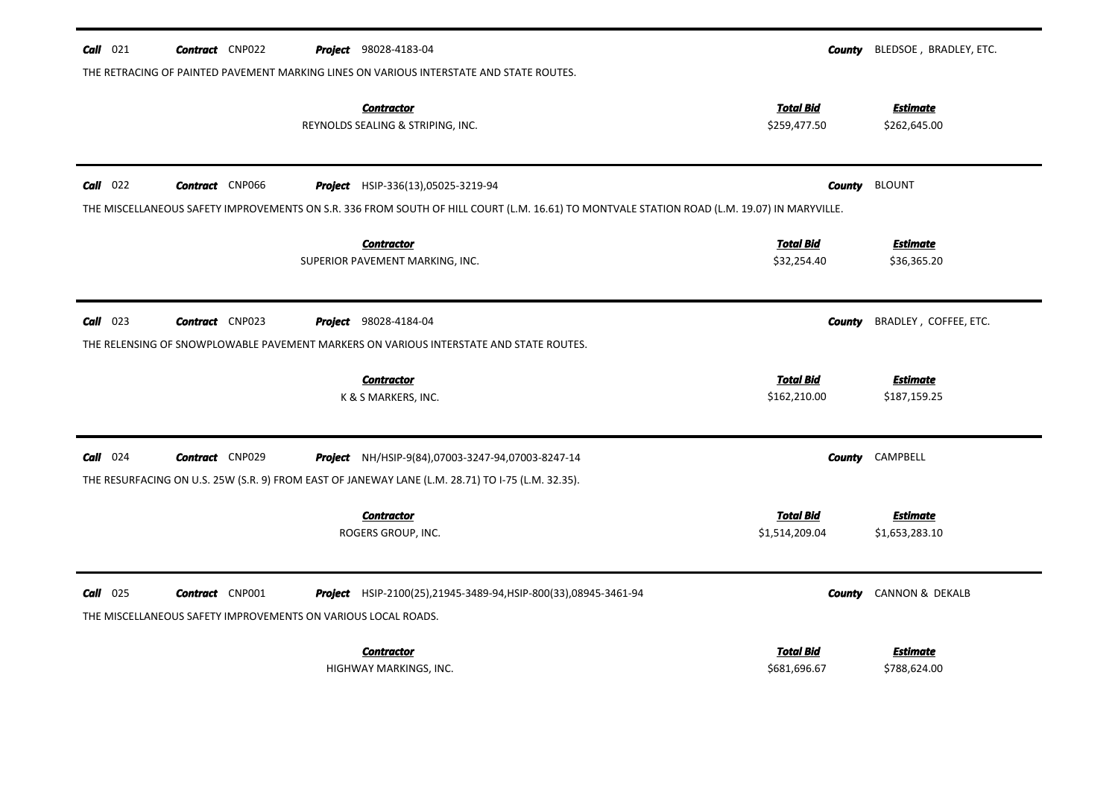| $Call$ 021 | <b>Contract</b> CNP022                                                                  | <b>Project</b> 98028-4183-04                                                                                                                                                             | County                             | BLEDSOE, BRADLEY, ETC.            |
|------------|-----------------------------------------------------------------------------------------|------------------------------------------------------------------------------------------------------------------------------------------------------------------------------------------|------------------------------------|-----------------------------------|
|            |                                                                                         | THE RETRACING OF PAINTED PAVEMENT MARKING LINES ON VARIOUS INTERSTATE AND STATE ROUTES.                                                                                                  |                                    |                                   |
|            |                                                                                         | <b>Contractor</b><br>REYNOLDS SEALING & STRIPING, INC.                                                                                                                                   | <b>Total Bid</b><br>\$259,477.50   | <b>Estimate</b><br>\$262,645.00   |
| $Call$ 022 | <b>Contract</b> CNP066                                                                  | <b>Project</b> HSIP-336(13),05025-3219-94<br>THE MISCELLANEOUS SAFETY IMPROVEMENTS ON S.R. 336 FROM SOUTH OF HILL COURT (L.M. 16.61) TO MONTVALE STATION ROAD (L.M. 19.07) IN MARYVILLE. | <b>County</b>                      | <b>BLOUNT</b>                     |
|            |                                                                                         | <b>Contractor</b><br>SUPERIOR PAVEMENT MARKING, INC.                                                                                                                                     | <b>Total Bid</b><br>\$32,254.40    | <b>Estimate</b><br>\$36,365.20    |
| $Call$ 023 | <b>Contract</b> CNP023                                                                  | <b>Project</b> 98028-4184-04<br>THE RELENSING OF SNOWPLOWABLE PAVEMENT MARKERS ON VARIOUS INTERSTATE AND STATE ROUTES.                                                                   | County                             | BRADLEY, COFFEE, ETC.             |
|            |                                                                                         | <b>Contractor</b><br>K & S MARKERS, INC.                                                                                                                                                 | <b>Total Bid</b><br>\$162,210.00   | <b>Estimate</b><br>\$187,159.25   |
| $Call$ 024 | <b>Contract</b> CNP029                                                                  | Project NH/HSIP-9(84),07003-3247-94,07003-8247-14<br>THE RESURFACING ON U.S. 25W (S.R. 9) FROM EAST OF JANEWAY LANE (L.M. 28.71) TO I-75 (L.M. 32.35).                                   |                                    | <b>County</b> CAMPBELL            |
|            |                                                                                         | <b>Contractor</b><br>ROGERS GROUP, INC.                                                                                                                                                  | <b>Total Bid</b><br>\$1,514,209.04 | <b>Estimate</b><br>\$1,653,283.10 |
| $Call$ 025 | <b>Contract</b> CNP001<br>THE MISCELLANEOUS SAFETY IMPROVEMENTS ON VARIOUS LOCAL ROADS. | <b>Project</b> HSIP-2100(25),21945-3489-94, HSIP-800(33),08945-3461-94                                                                                                                   | County                             | <b>CANNON &amp; DEKALB</b>        |
|            |                                                                                         | <b>Contractor</b><br>HIGHWAY MARKINGS, INC.                                                                                                                                              | <b>Total Bid</b><br>\$681,696.67   | Estimate<br>\$788,624.00          |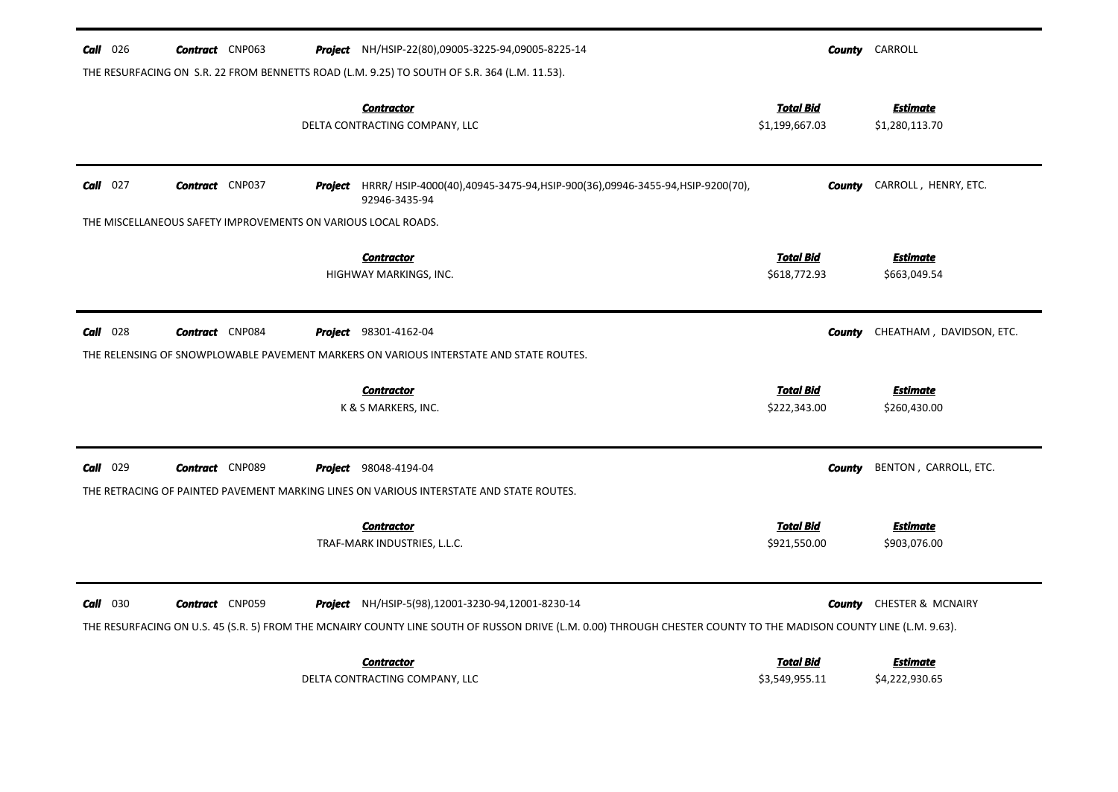| <b>Call</b> 026 | <b>Contract</b> CNP063                                        |         | <b>Project</b> NH/HSIP-22(80),09005-3225-94,09005-8225-14                                                                                                                                                                     |                                    | <b>County</b> CARROLL             |
|-----------------|---------------------------------------------------------------|---------|-------------------------------------------------------------------------------------------------------------------------------------------------------------------------------------------------------------------------------|------------------------------------|-----------------------------------|
|                 |                                                               |         | THE RESURFACING ON S.R. 22 FROM BENNETTS ROAD (L.M. 9.25) TO SOUTH OF S.R. 364 (L.M. 11.53).                                                                                                                                  |                                    |                                   |
|                 |                                                               |         | <b>Contractor</b><br>DELTA CONTRACTING COMPANY, LLC                                                                                                                                                                           | <u>Total Bid</u><br>\$1,199,667.03 | <b>Estimate</b><br>\$1,280,113.70 |
| $Call$ 027      | <b>Contract</b> CNP037                                        | Project | HRRR/ HSIP-4000(40),40945-3475-94,HSIP-900(36),09946-3455-94,HSIP-9200(70),<br>92946-3435-94                                                                                                                                  | County                             | CARROLL, HENRY, ETC.              |
|                 | THE MISCELLANEOUS SAFETY IMPROVEMENTS ON VARIOUS LOCAL ROADS. |         |                                                                                                                                                                                                                               |                                    |                                   |
|                 |                                                               |         | <b>Contractor</b><br>HIGHWAY MARKINGS, INC.                                                                                                                                                                                   | <b>Total Bid</b><br>\$618,772.93   | <b>Estimate</b><br>\$663,049.54   |
| <b>Call</b> 028 | <b>Contract</b> CNP084                                        |         | <b>Project</b> 98301-4162-04<br>THE RELENSING OF SNOWPLOWABLE PAVEMENT MARKERS ON VARIOUS INTERSTATE AND STATE ROUTES.                                                                                                        | County                             | CHEATHAM, DAVIDSON, ETC.          |
|                 |                                                               |         | <b>Contractor</b><br>K & S MARKERS, INC.                                                                                                                                                                                      | <b>Total Bid</b><br>\$222,343.00   | <b>Estimate</b><br>\$260,430.00   |
| <b>Call</b> 029 | <b>Contract</b> CNP089                                        |         | <b>Project</b> 98048-4194-04                                                                                                                                                                                                  | <b>County</b>                      | BENTON, CARROLL, ETC.             |
|                 |                                                               |         | THE RETRACING OF PAINTED PAVEMENT MARKING LINES ON VARIOUS INTERSTATE AND STATE ROUTES.                                                                                                                                       |                                    |                                   |
|                 |                                                               |         | <b>Contractor</b><br>TRAF-MARK INDUSTRIES, L.L.C.                                                                                                                                                                             | <b>Total Bid</b><br>\$921,550.00   | <b>Estimate</b><br>\$903,076.00   |
| <b>Call</b> 030 | <b>Contract</b> CNP059                                        |         | <b>Project</b> NH/HSIP-5(98),12001-3230-94,12001-8230-14<br>THE RESURFACING ON U.S. 45 (S.R. 5) FROM THE MCNAIRY COUNTY LINE SOUTH OF RUSSON DRIVE (L.M. 0.00) THROUGH CHESTER COUNTY TO THE MADISON COUNTY LINE (L.M. 9.63). | County                             | CHESTER & MCNAIRY                 |
|                 |                                                               |         | <b>Contractor</b><br>DELTA CONTRACTING COMPANY, LLC                                                                                                                                                                           | <b>Total Bid</b><br>\$3,549,955.11 | <b>Estimate</b><br>\$4,222,930.65 |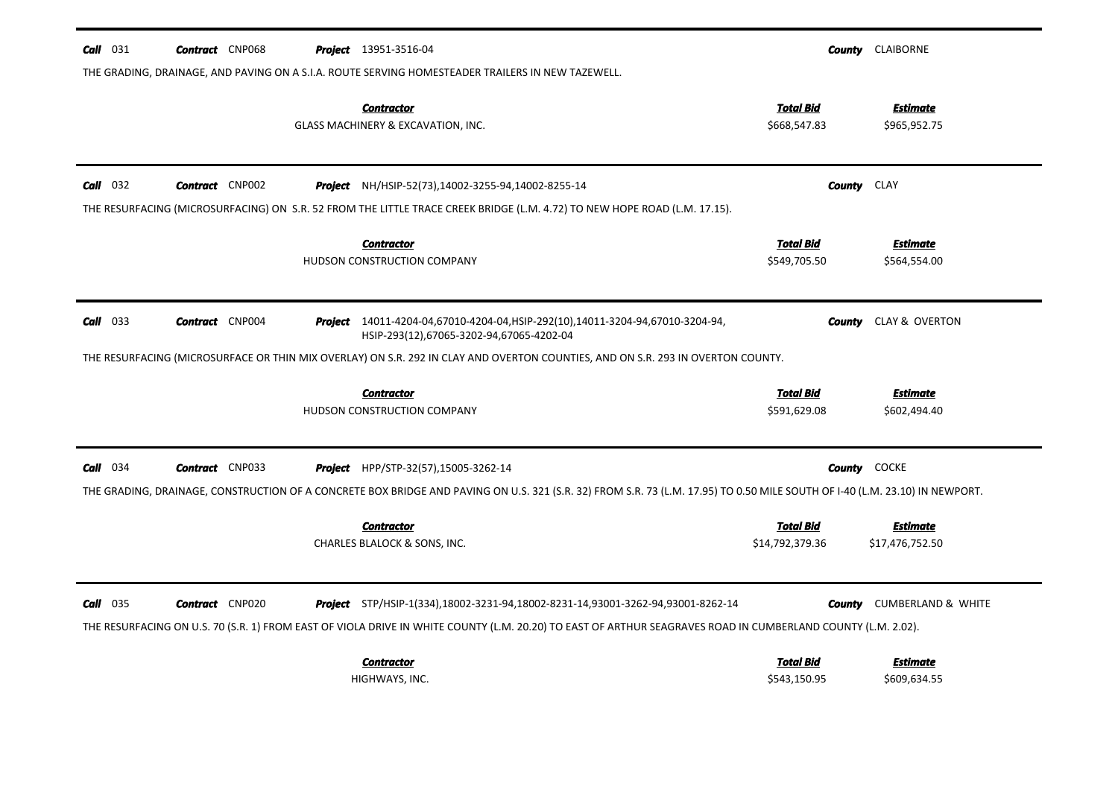| $Call$ 031 | <b>Contract</b> CNP068 | <b>Project</b> 13951-3516-04                                                                                                                                                                                                                                 |                                     | <b>County CLAIBORNE</b>            |
|------------|------------------------|--------------------------------------------------------------------------------------------------------------------------------------------------------------------------------------------------------------------------------------------------------------|-------------------------------------|------------------------------------|
|            |                        | THE GRADING, DRAINAGE, AND PAVING ON A S.I.A. ROUTE SERVING HOMESTEADER TRAILERS IN NEW TAZEWELL.<br><b>Contractor</b><br>GLASS MACHINERY & EXCAVATION, INC.                                                                                                 | <u>Total Bid</u><br>\$668,547.83    | <b>Estimate</b><br>\$965,952.75    |
| $Call$ 032 | <b>Contract</b> CNP002 | <b>Project</b> NH/HSIP-52(73),14002-3255-94,14002-8255-14<br>THE RESURFACING (MICROSURFACING) ON S.R. 52 FROM THE LITTLE TRACE CREEK BRIDGE (L.M. 4.72) TO NEW HOPE ROAD (L.M. 17.15).                                                                       | <b>County</b> CLAY                  |                                    |
|            |                        | <b>Contractor</b><br>HUDSON CONSTRUCTION COMPANY                                                                                                                                                                                                             | <b>Total Bid</b><br>\$549,705.50    | <b>Estimate</b><br>\$564,554.00    |
| $Call$ 033 | <b>Contract</b> CNP004 | Project 14011-4204-04,67010-4204-04,HSIP-292(10),14011-3204-94,67010-3204-94,<br>HSIP-293(12),67065-3202-94,67065-4202-04<br>THE RESURFACING (MICROSURFACE OR THIN MIX OVERLAY) ON S.R. 292 IN CLAY AND OVERTON COUNTIES, AND ON S.R. 293 IN OVERTON COUNTY. | County                              | CLAY & OVERTON                     |
|            |                        | <b>Contractor</b><br>HUDSON CONSTRUCTION COMPANY                                                                                                                                                                                                             | <b>Total Bid</b><br>\$591,629.08    | <b>Estimate</b><br>\$602,494.40    |
| $Call$ 034 | <b>Contract</b> CNP033 | Project HPP/STP-32(57),15005-3262-14<br>THE GRADING, DRAINAGE, CONSTRUCTION OF A CONCRETE BOX BRIDGE AND PAVING ON U.S. 321 (S.R. 32) FROM S.R. 73 (L.M. 17.95) TO 0.50 MILE SOUTH OF I-40 (L.M. 23.10) IN NEWPORT.                                          | County                              | <b>COCKE</b>                       |
|            |                        | <b>Contractor</b><br>CHARLES BLALOCK & SONS, INC.                                                                                                                                                                                                            | <b>Total Bid</b><br>\$14,792,379.36 | <b>Estimate</b><br>\$17,476,752.50 |
| $Call$ 035 | <b>Contract</b> CNP020 | Project STP/HSIP-1(334),18002-3231-94,18002-8231-14,93001-3262-94,93001-8262-14<br>THE RESURFACING ON U.S. 70 (S.R. 1) FROM EAST OF VIOLA DRIVE IN WHITE COUNTY (L.M. 20.20) TO EAST OF ARTHUR SEAGRAVES ROAD IN CUMBERLAND COUNTY (L.M. 2.02).              | County                              | <b>CUMBERLAND &amp; WHITE</b>      |
|            |                        | <b>Contractor</b><br>HIGHWAYS, INC.                                                                                                                                                                                                                          | <b>Total Bid</b><br>\$543,150.95    | <b>Estimate</b><br>\$609,634.55    |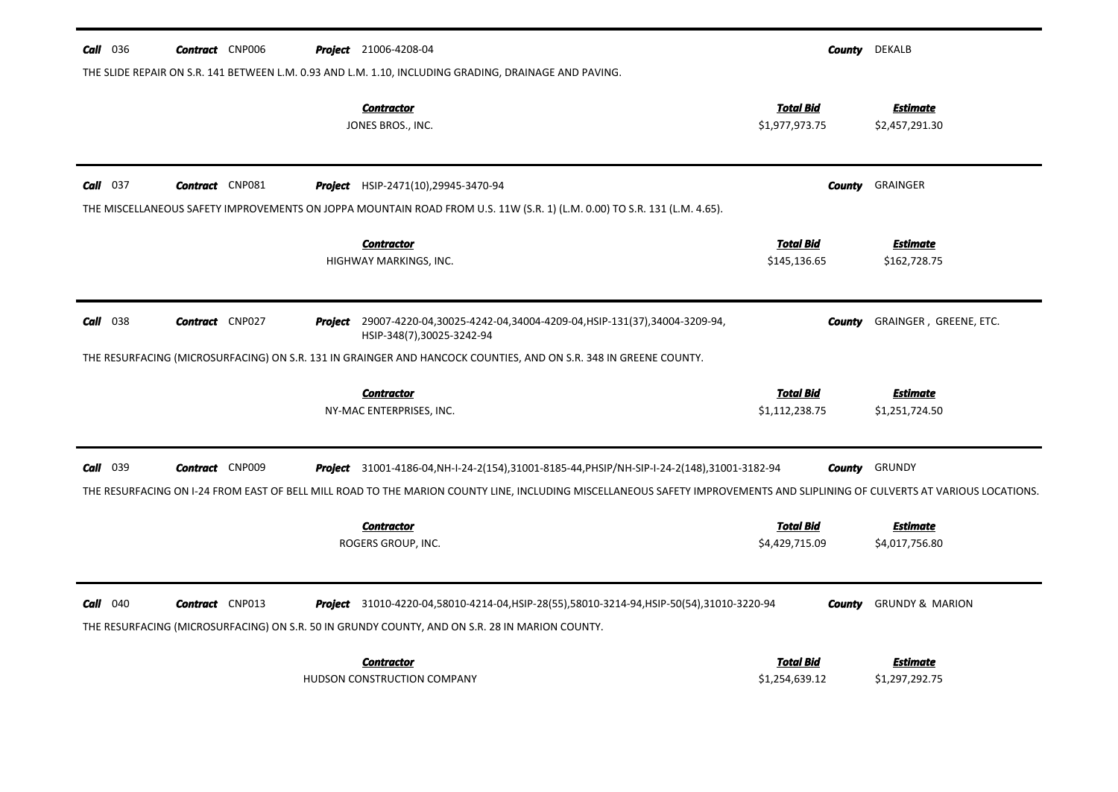| <b>Call</b> 036 | <b>Contract</b> CNP006 | <b>Project</b> 21006-4208-04                                                                                                                                                                                                                                                                      | County                             | <b>DEKALB</b>                     |
|-----------------|------------------------|---------------------------------------------------------------------------------------------------------------------------------------------------------------------------------------------------------------------------------------------------------------------------------------------------|------------------------------------|-----------------------------------|
|                 |                        | THE SLIDE REPAIR ON S.R. 141 BETWEEN L.M. 0.93 AND L.M. 1.10, INCLUDING GRADING, DRAINAGE AND PAVING.                                                                                                                                                                                             |                                    |                                   |
|                 |                        | <b>Contractor</b><br>JONES BROS., INC.                                                                                                                                                                                                                                                            | <b>Total Bid</b><br>\$1,977,973.75 | <b>Estimate</b><br>\$2,457,291.30 |
| $Call$ 037      | <b>Contract</b> CNP081 | <b>Project</b> HSIP-2471(10), 29945-3470-94<br>THE MISCELLANEOUS SAFETY IMPROVEMENTS ON JOPPA MOUNTAIN ROAD FROM U.S. 11W (S.R. 1) (L.M. 0.00) TO S.R. 131 (L.M. 4.65).                                                                                                                           | County                             | <b>GRAINGER</b>                   |
|                 |                        | <b>Contractor</b><br>HIGHWAY MARKINGS, INC.                                                                                                                                                                                                                                                       | <b>Total Bid</b><br>\$145,136.65   | <u>Estimate</u><br>\$162,728.75   |
| <b>Call</b> 038 | <b>Contract</b> CNP027 | Project 29007-4220-04,30025-4242-04,34004-4209-04, HSIP-131(37),34004-3209-94,<br>HSIP-348(7),30025-3242-94                                                                                                                                                                                       | County                             | GRAINGER, GREENE, ETC.            |
|                 |                        | THE RESURFACING (MICROSURFACING) ON S.R. 131 IN GRAINGER AND HANCOCK COUNTIES, AND ON S.R. 348 IN GREENE COUNTY.                                                                                                                                                                                  |                                    |                                   |
|                 |                        | <b>Contractor</b><br>NY-MAC ENTERPRISES, INC.                                                                                                                                                                                                                                                     | <b>Total Bid</b><br>\$1,112,238.75 | <b>Estimate</b><br>\$1,251,724.50 |
| Call 039        | <b>Contract</b> CNP009 | Project 31001-4186-04, NH-I-24-2(154), 31001-8185-44, PHSIP/NH-SIP-I-24-2(148), 31001-3182-94<br>THE RESURFACING ON I-24 FROM EAST OF BELL MILL ROAD TO THE MARION COUNTY LINE, INCLUDING MISCELLANEOUS SAFETY IMPROVEMENTS AND SLIPLINING OF CULVERTS AT VARIOUS LOCATIONS.<br><b>Contractor</b> | County<br><b>Total Bid</b>         | GRUNDY<br><b>Estimate</b>         |
|                 |                        | ROGERS GROUP, INC.                                                                                                                                                                                                                                                                                | \$4,429,715.09                     | \$4,017,756.80                    |
| $Call$ 040      | <b>Contract</b> CNP013 | Project 31010-4220-04,58010-4214-04, HSIP-28(55),58010-3214-94, HSIP-50(54),31010-3220-94<br>THE RESURFACING (MICROSURFACING) ON S.R. 50 IN GRUNDY COUNTY, AND ON S.R. 28 IN MARION COUNTY.                                                                                                       | County                             | <b>GRUNDY &amp; MARION</b>        |
|                 |                        | <b>Contractor</b><br>HUDSON CONSTRUCTION COMPANY                                                                                                                                                                                                                                                  | <b>Total Bid</b><br>\$1,254,639.12 | <b>Estimate</b><br>\$1,297,292.75 |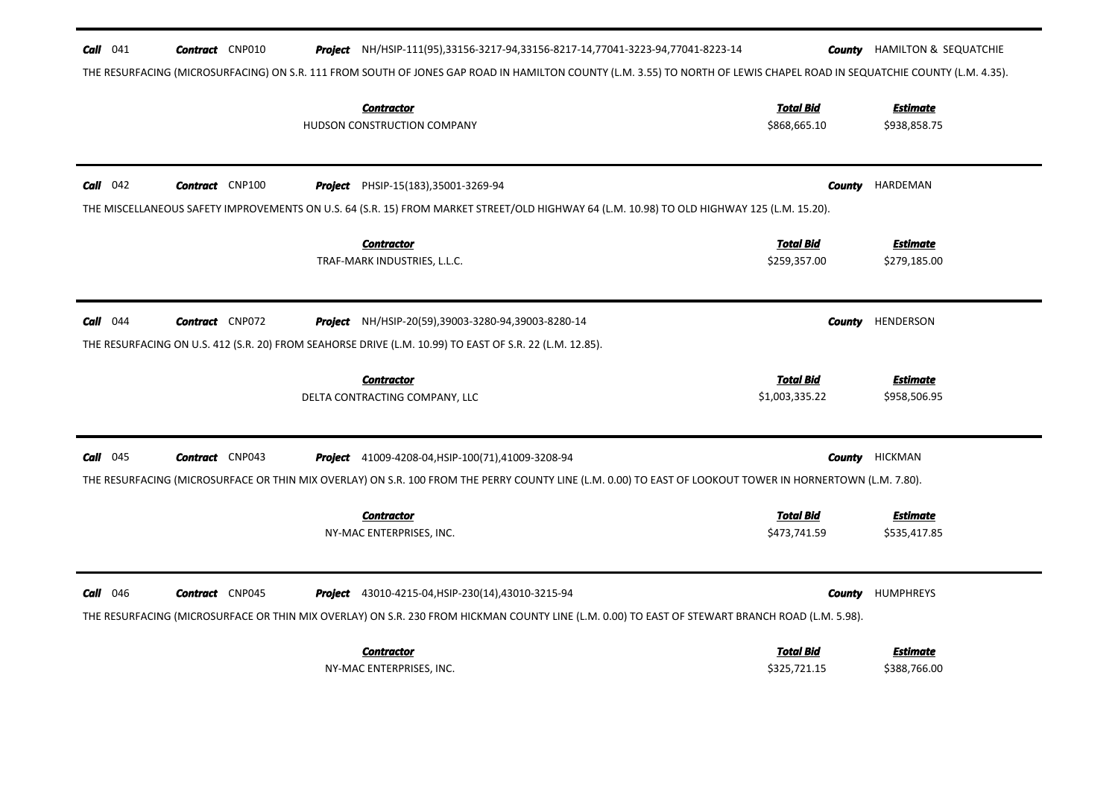| THE RESURFACING (MICROSURFACING) ON S.R. 111 FROM SOUTH OF JONES GAP ROAD IN HAMILTON COUNTY (L.M. 3.55) TO NORTH OF LEWIS CHAPEL ROAD IN SEQUATCHIE COUNTY (L.M. 4.35).<br><b>Total Bid</b><br><b>Estimate</b><br><b>Contractor</b><br>HUDSON CONSTRUCTION COMPANY<br>\$868,665.10<br>\$938,858.75<br>$Call$ 042<br><b>Contract</b> CNP100<br>HARDEMAN<br><b>Project</b> PHSIP-15(183), 35001-3269-94<br><b>County</b><br>THE MISCELLANEOUS SAFETY IMPROVEMENTS ON U.S. 64 (S.R. 15) FROM MARKET STREET/OLD HIGHWAY 64 (L.M. 10.98) TO OLD HIGHWAY 125 (L.M. 15.20).<br><b>Total Bid</b><br><b>Contractor</b><br><b>Estimate</b><br>TRAF-MARK INDUSTRIES, L.L.C.<br>\$259,357.00<br>\$279,185.00<br>$Call$ 044<br><b>Contract</b> CNP072<br>HENDERSON<br><b>Project</b> NH/HSIP-20(59),39003-3280-94,39003-8280-14<br><b>County</b><br>THE RESURFACING ON U.S. 412 (S.R. 20) FROM SEAHORSE DRIVE (L.M. 10.99) TO EAST OF S.R. 22 (L.M. 12.85).<br>Total Bid<br><b>Estimate</b><br><b>Contractor</b><br>DELTA CONTRACTING COMPANY, LLC<br>\$1,003,335.22<br>\$958,506.95<br>$Call$ 045<br><b>Contract</b> CNP043<br><b>Project</b> 41009-4208-04, HSIP-100(71), 41009-3208-94<br>County<br>HICKMAN<br>THE RESURFACING (MICROSURFACE OR THIN MIX OVERLAY) ON S.R. 100 FROM THE PERRY COUNTY LINE (L.M. 0.00) TO EAST OF LOOKOUT TOWER IN HORNERTOWN (L.M. 7.80).<br><b>Total Bid</b><br><b>Estimate</b><br><b>Contractor</b><br>\$473,741.59<br>NY-MAC ENTERPRISES, INC.<br>\$535,417.85 | $Call$ 041<br><b>Contract</b> CNP010      | Project NH/HSIP-111(95),33156-3217-94,33156-8217-14,77041-3223-94,77041-8223-14 | <b>County</b> HAMILTON & SEQUATCHIE |
|-----------------------------------------------------------------------------------------------------------------------------------------------------------------------------------------------------------------------------------------------------------------------------------------------------------------------------------------------------------------------------------------------------------------------------------------------------------------------------------------------------------------------------------------------------------------------------------------------------------------------------------------------------------------------------------------------------------------------------------------------------------------------------------------------------------------------------------------------------------------------------------------------------------------------------------------------------------------------------------------------------------------------------------------------------------------------------------------------------------------------------------------------------------------------------------------------------------------------------------------------------------------------------------------------------------------------------------------------------------------------------------------------------------------------------------------------------------------------------------------|-------------------------------------------|---------------------------------------------------------------------------------|-------------------------------------|
|                                                                                                                                                                                                                                                                                                                                                                                                                                                                                                                                                                                                                                                                                                                                                                                                                                                                                                                                                                                                                                                                                                                                                                                                                                                                                                                                                                                                                                                                                         |                                           |                                                                                 |                                     |
|                                                                                                                                                                                                                                                                                                                                                                                                                                                                                                                                                                                                                                                                                                                                                                                                                                                                                                                                                                                                                                                                                                                                                                                                                                                                                                                                                                                                                                                                                         |                                           |                                                                                 |                                     |
|                                                                                                                                                                                                                                                                                                                                                                                                                                                                                                                                                                                                                                                                                                                                                                                                                                                                                                                                                                                                                                                                                                                                                                                                                                                                                                                                                                                                                                                                                         |                                           |                                                                                 |                                     |
|                                                                                                                                                                                                                                                                                                                                                                                                                                                                                                                                                                                                                                                                                                                                                                                                                                                                                                                                                                                                                                                                                                                                                                                                                                                                                                                                                                                                                                                                                         |                                           |                                                                                 |                                     |
|                                                                                                                                                                                                                                                                                                                                                                                                                                                                                                                                                                                                                                                                                                                                                                                                                                                                                                                                                                                                                                                                                                                                                                                                                                                                                                                                                                                                                                                                                         |                                           |                                                                                 |                                     |
|                                                                                                                                                                                                                                                                                                                                                                                                                                                                                                                                                                                                                                                                                                                                                                                                                                                                                                                                                                                                                                                                                                                                                                                                                                                                                                                                                                                                                                                                                         |                                           |                                                                                 |                                     |
|                                                                                                                                                                                                                                                                                                                                                                                                                                                                                                                                                                                                                                                                                                                                                                                                                                                                                                                                                                                                                                                                                                                                                                                                                                                                                                                                                                                                                                                                                         |                                           |                                                                                 |                                     |
|                                                                                                                                                                                                                                                                                                                                                                                                                                                                                                                                                                                                                                                                                                                                                                                                                                                                                                                                                                                                                                                                                                                                                                                                                                                                                                                                                                                                                                                                                         |                                           |                                                                                 |                                     |
|                                                                                                                                                                                                                                                                                                                                                                                                                                                                                                                                                                                                                                                                                                                                                                                                                                                                                                                                                                                                                                                                                                                                                                                                                                                                                                                                                                                                                                                                                         |                                           |                                                                                 |                                     |
|                                                                                                                                                                                                                                                                                                                                                                                                                                                                                                                                                                                                                                                                                                                                                                                                                                                                                                                                                                                                                                                                                                                                                                                                                                                                                                                                                                                                                                                                                         |                                           |                                                                                 |                                     |
|                                                                                                                                                                                                                                                                                                                                                                                                                                                                                                                                                                                                                                                                                                                                                                                                                                                                                                                                                                                                                                                                                                                                                                                                                                                                                                                                                                                                                                                                                         |                                           |                                                                                 |                                     |
|                                                                                                                                                                                                                                                                                                                                                                                                                                                                                                                                                                                                                                                                                                                                                                                                                                                                                                                                                                                                                                                                                                                                                                                                                                                                                                                                                                                                                                                                                         |                                           |                                                                                 |                                     |
|                                                                                                                                                                                                                                                                                                                                                                                                                                                                                                                                                                                                                                                                                                                                                                                                                                                                                                                                                                                                                                                                                                                                                                                                                                                                                                                                                                                                                                                                                         |                                           |                                                                                 |                                     |
|                                                                                                                                                                                                                                                                                                                                                                                                                                                                                                                                                                                                                                                                                                                                                                                                                                                                                                                                                                                                                                                                                                                                                                                                                                                                                                                                                                                                                                                                                         |                                           |                                                                                 |                                     |
|                                                                                                                                                                                                                                                                                                                                                                                                                                                                                                                                                                                                                                                                                                                                                                                                                                                                                                                                                                                                                                                                                                                                                                                                                                                                                                                                                                                                                                                                                         |                                           |                                                                                 |                                     |
|                                                                                                                                                                                                                                                                                                                                                                                                                                                                                                                                                                                                                                                                                                                                                                                                                                                                                                                                                                                                                                                                                                                                                                                                                                                                                                                                                                                                                                                                                         |                                           |                                                                                 |                                     |
|                                                                                                                                                                                                                                                                                                                                                                                                                                                                                                                                                                                                                                                                                                                                                                                                                                                                                                                                                                                                                                                                                                                                                                                                                                                                                                                                                                                                                                                                                         |                                           |                                                                                 |                                     |
|                                                                                                                                                                                                                                                                                                                                                                                                                                                                                                                                                                                                                                                                                                                                                                                                                                                                                                                                                                                                                                                                                                                                                                                                                                                                                                                                                                                                                                                                                         | <b>Call</b> 046<br><b>Contract</b> CNP045 | <b>Project</b> 43010-4215-04, HSIP-230(14), 43010-3215-94                       | <b>HUMPHREYS</b><br><b>County</b>   |
| THE RESURFACING (MICROSURFACE OR THIN MIX OVERLAY) ON S.R. 230 FROM HICKMAN COUNTY LINE (L.M. 0.00) TO EAST OF STEWART BRANCH ROAD (L.M. 5.98).                                                                                                                                                                                                                                                                                                                                                                                                                                                                                                                                                                                                                                                                                                                                                                                                                                                                                                                                                                                                                                                                                                                                                                                                                                                                                                                                         |                                           |                                                                                 |                                     |
| <b>Total Bid</b><br><b>Contractor</b><br><b>Estimate</b>                                                                                                                                                                                                                                                                                                                                                                                                                                                                                                                                                                                                                                                                                                                                                                                                                                                                                                                                                                                                                                                                                                                                                                                                                                                                                                                                                                                                                                |                                           |                                                                                 |                                     |
|                                                                                                                                                                                                                                                                                                                                                                                                                                                                                                                                                                                                                                                                                                                                                                                                                                                                                                                                                                                                                                                                                                                                                                                                                                                                                                                                                                                                                                                                                         |                                           | NY-MAC ENTERPRISES, INC.                                                        | \$388,766.00<br>\$325,721.15        |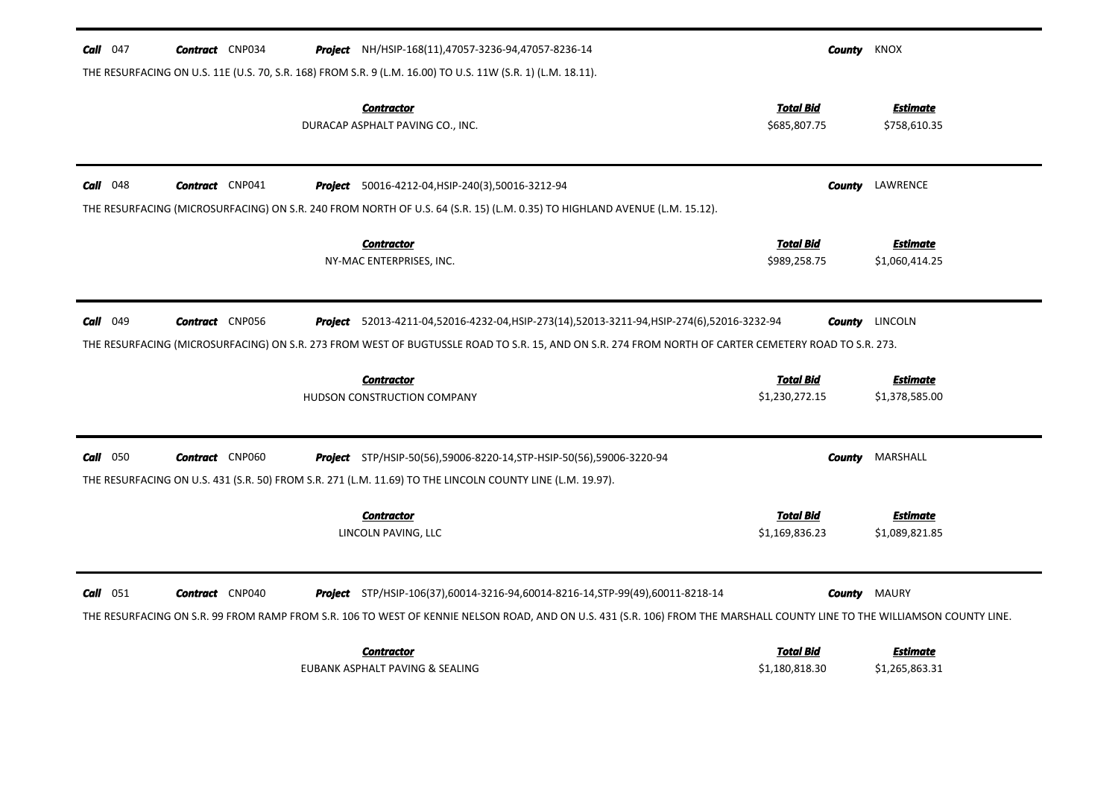| Call $047$      | <b>Contract</b> CNP034 | <b>Project</b> NH/HSIP-168(11),47057-3236-94,47057-8236-14                                                                                                                                                                                                  | County                             | KNOX                              |
|-----------------|------------------------|-------------------------------------------------------------------------------------------------------------------------------------------------------------------------------------------------------------------------------------------------------------|------------------------------------|-----------------------------------|
|                 |                        | THE RESURFACING ON U.S. 11E (U.S. 70, S.R. 168) FROM S.R. 9 (L.M. 16.00) TO U.S. 11W (S.R. 1) (L.M. 18.11).                                                                                                                                                 |                                    |                                   |
|                 |                        | <b>Contractor</b><br>DURACAP ASPHALT PAVING CO., INC.                                                                                                                                                                                                       | <b>Total Bid</b><br>\$685,807.75   | <b>Estimate</b><br>\$758,610.35   |
| <b>Call</b> 048 | <b>Contract</b> CNP041 | Project 50016-4212-04, HSIP-240(3), 50016-3212-94                                                                                                                                                                                                           | <b>County</b>                      | LAWRENCE                          |
|                 |                        | THE RESURFACING (MICROSURFACING) ON S.R. 240 FROM NORTH OF U.S. 64 (S.R. 15) (L.M. 0.35) TO HIGHLAND AVENUE (L.M. 15.12).                                                                                                                                   |                                    |                                   |
|                 |                        | <b>Contractor</b><br>NY-MAC ENTERPRISES, INC.                                                                                                                                                                                                               | <b>Total Bid</b><br>\$989,258.75   | Estimate<br>\$1,060,414.25        |
| Call 049        | <b>Contract</b> CNP056 | <b>Project</b> 52013-4211-04,52016-4232-04,HSIP-273(14),52013-3211-94,HSIP-274(6),52016-3232-94<br>THE RESURFACING (MICROSURFACING) ON S.R. 273 FROM WEST OF BUGTUSSLE ROAD TO S.R. 15, AND ON S.R. 274 FROM NORTH OF CARTER CEMETERY ROAD TO S.R. 273.     | <b>County</b>                      | LINCOLN                           |
|                 |                        |                                                                                                                                                                                                                                                             |                                    |                                   |
|                 |                        | <b>Contractor</b><br><b>HUDSON CONSTRUCTION COMPANY</b>                                                                                                                                                                                                     | <b>Total Bid</b><br>\$1,230,272.15 | <b>Estimate</b><br>\$1,378,585.00 |
| $Call$ 050      | <b>Contract</b> CNP060 | Project STP/HSIP-50(56),59006-8220-14, STP-HSIP-50(56),59006-3220-94<br>THE RESURFACING ON U.S. 431 (S.R. 50) FROM S.R. 271 (L.M. 11.69) TO THE LINCOLN COUNTY LINE (L.M. 19.97).                                                                           |                                    | <b>County</b> MARSHALL            |
|                 |                        | <b>Contractor</b><br>LINCOLN PAVING, LLC                                                                                                                                                                                                                    | Total Bid<br>\$1,169,836.23        | <b>Estimate</b><br>\$1,089,821.85 |
| $Call$ 051      | <b>Contract</b> CNP040 | Project STP/HSIP-106(37),60014-3216-94,60014-8216-14, STP-99(49),60011-8218-14<br>THE RESURFACING ON S.R. 99 FROM RAMP FROM S.R. 106 TO WEST OF KENNIE NELSON ROAD, AND ON U.S. 431 (S.R. 106) FROM THE MARSHALL COUNTY LINE TO THE WILLIAMSON COUNTY LINE. | County                             | <b>MAURY</b>                      |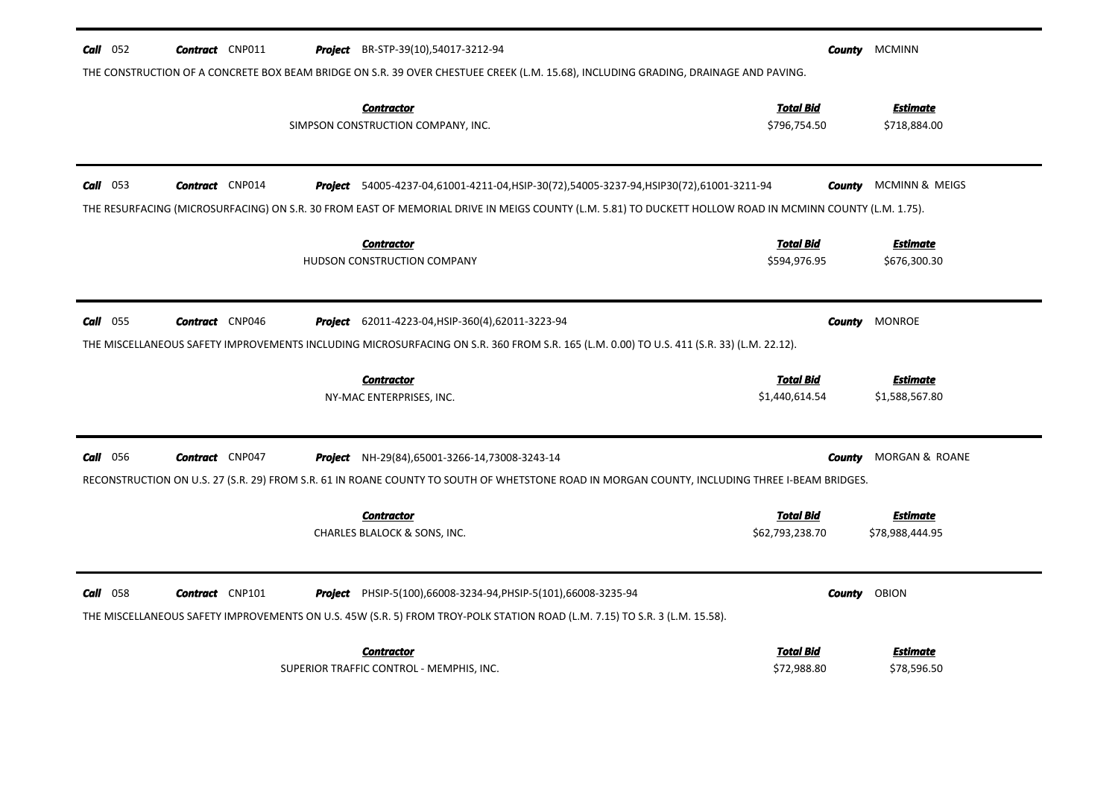| $Call$ 052<br><b>Contract</b> CNP011            | <b>Project</b> BR-STP-39(10),54017-3212-94<br>THE CONSTRUCTION OF A CONCRETE BOX BEAM BRIDGE ON S.R. 39 OVER CHESTUEE CREEK (L.M. 15.68), INCLUDING GRADING, DRAINAGE AND PAVING.                            | County                              | <b>MCMINN</b>                     |
|-------------------------------------------------|--------------------------------------------------------------------------------------------------------------------------------------------------------------------------------------------------------------|-------------------------------------|-----------------------------------|
|                                                 | <b>Contractor</b><br>SIMPSON CONSTRUCTION COMPANY, INC.                                                                                                                                                      | <b>Total Bid</b><br>\$796,754.50    | Estimate<br>\$718,884.00          |
| $Call$ 053<br><b>Contract</b> CNP014            | <b>Project</b> 54005-4237-04,61001-4211-04,HSIP-30(72),54005-3237-94,HSIP30(72),61001-3211-94                                                                                                                | County                              | MCMINN & MEIGS                    |
|                                                 | THE RESURFACING (MICROSURFACING) ON S.R. 30 FROM EAST OF MEMORIAL DRIVE IN MEIGS COUNTY (L.M. 5.81) TO DUCKETT HOLLOW ROAD IN MCMINN COUNTY (L.M. 1.75).<br><b>Contractor</b><br>HUDSON CONSTRUCTION COMPANY | <b>Total Bid</b><br>\$594,976.95    | <b>Estimate</b><br>\$676,300.30   |
| $Call$ 055<br><b>Contract</b> CNP046<br>Project | 62011-4223-04, HSIP-360(4), 62011-3223-94<br>THE MISCELLANEOUS SAFETY IMPROVEMENTS INCLUDING MICROSURFACING ON S.R. 360 FROM S.R. 165 (L.M. 0.00) TO U.S. 411 (S.R. 33) (L.M. 22.12).                        | County                              | <b>MONROE</b>                     |
|                                                 | <b>Contractor</b><br>NY-MAC ENTERPRISES, INC.                                                                                                                                                                | <b>Total Bid</b><br>\$1,440,614.54  | <b>Estimate</b><br>\$1,588,567.80 |
| <b>Call</b> 056<br><b>Contract</b> CNP047       | <b>Project</b> NH-29(84),65001-3266-14,73008-3243-14<br>RECONSTRUCTION ON U.S. 27 (S.R. 29) FROM S.R. 61 IN ROANE COUNTY TO SOUTH OF WHETSTONE ROAD IN MORGAN COUNTY, INCLUDING THREE I-BEAM BRIDGES.        | County                              | MORGAN & ROANE                    |
|                                                 | <b>Contractor</b><br>CHARLES BLALOCK & SONS, INC.                                                                                                                                                            | <b>Total Bid</b><br>\$62,793,238.70 | Estimate<br>\$78,988,444.95       |
| $Call$ 058<br><b>Contract</b> CNP101            | <b>Project</b> PHSIP-5(100),66008-3234-94, PHSIP-5(101),66008-3235-94<br>THE MISCELLANEOUS SAFETY IMPROVEMENTS ON U.S. 45W (S.R. 5) FROM TROY-POLK STATION ROAD (L.M. 7.15) TO S.R. 3 (L.M. 15.58).          | County                              | OBION                             |
|                                                 | <b>Contractor</b><br>SUPERIOR TRAFFIC CONTROL - MEMPHIS, INC.                                                                                                                                                | <b>Total Bid</b><br>\$72,988.80     | Estimate<br>\$78,596.50           |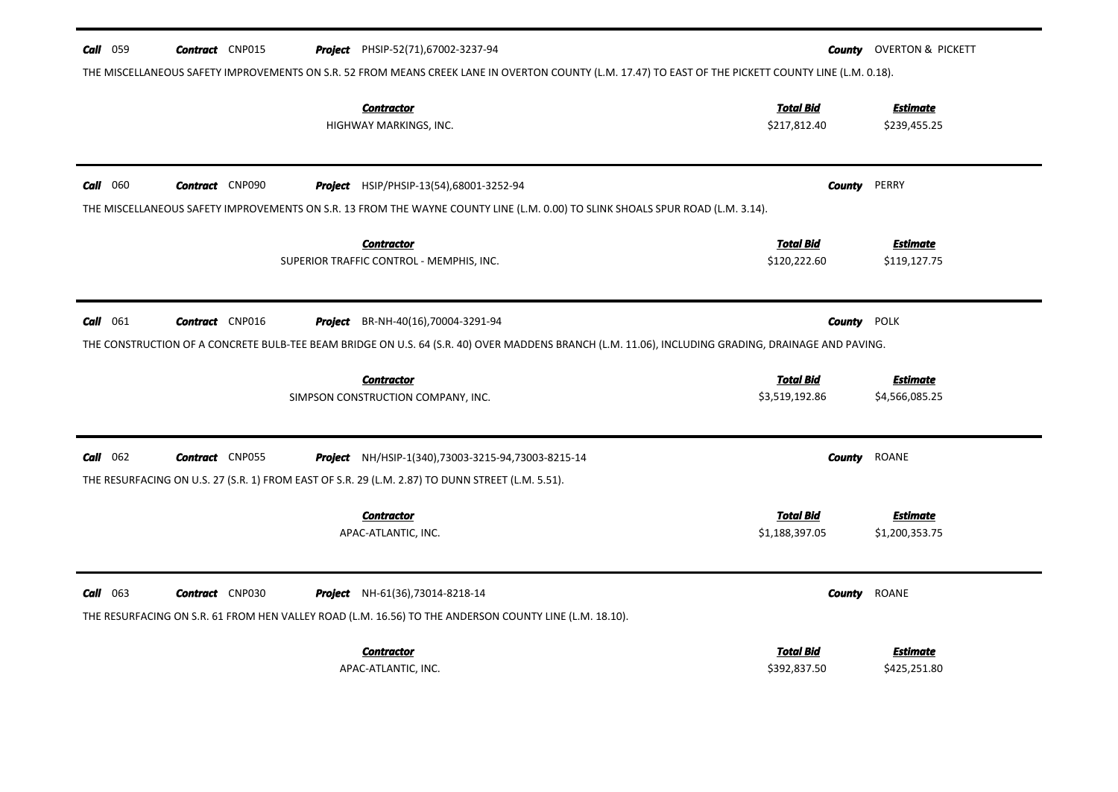| <b>Call</b> 059   | <b>Contract</b> CNP015 | <b>Project</b> PHSIP-52(71),67002-3237-94<br>THE MISCELLANEOUS SAFETY IMPROVEMENTS ON S.R. 52 FROM MEANS CREEK LANE IN OVERTON COUNTY (L.M. 17.47) TO EAST OF THE PICKETT COUNTY LINE (L.M. 0.18). | County                           | OVERTON & PICKETT               |
|-------------------|------------------------|----------------------------------------------------------------------------------------------------------------------------------------------------------------------------------------------------|----------------------------------|---------------------------------|
|                   |                        | <b>Contractor</b><br>HIGHWAY MARKINGS, INC.                                                                                                                                                        | <b>Total Bid</b><br>\$217,812.40 | <b>Estimate</b><br>\$239,455.25 |
| <b>Call</b> $060$ | <b>Contract</b> CNP090 | Project HSIP/PHSIP-13(54),68001-3252-94                                                                                                                                                            | County                           | PERRY                           |
|                   |                        | THE MISCELLANEOUS SAFETY IMPROVEMENTS ON S.R. 13 FROM THE WAYNE COUNTY LINE (L.M. 0.00) TO SLINK SHOALS SPUR ROAD (L.M. 3.14).                                                                     |                                  |                                 |
|                   |                        | <b>Contractor</b>                                                                                                                                                                                  | <b>Total Bid</b>                 | Estimate                        |
|                   |                        | SUPERIOR TRAFFIC CONTROL - MEMPHIS, INC.                                                                                                                                                           | \$120,222.60                     | \$119,127.75                    |
| $Call$ 061        | <b>Contract</b> CNP016 | Project BR-NH-40(16),70004-3291-94                                                                                                                                                                 | <b>County POLK</b>               |                                 |
|                   |                        | THE CONSTRUCTION OF A CONCRETE BULB-TEE BEAM BRIDGE ON U.S. 64 (S.R. 40) OVER MADDENS BRANCH (L.M. 11.06), INCLUDING GRADING, DRAINAGE AND PAVING.                                                 |                                  |                                 |
|                   |                        |                                                                                                                                                                                                    |                                  |                                 |
|                   |                        | <b>Contractor</b>                                                                                                                                                                                  | <b>Total Bid</b>                 | <b>Estimate</b>                 |
|                   |                        | SIMPSON CONSTRUCTION COMPANY, INC.                                                                                                                                                                 | \$3,519,192.86                   | \$4,566,085.25                  |
| $Call$ 062        | <b>Contract</b> CNP055 | <b>Project</b> NH/HSIP-1(340),73003-3215-94,73003-8215-14                                                                                                                                          | <b>County</b>                    | ROANE                           |
|                   |                        | THE RESURFACING ON U.S. 27 (S.R. 1) FROM EAST OF S.R. 29 (L.M. 2.87) TO DUNN STREET (L.M. 5.51).                                                                                                   |                                  |                                 |
|                   |                        | <b>Contractor</b>                                                                                                                                                                                  | <b>Total Bid</b>                 | <b>Estimate</b>                 |
|                   |                        | APAC-ATLANTIC, INC.                                                                                                                                                                                | \$1,188,397.05                   | \$1,200,353.75                  |
|                   |                        |                                                                                                                                                                                                    |                                  |                                 |
| $Call$ 063        | <b>Contract</b> CNP030 | <b>Project</b> NH-61(36),73014-8218-14                                                                                                                                                             | County                           | ROANE                           |
|                   |                        | THE RESURFACING ON S.R. 61 FROM HEN VALLEY ROAD (L.M. 16.56) TO THE ANDERSON COUNTY LINE (L.M. 18.10).                                                                                             |                                  |                                 |
|                   |                        | <b>Contractor</b>                                                                                                                                                                                  | Total Bid                        | <b>Estimate</b>                 |
|                   |                        | APAC-ATLANTIC, INC.                                                                                                                                                                                | \$392,837.50                     | \$425,251.80                    |
|                   |                        |                                                                                                                                                                                                    |                                  |                                 |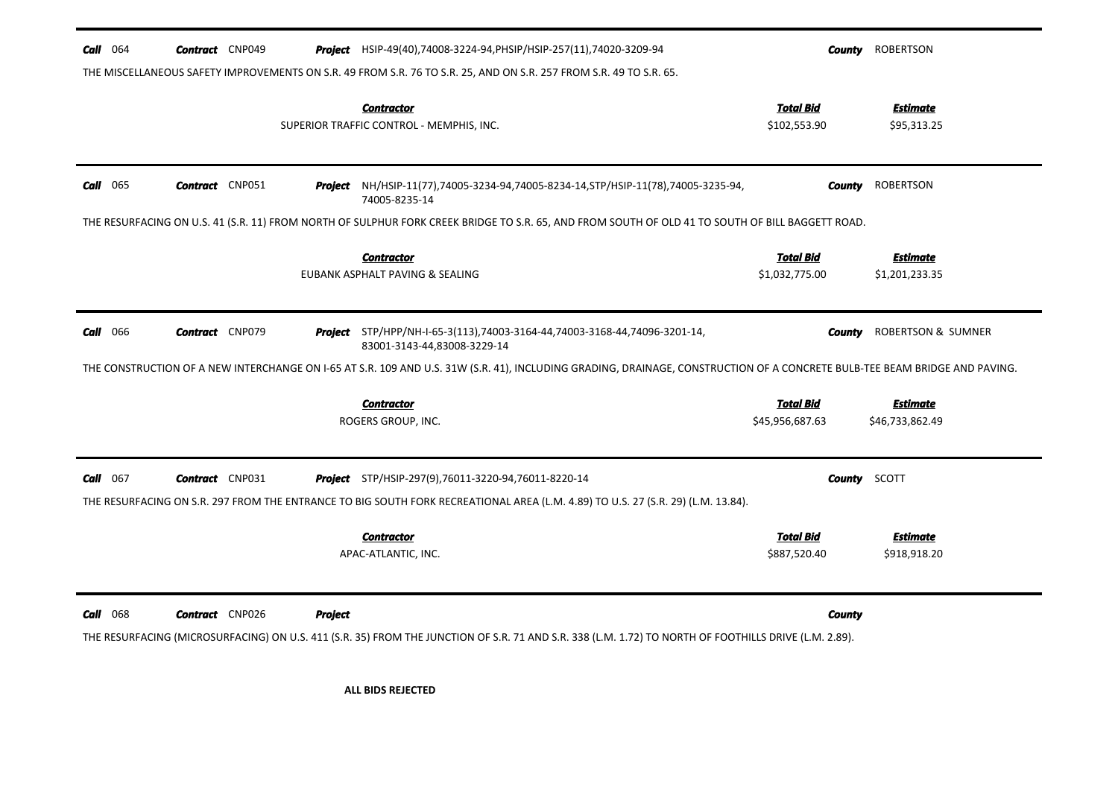| <b>Call</b> $064$ | <b>Contract</b> CNP049 |         | <b>Project</b> HSIP-49(40),74008-3224-94, PHSIP/HSIP-257(11), 74020-3209-94                                                                                                | County                             | <b>ROBERTSON</b>                   |
|-------------------|------------------------|---------|----------------------------------------------------------------------------------------------------------------------------------------------------------------------------|------------------------------------|------------------------------------|
|                   |                        |         | THE MISCELLANEOUS SAFETY IMPROVEMENTS ON S.R. 49 FROM S.R. 76 TO S.R. 25, AND ON S.R. 257 FROM S.R. 49 TO S.R. 65.                                                         |                                    |                                    |
|                   |                        |         | <b>Contractor</b><br>SUPERIOR TRAFFIC CONTROL - MEMPHIS, INC.                                                                                                              | <b>Total Bid</b><br>\$102,553.90   | <b>Estimate</b><br>\$95,313.25     |
| $Call$ 065        | <b>Contract</b> CNP051 |         | <b>Project</b> NH/HSIP-11(77),74005-3234-94,74005-8234-14,STP/HSIP-11(78),74005-3235-94,<br>74005-8235-14                                                                  | County                             | <b>ROBERTSON</b>                   |
|                   |                        |         | THE RESURFACING ON U.S. 41 (S.R. 11) FROM NORTH OF SULPHUR FORK CREEK BRIDGE TO S.R. 65, AND FROM SOUTH OF OLD 41 TO SOUTH OF BILL BAGGETT ROAD.                           |                                    |                                    |
|                   |                        |         | <b>Contractor</b><br>EUBANK ASPHALT PAVING & SEALING                                                                                                                       | <b>Total Bid</b><br>\$1,032,775.00 | <b>Estimate</b><br>\$1,201,233.35  |
| <b>Call</b> 066   | <b>Contract</b> CNP079 |         | Project STP/HPP/NH-I-65-3(113),74003-3164-44,74003-3168-44,74096-3201-14,<br>83001-3143-44,83008-3229-14                                                                   | <b>County</b>                      | <b>ROBERTSON &amp; SUMNER</b>      |
|                   |                        |         | THE CONSTRUCTION OF A NEW INTERCHANGE ON 1-65 AT S.R. 109 AND U.S. 31W (S.R. 41), INCLUDING GRADING, DRAINAGE, CONSTRUCTION OF A CONCRETE BULB-TEE BEAM BRIDGE AND PAVING. |                                    |                                    |
|                   |                        |         | <b>Contractor</b><br>ROGERS GROUP, INC.                                                                                                                                    | Total Bid<br>\$45,956,687.63       | <b>Estimate</b><br>\$46,733,862.49 |
| <b>Call</b> $067$ | <b>Contract</b> CNP031 |         | <b>Project</b> STP/HSIP-297(9),76011-3220-94,76011-8220-14                                                                                                                 |                                    | <b>County</b> SCOTT                |
|                   |                        |         | THE RESURFACING ON S.R. 297 FROM THE ENTRANCE TO BIG SOUTH FORK RECREATIONAL AREA (L.M. 4.89) TO U.S. 27 (S.R. 29) (L.M. 13.84).                                           |                                    |                                    |
|                   |                        |         | <b>Contractor</b><br>APAC-ATLANTIC, INC.                                                                                                                                   | <b>Total Bid</b><br>\$887,520.40   | <b>Estimate</b><br>\$918,918.20    |
| <b>Call</b> 068   | <b>Contract</b> CNP026 | Project | THE RESURFACING (MICROSURFACING) ON U.S. 411 (S.R. 35) FROM THE JUNCTION OF S.R. 71 AND S.R. 338 (L.M. 1.72) TO NORTH OF FOOTHILLS DRIVE (L.M. 2.89).                      | County                             |                                    |
|                   |                        |         | <b>ALL BIDS REJECTED</b>                                                                                                                                                   |                                    |                                    |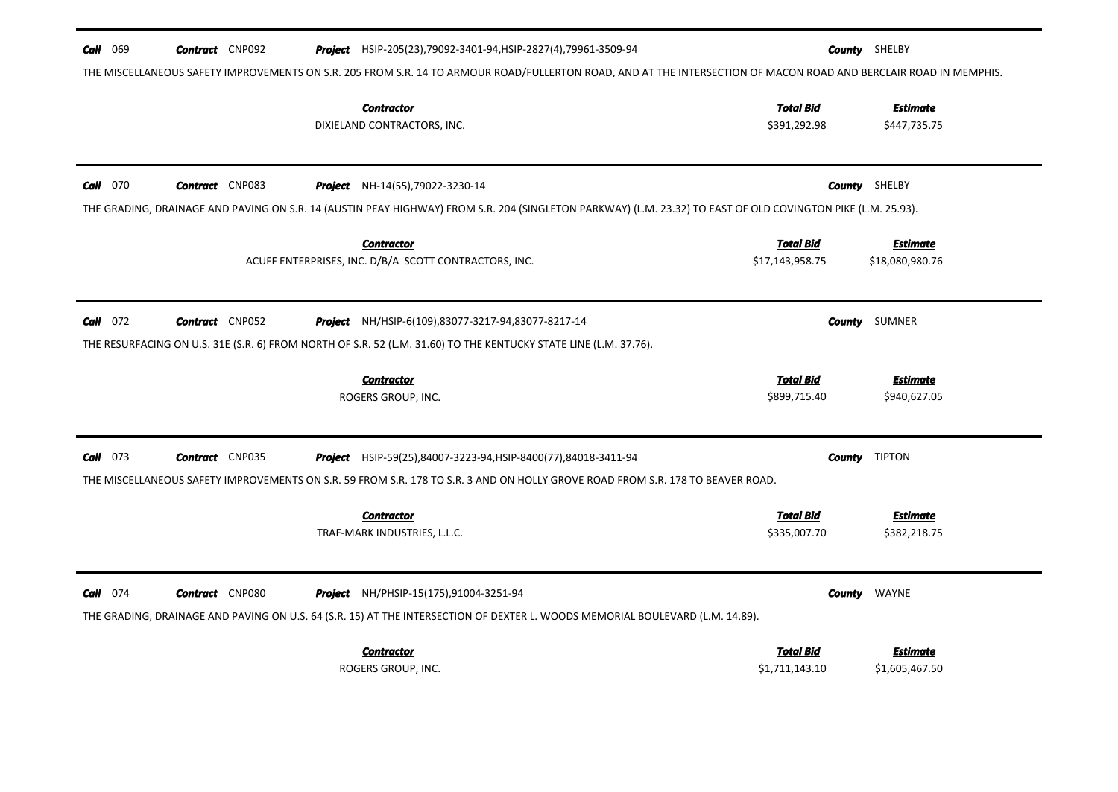| <b>Call</b> 069<br><b>Contract</b> CNP092 | <b>Project</b> HSIP-205(23), 79092-3401-94, HSIP-2827(4), 79961-3509-94<br>THE MISCELLANEOUS SAFETY IMPROVEMENTS ON S.R. 205 FROM S.R. 14 TO ARMOUR ROAD/FULLERTON ROAD, AND AT THE INTERSECTION OF MACON ROAD AND BERCLAIR ROAD IN MEMPHIS. | <b>County</b> SHELBY                                                      |
|-------------------------------------------|----------------------------------------------------------------------------------------------------------------------------------------------------------------------------------------------------------------------------------------------|---------------------------------------------------------------------------|
|                                           | <b>Contractor</b><br>DIXIELAND CONTRACTORS, INC.                                                                                                                                                                                             | <b>Total Bid</b><br><b>Estimate</b><br>\$391,292.98<br>\$447,735.75       |
| $Call$ 070<br><b>Contract</b> CNP083      | <b>Project</b> NH-14(55), 79022-3230-14<br>THE GRADING, DRAINAGE AND PAVING ON S.R. 14 (AUSTIN PEAY HIGHWAY) FROM S.R. 204 (SINGLETON PARKWAY) (L.M. 23.32) TO EAST OF OLD COVINGTON PIKE (L.M. 25.93).                                      | <b>County</b> SHELBY                                                      |
|                                           | <b>Contractor</b><br>ACUFF ENTERPRISES, INC. D/B/A SCOTT CONTRACTORS, INC.                                                                                                                                                                   | <b>Total Bid</b><br><b>Estimate</b><br>\$17,143,958.75<br>\$18,080,980.76 |
| $Call$ 072<br><b>Contract</b> CNP052      | <b>Project</b> NH/HSIP-6(109),83077-3217-94,83077-8217-14<br>THE RESURFACING ON U.S. 31E (S.R. 6) FROM NORTH OF S.R. 52 (L.M. 31.60) TO THE KENTUCKY STATE LINE (L.M. 37.76).                                                                | SUMNER<br><b>County</b>                                                   |
|                                           | <b>Contractor</b><br>ROGERS GROUP, INC.                                                                                                                                                                                                      | <b>Total Bid</b><br><b>Estimate</b><br>\$899,715.40<br>\$940,627.05       |
| $Call$ 073<br><b>Contract</b> CNP035      | Project HSIP-59(25),84007-3223-94, HSIP-8400(77),84018-3411-94<br>THE MISCELLANEOUS SAFETY IMPROVEMENTS ON S.R. 59 FROM S.R. 178 TO S.R. 3 AND ON HOLLY GROVE ROAD FROM S.R. 178 TO BEAVER ROAD.                                             | <b>TIPTON</b><br>County                                                   |
|                                           | <b>Contractor</b><br>TRAF-MARK INDUSTRIES, L.L.C.                                                                                                                                                                                            | <b>Total Bid</b><br>Estimate<br>\$335,007.70<br>\$382,218.75              |
| $Call$ 074<br><b>Contract</b> CNP080      | Project NH/PHSIP-15(175),91004-3251-94<br>THE GRADING, DRAINAGE AND PAVING ON U.S. 64 (S.R. 15) AT THE INTERSECTION OF DEXTER L. WOODS MEMORIAL BOULEVARD (L.M. 14.89).                                                                      | WAYNE<br>County                                                           |
|                                           | <b>Contractor</b><br>ROGERS GROUP, INC.                                                                                                                                                                                                      | <b>Total Bid</b><br>Estimate<br>\$1,711,143.10<br>\$1,605,467.50          |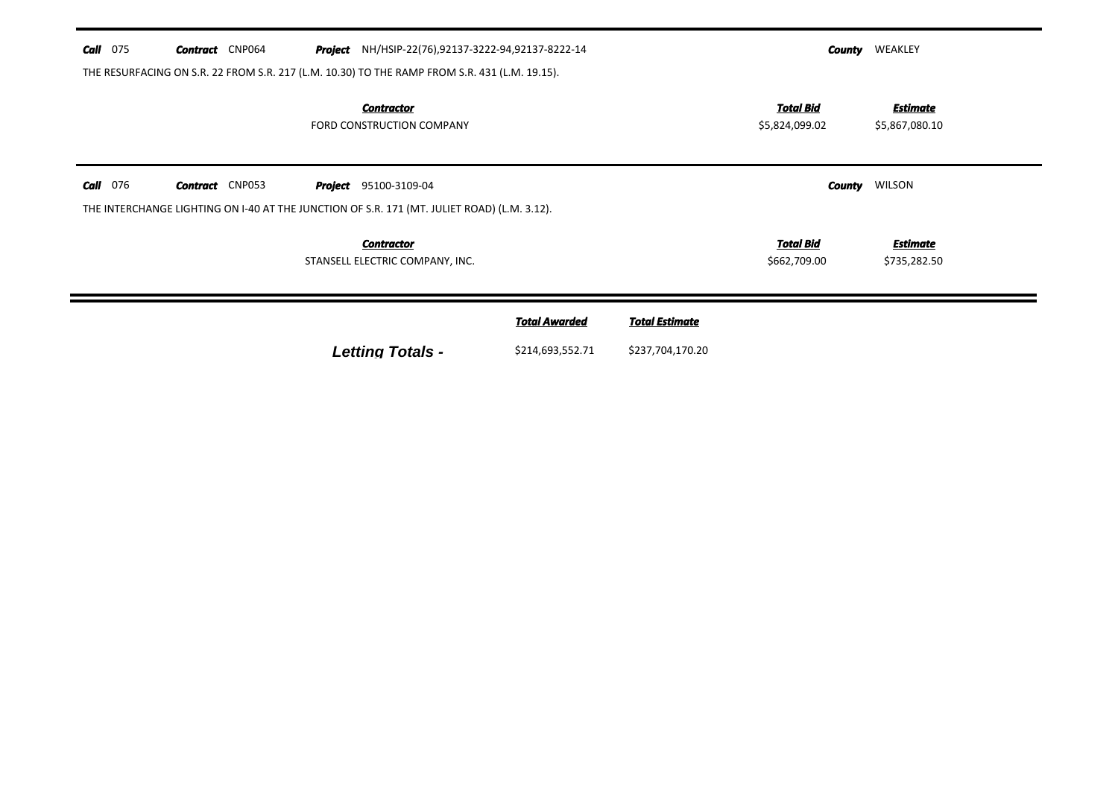| Call<br>075 | <b>Contract</b> CNP064                                                                        | <b>Project</b> NH/HSIP-22(76),92137-3222-94,92137-8222-14 |                      |                       | County                             | WEAKLEY                           |
|-------------|-----------------------------------------------------------------------------------------------|-----------------------------------------------------------|----------------------|-----------------------|------------------------------------|-----------------------------------|
|             | THE RESURFACING ON S.R. 22 FROM S.R. 217 (L.M. 10.30) TO THE RAMP FROM S.R. 431 (L.M. 19.15). |                                                           |                      |                       |                                    |                                   |
|             |                                                                                               | <b>Contractor</b><br>FORD CONSTRUCTION COMPANY            |                      |                       | <b>Total Bid</b><br>\$5,824,099.02 | <b>Estimate</b><br>\$5,867,080.10 |
| 076<br>Call | <b>Contract</b> CNP053                                                                        | <b>Project</b> 95100-3109-04                              |                      |                       | County                             | WILSON                            |
|             | THE INTERCHANGE LIGHTING ON 1-40 AT THE JUNCTION OF S.R. 171 (MT. JULIET ROAD) (L.M. 3.12).   |                                                           |                      |                       |                                    |                                   |
|             |                                                                                               | <b>Contractor</b><br>STANSELL ELECTRIC COMPANY, INC.      |                      |                       | Total Bid<br>\$662,709.00          | <b>Estimate</b><br>\$735,282.50   |
|             |                                                                                               |                                                           | <b>Total Awarded</b> | <b>Total Estimate</b> |                                    |                                   |
|             |                                                                                               | <b>Letting Totals -</b>                                   | \$214,693,552.71     | \$237,704,170.20      |                                    |                                   |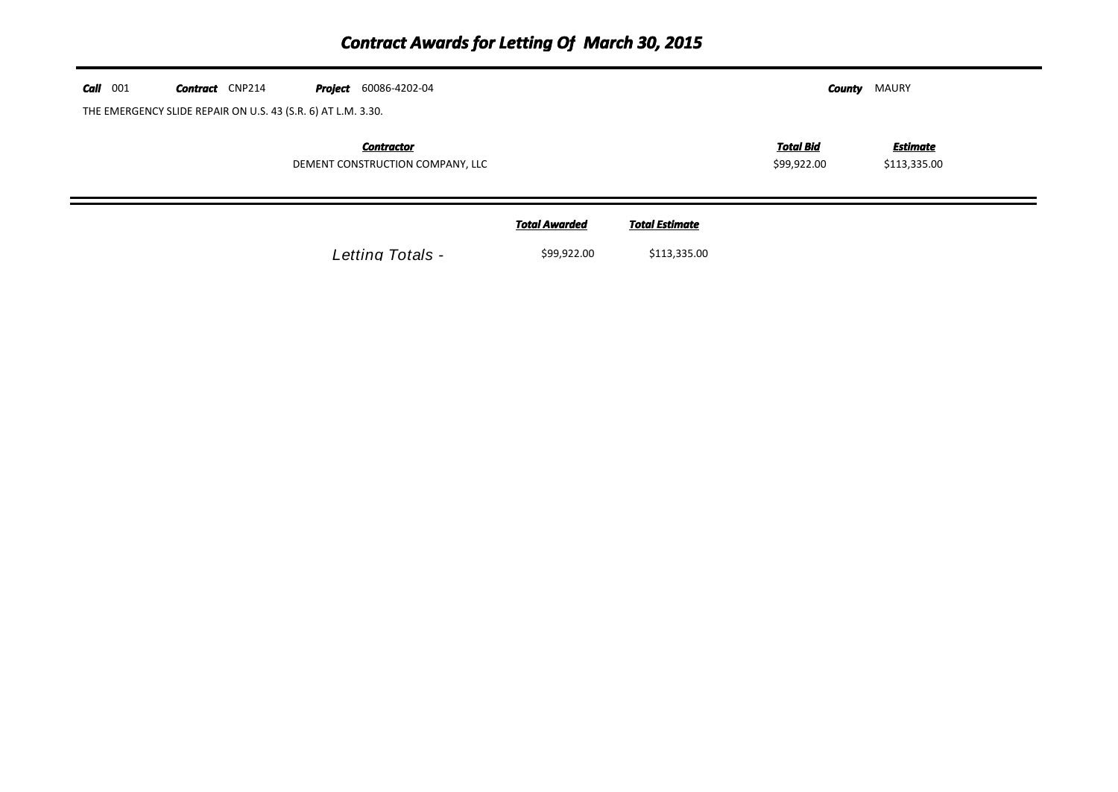| $Call$ 001 | <b>Contract</b> CNP214                                       | <b>Project</b> 60086-4202-04                          |                      |                       | County                          | MAURY                           |  |
|------------|--------------------------------------------------------------|-------------------------------------------------------|----------------------|-----------------------|---------------------------------|---------------------------------|--|
|            | THE EMERGENCY SLIDE REPAIR ON U.S. 43 (S.R. 6) AT L.M. 3.30. |                                                       |                      |                       |                                 |                                 |  |
|            |                                                              | <b>Contractor</b><br>DEMENT CONSTRUCTION COMPANY, LLC |                      |                       | <b>Total Bid</b><br>\$99,922.00 | <b>Estimate</b><br>\$113,335.00 |  |
|            |                                                              |                                                       | <b>Total Awarded</b> | <b>Total Estimate</b> |                                 |                                 |  |
|            |                                                              | Letting Totals -                                      | \$99,922.00          | \$113,335.00          |                                 |                                 |  |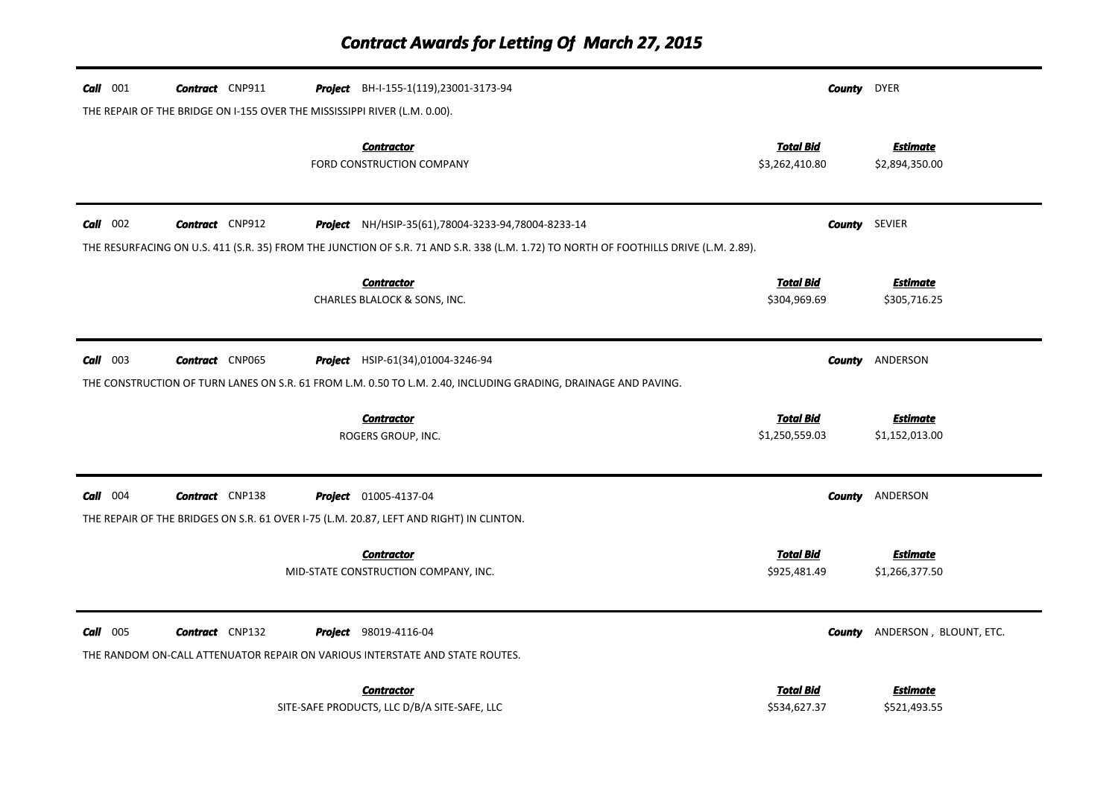| $Call$ 001 | <b>Contract</b> CNP911                                                    | <b>Project</b> BH-I-155-1(119), 23001-3173-94                                                                                        |                                    | <b>County</b> DYER                   |
|------------|---------------------------------------------------------------------------|--------------------------------------------------------------------------------------------------------------------------------------|------------------------------------|--------------------------------------|
|            | THE REPAIR OF THE BRIDGE ON I-155 OVER THE MISSISSIPPI RIVER (L.M. 0.00). |                                                                                                                                      |                                    |                                      |
|            |                                                                           | <b>Contractor</b><br>FORD CONSTRUCTION COMPANY                                                                                       | <b>Total Bid</b><br>\$3,262,410.80 | <b>Estimate</b><br>\$2,894,350.00    |
| $Call$ 002 | <b>Contract</b> CNP912                                                    | Project NH/HSIP-35(61),78004-3233-94,78004-8233-14                                                                                   |                                    | <b>County</b> SEVIER                 |
|            |                                                                           | THE RESURFACING ON U.S. 411 (S.R. 35) FROM THE JUNCTION OF S.R. 71 AND S.R. 338 (L.M. 1.72) TO NORTH OF FOOTHILLS DRIVE (L.M. 2.89). |                                    |                                      |
|            |                                                                           | <b>Contractor</b><br>CHARLES BLALOCK & SONS, INC.                                                                                    | <b>Total Bid</b><br>\$304,969.69   | <b>Estimate</b><br>\$305,716.25      |
| $Call$ 003 | <b>Contract</b> CNP065                                                    | <b>Project</b> HSIP-61(34),01004-3246-94                                                                                             |                                    | <b>County ANDERSON</b>               |
|            |                                                                           | THE CONSTRUCTION OF TURN LANES ON S.R. 61 FROM L.M. 0.50 TO L.M. 2.40, INCLUDING GRADING, DRAINAGE AND PAVING.                       |                                    |                                      |
|            |                                                                           | <b>Contractor</b><br>ROGERS GROUP, INC.                                                                                              | <b>Total Bid</b><br>\$1,250,559.03 | <b>Estimate</b><br>\$1,152,013.00    |
| $Call$ 004 | <b>Contract</b> CNP138                                                    | <b>Project</b> 01005-4137-04                                                                                                         |                                    | <b>County ANDERSON</b>               |
|            |                                                                           | THE REPAIR OF THE BRIDGES ON S.R. 61 OVER I-75 (L.M. 20.87, LEFT AND RIGHT) IN CLINTON.                                              |                                    |                                      |
|            |                                                                           | <b>Contractor</b><br>MID-STATE CONSTRUCTION COMPANY, INC.                                                                            | <b>Total Bid</b><br>\$925,481.49   | <b>Estimate</b><br>\$1,266,377.50    |
| $Call$ 005 | <b>Contract</b> CNP132                                                    | <b>Project</b> 98019-4116-04<br>THE RANDOM ON-CALL ATTENUATOR REPAIR ON VARIOUS INTERSTATE AND STATE ROUTES.                         |                                    | <b>County</b> ANDERSON, BLOUNT, ETC. |
|            |                                                                           |                                                                                                                                      |                                    |                                      |
|            |                                                                           | <b>Contractor</b><br>SITE-SAFE PRODUCTS, LLC D/B/A SITE-SAFE, LLC                                                                    | Total Bid<br>\$534,627.37          | <b>Estimate</b><br>\$521,493.55      |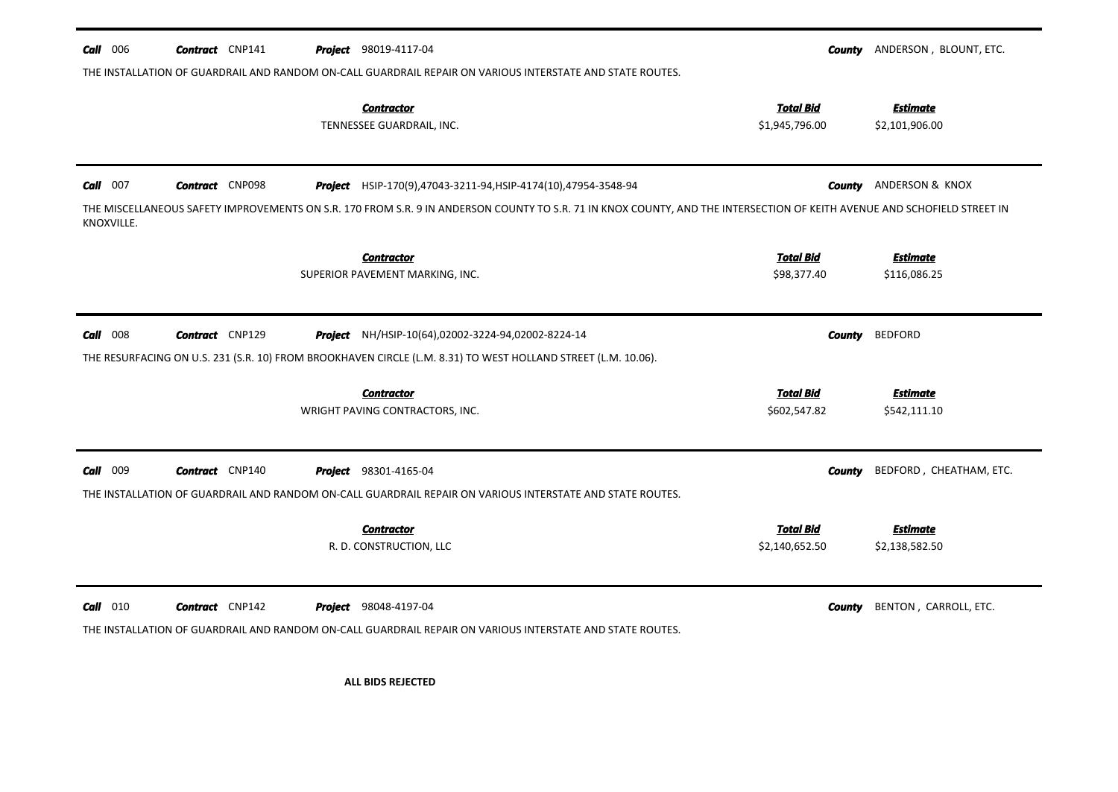| $Call$ 006               | <b>Contract</b> CNP141 | <b>Project</b> 98019-4117-04<br>THE INSTALLATION OF GUARDRAIL AND RANDOM ON-CALL GUARDRAIL REPAIR ON VARIOUS INTERSTATE AND STATE ROUTES.                                                                                                  |                                    | <b>County</b> ANDERSON, BLOUNT, ETC. |
|--------------------------|------------------------|--------------------------------------------------------------------------------------------------------------------------------------------------------------------------------------------------------------------------------------------|------------------------------------|--------------------------------------|
|                          |                        | <b>Contractor</b><br>TENNESSEE GUARDRAIL, INC.                                                                                                                                                                                             | <b>Total Bid</b><br>\$1,945,796.00 | <b>Estimate</b><br>\$2,101,906.00    |
| $Call$ 007<br>KNOXVILLE. | <b>Contract</b> CNP098 | Project HSIP-170(9),47043-3211-94, HSIP-4174(10),47954-3548-94<br>THE MISCELLANEOUS SAFETY IMPROVEMENTS ON S.R. 170 FROM S.R. 9 IN ANDERSON COUNTY TO S.R. 71 IN KNOX COUNTY, AND THE INTERSECTION OF KEITH AVENUE AND SCHOFIELD STREET IN |                                    | <b>County</b> ANDERSON & KNOX        |
|                          |                        | <b>Contractor</b><br>SUPERIOR PAVEMENT MARKING, INC.                                                                                                                                                                                       | <b>Total Bid</b><br>\$98,377.40    | <b>Estimate</b><br>\$116,086.25      |
| $Call$ 008               | <b>Contract</b> CNP129 | Project NH/HSIP-10(64),02002-3224-94,02002-8224-14<br>THE RESURFACING ON U.S. 231 (S.R. 10) FROM BROOKHAVEN CIRCLE (L.M. 8.31) TO WEST HOLLAND STREET (L.M. 10.06).                                                                        | County                             | <b>BEDFORD</b>                       |
|                          |                        | <b>Contractor</b><br>WRIGHT PAVING CONTRACTORS, INC.                                                                                                                                                                                       | <b>Total Bid</b><br>\$602,547.82   | <b>Estimate</b><br>\$542,111.10      |
| Call 009                 | <b>Contract</b> CNP140 | <b>Project</b> 98301-4165-04<br>THE INSTALLATION OF GUARDRAIL AND RANDOM ON-CALL GUARDRAIL REPAIR ON VARIOUS INTERSTATE AND STATE ROUTES.                                                                                                  | County                             | BEDFORD, CHEATHAM, ETC.              |
|                          |                        | <b>Contractor</b><br>R. D. CONSTRUCTION, LLC                                                                                                                                                                                               | <b>Total Bid</b><br>\$2,140,652.50 | Estimate<br>\$2,138,582.50           |
| $Call$ 010               | <b>Contract</b> CNP142 | Project 98048-4197-04<br>THE INSTALLATION OF GUARDRAIL AND RANDOM ON-CALL GUARDRAIL REPAIR ON VARIOUS INTERSTATE AND STATE ROUTES.                                                                                                         | County                             | BENTON, CARROLL, ETC.                |
|                          |                        | <b>ALL BIDS REJECTED</b>                                                                                                                                                                                                                   |                                    |                                      |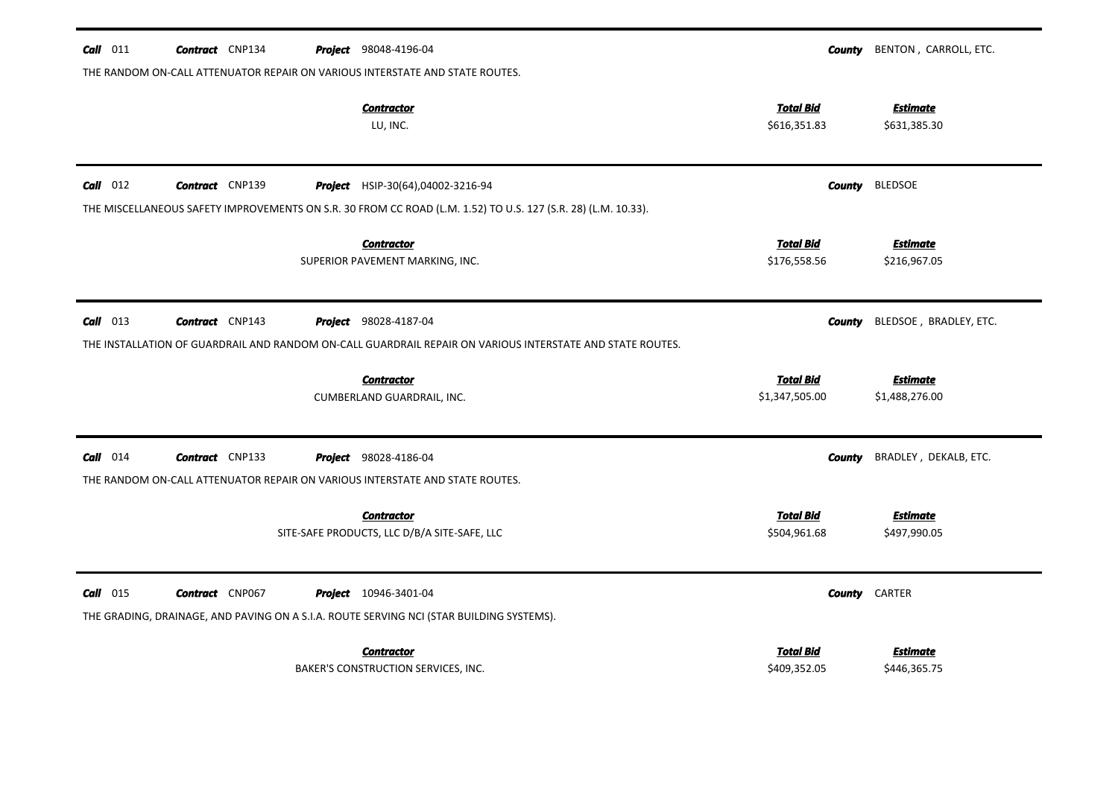| $Call$ 011 | <b>Contract</b> CNP134 |  | Project 98048-4196-04                                                                                         |                                  | <b>County</b> BENTON, CARROLL, ETC.    |
|------------|------------------------|--|---------------------------------------------------------------------------------------------------------------|----------------------------------|----------------------------------------|
|            |                        |  | THE RANDOM ON-CALL ATTENUATOR REPAIR ON VARIOUS INTERSTATE AND STATE ROUTES.                                  |                                  |                                        |
|            |                        |  | <b>Contractor</b><br>LU, INC.                                                                                 | <b>Total Bid</b><br>\$616,351.83 | <b>Estimate</b><br>\$631,385.30        |
| $Call$ 012 | <b>Contract</b> CNP139 |  | <b>Project</b> HSIP-30(64),04002-3216-94                                                                      |                                  | <b>County</b> BLEDSOE                  |
|            |                        |  | THE MISCELLANEOUS SAFETY IMPROVEMENTS ON S.R. 30 FROM CC ROAD (L.M. 1.52) TO U.S. 127 (S.R. 28) (L.M. 10.33). |                                  |                                        |
|            |                        |  | <b>Contractor</b>                                                                                             | <b>Total Bid</b>                 | <b>Estimate</b>                        |
|            |                        |  | SUPERIOR PAVEMENT MARKING, INC.                                                                               | \$176,558.56                     | \$216,967.05                           |
| $Call$ 013 | <b>Contract</b> CNP143 |  | <b>Project</b> 98028-4187-04                                                                                  |                                  | BLEDSOE, BRADLEY, ETC.<br>County       |
|            |                        |  | THE INSTALLATION OF GUARDRAIL AND RANDOM ON-CALL GUARDRAIL REPAIR ON VARIOUS INTERSTATE AND STATE ROUTES.     |                                  |                                        |
|            |                        |  | <b>Contractor</b>                                                                                             | <b>Total Bid</b>                 | <b>Estimate</b>                        |
|            |                        |  | CUMBERLAND GUARDRAIL, INC.                                                                                    | \$1,347,505.00                   | \$1,488,276.00                         |
| $Call$ 014 | <b>Contract</b> CNP133 |  | <b>Project</b> 98028-4186-04                                                                                  |                                  | BRADLEY, DEKALB, ETC.<br><b>County</b> |
|            |                        |  | THE RANDOM ON-CALL ATTENUATOR REPAIR ON VARIOUS INTERSTATE AND STATE ROUTES.                                  |                                  |                                        |
|            |                        |  | <b>Contractor</b><br>SITE-SAFE PRODUCTS, LLC D/B/A SITE-SAFE, LLC                                             | <b>Total Bid</b><br>\$504,961.68 | <b>Estimate</b><br>\$497,990.05        |
| $Call$ 015 | <b>Contract</b> CNP067 |  | <b>Project</b> 10946-3401-04                                                                                  |                                  | <b>County CARTER</b>                   |
|            |                        |  | THE GRADING, DRAINAGE, AND PAVING ON A S.I.A. ROUTE SERVING NCI (STAR BUILDING SYSTEMS).                      |                                  |                                        |
|            |                        |  | <b>Contractor</b>                                                                                             | <b>Total Bid</b>                 | <b>Estimate</b>                        |
|            |                        |  | BAKER'S CONSTRUCTION SERVICES, INC.                                                                           | \$409,352.05                     | \$446,365.75                           |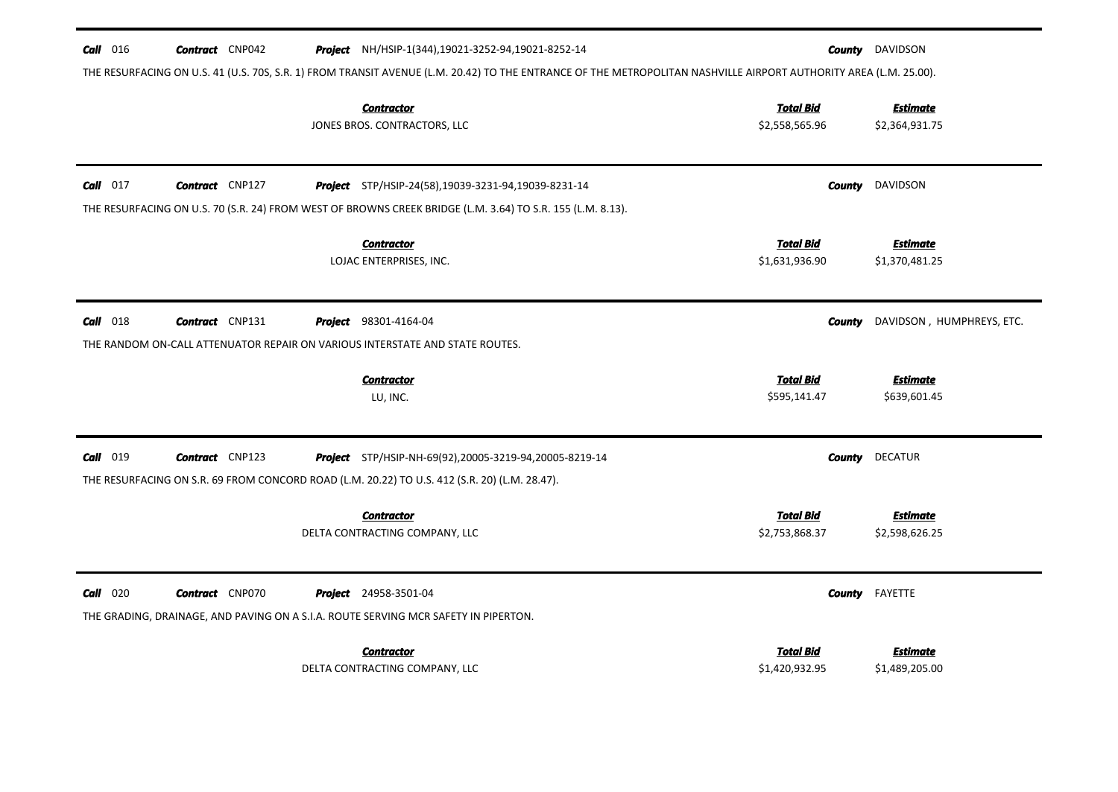| $\frac{Call}{016}$ | <b>Contract</b> CNP042 | Project NH/HSIP-1(344), 19021-3252-94, 19021-8252-14                                                                                                                     |                                    | <b>County</b> DAVIDSON            |
|--------------------|------------------------|--------------------------------------------------------------------------------------------------------------------------------------------------------------------------|------------------------------------|-----------------------------------|
|                    |                        | THE RESURFACING ON U.S. 41 (U.S. 70S, S.R. 1) FROM TRANSIT AVENUE (L.M. 20.42) TO THE ENTRANCE OF THE METROPOLITAN NASHVILLE AIRPORT AUTHORITY AREA (L.M. 25.00).        |                                    |                                   |
|                    |                        | <b>Contractor</b><br>JONES BROS. CONTRACTORS, LLC                                                                                                                        | <b>Total Bid</b><br>\$2,558,565.96 | <b>Estimate</b><br>\$2,364,931.75 |
| $Call$ 017         | <b>Contract</b> CNP127 | <b>Project</b> STP/HSIP-24(58),19039-3231-94,19039-8231-14<br>THE RESURFACING ON U.S. 70 (S.R. 24) FROM WEST OF BROWNS CREEK BRIDGE (L.M. 3.64) TO S.R. 155 (L.M. 8.13). | County                             | DAVIDSON                          |
|                    |                        | <b>Contractor</b><br>LOJAC ENTERPRISES, INC.                                                                                                                             | <b>Total Bid</b><br>\$1,631,936.90 | <b>Estimate</b><br>\$1,370,481.25 |
| $Call$ 018         | <b>Contract</b> CNP131 | <b>Project</b> 98301-4164-04<br>THE RANDOM ON-CALL ATTENUATOR REPAIR ON VARIOUS INTERSTATE AND STATE ROUTES.                                                             | County                             | DAVIDSON, HUMPHREYS, ETC.         |
|                    |                        | <b>Contractor</b><br>LU, INC.                                                                                                                                            | <b>Total Bid</b><br>\$595,141.47   | <b>Estimate</b><br>\$639,601.45   |
| Call 019           | <b>Contract</b> CNP123 | <b>Project</b> STP/HSIP-NH-69(92),20005-3219-94,20005-8219-14<br>THE RESURFACING ON S.R. 69 FROM CONCORD ROAD (L.M. 20.22) TO U.S. 412 (S.R. 20) (L.M. 28.47).           | County                             | <b>DECATUR</b>                    |
|                    |                        | <b>Contractor</b><br>DELTA CONTRACTING COMPANY, LLC                                                                                                                      | <b>Total Bid</b><br>\$2,753,868.37 | <b>Estimate</b><br>\$2,598,626.25 |
| $Call$ 020         | <b>Contract</b> CNP070 | <b>Project</b> 24958-3501-04<br>THE GRADING, DRAINAGE, AND PAVING ON A S.I.A. ROUTE SERVING MCR SAFETY IN PIPERTON.                                                      | County                             | FAYETTE                           |
|                    |                        | <b>Contractor</b><br>DELTA CONTRACTING COMPANY, LLC                                                                                                                      | Total Bid<br>\$1,420,932.95        | <b>Estimate</b><br>\$1,489,205.00 |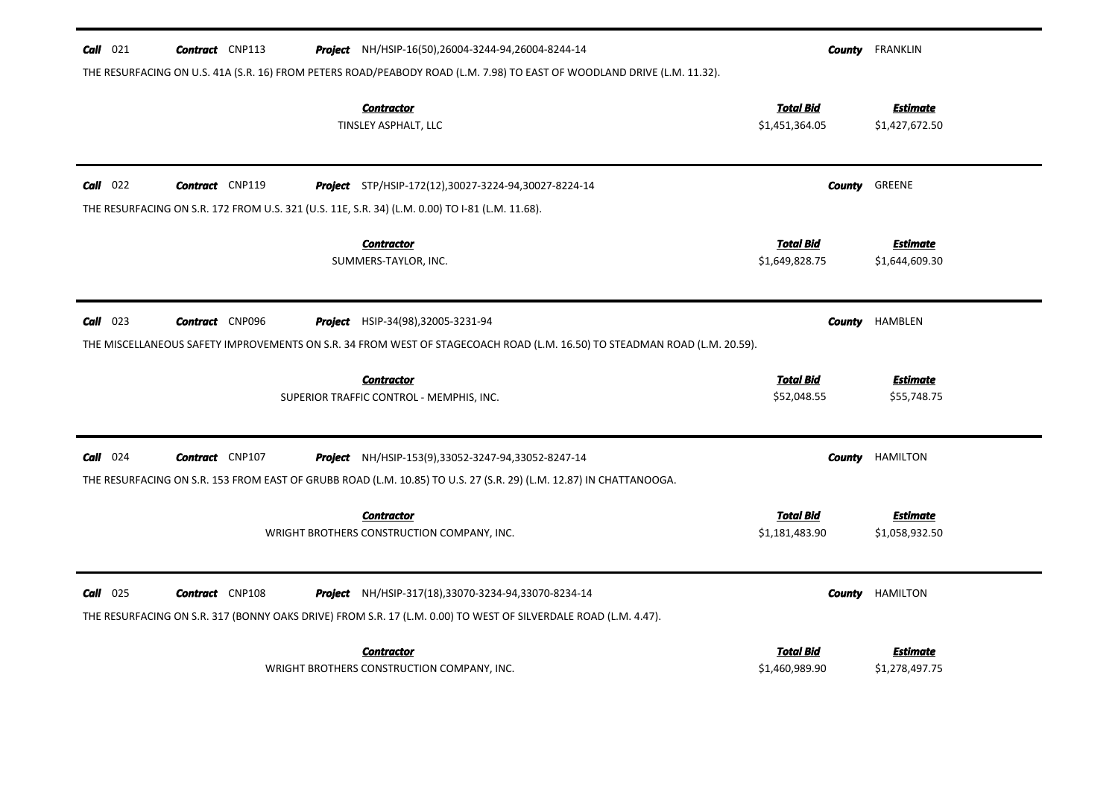| $Call$ 021 | <b>Contract</b> CNP113 | Project NH/HSIP-16(50),26004-3244-94,26004-8244-14                                                                        |                                    | <b>County</b> FRANKLIN            |
|------------|------------------------|---------------------------------------------------------------------------------------------------------------------------|------------------------------------|-----------------------------------|
|            |                        | THE RESURFACING ON U.S. 41A (S.R. 16) FROM PETERS ROAD/PEABODY ROAD (L.M. 7.98) TO EAST OF WOODLAND DRIVE (L.M. 11.32).   |                                    |                                   |
|            |                        | <b>Contractor</b><br>TINSLEY ASPHALT, LLC                                                                                 | <b>Total Bid</b><br>\$1,451,364.05 | <b>Estimate</b><br>\$1,427,672.50 |
| $Call$ 022 | <b>Contract</b> CNP119 | Project STP/HSIP-172(12),30027-3224-94,30027-8224-14                                                                      | County                             | GREENE                            |
|            |                        | THE RESURFACING ON S.R. 172 FROM U.S. 321 (U.S. 11E, S.R. 34) (L.M. 0.00) TO I-81 (L.M. 11.68).                           |                                    |                                   |
|            |                        | <b>Contractor</b><br>SUMMERS-TAYLOR, INC.                                                                                 | <b>Total Bid</b><br>\$1,649,828.75 | <b>Estimate</b><br>\$1,644,609.30 |
| $Call$ 023 | <b>Contract</b> CNP096 | <b>Project</b> HSIP-34(98),32005-3231-94                                                                                  | <b>County</b>                      | HAMBLEN                           |
|            |                        | THE MISCELLANEOUS SAFETY IMPROVEMENTS ON S.R. 34 FROM WEST OF STAGECOACH ROAD (L.M. 16.50) TO STEADMAN ROAD (L.M. 20.59). |                                    |                                   |
|            |                        | <b>Contractor</b><br>SUPERIOR TRAFFIC CONTROL - MEMPHIS, INC.                                                             | <b>Total Bid</b><br>\$52,048.55    | <b>Estimate</b><br>\$55,748.75    |
| $Call$ 024 | <b>Contract</b> CNP107 | <b>Project</b> NH/HSIP-153(9),33052-3247-94,33052-8247-14                                                                 | County                             | HAMILTON                          |
|            |                        | THE RESURFACING ON S.R. 153 FROM EAST OF GRUBB ROAD (L.M. 10.85) TO U.S. 27 (S.R. 29) (L.M. 12.87) IN CHATTANOOGA.        |                                    |                                   |
|            |                        | <b>Contractor</b><br>WRIGHT BROTHERS CONSTRUCTION COMPANY, INC.                                                           | <b>Total Bid</b><br>\$1,181,483.90 | <b>Estimate</b><br>\$1,058,932.50 |
| $Call$ 025 | <b>Contract</b> CNP108 | <b>Project</b> NH/HSIP-317(18),33070-3234-94,33070-8234-14                                                                | County                             | <b>HAMILTON</b>                   |
|            |                        | THE RESURFACING ON S.R. 317 (BONNY OAKS DRIVE) FROM S.R. 17 (L.M. 0.00) TO WEST OF SILVERDALE ROAD (L.M. 4.47).           |                                    |                                   |
|            |                        | <b>Contractor</b>                                                                                                         | Total Bid                          | <b>Estimate</b>                   |
|            |                        | WRIGHT BROTHERS CONSTRUCTION COMPANY, INC.                                                                                | \$1,460,989.90                     | \$1,278,497.75                    |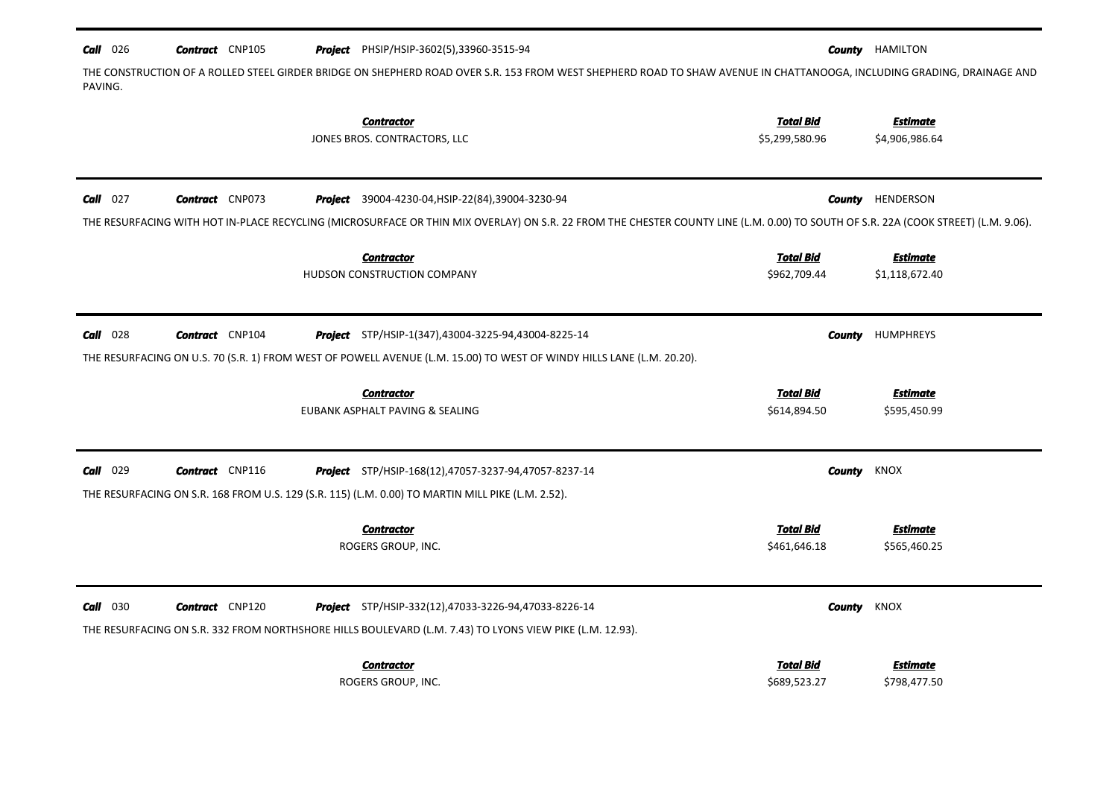| $Call$ 026 | <b>Contract</b> CNP105 | <b>Project</b> PHSIP/HSIP-3602(5),33960-3515-94                                                                                                                                    |                  | <b>County</b> HAMILTON |
|------------|------------------------|------------------------------------------------------------------------------------------------------------------------------------------------------------------------------------|------------------|------------------------|
| PAVING.    |                        | THE CONSTRUCTION OF A ROLLED STEEL GIRDER BRIDGE ON SHEPHERD ROAD OVER S.R. 153 FROM WEST SHEPHERD ROAD TO SHAW AVENUE IN CHATTANOOGA, INCLUDING GRADING, DRAINAGE AND             |                  |                        |
|            |                        | <b>Contractor</b>                                                                                                                                                                  | <b>Total Bid</b> | <b>Estimate</b>        |
|            |                        | JONES BROS. CONTRACTORS, LLC                                                                                                                                                       | \$5,299,580.96   | \$4,906,986.64         |
|            |                        |                                                                                                                                                                                    |                  |                        |
| $Call$ 027 | <b>Contract</b> CNP073 | Project 39004-4230-04, HSIP-22(84), 39004-3230-94                                                                                                                                  | County           | HENDERSON              |
|            |                        | THE RESURFACING WITH HOT IN-PLACE RECYCLING (MICROSURFACE OR THIN MIX OVERLAY) ON S.R. 22 FROM THE CHESTER COUNTY LINE (L.M. 0.00) TO SOUTH OF S.R. 22A (COOK STREET) (L.M. 9.06). |                  |                        |
|            |                        | <b>Contractor</b>                                                                                                                                                                  | <b>Total Bid</b> | <b>Estimate</b>        |
|            |                        | HUDSON CONSTRUCTION COMPANY                                                                                                                                                        | \$962,709.44     | \$1,118,672.40         |
|            |                        |                                                                                                                                                                                    |                  |                        |
| $Call$ 028 | <b>Contract</b> CNP104 | Project STP/HSIP-1(347),43004-3225-94,43004-8225-14                                                                                                                                | County           | <b>HUMPHREYS</b>       |
|            |                        | THE RESURFACING ON U.S. 70 (S.R. 1) FROM WEST OF POWELL AVENUE (L.M. 15.00) TO WEST OF WINDY HILLS LANE (L.M. 20.20).                                                              |                  |                        |
|            |                        | <b>Contractor</b>                                                                                                                                                                  | <b>Total Bid</b> | <b>Estimate</b>        |
|            |                        | EUBANK ASPHALT PAVING & SEALING                                                                                                                                                    | \$614,894.50     | \$595,450.99           |
| $Call$ 029 | <b>Contract</b> CNP116 | <b>Project</b> STP/HSIP-168(12),47057-3237-94,47057-8237-14                                                                                                                        | <b>County</b>    | KNOX                   |
|            |                        | THE RESURFACING ON S.R. 168 FROM U.S. 129 (S.R. 115) (L.M. 0.00) TO MARTIN MILL PIKE (L.M. 2.52).                                                                                  |                  |                        |
|            |                        | <b>Contractor</b>                                                                                                                                                                  | <b>Total Bid</b> | <b>Estimate</b>        |
|            |                        | ROGERS GROUP, INC.                                                                                                                                                                 | \$461,646.18     | \$565,460.25           |
|            |                        |                                                                                                                                                                                    |                  |                        |
| $Call$ 030 | <b>Contract</b> CNP120 | <b>Project</b> STP/HSIP-332(12),47033-3226-94,47033-8226-14                                                                                                                        | County           | KNOX                   |
|            |                        | THE RESURFACING ON S.R. 332 FROM NORTHSHORE HILLS BOULEVARD (L.M. 7.43) TO LYONS VIEW PIKE (L.M. 12.93).                                                                           |                  |                        |
|            |                        | <b>Contractor</b>                                                                                                                                                                  | <b>Total Bid</b> | <b>Estimate</b>        |
|            |                        | ROGERS GROUP, INC.                                                                                                                                                                 | \$689,523.27     | \$798,477.50           |
|            |                        |                                                                                                                                                                                    |                  |                        |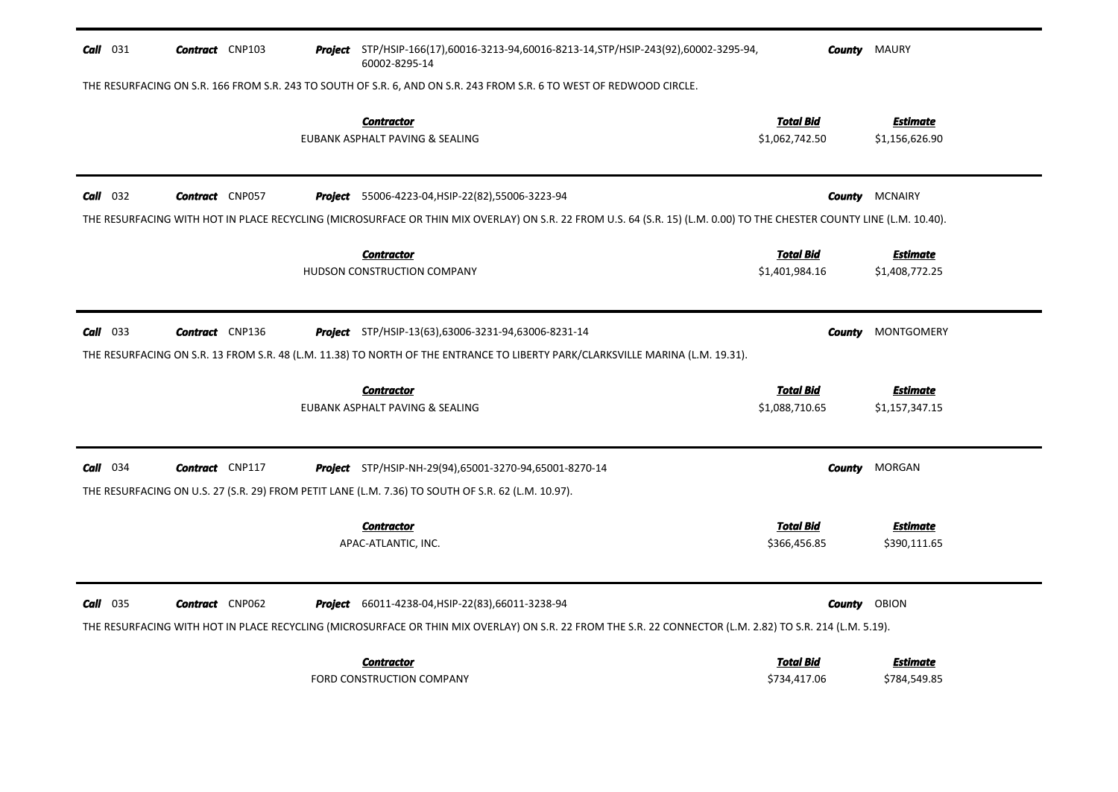| $Call$ 031 | <b>Contract</b> CNP103 | Project STP/HSIP-166(17),60016-3213-94,60016-8213-14,STP/HSIP-243(92),60002-3295-94,<br>60002-8295-14                                                                                                                 |                                    | <b>County</b> MAURY               |
|------------|------------------------|-----------------------------------------------------------------------------------------------------------------------------------------------------------------------------------------------------------------------|------------------------------------|-----------------------------------|
|            |                        | THE RESURFACING ON S.R. 166 FROM S.R. 243 TO SOUTH OF S.R. 6, AND ON S.R. 243 FROM S.R. 6 TO WEST OF REDWOOD CIRCLE.                                                                                                  |                                    |                                   |
|            |                        | <b>Contractor</b><br>EUBANK ASPHALT PAVING & SEALING                                                                                                                                                                  | <u>Total Bid</u><br>\$1,062,742.50 | <b>Estimate</b><br>\$1,156,626.90 |
| $Call$ 032 | <b>Contract</b> CNP057 | <b>Project</b> 55006-4223-04, HSIP-22(82), 55006-3223-94                                                                                                                                                              |                                    | <b>County MCNAIRY</b>             |
|            |                        | THE RESURFACING WITH HOT IN PLACE RECYCLING (MICROSURFACE OR THIN MIX OVERLAY) ON S.R. 22 FROM U.S. 64 (S.R. 15) (L.M. 0.00) TO THE CHESTER COUNTY LINE (L.M. 10.40).                                                 |                                    |                                   |
|            |                        | <b>Contractor</b><br>HUDSON CONSTRUCTION COMPANY                                                                                                                                                                      | <u>Total Bid</u><br>\$1,401,984.16 | <u>Estimate</u><br>\$1,408,772.25 |
| $Call$ 033 | <b>Contract</b> CNP136 | <b>Project</b> STP/HSIP-13(63),63006-3231-94,63006-8231-14<br>THE RESURFACING ON S.R. 13 FROM S.R. 48 (L.M. 11.38) TO NORTH OF THE ENTRANCE TO LIBERTY PARK/CLARKSVILLE MARINA (L.M. 19.31).                          | <b>County</b>                      | <b>MONTGOMERY</b>                 |
|            |                        | <b>Contractor</b><br>EUBANK ASPHALT PAVING & SEALING                                                                                                                                                                  | <u>Total Bid</u><br>\$1,088,710.65 | Estimate<br>\$1,157,347.15        |
| Call 034   | <b>Contract</b> CNP117 | Project STP/HSIP-NH-29(94),65001-3270-94,65001-8270-14<br>THE RESURFACING ON U.S. 27 (S.R. 29) FROM PETIT LANE (L.M. 7.36) TO SOUTH OF S.R. 62 (L.M. 10.97).                                                          | <b>County</b>                      | MORGAN                            |
|            |                        | <b>Contractor</b><br>APAC-ATLANTIC, INC.                                                                                                                                                                              | <b>Total Bid</b><br>\$366,456.85   | <b>Estimate</b><br>\$390,111.65   |
| $Call$ 035 | <b>Contract</b> CNP062 | <b>Project</b> 66011-4238-04, HSIP-22(83), 66011-3238-94<br>THE RESURFACING WITH HOT IN PLACE RECYCLING (MICROSURFACE OR THIN MIX OVERLAY) ON S.R. 22 FROM THE S.R. 22 CONNECTOR (L.M. 2.82) TO S.R. 214 (L.M. 5.19). | County                             | OBION                             |
|            |                        | <b>Contractor</b><br>FORD CONSTRUCTION COMPANY                                                                                                                                                                        | Total Bid<br>\$734,417.06          | Estimate<br>\$784,549.85          |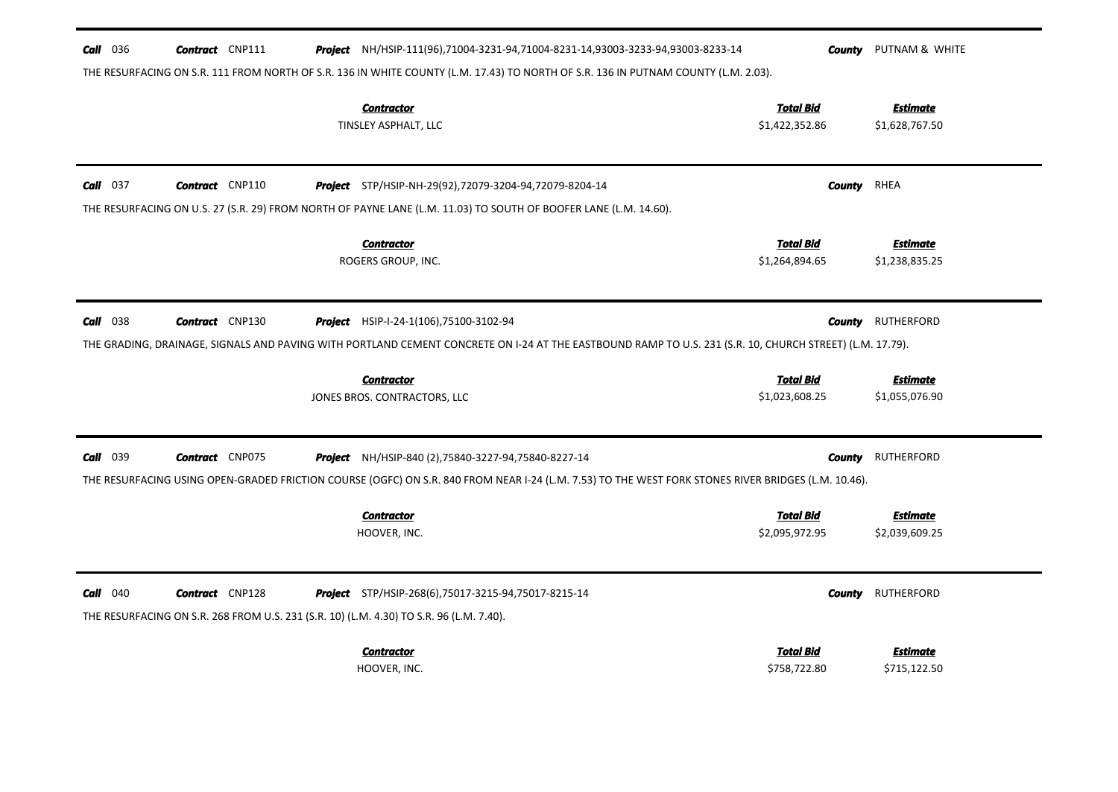| $Call$ 036<br><b>Contract</b> CNP111<br><b>Project</b> NH/HSIP-111(96),71004-3231-94,71004-8231-14,93003-3233-94,93003-8233-14                                                                             | County                             | PUTNAM & WHITE                    |
|------------------------------------------------------------------------------------------------------------------------------------------------------------------------------------------------------------|------------------------------------|-----------------------------------|
| THE RESURFACING ON S.R. 111 FROM NORTH OF S.R. 136 IN WHITE COUNTY (L.M. 17.43) TO NORTH OF S.R. 136 IN PUTNAM COUNTY (L.M. 2.03).                                                                         |                                    |                                   |
| <b>Contractor</b><br>TINSLEY ASPHALT, LLC                                                                                                                                                                  | <b>Total Bid</b><br>\$1,422,352.86 | <b>Estimate</b><br>\$1,628,767.50 |
|                                                                                                                                                                                                            |                                    |                                   |
| $Call$ 037<br><b>Contract</b> CNP110<br>Project STP/HSIP-NH-29(92),72079-3204-94,72079-8204-14                                                                                                             | <b>County</b>                      | RHEA                              |
| THE RESURFACING ON U.S. 27 (S.R. 29) FROM NORTH OF PAYNE LANE (L.M. 11.03) TO SOUTH OF BOOFER LANE (L.M. 14.60).                                                                                           |                                    |                                   |
| <b>Contractor</b>                                                                                                                                                                                          | <b>Total Bid</b>                   | <b>Estimate</b>                   |
| ROGERS GROUP, INC.                                                                                                                                                                                         | \$1,264,894.65                     | \$1,238,835.25                    |
| $Call$ 038<br><b>Contract</b> CNP130                                                                                                                                                                       |                                    | <b>RUTHERFORD</b>                 |
| <b>Project</b> HSIP-I-24-1(106), 75100-3102-94<br>THE GRADING, DRAINAGE, SIGNALS AND PAVING WITH PORTLAND CEMENT CONCRETE ON 1-24 AT THE EASTBOUND RAMP TO U.S. 231 (S.R. 10, CHURCH STREET) (L.M. 17.79). | <b>County</b>                      |                                   |
|                                                                                                                                                                                                            |                                    |                                   |
| <b>Contractor</b><br>JONES BROS. CONTRACTORS, LLC                                                                                                                                                          | <b>Total Bid</b><br>\$1,023,608.25 | <b>Estimate</b><br>\$1,055,076.90 |
|                                                                                                                                                                                                            |                                    |                                   |
|                                                                                                                                                                                                            |                                    |                                   |
| <b>Call</b> 039<br><b>Contract</b> CNP075<br><b>Project</b> NH/HSIP-840 (2),75840-3227-94,75840-8227-14                                                                                                    | County                             | RUTHERFORD                        |
| THE RESURFACING USING OPEN-GRADED FRICTION COURSE (OGFC) ON S.R. 840 FROM NEAR I-24 (L.M. 7.53) TO THE WEST FORK STONES RIVER BRIDGES (L.M. 10.46).                                                        |                                    |                                   |
| <b>Contractor</b>                                                                                                                                                                                          | <b>Total Bid</b>                   | Estimate                          |
| HOOVER, INC.                                                                                                                                                                                               | \$2,095,972.95                     | \$2,039,609.25                    |
|                                                                                                                                                                                                            |                                    |                                   |
| $Call$ 040<br><b>Contract</b> CNP128<br>Project STP/HSIP-268(6),75017-3215-94,75017-8215-14<br>THE RESURFACING ON S.R. 268 FROM U.S. 231 (S.R. 10) (L.M. 4.30) TO S.R. 96 (L.M. 7.40).                     | <b>County</b>                      | <b>RUTHERFORD</b>                 |
| <b>Contractor</b>                                                                                                                                                                                          | <b>Total Bid</b>                   | <b>Estimate</b>                   |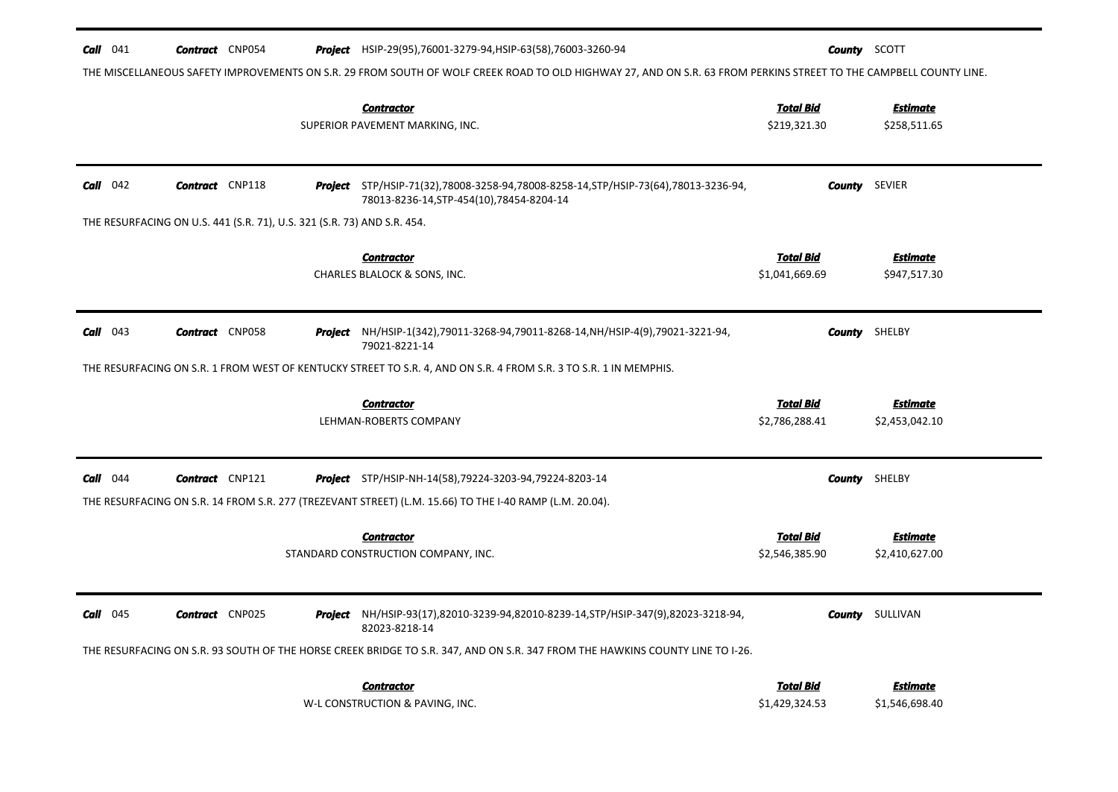| Call<br>041                                                             | <b>Contract</b> CNP054                                                                                                                                            |  |         | <b>Project</b> HSIP-29(95),76001-3279-94,HSIP-63(58),76003-3260-94                                                                                                                                                          |                                    | <b>County</b> SCOTT               |  |
|-------------------------------------------------------------------------|-------------------------------------------------------------------------------------------------------------------------------------------------------------------|--|---------|-----------------------------------------------------------------------------------------------------------------------------------------------------------------------------------------------------------------------------|------------------------------------|-----------------------------------|--|
|                                                                         | THE MISCELLANEOUS SAFETY IMPROVEMENTS ON S.R. 29 FROM SOUTH OF WOLF CREEK ROAD TO OLD HIGHWAY 27, AND ON S.R. 63 FROM PERKINS STREET TO THE CAMPBELL COUNTY LINE. |  |         |                                                                                                                                                                                                                             |                                    |                                   |  |
|                                                                         |                                                                                                                                                                   |  |         | <b>Contractor</b><br>SUPERIOR PAVEMENT MARKING, INC.                                                                                                                                                                        | <b>Total Bid</b><br>\$219,321.30   | <b>Estimate</b><br>\$258,511.65   |  |
| $Call$ 042                                                              | <b>Contract</b> CNP118                                                                                                                                            |  |         | <b>Project</b> STP/HSIP-71(32),78008-3258-94,78008-8258-14,STP/HSIP-73(64),78013-3236-94,<br>78013-8236-14, STP-454(10), 78454-8204-14                                                                                      | County                             | SEVIER                            |  |
| THE RESURFACING ON U.S. 441 (S.R. 71), U.S. 321 (S.R. 73) AND S.R. 454. |                                                                                                                                                                   |  |         |                                                                                                                                                                                                                             |                                    |                                   |  |
|                                                                         |                                                                                                                                                                   |  |         | <b>Contractor</b><br>CHARLES BLALOCK & SONS, INC.                                                                                                                                                                           | <b>Total Bid</b><br>\$1,041,669.69 | <b>Estimate</b><br>\$947,517.30   |  |
| Call<br>043                                                             | <b>Contract</b> CNP058                                                                                                                                            |  |         | Project NH/HSIP-1(342),79011-3268-94,79011-8268-14,NH/HSIP-4(9),79021-3221-94,<br>79021-8221-14                                                                                                                             |                                    | <b>County</b> SHELBY              |  |
|                                                                         |                                                                                                                                                                   |  |         | THE RESURFACING ON S.R. 1 FROM WEST OF KENTUCKY STREET TO S.R. 4, AND ON S.R. 4 FROM S.R. 3 TO S.R. 1 IN MEMPHIS.                                                                                                           |                                    |                                   |  |
|                                                                         |                                                                                                                                                                   |  |         | <b>Contractor</b><br>LEHMAN-ROBERTS COMPANY                                                                                                                                                                                 | <b>Total Bid</b><br>\$2,786,288.41 | <b>Estimate</b><br>\$2,453,042.10 |  |
| 044<br>Call                                                             | <b>Contract</b> CNP121                                                                                                                                            |  |         | <b>Project</b> STP/HSIP-NH-14(58), 79224-3203-94, 79224-8203-14<br>THE RESURFACING ON S.R. 14 FROM S.R. 277 (TREZEVANT STREET) (L.M. 15.66) TO THE I-40 RAMP (L.M. 20.04).                                                  | County                             | SHELBY                            |  |
|                                                                         |                                                                                                                                                                   |  |         | <b>Contractor</b><br>STANDARD CONSTRUCTION COMPANY, INC.                                                                                                                                                                    | <b>Total Bid</b><br>\$2,546,385.90 | <b>Estimate</b><br>\$2,410,627.00 |  |
| Call<br>045                                                             | <b>Contract</b> CNP025                                                                                                                                            |  | Project | NH/HSIP-93(17),82010-3239-94,82010-8239-14,STP/HSIP-347(9),82023-3218-94,<br>82023-8218-14<br>THE RESURFACING ON S.R. 93 SOUTH OF THE HORSE CREEK BRIDGE TO S.R. 347, AND ON S.R. 347 FROM THE HAWKINS COUNTY LINE TO I-26. | County                             | SULLIVAN                          |  |
|                                                                         |                                                                                                                                                                   |  |         | <b>Contractor</b><br>W-L CONSTRUCTION & PAVING, INC.                                                                                                                                                                        | <b>Total Bid</b><br>\$1,429,324.53 | <b>Estimate</b><br>\$1,546,698.40 |  |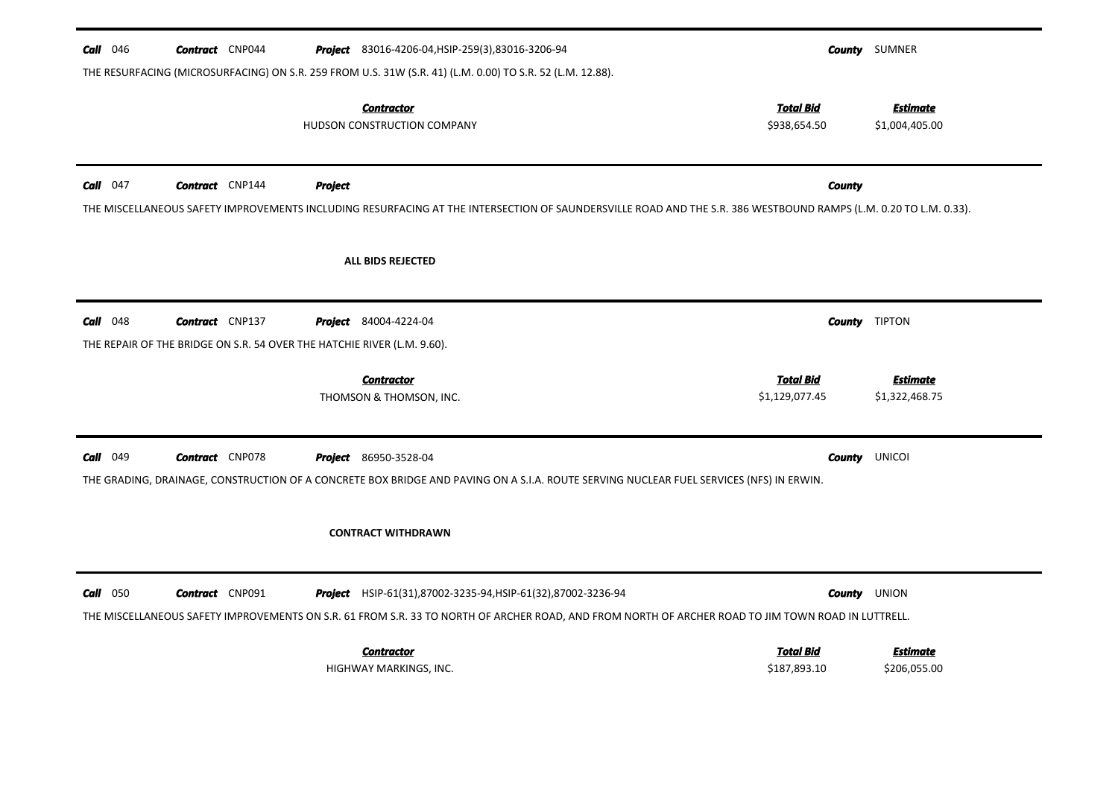| $Call$ 046<br><b>Contract</b> CNP044                                                                            | <b>Project</b> 83016-4206-04, HSIP-259(3), 83016-3206-94<br>THE RESURFACING (MICROSURFACING) ON S.R. 259 FROM U.S. 31W (S.R. 41) (L.M. 0.00) TO S.R. 52 (L.M. 12.88).                                              |                                    | <b>County</b> SUMNER              |
|-----------------------------------------------------------------------------------------------------------------|--------------------------------------------------------------------------------------------------------------------------------------------------------------------------------------------------------------------|------------------------------------|-----------------------------------|
|                                                                                                                 | <b>Contractor</b><br>HUDSON CONSTRUCTION COMPANY                                                                                                                                                                   | <b>Total Bid</b><br>\$938,654.50   | <b>Estimate</b><br>\$1,004,405.00 |
| $Call$ 047<br><b>Contract</b> CNP144                                                                            | <b>Project</b><br>THE MISCELLANEOUS SAFETY IMPROVEMENTS INCLUDING RESURFACING AT THE INTERSECTION OF SAUNDERSVILLE ROAD AND THE S.R. 386 WESTBOUND RAMPS (L.M. 0.20 TO L.M. 0.33).                                 | <b>County</b>                      |                                   |
|                                                                                                                 | ALL BIDS REJECTED                                                                                                                                                                                                  |                                    |                                   |
| $Call$ 048<br><b>Contract</b> CNP137<br>THE REPAIR OF THE BRIDGE ON S.R. 54 OVER THE HATCHIE RIVER (L.M. 9.60). | <b>Project</b> 84004-4224-04                                                                                                                                                                                       |                                    | <b>County</b> TIPTON              |
|                                                                                                                 | <b>Contractor</b><br>THOMSON & THOMSON, INC.                                                                                                                                                                       | <b>Total Bid</b><br>\$1,129,077.45 | <b>Estimate</b><br>\$1,322,468.75 |
| <b>Call</b> $049$<br><b>Contract</b> CNP078                                                                     | <b>Project</b> 86950-3528-04<br>THE GRADING, DRAINAGE, CONSTRUCTION OF A CONCRETE BOX BRIDGE AND PAVING ON A S.I.A. ROUTE SERVING NUCLEAR FUEL SERVICES (NFS) IN ERWIN.<br><b>CONTRACT WITHDRAWN</b>               | County                             | UNICOI                            |
| $Call$ 050<br><b>Contract</b> CNP091                                                                            | Project HSIP-61(31),87002-3235-94, HSIP-61(32),87002-3236-94<br>THE MISCELLANEOUS SAFETY IMPROVEMENTS ON S.R. 61 FROM S.R. 33 TO NORTH OF ARCHER ROAD, AND FROM NORTH OF ARCHER ROAD TO JIM TOWN ROAD IN LUTTRELL. |                                    | <b>County</b> UNION               |
|                                                                                                                 | <b>Contractor</b><br>HIGHWAY MARKINGS, INC.                                                                                                                                                                        | <b>Total Bid</b><br>\$187,893.10   | <b>Estimate</b>                   |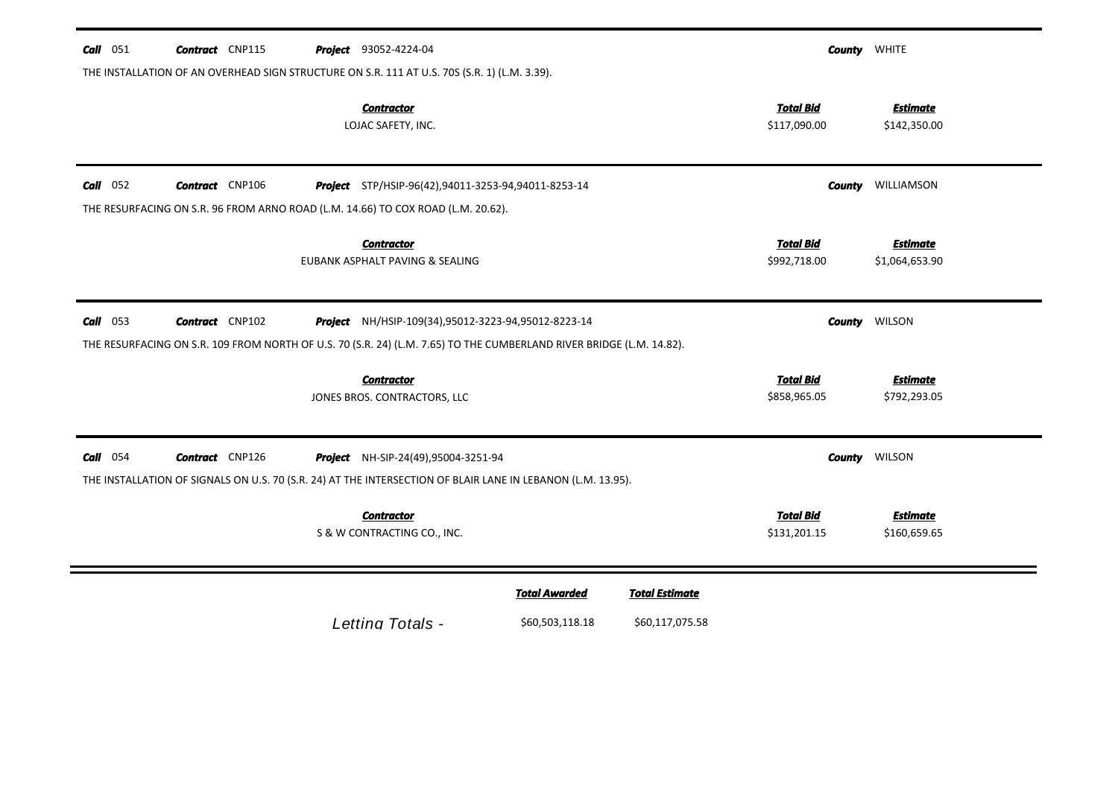| $Call$ 051 | <b>Contract</b> CNP115 | <b>Project</b> 93052-4224-04                                                                                                                                                |                      |                       |                                  | <b>County WHITE</b>               |
|------------|------------------------|-----------------------------------------------------------------------------------------------------------------------------------------------------------------------------|----------------------|-----------------------|----------------------------------|-----------------------------------|
|            |                        | THE INSTALLATION OF AN OVERHEAD SIGN STRUCTURE ON S.R. 111 AT U.S. 70S (S.R. 1) (L.M. 3.39).<br><b>Contractor</b><br>LOJAC SAFETY, INC.                                     |                      |                       | <b>Total Bid</b><br>\$117,090.00 | <b>Estimate</b><br>\$142,350.00   |
| $Call$ 052 | <b>Contract</b> CNP106 | Project STP/HSIP-96(42),94011-3253-94,94011-8253-14                                                                                                                         |                      |                       | <b>County</b>                    | WILLIAMSON                        |
|            |                        | THE RESURFACING ON S.R. 96 FROM ARNO ROAD (L.M. 14.66) TO COX ROAD (L.M. 20.62).                                                                                            |                      |                       |                                  |                                   |
|            |                        | <b>Contractor</b><br>EUBANK ASPHALT PAVING & SEALING                                                                                                                        |                      |                       | <b>Total Bid</b><br>\$992,718.00 | <b>Estimate</b><br>\$1,064,653.90 |
| $Call$ 053 | <b>Contract</b> CNP102 | Project NH/HSIP-109(34),95012-3223-94,95012-8223-14<br>THE RESURFACING ON S.R. 109 FROM NORTH OF U.S. 70 (S.R. 24) (L.M. 7.65) TO THE CUMBERLAND RIVER BRIDGE (L.M. 14.82). |                      |                       |                                  | <b>County WILSON</b>              |
|            |                        | <b>Contractor</b><br>JONES BROS. CONTRACTORS, LLC                                                                                                                           |                      |                       | <b>Total Bid</b><br>\$858,965.05 | <b>Estimate</b><br>\$792,293.05   |
| $Call$ 054 | <b>Contract</b> CNP126 | Project NH-SIP-24(49),95004-3251-94<br>THE INSTALLATION OF SIGNALS ON U.S. 70 (S.R. 24) AT THE INTERSECTION OF BLAIR LANE IN LEBANON (L.M. 13.95).                          |                      |                       | <b>County</b>                    | WILSON                            |
|            |                        | <b>Contractor</b><br>S & W CONTRACTING CO., INC.                                                                                                                            |                      |                       | <b>Total Bid</b><br>\$131,201.15 | <b>Estimate</b><br>\$160,659.65   |
|            |                        |                                                                                                                                                                             | <b>Total Awarded</b> | <b>Total Estimate</b> |                                  |                                   |
|            |                        | Letting Totals -                                                                                                                                                            | \$60,503,118.18      | \$60,117,075.58       |                                  |                                   |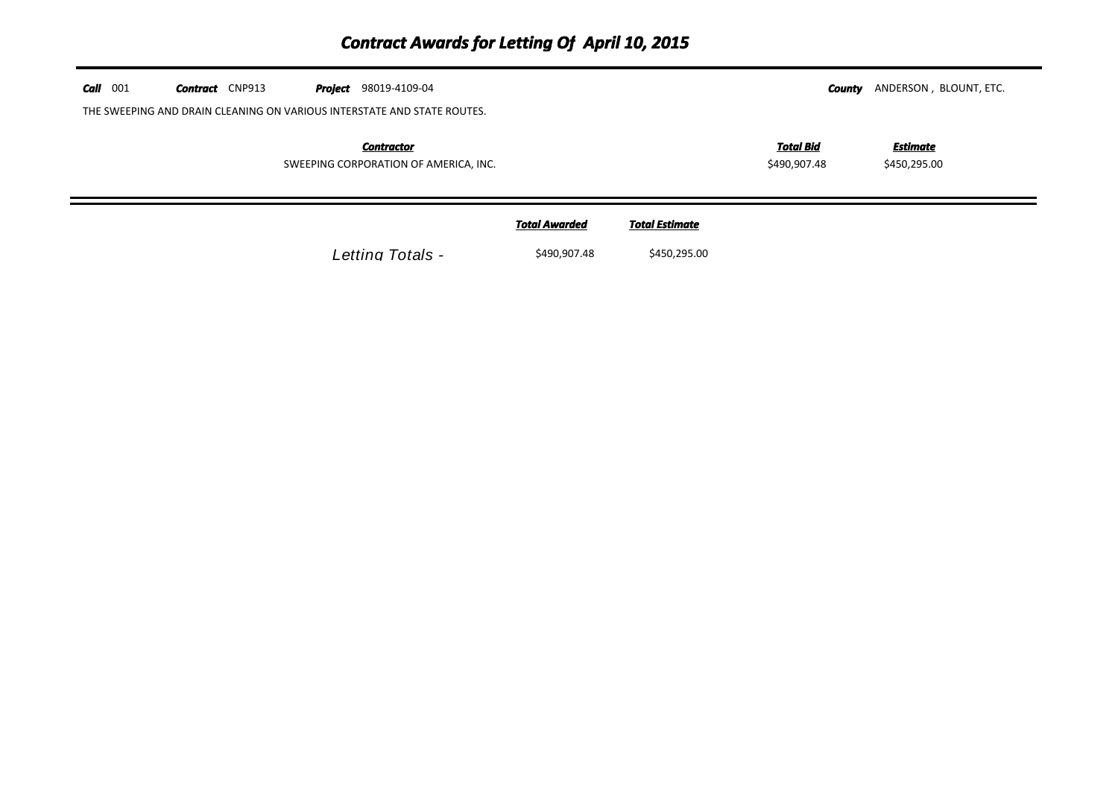| $Call$ 001 | <b>Contract</b> CNP913 | 98019-4109-04<br>Project                                                |                      |                       | County                           | ANDERSON, BLOUNT, ETC.   |  |
|------------|------------------------|-------------------------------------------------------------------------|----------------------|-----------------------|----------------------------------|--------------------------|--|
|            |                        | THE SWEEPING AND DRAIN CLEANING ON VARIOUS INTERSTATE AND STATE ROUTES. |                      |                       |                                  |                          |  |
|            |                        | <b>Contractor</b><br>SWEEPING CORPORATION OF AMERICA, INC.              |                      |                       | <b>Total Bid</b><br>\$490,907.48 | Estimate<br>\$450,295.00 |  |
|            |                        |                                                                         | <b>Total Awarded</b> | <b>Total Estimate</b> |                                  |                          |  |
|            |                        | Letting Totals -                                                        | \$490,907.48         | \$450,295.00          |                                  |                          |  |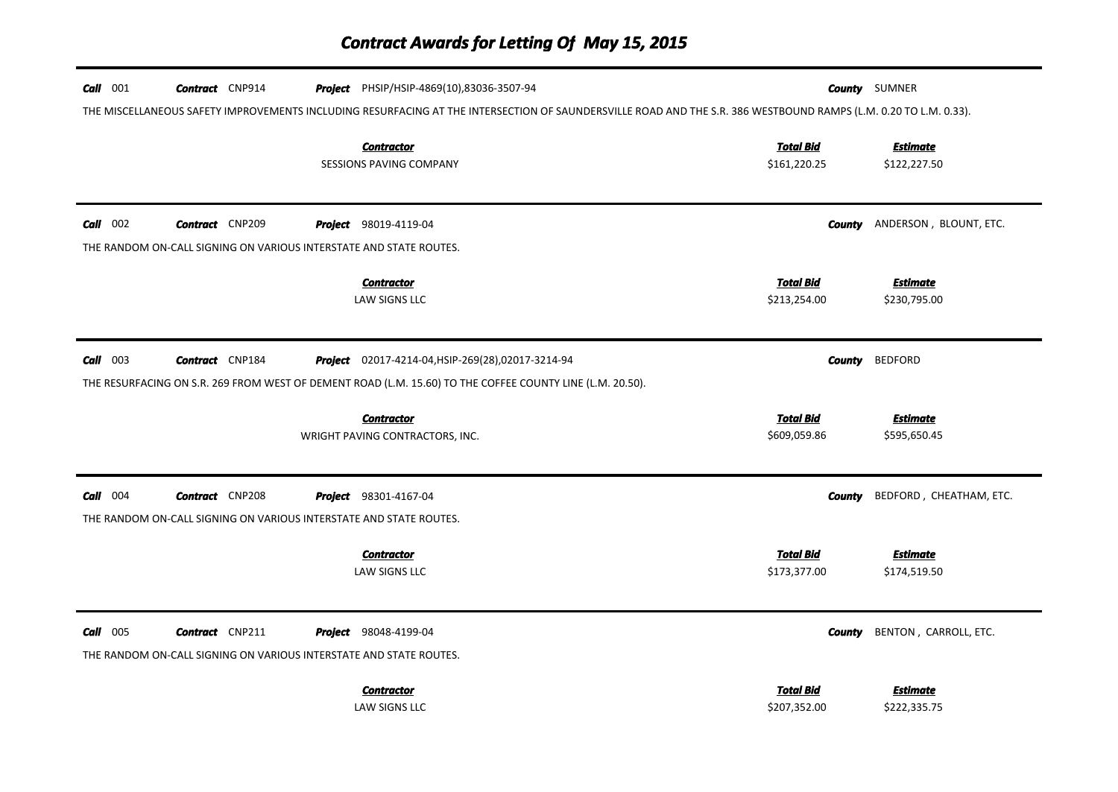## *Contract Awards for Letting Of May 15, 2015*

| $Call$ 001 | <b>Contract</b> CNP914 | Project PHSIP/HSIP-4869(10),83036-3507-94                                                                 | <b>County</b> SUMNER                                                                                                                                             |
|------------|------------------------|-----------------------------------------------------------------------------------------------------------|------------------------------------------------------------------------------------------------------------------------------------------------------------------|
|            |                        |                                                                                                           | THE MISCELLANEOUS SAFETY IMPROVEMENTS INCLUDING RESURFACING AT THE INTERSECTION OF SAUNDERSVILLE ROAD AND THE S.R. 386 WESTBOUND RAMPS (L.M. 0.20 TO L.M. 0.33). |
|            |                        | <b>Contractor</b><br><b>SESSIONS PAVING COMPANY</b>                                                       | <b>Total Bid</b><br><b>Estimate</b><br>\$161,220.25<br>\$122,227.50                                                                                              |
| $Call$ 002 | <b>Contract</b> CNP209 | <b>Project</b> 98019-4119-04                                                                              | ANDERSON, BLOUNT, ETC.<br><b>County</b>                                                                                                                          |
|            |                        | THE RANDOM ON-CALL SIGNING ON VARIOUS INTERSTATE AND STATE ROUTES.                                        |                                                                                                                                                                  |
|            |                        | <b>Contractor</b><br>LAW SIGNS LLC                                                                        | <b>Total Bid</b><br><b>Estimate</b><br>\$213,254.00<br>\$230,795.00                                                                                              |
| $Call$ 003 | <b>Contract</b> CNP184 | Project 02017-4214-04, HSIP-269(28), 02017-3214-94                                                        | <b>County</b><br><b>BEDFORD</b>                                                                                                                                  |
|            |                        | THE RESURFACING ON S.R. 269 FROM WEST OF DEMENT ROAD (L.M. 15.60) TO THE COFFEE COUNTY LINE (L.M. 20.50). |                                                                                                                                                                  |
|            |                        | <b>Contractor</b><br>WRIGHT PAVING CONTRACTORS, INC.                                                      | <b>Total Bid</b><br><b>Estimate</b><br>\$609,059.86<br>\$595,650.45                                                                                              |
| $Call$ 004 | <b>Contract</b> CNP208 | <b>Project</b> 98301-4167-04                                                                              | BEDFORD, CHEATHAM, ETC.<br>County                                                                                                                                |
|            |                        | THE RANDOM ON-CALL SIGNING ON VARIOUS INTERSTATE AND STATE ROUTES.                                        |                                                                                                                                                                  |
|            |                        | <b>Contractor</b><br>LAW SIGNS LLC                                                                        | <b>Total Bid</b><br><b>Estimate</b><br>\$173,377.00<br>\$174,519.50                                                                                              |
| $Call$ 005 | <b>Contract</b> CNP211 | <b>Project</b> 98048-4199-04<br>THE RANDOM ON-CALL SIGNING ON VARIOUS INTERSTATE AND STATE ROUTES.        | BENTON, CARROLL, ETC.<br><b>County</b>                                                                                                                           |
|            |                        | <b>Contractor</b><br>LAW SIGNS LLC                                                                        | <b>Total Bid</b><br><b>Estimate</b><br>\$207,352.00<br>\$222,335.75                                                                                              |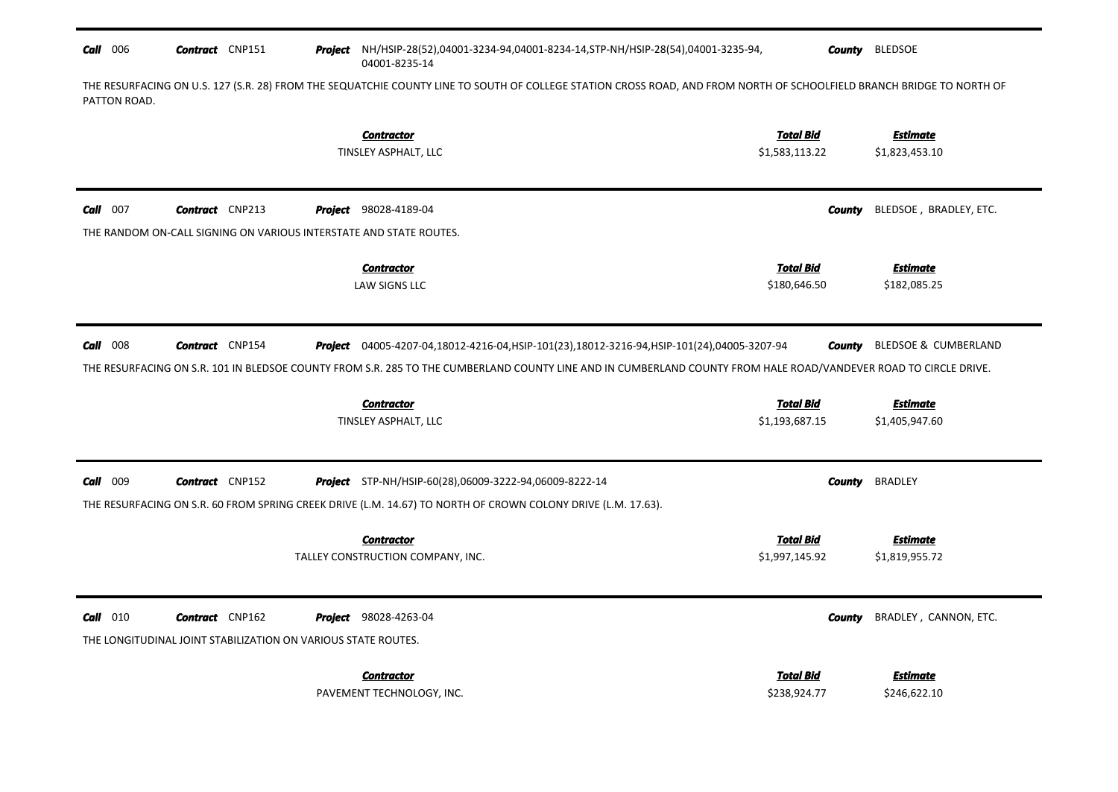## **Call** 006 *Contract* **CNP151 County BLEDSOE** Project NH/HSIP-28(52),04001-3234-94,04001-8234-14,STP-NH/HSIP-28(54),04001-3235-94, 04001-8235-14

THE RESURFACING ON U.S. 127 (S.R. 28) FROM THE SEQUATCHIE COUNTY LINE TO SOUTH OF COLLEGE STATION CROSS ROAD, AND FROM NORTH OF SCHOOLFIELD BRANCH BRIDGE TO NORTH OF PATTON ROAD.

|                 |                                                                                         | <b>Contractor</b><br>TINSLEY ASPHALT, LLC                                                                                                                                                                                                                         | <b>Total Bid</b><br>\$1,583,113.22 | <b>Estimate</b><br>\$1,823,453.10 |
|-----------------|-----------------------------------------------------------------------------------------|-------------------------------------------------------------------------------------------------------------------------------------------------------------------------------------------------------------------------------------------------------------------|------------------------------------|-----------------------------------|
| $Call$ 007      | <b>Contract</b> CNP213                                                                  | <b>Project</b> 98028-4189-04                                                                                                                                                                                                                                      | <b>County</b>                      | BLEDSOE, BRADLEY, ETC.            |
|                 | THE RANDOM ON-CALL SIGNING ON VARIOUS INTERSTATE AND STATE ROUTES.                      |                                                                                                                                                                                                                                                                   |                                    |                                   |
|                 |                                                                                         | <b>Contractor</b><br>LAW SIGNS LLC                                                                                                                                                                                                                                | <b>Total Bid</b><br>\$180,646.50   | <b>Estimate</b><br>\$182,085.25   |
| $Call$ 008      | <b>Contract</b> CNP154                                                                  | Project 04005-4207-04,18012-4216-04, HSIP-101(23), 18012-3216-94, HSIP-101(24), 04005-3207-94<br>THE RESURFACING ON S.R. 101 IN BLEDSOE COUNTY FROM S.R. 285 TO THE CUMBERLAND COUNTY LINE AND IN CUMBERLAND COUNTY FROM HALE ROAD/VANDEVER ROAD TO CIRCLE DRIVE. | <b>County</b>                      | BLEDSOE & CUMBERLAND              |
|                 |                                                                                         | <b>Contractor</b>                                                                                                                                                                                                                                                 | <b>Total Bid</b>                   | <b>Estimate</b>                   |
|                 |                                                                                         | TINSLEY ASPHALT, LLC                                                                                                                                                                                                                                              | \$1,193,687.15                     | \$1,405,947.60                    |
| <b>Call</b> 009 | <b>Contract</b> CNP152                                                                  | <b>Project</b> STP-NH/HSIP-60(28),06009-3222-94,06009-8222-14<br>THE RESURFACING ON S.R. 60 FROM SPRING CREEK DRIVE (L.M. 14.67) TO NORTH OF CROWN COLONY DRIVE (L.M. 17.63).                                                                                     | <b>County</b>                      | <b>BRADLEY</b>                    |
|                 |                                                                                         | <b>Contractor</b>                                                                                                                                                                                                                                                 | <b>Total Bid</b>                   | <b>Estimate</b>                   |
|                 |                                                                                         | TALLEY CONSTRUCTION COMPANY, INC.                                                                                                                                                                                                                                 | \$1,997,145.92                     | \$1,819,955.72                    |
| $Call$ 010      | <b>Contract</b> CNP162<br>THE LONGITUDINAL JOINT STABILIZATION ON VARIOUS STATE ROUTES. | <b>Project</b> 98028-4263-04                                                                                                                                                                                                                                      | County                             | BRADLEY, CANNON, ETC.             |
|                 |                                                                                         | <b>Contractor</b><br>PAVEMENT TECHNOLOGY, INC.                                                                                                                                                                                                                    | <b>Total Bid</b><br>\$238,924.77   | <b>Estimate</b><br>\$246,622.10   |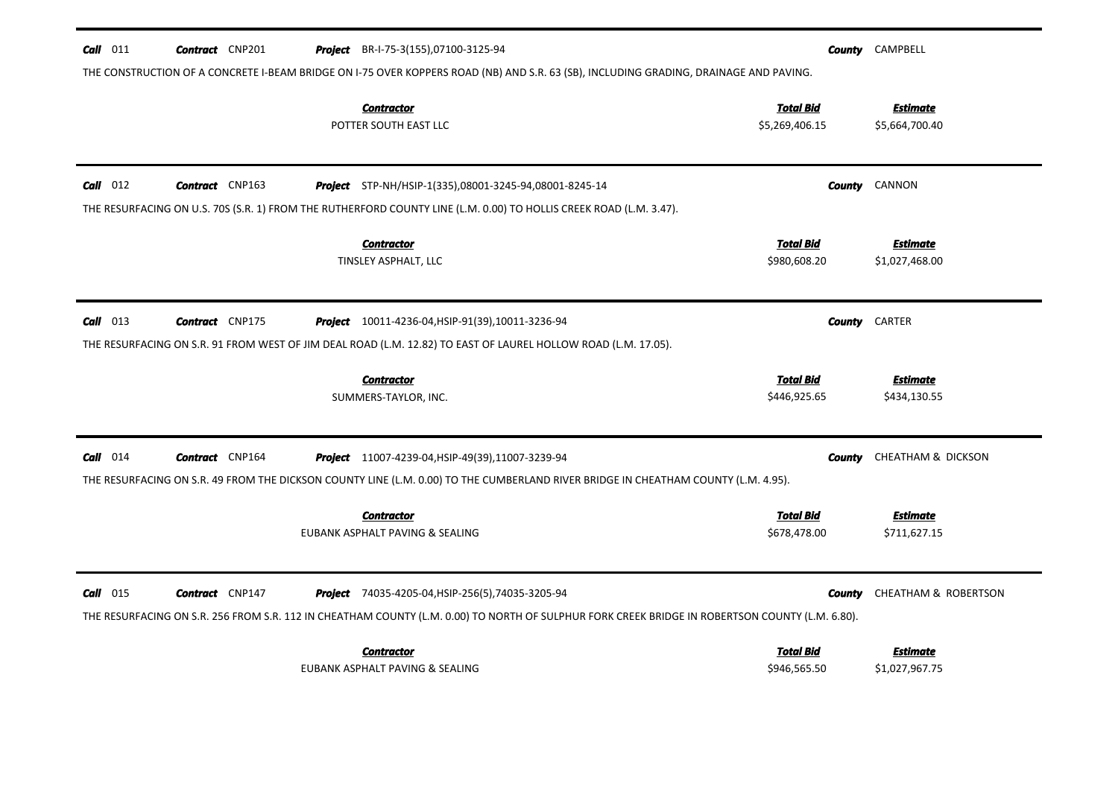| $Call$ 011<br><b>Contract</b> CNP201                                                                                                                            | <b>Project</b> BR-I-75-3(155),07100-3125-94                                                                                                                                                          | County        | CAMPBELL                          |
|-----------------------------------------------------------------------------------------------------------------------------------------------------------------|------------------------------------------------------------------------------------------------------------------------------------------------------------------------------------------------------|---------------|-----------------------------------|
| <b>Contractor</b><br>POTTER SOUTH EAST LLC                                                                                                                      | THE CONSTRUCTION OF A CONCRETE I-BEAM BRIDGE ON I-75 OVER KOPPERS ROAD (NB) AND S.R. 63 (SB), INCLUDING GRADING, DRAINAGE AND PAVING.<br><b>Total Bid</b><br>\$5,269,406.15                          |               | <b>Estimate</b><br>\$5,664,700.40 |
| $Call$ 012<br><b>Contract</b> CNP163                                                                                                                            | Project STP-NH/HSIP-1(335),08001-3245-94,08001-8245-14                                                                                                                                               | County        | CANNON                            |
| THE RESURFACING ON U.S. 70S (S.R. 1) FROM THE RUTHERFORD COUNTY LINE (L.M. 0.00) TO HOLLIS CREEK ROAD (L.M. 3.47).<br><b>Contractor</b><br>TINSLEY ASPHALT, LLC | <b>Total Bid</b><br>\$980,608.20                                                                                                                                                                     |               | <b>Estimate</b><br>\$1,027,468.00 |
| $Call$ 013<br><b>Contract</b> CNP175                                                                                                                            | <b>Project</b> 10011-4236-04, HSIP-91(39), 10011-3236-94                                                                                                                                             | County        | CARTER                            |
| THE RESURFACING ON S.R. 91 FROM WEST OF JIM DEAL ROAD (L.M. 12.82) TO EAST OF LAUREL HOLLOW ROAD (L.M. 17.05).<br><b>Contractor</b><br>SUMMERS-TAYLOR, INC.     | <b>Total Bid</b><br>\$446,925.65                                                                                                                                                                     |               | <b>Estimate</b><br>\$434,130.55   |
| $Call$ 014<br><b>Contract</b> CNP164                                                                                                                            | Project 11007-4239-04, HSIP-49(39), 11007-3239-94                                                                                                                                                    | County        | <b>CHEATHAM &amp; DICKSON</b>     |
| <b>Contractor</b><br>EUBANK ASPHALT PAVING & SEALING                                                                                                            | THE RESURFACING ON S.R. 49 FROM THE DICKSON COUNTY LINE (L.M. 0.00) TO THE CUMBERLAND RIVER BRIDGE IN CHEATHAM COUNTY (L.M. 4.95).<br><b>Total Bid</b><br>\$678,478.00                               |               | <b>Estimate</b><br>\$711,627.15   |
| $Call$ 015<br><b>Contract</b> CNP147                                                                                                                            | Project 74035-4205-04, HSIP-256(5), 74035-3205-94<br>THE RESURFACING ON S.R. 256 FROM S.R. 112 IN CHEATHAM COUNTY (L.M. 0.00) TO NORTH OF SULPHUR FORK CREEK BRIDGE IN ROBERTSON COUNTY (L.M. 6.80). | <b>County</b> | CHEATHAM & ROBERTSON              |
| <b>Contractor</b><br>EUBANK ASPHALT PAVING & SEALING                                                                                                            | <b>Total Bid</b><br>\$946,565.50                                                                                                                                                                     |               | Estimate<br>\$1,027,967.75        |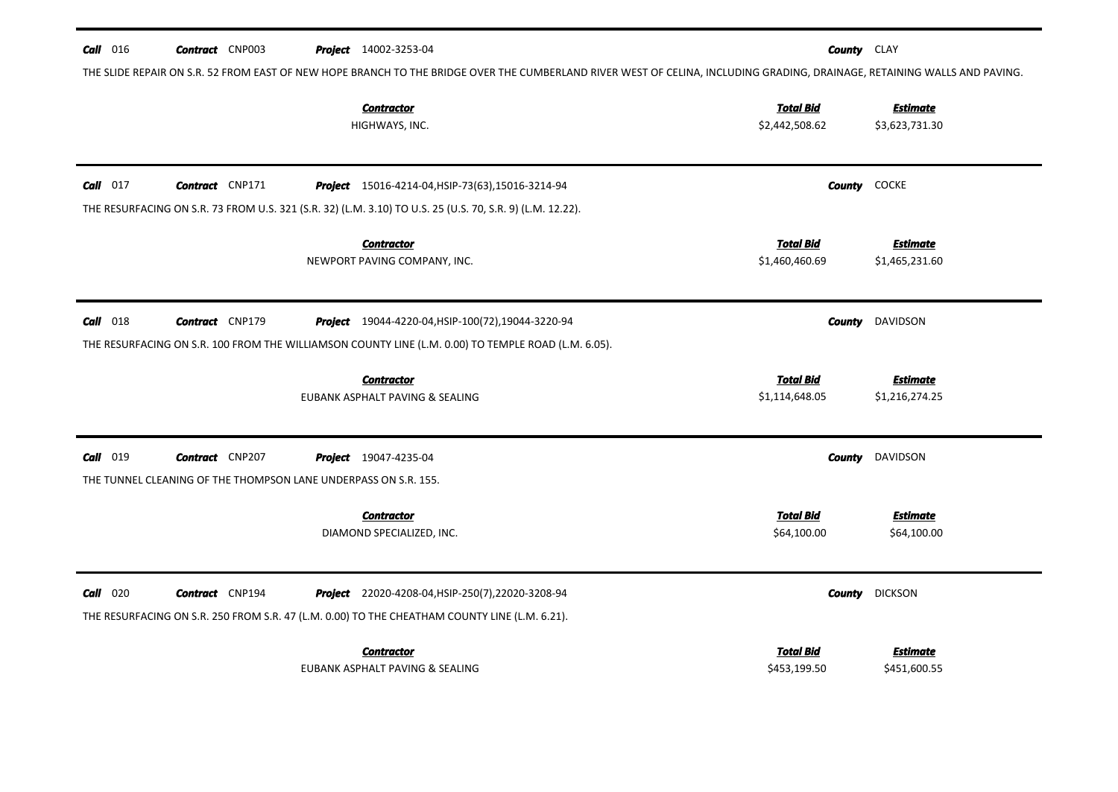| $Call$ 016 | <b>Contract</b> CNP003                                          | <b>Project</b> 14002-3253-04                                                                                                                                              | <b>County</b> CLAY                 |                                   |
|------------|-----------------------------------------------------------------|---------------------------------------------------------------------------------------------------------------------------------------------------------------------------|------------------------------------|-----------------------------------|
|            |                                                                 | THE SLIDE REPAIR ON S.R. 52 FROM EAST OF NEW HOPE BRANCH TO THE BRIDGE OVER THE CUMBERLAND RIVER WEST OF CELINA, INCLUDING GRADING, DRAINAGE, RETAINING WALLS AND PAVING. |                                    |                                   |
|            |                                                                 | <b>Contractor</b><br>HIGHWAYS, INC.                                                                                                                                       | <b>Total Bid</b><br>\$2,442,508.62 | <b>Estimate</b><br>\$3,623,731.30 |
| $Call$ 017 | <b>Contract</b> CNP171                                          | <b>Project</b> 15016-4214-04, HSIP-73(63), 15016-3214-94                                                                                                                  |                                    | <b>County</b> COCKE               |
|            |                                                                 | THE RESURFACING ON S.R. 73 FROM U.S. 321 (S.R. 32) (L.M. 3.10) TO U.S. 25 (U.S. 70, S.R. 9) (L.M. 12.22).                                                                 |                                    |                                   |
|            |                                                                 | <b>Contractor</b><br>NEWPORT PAVING COMPANY, INC.                                                                                                                         | <b>Total Bid</b><br>\$1,460,460.69 | <b>Estimate</b><br>\$1,465,231.60 |
| $Call$ 018 | <b>Contract</b> CNP179                                          | Project 19044-4220-04, HSIP-100(72), 19044-3220-94                                                                                                                        | County                             | DAVIDSON                          |
|            |                                                                 | THE RESURFACING ON S.R. 100 FROM THE WILLIAMSON COUNTY LINE (L.M. 0.00) TO TEMPLE ROAD (L.M. 6.05).                                                                       |                                    |                                   |
|            |                                                                 | <b>Contractor</b><br>EUBANK ASPHALT PAVING & SEALING                                                                                                                      | <b>Total Bid</b><br>\$1,114,648.05 | <b>Estimate</b><br>\$1,216,274.25 |
| Call 019   | <b>Contract</b> CNP207                                          | <b>Project</b> 19047-4235-04                                                                                                                                              | County                             | DAVIDSON                          |
|            | THE TUNNEL CLEANING OF THE THOMPSON LANE UNDERPASS ON S.R. 155. |                                                                                                                                                                           |                                    |                                   |
|            |                                                                 | <b>Contractor</b><br>DIAMOND SPECIALIZED, INC.                                                                                                                            | <b>Total Bid</b><br>\$64,100.00    | <b>Estimate</b><br>\$64,100.00    |
| $Call$ 020 | <b>Contract</b> CNP194                                          | Project 22020-4208-04, HSIP-250(7), 22020-3208-94                                                                                                                         | <b>County</b>                      | <b>DICKSON</b>                    |
|            |                                                                 | THE RESURFACING ON S.R. 250 FROM S.R. 47 (L.M. 0.00) TO THE CHEATHAM COUNTY LINE (L.M. 6.21).                                                                             |                                    |                                   |
|            |                                                                 | <b>Contractor</b>                                                                                                                                                         | <b>Total Bid</b>                   | <b>Estimate</b>                   |
|            |                                                                 | EUBANK ASPHALT PAVING & SEALING                                                                                                                                           | \$453,199.50                       | \$451,600.55                      |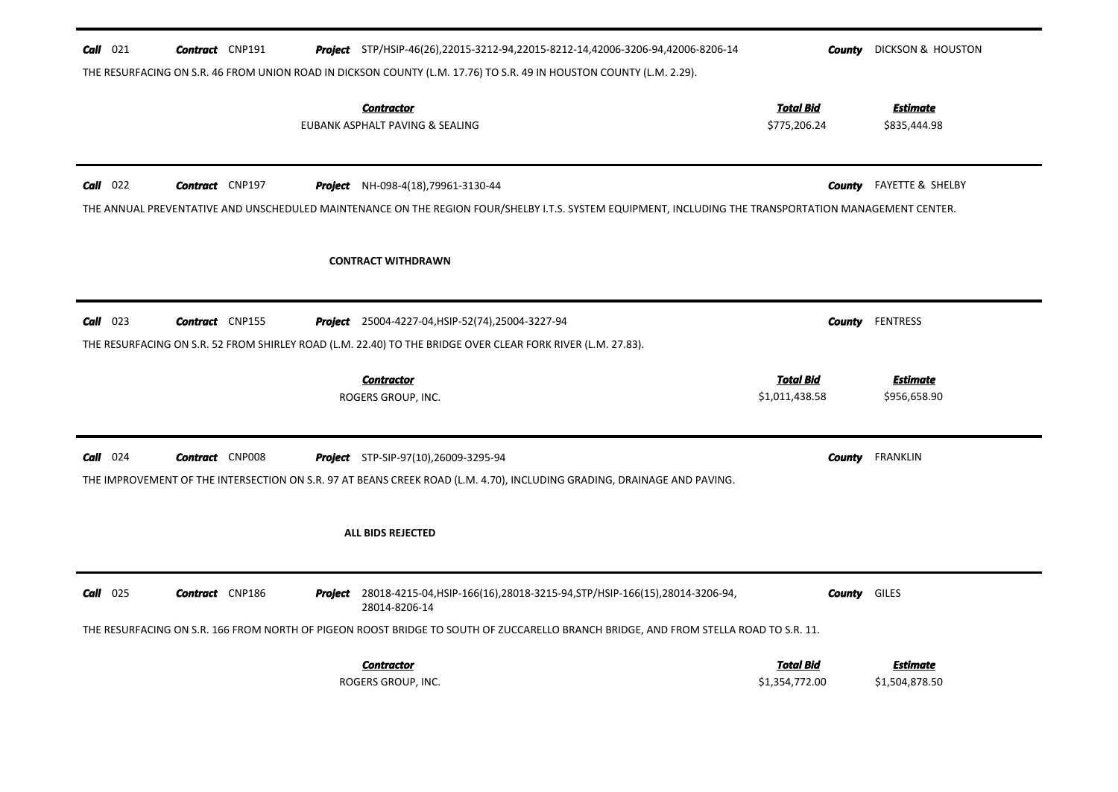| $Call$ 021        | <b>Contract</b> CNP191 |         | Project STP/HSIP-46(26),22015-3212-94,22015-8212-14,42006-3206-94,42006-8206-14<br>THE RESURFACING ON S.R. 46 FROM UNION ROAD IN DICKSON COUNTY (L.M. 17.76) TO S.R. 49 IN HOUSTON COUNTY (L.M. 2.29). | County                             | <b>DICKSON &amp; HOUSTON</b>      |
|-------------------|------------------------|---------|--------------------------------------------------------------------------------------------------------------------------------------------------------------------------------------------------------|------------------------------------|-----------------------------------|
|                   |                        |         | <b>Contractor</b><br>EUBANK ASPHALT PAVING & SEALING                                                                                                                                                   | <u>Total Bid</u><br>\$775,206.24   | <u>Estimate</u><br>\$835,444.98   |
| $Call$ 022        | <b>Contract</b> CNP197 |         | <b>Project</b> NH-098-4(18),79961-3130-44<br>THE ANNUAL PREVENTATIVE AND UNSCHEDULED MAINTENANCE ON THE REGION FOUR/SHELBY I.T.S. SYSTEM EQUIPMENT, INCLUDING THE TRANSPORTATION MANAGEMENT CENTER.    | County                             | <b>FAYETTE &amp; SHELBY</b>       |
|                   |                        |         | <b>CONTRACT WITHDRAWN</b>                                                                                                                                                                              |                                    |                                   |
| $Call$ 023        | <b>Contract</b> CNP155 |         | <b>Project</b> 25004-4227-04, HSIP-52(74), 25004-3227-94<br>THE RESURFACING ON S.R. 52 FROM SHIRLEY ROAD (L.M. 22.40) TO THE BRIDGE OVER CLEAR FORK RIVER (L.M. 27.83).                                | County                             | <b>FENTRESS</b>                   |
|                   |                        |         | <b>Contractor</b><br>ROGERS GROUP, INC.                                                                                                                                                                | <b>Total Bid</b><br>\$1,011,438.58 | <b>Estimate</b><br>\$956,658.90   |
| <b>Call</b> $024$ | <b>Contract</b> CNP008 |         | <b>Project</b> STP-SIP-97(10),26009-3295-94<br>THE IMPROVEMENT OF THE INTERSECTION ON S.R. 97 AT BEANS CREEK ROAD (L.M. 4.70), INCLUDING GRADING, DRAINAGE AND PAVING.                                 | County                             | <b>FRANKLIN</b>                   |
|                   |                        |         | ALL BIDS REJECTED                                                                                                                                                                                      |                                    |                                   |
| $Call$ 025        | <b>Contract</b> CNP186 | Project | 28018-4215-04, HSIP-166(16), 28018-3215-94, STP/HSIP-166(15), 28014-3206-94,<br>28014-8206-14                                                                                                          | <b>County</b> GILES                |                                   |
|                   |                        |         | THE RESURFACING ON S.R. 166 FROM NORTH OF PIGEON ROOST BRIDGE TO SOUTH OF ZUCCARELLO BRANCH BRIDGE, AND FROM STELLA ROAD TO S.R. 11.<br><b>Contractor</b><br>ROGERS GROUP, INC.                        | <b>Total Bid</b><br>\$1,354,772.00 | <b>Estimate</b><br>\$1,504,878.50 |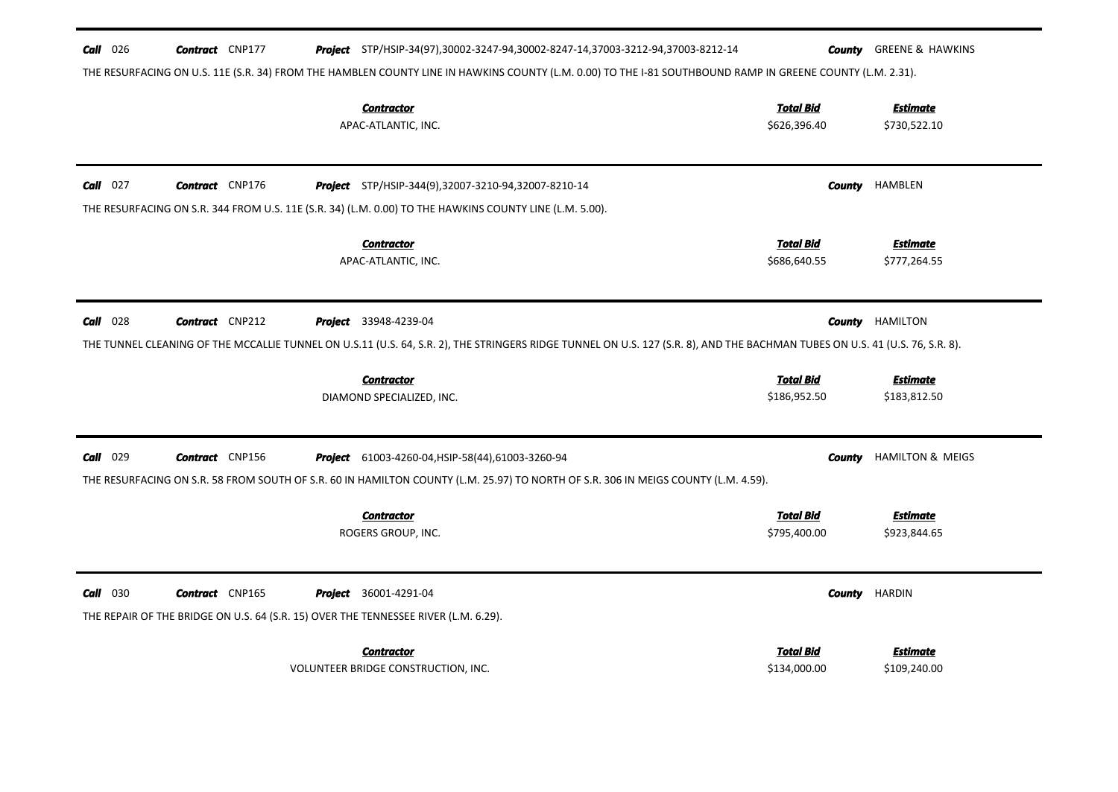| $Call$ 026 | <b>Contract</b> CNP177 | <b>Project</b> STP/HSIP-34(97),30002-3247-94,30002-8247-14,37003-3212-94,37003-8212-14                                                                                       |                                  | <b>County GREENE &amp; HAWKINS</b> |
|------------|------------------------|------------------------------------------------------------------------------------------------------------------------------------------------------------------------------|----------------------------------|------------------------------------|
|            |                        | THE RESURFACING ON U.S. 11E (S.R. 34) FROM THE HAMBLEN COUNTY LINE IN HAWKINS COUNTY (L.M. 0.00) TO THE I-81 SOUTHBOUND RAMP IN GREENE COUNTY (L.M. 2.31).                   |                                  |                                    |
|            |                        | <b>Contractor</b><br>APAC-ATLANTIC, INC.                                                                                                                                     | <b>Total Bid</b><br>\$626,396.40 | <b>Estimate</b><br>\$730,522.10    |
|            |                        |                                                                                                                                                                              |                                  |                                    |
| $Call$ 027 | <b>Contract</b> CNP176 | <b>Project</b> STP/HSIP-344(9),32007-3210-94,32007-8210-14                                                                                                                   | County                           | HAMBLEN                            |
|            |                        | THE RESURFACING ON S.R. 344 FROM U.S. 11E (S.R. 34) (L.M. 0.00) TO THE HAWKINS COUNTY LINE (L.M. 5.00).                                                                      |                                  |                                    |
|            |                        | <b>Contractor</b>                                                                                                                                                            | <b>Total Bid</b>                 | <b>Estimate</b>                    |
|            |                        | APAC-ATLANTIC, INC.                                                                                                                                                          | \$686,640.55                     | \$777,264.55                       |
|            |                        |                                                                                                                                                                              |                                  |                                    |
| $Call$ 028 | <b>Contract</b> CNP212 | <b>Project</b> 33948-4239-04                                                                                                                                                 |                                  | <b>County HAMILTON</b>             |
|            |                        | THE TUNNEL CLEANING OF THE MCCALLIE TUNNEL ON U.S.11 (U.S. 64, S.R. 2), THE STRINGERS RIDGE TUNNEL ON U.S. 127 (S.R. 8), AND THE BACHMAN TUBES ON U.S. 41 (U.S. 76, S.R. 8). |                                  |                                    |
|            |                        | <b>Contractor</b>                                                                                                                                                            | <b>Total Bid</b>                 | <b>Estimate</b>                    |
|            |                        | DIAMOND SPECIALIZED, INC.                                                                                                                                                    | \$186,952.50                     | \$183,812.50                       |
|            |                        |                                                                                                                                                                              |                                  |                                    |
| Call 029   | <b>Contract</b> CNP156 | <b>Project</b> 61003-4260-04, HSIP-58(44), 61003-3260-94                                                                                                                     | County                           | <b>HAMILTON &amp; MEIGS</b>        |
|            |                        | THE RESURFACING ON S.R. 58 FROM SOUTH OF S.R. 60 IN HAMILTON COUNTY (L.M. 25.97) TO NORTH OF S.R. 306 IN MEIGS COUNTY (L.M. 4.59).                                           |                                  |                                    |
|            |                        | <b>Contractor</b>                                                                                                                                                            | <b>Total Bid</b>                 | <b>Estimate</b>                    |
|            |                        | ROGERS GROUP, INC.                                                                                                                                                           | \$795,400.00                     | \$923,844.65                       |
|            |                        |                                                                                                                                                                              |                                  |                                    |
| $Call$ 030 | <b>Contract</b> CNP165 | <b>Project</b> 36001-4291-04                                                                                                                                                 | <b>County</b>                    | HARDIN                             |
|            |                        | THE REPAIR OF THE BRIDGE ON U.S. 64 (S.R. 15) OVER THE TENNESSEE RIVER (L.M. 6.29).                                                                                          |                                  |                                    |
|            |                        | <b>Contractor</b>                                                                                                                                                            | Total Bid                        | <b>Estimate</b>                    |
|            |                        | VOLUNTEER BRIDGE CONSTRUCTION, INC.                                                                                                                                          | \$134,000.00                     | \$109,240.00                       |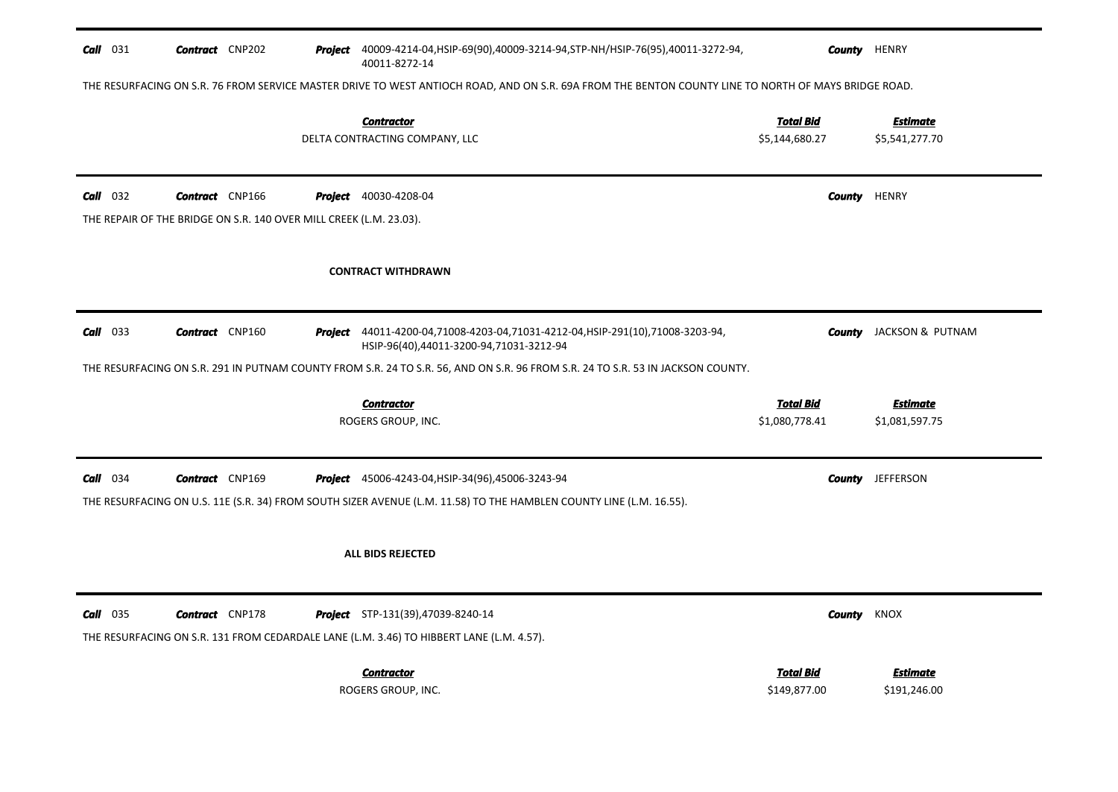| $Call$ 031 | <b>Contract</b> CNP202 |                                                                    | Project 40009-4214-04, HSIP-69(90), 40009-3214-94, STP-NH/HSIP-76(95), 40011-3272-94,<br>40011-8272-14                                               | County                             | <b>HENRY</b>                      |
|------------|------------------------|--------------------------------------------------------------------|------------------------------------------------------------------------------------------------------------------------------------------------------|------------------------------------|-----------------------------------|
|            |                        |                                                                    | THE RESURFACING ON S.R. 76 FROM SERVICE MASTER DRIVE TO WEST ANTIOCH ROAD, AND ON S.R. 69A FROM THE BENTON COUNTY LINE TO NORTH OF MAYS BRIDGE ROAD. |                                    |                                   |
|            |                        |                                                                    | <b>Contractor</b><br>DELTA CONTRACTING COMPANY, LLC                                                                                                  | Total Bid<br>\$5,144,680.27        | <b>Estimate</b><br>\$5,541,277.70 |
| $Call$ 032 | <b>Contract</b> CNP166 |                                                                    | <b>Project</b> 40030-4208-04                                                                                                                         | County                             | HENRY                             |
|            |                        | THE REPAIR OF THE BRIDGE ON S.R. 140 OVER MILL CREEK (L.M. 23.03). |                                                                                                                                                      |                                    |                                   |
|            |                        |                                                                    | <b>CONTRACT WITHDRAWN</b>                                                                                                                            |                                    |                                   |
| $Call$ 033 | <b>Contract</b> CNP160 |                                                                    | Project 44011-4200-04,71008-4203-04,71031-4212-04, HSIP-291(10),71008-3203-94,<br>HSIP-96(40),44011-3200-94,71031-3212-94                            | County                             | JACKSON & PUTNAM                  |
|            |                        |                                                                    | THE RESURFACING ON S.R. 291 IN PUTNAM COUNTY FROM S.R. 24 TO S.R. 56, AND ON S.R. 96 FROM S.R. 24 TO S.R. 53 IN JACKSON COUNTY.                      |                                    |                                   |
|            |                        |                                                                    |                                                                                                                                                      |                                    |                                   |
|            |                        |                                                                    | <b>Contractor</b><br>ROGERS GROUP, INC.                                                                                                              | <b>Total Bid</b><br>\$1,080,778.41 | <b>Estimate</b><br>\$1,081,597.75 |
|            | <b>Contract</b> CNP169 |                                                                    | <b>Project</b> 45006-4243-04, HSIP-34(96), 45006-3243-94                                                                                             | County                             | JEFFERSON                         |
| $Call$ 034 |                        |                                                                    | THE RESURFACING ON U.S. 11E (S.R. 34) FROM SOUTH SIZER AVENUE (L.M. 11.58) TO THE HAMBLEN COUNTY LINE (L.M. 16.55).                                  |                                    |                                   |
|            |                        |                                                                    | ALL BIDS REJECTED                                                                                                                                    |                                    |                                   |
| $Call$ 035 | <b>Contract</b> CNP178 |                                                                    | <b>Project</b> STP-131(39),47039-8240-14                                                                                                             | County                             | KNOX                              |
|            |                        |                                                                    | THE RESURFACING ON S.R. 131 FROM CEDARDALE LANE (L.M. 3.46) TO HIBBERT LANE (L.M. 4.57).                                                             |                                    |                                   |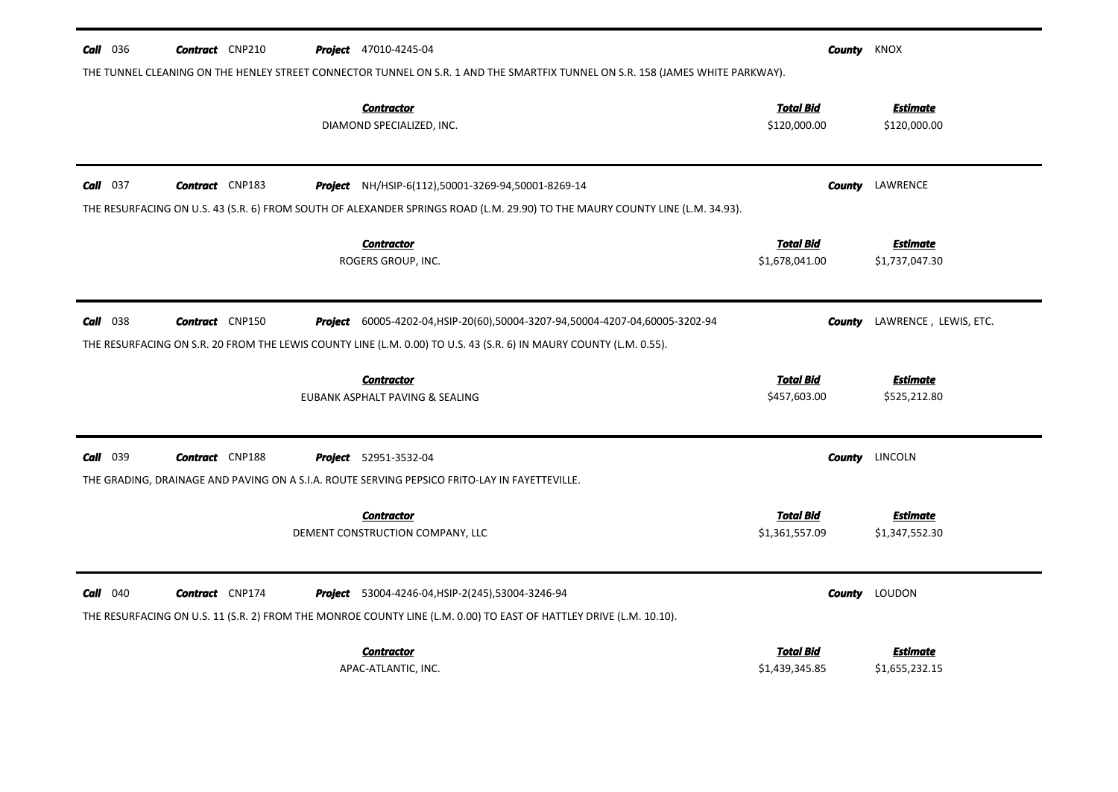| $Call$ 036      | <b>Contract</b> CNP210 | <b>Project</b> 47010-4245-04                                                                                                                                                                                 |                                    | <b>County</b> KNOX                |
|-----------------|------------------------|--------------------------------------------------------------------------------------------------------------------------------------------------------------------------------------------------------------|------------------------------------|-----------------------------------|
|                 |                        | THE TUNNEL CLEANING ON THE HENLEY STREET CONNECTOR TUNNEL ON S.R. 1 AND THE SMARTFIX TUNNEL ON S.R. 158 (JAMES WHITE PARKWAY).<br><b>Contractor</b><br>DIAMOND SPECIALIZED, INC.                             | <b>Total Bid</b><br>\$120,000.00   | <b>Estimate</b><br>\$120,000.00   |
| $Call$ 037      | <b>Contract</b> CNP183 | Project NH/HSIP-6(112),50001-3269-94,50001-8269-14<br>THE RESURFACING ON U.S. 43 (S.R. 6) FROM SOUTH OF ALEXANDER SPRINGS ROAD (L.M. 29.90) TO THE MAURY COUNTY LINE (L.M. 34.93).                           |                                    | <b>County</b> LAWRENCE            |
|                 |                        | <b>Contractor</b><br>ROGERS GROUP, INC.                                                                                                                                                                      | <b>Total Bid</b><br>\$1,678,041.00 | <b>Estimate</b><br>\$1,737,047.30 |
| $Call$ 038      | <b>Contract</b> CNP150 | <b>Project</b> 60005-4202-04, HSIP-20(60), 50004-3207-94, 50004-4207-04, 60005-3202-94<br>THE RESURFACING ON S.R. 20 FROM THE LEWIS COUNTY LINE (L.M. 0.00) TO U.S. 43 (S.R. 6) IN MAURY COUNTY (L.M. 0.55). | County                             | LAWRENCE, LEWIS, ETC.             |
|                 |                        | <b>Contractor</b><br>EUBANK ASPHALT PAVING & SEALING                                                                                                                                                         | <b>Total Bid</b><br>\$457,603.00   | <b>Estimate</b><br>\$525,212.80   |
| <b>Call</b> 039 | <b>Contract</b> CNP188 | <b>Project</b> 52951-3532-04<br>THE GRADING, DRAINAGE AND PAVING ON A S.I.A. ROUTE SERVING PEPSICO FRITO-LAY IN FAYETTEVILLE.                                                                                |                                    | <b>County</b> LINCOLN             |
|                 |                        | <b>Contractor</b><br>DEMENT CONSTRUCTION COMPANY, LLC                                                                                                                                                        | <b>Total Bid</b><br>\$1,361,557.09 | <b>Estimate</b><br>\$1,347,552.30 |
| $Call$ 040      | <b>Contract</b> CNP174 | <b>Project</b> 53004-4246-04, HSIP-2(245), 53004-3246-94<br>THE RESURFACING ON U.S. 11 (S.R. 2) FROM THE MONROE COUNTY LINE (L.M. 0.00) TO EAST OF HATTLEY DRIVE (L.M. 10.10).                               |                                    | <b>County</b> LOUDON              |
|                 |                        | <b>Contractor</b><br>APAC-ATLANTIC, INC.                                                                                                                                                                     | Total Bid<br>\$1,439,345.85        | <u>Estimate</u><br>\$1,655,232.15 |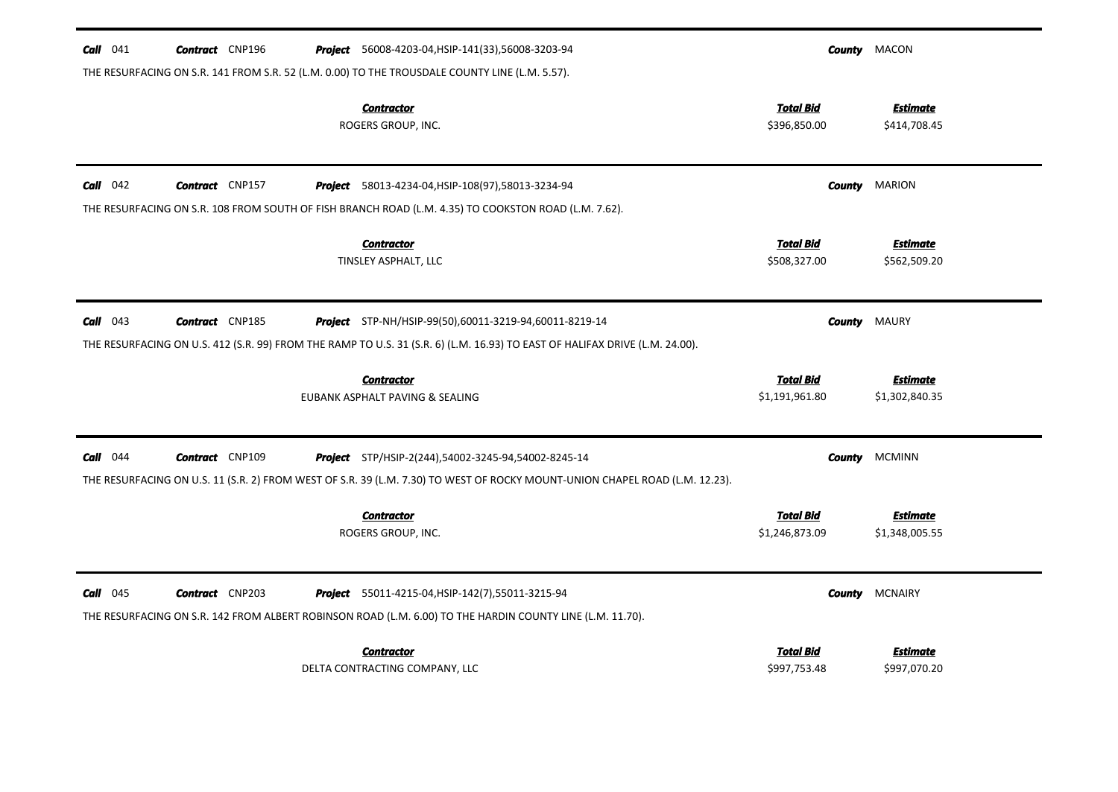| $Call$ 041 | <b>Contract</b> CNP196 | <b>Project</b> 56008-4203-04, HSIP-141(33), 56008-3203-94                                                                   |                                    | <b>County</b> MACON               |
|------------|------------------------|-----------------------------------------------------------------------------------------------------------------------------|------------------------------------|-----------------------------------|
|            |                        | THE RESURFACING ON S.R. 141 FROM S.R. 52 (L.M. 0.00) TO THE TROUSDALE COUNTY LINE (L.M. 5.57).                              |                                    |                                   |
|            |                        | <b>Contractor</b><br>ROGERS GROUP, INC.                                                                                     | <b>Total Bid</b><br>\$396,850.00   | <b>Estimate</b><br>\$414,708.45   |
| $Call$ 042 | <b>Contract</b> CNP157 | Project 58013-4234-04, HSIP-108(97), 58013-3234-94                                                                          | County                             | <b>MARION</b>                     |
|            |                        | THE RESURFACING ON S.R. 108 FROM SOUTH OF FISH BRANCH ROAD (L.M. 4.35) TO COOKSTON ROAD (L.M. 7.62).                        |                                    |                                   |
|            |                        | <b>Contractor</b><br>TINSLEY ASPHALT, LLC                                                                                   | <b>Total Bid</b><br>\$508,327.00   | <b>Estimate</b><br>\$562,509.20   |
| $Call$ 043 | <b>Contract</b> CNP185 | <b>Project</b> STP-NH/HSIP-99(50),60011-3219-94,60011-8219-14                                                               | County                             | <b>MAURY</b>                      |
|            |                        | THE RESURFACING ON U.S. 412 (S.R. 99) FROM THE RAMP TO U.S. 31 (S.R. 6) (L.M. 16.93) TO EAST OF HALIFAX DRIVE (L.M. 24.00). |                                    |                                   |
|            |                        |                                                                                                                             |                                    |                                   |
|            |                        | <b>Contractor</b><br>EUBANK ASPHALT PAVING & SEALING                                                                        | <b>Total Bid</b><br>\$1,191,961.80 | <b>Estimate</b><br>\$1,302,840.35 |
| $Call$ 044 | <b>Contract</b> CNP109 | Project STP/HSIP-2(244),54002-3245-94,54002-8245-14                                                                         | County                             | <b>MCMINN</b>                     |
|            |                        | THE RESURFACING ON U.S. 11 (S.R. 2) FROM WEST OF S.R. 39 (L.M. 7.30) TO WEST OF ROCKY MOUNT-UNION CHAPEL ROAD (L.M. 12.23). |                                    |                                   |
|            |                        | <b>Contractor</b><br>ROGERS GROUP, INC.                                                                                     | <b>Total Bid</b><br>\$1,246,873.09 | <b>Estimate</b><br>\$1,348,005.55 |
| $Call$ 045 | <b>Contract</b> CNP203 | <b>Project</b> 55011-4215-04, HSIP-142(7), 55011-3215-94                                                                    | County                             | <b>MCNAIRY</b>                    |
|            |                        | THE RESURFACING ON S.R. 142 FROM ALBERT ROBINSON ROAD (L.M. 6.00) TO THE HARDIN COUNTY LINE (L.M. 11.70).                   |                                    |                                   |
|            |                        | <b>Contractor</b>                                                                                                           | <b>Total Bid</b>                   | Estimate                          |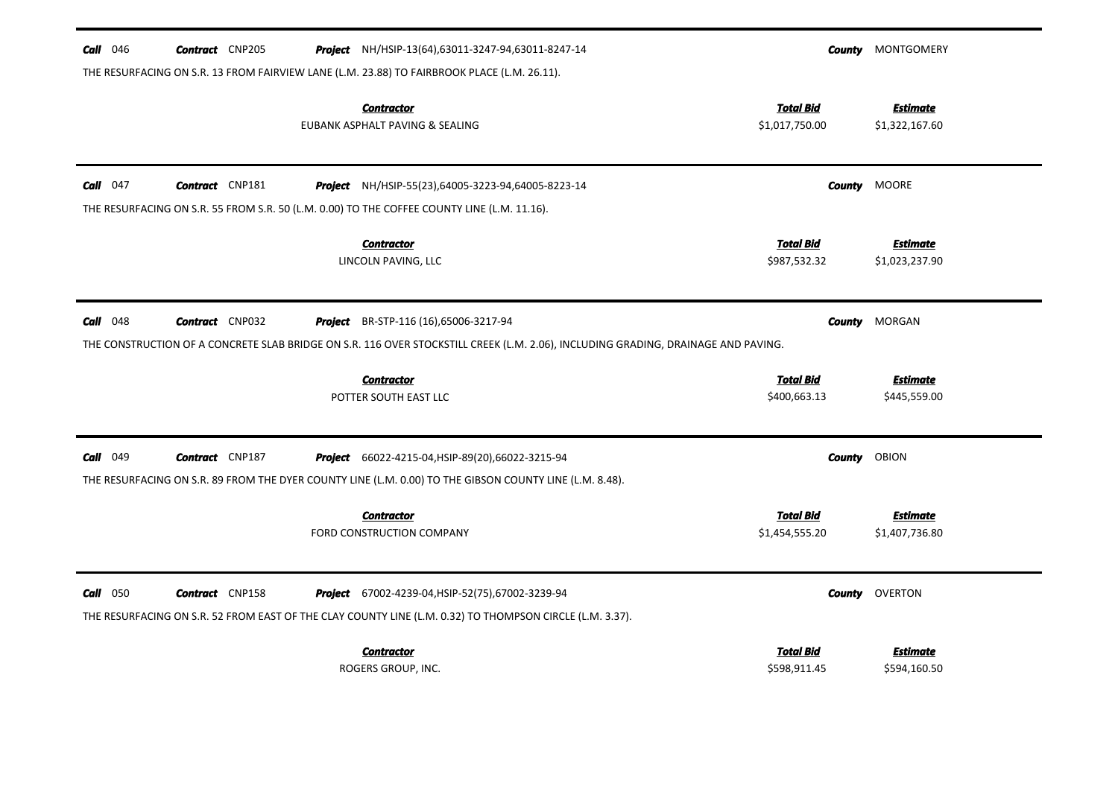| <b>Call</b> $046$ | <b>Contract</b> CNP205 |                                              | Project NH/HSIP-13(64),63011-3247-94,63011-8247-14                                                                                | County           | MONTGOMERY      |
|-------------------|------------------------|----------------------------------------------|-----------------------------------------------------------------------------------------------------------------------------------|------------------|-----------------|
|                   |                        |                                              | THE RESURFACING ON S.R. 13 FROM FAIRVIEW LANE (L.M. 23.88) TO FAIRBROOK PLACE (L.M. 26.11).                                       |                  |                 |
|                   |                        | <b>Contractor</b>                            |                                                                                                                                   | <b>Total Bid</b> | <b>Estimate</b> |
|                   |                        | EUBANK ASPHALT PAVING & SEALING              |                                                                                                                                   | \$1,017,750.00   | \$1,322,167.60  |
| Call $047$        | <b>Contract</b> CNP181 |                                              | Project NH/HSIP-55(23),64005-3223-94,64005-8223-14                                                                                | <b>County</b>    | MOORE           |
|                   |                        |                                              | THE RESURFACING ON S.R. 55 FROM S.R. 50 (L.M. 0.00) TO THE COFFEE COUNTY LINE (L.M. 11.16).                                       |                  |                 |
|                   |                        | <b>Contractor</b>                            |                                                                                                                                   | <b>Total Bid</b> | <b>Estimate</b> |
|                   |                        | LINCOLN PAVING, LLC                          |                                                                                                                                   | \$987,532.32     | \$1,023,237.90  |
| $Call$ 048        | <b>Contract</b> CNP032 | <b>Project</b> BR-STP-116 (16),65006-3217-94 |                                                                                                                                   | County           | MORGAN          |
|                   |                        |                                              | THE CONSTRUCTION OF A CONCRETE SLAB BRIDGE ON S.R. 116 OVER STOCKSTILL CREEK (L.M. 2.06), INCLUDING GRADING, DRAINAGE AND PAVING. |                  |                 |
|                   |                        | <b>Contractor</b>                            |                                                                                                                                   | <b>Total Bid</b> | <b>Estimate</b> |
|                   |                        | POTTER SOUTH EAST LLC                        |                                                                                                                                   | \$400,663.13     | \$445,559.00    |
| <b>Call</b> 049   | <b>Contract</b> CNP187 |                                              | Project 66022-4215-04, HSIP-89(20), 66022-3215-94                                                                                 | County           | OBION           |
|                   |                        |                                              | THE RESURFACING ON S.R. 89 FROM THE DYER COUNTY LINE (L.M. 0.00) TO THE GIBSON COUNTY LINE (L.M. 8.48).                           |                  |                 |
|                   |                        | <b>Contractor</b>                            |                                                                                                                                   | <b>Total Bid</b> | <b>Estimate</b> |
|                   |                        | FORD CONSTRUCTION COMPANY                    |                                                                                                                                   | \$1,454,555.20   | \$1,407,736.80  |
| 050<br>Call       | <b>Contract</b> CNP158 |                                              | Project 67002-4239-04, HSIP-52(75), 67002-3239-94                                                                                 | County           | <b>OVERTON</b>  |
|                   |                        |                                              | THE RESURFACING ON S.R. 52 FROM EAST OF THE CLAY COUNTY LINE (L.M. 0.32) TO THOMPSON CIRCLE (L.M. 3.37).                          |                  |                 |
|                   |                        | <b>Contractor</b>                            |                                                                                                                                   | <b>Total Bid</b> | <b>Estimate</b> |
|                   |                        | ROGERS GROUP, INC.                           |                                                                                                                                   | \$598,911.45     | \$594,160.50    |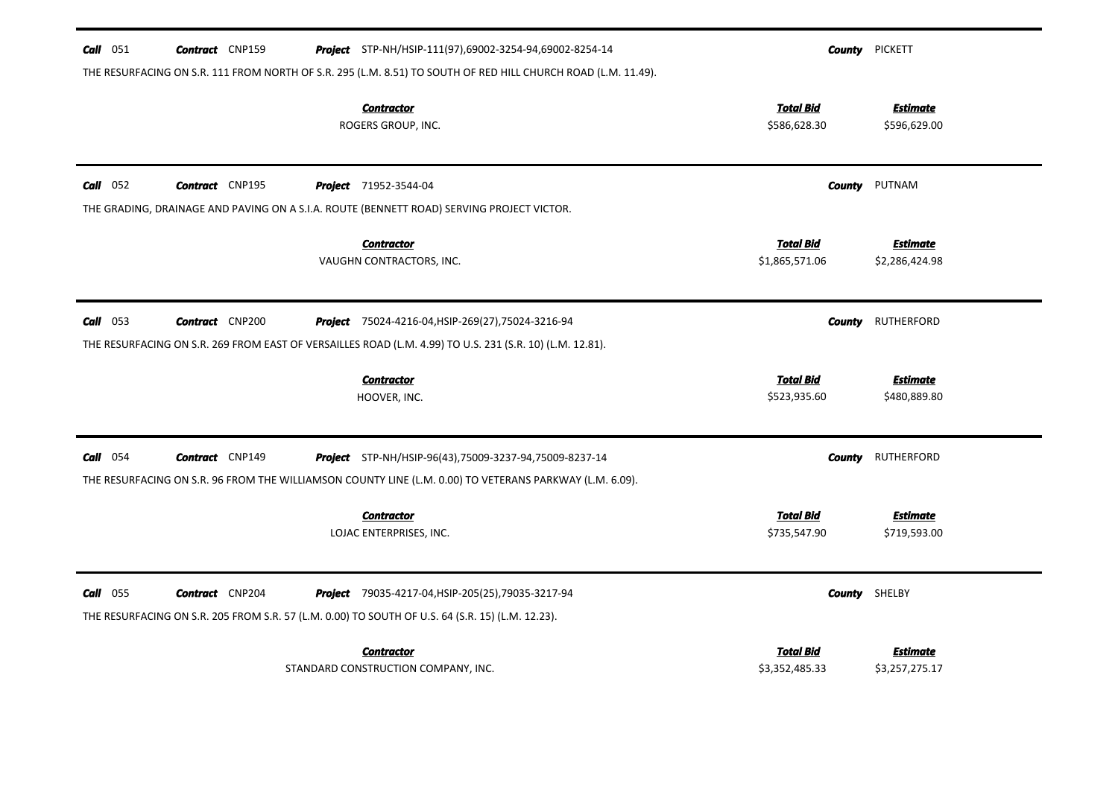| 051<br>Call | <b>Contract</b> CNP159 | Project STP-NH/HSIP-111(97),69002-3254-94,69002-8254-14                                                       | County                             | <b>PICKETT</b>                    |
|-------------|------------------------|---------------------------------------------------------------------------------------------------------------|------------------------------------|-----------------------------------|
|             |                        | THE RESURFACING ON S.R. 111 FROM NORTH OF S.R. 295 (L.M. 8.51) TO SOUTH OF RED HILL CHURCH ROAD (L.M. 11.49). |                                    |                                   |
|             |                        | <b>Contractor</b><br>ROGERS GROUP, INC.                                                                       | <b>Total Bid</b><br>\$586,628.30   | <b>Estimate</b><br>\$596,629.00   |
| $Call$ 052  | <b>Contract</b> CNP195 | <b>Project</b> 71952-3544-04                                                                                  | County                             | PUTNAM                            |
|             |                        | THE GRADING, DRAINAGE AND PAVING ON A S.I.A. ROUTE (BENNETT ROAD) SERVING PROJECT VICTOR.                     |                                    |                                   |
|             |                        | <b>Contractor</b><br>VAUGHN CONTRACTORS, INC.                                                                 | <b>Total Bid</b><br>\$1,865,571.06 | <b>Estimate</b><br>\$2,286,424.98 |
| $Call$ 053  | <b>Contract</b> CNP200 | <b>Project</b> 75024-4216-04, HSIP-269(27), 75024-3216-94                                                     | <b>County</b>                      | <b>RUTHERFORD</b>                 |
|             |                        | THE RESURFACING ON S.R. 269 FROM EAST OF VERSAILLES ROAD (L.M. 4.99) TO U.S. 231 (S.R. 10) (L.M. 12.81).      |                                    |                                   |
|             |                        | <b>Contractor</b><br>HOOVER, INC.                                                                             | <b>Total Bid</b><br>\$523,935.60   | <b>Estimate</b><br>\$480,889.80   |
| $Call$ 054  | <b>Contract</b> CNP149 | Project STP-NH/HSIP-96(43),75009-3237-94,75009-8237-14                                                        | County                             | <b>RUTHERFORD</b>                 |
|             |                        | THE RESURFACING ON S.R. 96 FROM THE WILLIAMSON COUNTY LINE (L.M. 0.00) TO VETERANS PARKWAY (L.M. 6.09).       |                                    |                                   |
|             |                        | <b>Contractor</b><br>LOJAC ENTERPRISES, INC.                                                                  | <b>Total Bid</b><br>\$735,547.90   | <b>Estimate</b><br>\$719,593.00   |
| Call<br>055 | <b>Contract</b> CNP204 | <b>Project</b> 79035-4217-04, HSIP-205(25), 79035-3217-94                                                     |                                    | <b>County</b> SHELBY              |
|             |                        |                                                                                                               |                                    |                                   |
|             |                        | THE RESURFACING ON S.R. 205 FROM S.R. 57 (L.M. 0.00) TO SOUTH OF U.S. 64 (S.R. 15) (L.M. 12.23).              |                                    |                                   |
|             |                        | <b>Contractor</b>                                                                                             | <b>Total Bid</b>                   | Estimate                          |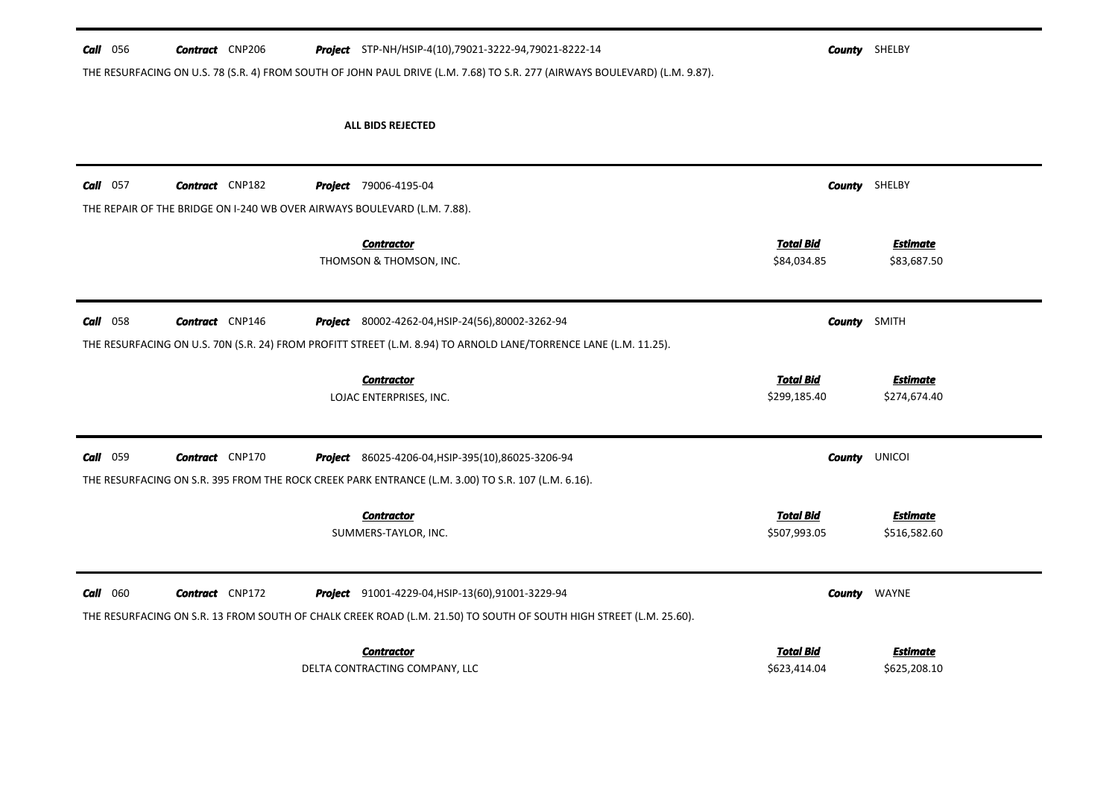#### **Call** 056 **Contract** CNP206 **Project** STP-NH/HSIP-4(10),79021-3222-94,79021-8222-14 **County SHELBY**

THE RESURFACING ON U.S. 78 (S.R. 4) FROM SOUTH OF JOHN PAUL DRIVE (L.M. 7.68) TO S.R. 277 (AIRWAYS BOULEVARD) (L.M. 9.87).

| $Call$ 057 | <b>Contract</b> CNP182                                                   |         | <b>Project</b> 79006-4195-04                                                                                                                                                   |                                  | <b>County</b> SHELBY            |
|------------|--------------------------------------------------------------------------|---------|--------------------------------------------------------------------------------------------------------------------------------------------------------------------------------|----------------------------------|---------------------------------|
|            | THE REPAIR OF THE BRIDGE ON I-240 WB OVER AIRWAYS BOULEVARD (L.M. 7.88). |         |                                                                                                                                                                                |                                  |                                 |
|            |                                                                          |         | <b>Contractor</b><br>THOMSON & THOMSON, INC.                                                                                                                                   | <b>Total Bid</b><br>\$84,034.85  | <b>Estimate</b><br>\$83,687.50  |
|            |                                                                          |         |                                                                                                                                                                                |                                  |                                 |
| Call 058   | <b>Contract</b> CNP146                                                   | Project | 80002-4262-04, HSIP-24(56), 80002-3262-94                                                                                                                                      | <b>County</b> SMITH              |                                 |
|            |                                                                          |         | THE RESURFACING ON U.S. 70N (S.R. 24) FROM PROFITT STREET (L.M. 8.94) TO ARNOLD LANE/TORRENCE LANE (L.M. 11.25).                                                               |                                  |                                 |
|            |                                                                          |         | <b>Contractor</b>                                                                                                                                                              | <b>Total Bid</b>                 | <b>Estimate</b>                 |
|            |                                                                          |         | LOJAC ENTERPRISES, INC.                                                                                                                                                        | \$299,185.40                     | \$274,674.40                    |
| Call 059   | <b>Contract</b> CNP170                                                   |         | <b>Project</b> 86025-4206-04, HSIP-395(10), 86025-3206-94                                                                                                                      |                                  | <b>County UNICOI</b>            |
|            |                                                                          |         | THE RESURFACING ON S.R. 395 FROM THE ROCK CREEK PARK ENTRANCE (L.M. 3.00) TO S.R. 107 (L.M. 6.16).                                                                             |                                  |                                 |
|            |                                                                          |         | <b>Contractor</b><br>SUMMERS-TAYLOR, INC.                                                                                                                                      | <b>Total Bid</b><br>\$507,993.05 | <b>Estimate</b><br>\$516,582.60 |
|            |                                                                          |         |                                                                                                                                                                                |                                  |                                 |
| $Call$ 060 | <b>Contract</b> CNP172                                                   |         | <b>Project</b> 91001-4229-04, HSIP-13(60), 91001-3229-94<br>THE RESURFACING ON S.R. 13 FROM SOUTH OF CHALK CREEK ROAD (L.M. 21.50) TO SOUTH OF SOUTH HIGH STREET (L.M. 25.60). |                                  | <b>County</b> WAYNE             |
|            |                                                                          |         |                                                                                                                                                                                |                                  |                                 |
|            |                                                                          |         |                                                                                                                                                                                |                                  |                                 |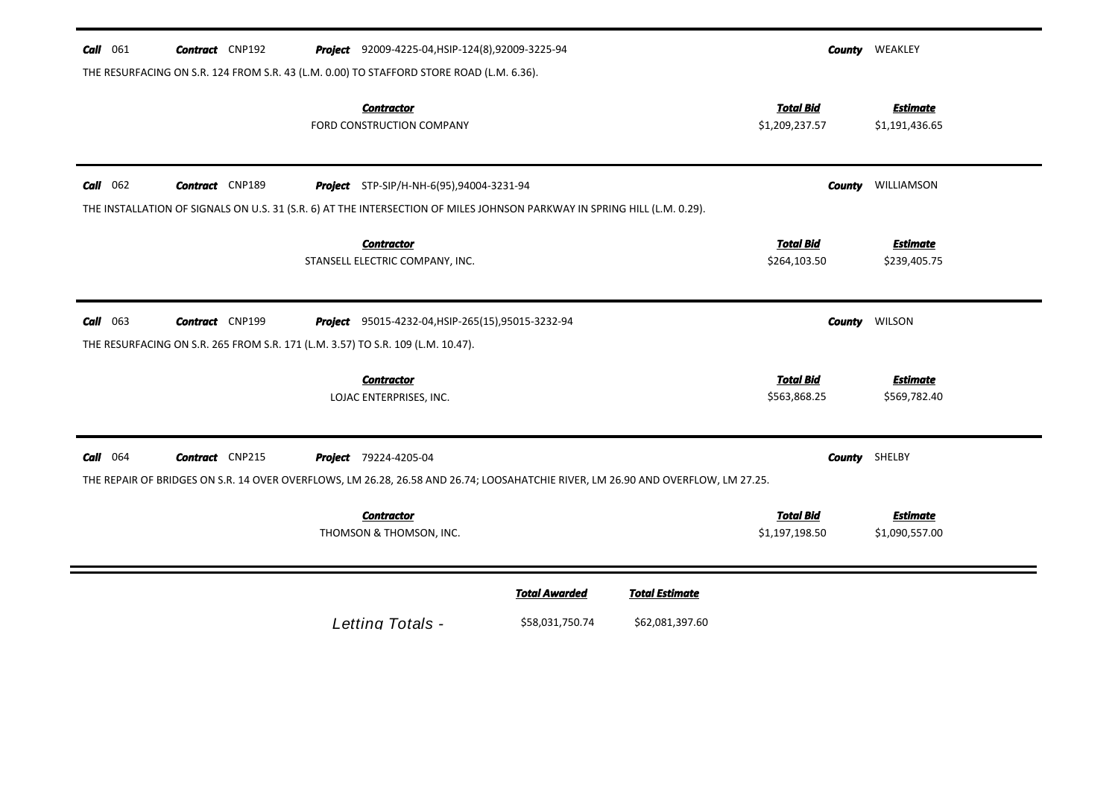| <b>Call</b> 061 | <b>Contract</b> CNP192                                                                                    | <b>Project</b> 92009-4225-04, HSIP-124(8), 92009-3225-94                                                                                                                    |                                         |                                          |                                    | <b>County WEAKLEY</b>             |
|-----------------|-----------------------------------------------------------------------------------------------------------|-----------------------------------------------------------------------------------------------------------------------------------------------------------------------------|-----------------------------------------|------------------------------------------|------------------------------------|-----------------------------------|
|                 |                                                                                                           | THE RESURFACING ON S.R. 124 FROM S.R. 43 (L.M. 0.00) TO STAFFORD STORE ROAD (L.M. 6.36).                                                                                    |                                         |                                          |                                    |                                   |
|                 |                                                                                                           | <b>Contractor</b><br>FORD CONSTRUCTION COMPANY                                                                                                                              |                                         |                                          | <b>Total Bid</b><br>\$1,209,237.57 | <b>Estimate</b><br>\$1,191,436.65 |
| $Call$ 062      | <b>Contract</b> CNP189                                                                                    | <b>Project</b> STP-SIP/H-NH-6(95),94004-3231-94<br>THE INSTALLATION OF SIGNALS ON U.S. 31 (S.R. 6) AT THE INTERSECTION OF MILES JOHNSON PARKWAY IN SPRING HILL (L.M. 0.29). |                                         |                                          |                                    | <b>County WILLIAMSON</b>          |
|                 |                                                                                                           | <b>Contractor</b><br>STANSELL ELECTRIC COMPANY, INC.                                                                                                                        |                                         |                                          | <b>Total Bid</b><br>\$264,103.50   | <u>Estimate</u><br>\$239,405.75   |
| $Call$ 063      | <b>Contract</b> CNP199<br>THE RESURFACING ON S.R. 265 FROM S.R. 171 (L.M. 3.57) TO S.R. 109 (L.M. 10.47). | Project 95015-4232-04, HSIP-265(15), 95015-3232-94                                                                                                                          |                                         |                                          | County                             | <b>WILSON</b>                     |
|                 |                                                                                                           | <b>Contractor</b><br>LOJAC ENTERPRISES, INC.                                                                                                                                |                                         |                                          | <b>Total Bid</b><br>\$563,868.25   | <b>Estimate</b><br>\$569,782.40   |
| $Call$ 064      | <b>Contract</b> CNP215                                                                                    | <b>Project</b> 79224-4205-04<br>THE REPAIR OF BRIDGES ON S.R. 14 OVER OVERFLOWS, LM 26.28, 26.58 AND 26.74; LOOSAHATCHIE RIVER, LM 26.90 AND OVERFLOW, LM 27.25.            |                                         |                                          |                                    | <b>County</b> SHELBY              |
|                 |                                                                                                           | <b>Contractor</b><br>THOMSON & THOMSON, INC.                                                                                                                                |                                         |                                          | <b>Total Bid</b><br>\$1,197,198.50 | <b>Estimate</b><br>\$1,090,557.00 |
|                 |                                                                                                           | Letting Totals -                                                                                                                                                            | <b>Total Awarded</b><br>\$58,031,750.74 | <b>Total Estimate</b><br>\$62,081,397.60 |                                    |                                   |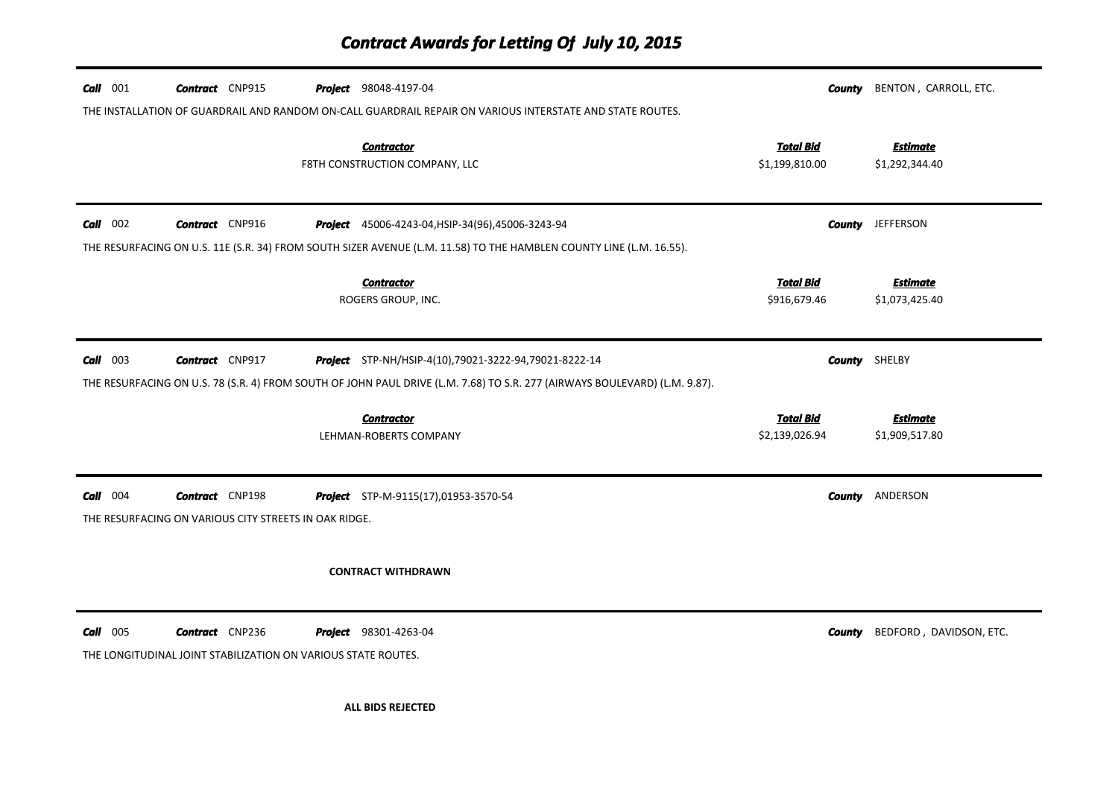## *Contract Awards for Letting Of July 10, 2015*

| $Call$ 001 | <b>Contract</b> CNP915                                                                  | <b>Project</b> 98048-4197-04                                                                                               |                                    | County        | BENTON, CARROLL, ETC.             |
|------------|-----------------------------------------------------------------------------------------|----------------------------------------------------------------------------------------------------------------------------|------------------------------------|---------------|-----------------------------------|
|            |                                                                                         | THE INSTALLATION OF GUARDRAIL AND RANDOM ON-CALL GUARDRAIL REPAIR ON VARIOUS INTERSTATE AND STATE ROUTES.                  |                                    |               |                                   |
|            |                                                                                         | <b>Contractor</b><br>F8TH CONSTRUCTION COMPANY, LLC                                                                        | <b>Total Bid</b><br>\$1,199,810.00 |               | <b>Estimate</b><br>\$1,292,344.40 |
| $Call$ 002 | <b>Contract</b> CNP916                                                                  | Project 45006-4243-04, HSIP-34(96), 45006-3243-94                                                                          |                                    | County        | <b>JEFFERSON</b>                  |
|            |                                                                                         | THE RESURFACING ON U.S. 11E (S.R. 34) FROM SOUTH SIZER AVENUE (L.M. 11.58) TO THE HAMBLEN COUNTY LINE (L.M. 16.55).        |                                    |               |                                   |
|            |                                                                                         | <b>Contractor</b><br>ROGERS GROUP, INC.                                                                                    | <b>Total Bid</b><br>\$916,679.46   |               | <b>Estimate</b><br>\$1,073,425.40 |
| $Call$ 003 | <b>Contract</b> CNP917                                                                  | Project STP-NH/HSIP-4(10),79021-3222-94,79021-8222-14                                                                      |                                    |               | <b>County</b> SHELBY              |
|            |                                                                                         | THE RESURFACING ON U.S. 78 (S.R. 4) FROM SOUTH OF JOHN PAUL DRIVE (L.M. 7.68) TO S.R. 277 (AIRWAYS BOULEVARD) (L.M. 9.87). |                                    |               |                                   |
|            |                                                                                         | <b>Contractor</b><br>LEHMAN-ROBERTS COMPANY                                                                                | <b>Total Bid</b><br>\$2,139,026.94 |               | <b>Estimate</b><br>\$1,909,517.80 |
| $Call$ 004 | <b>Contract</b> CNP198<br>THE RESURFACING ON VARIOUS CITY STREETS IN OAK RIDGE.         | Project STP-M-9115(17),01953-3570-54                                                                                       |                                    | <b>County</b> | ANDERSON                          |
|            |                                                                                         | <b>CONTRACT WITHDRAWN</b>                                                                                                  |                                    |               |                                   |
| $Call$ 005 | <b>Contract</b> CNP236<br>THE LONGITUDINAL JOINT STABILIZATION ON VARIOUS STATE ROUTES. | <b>Project</b> 98301-4263-04                                                                                               |                                    | County        | BEDFORD, DAVIDSON, ETC.           |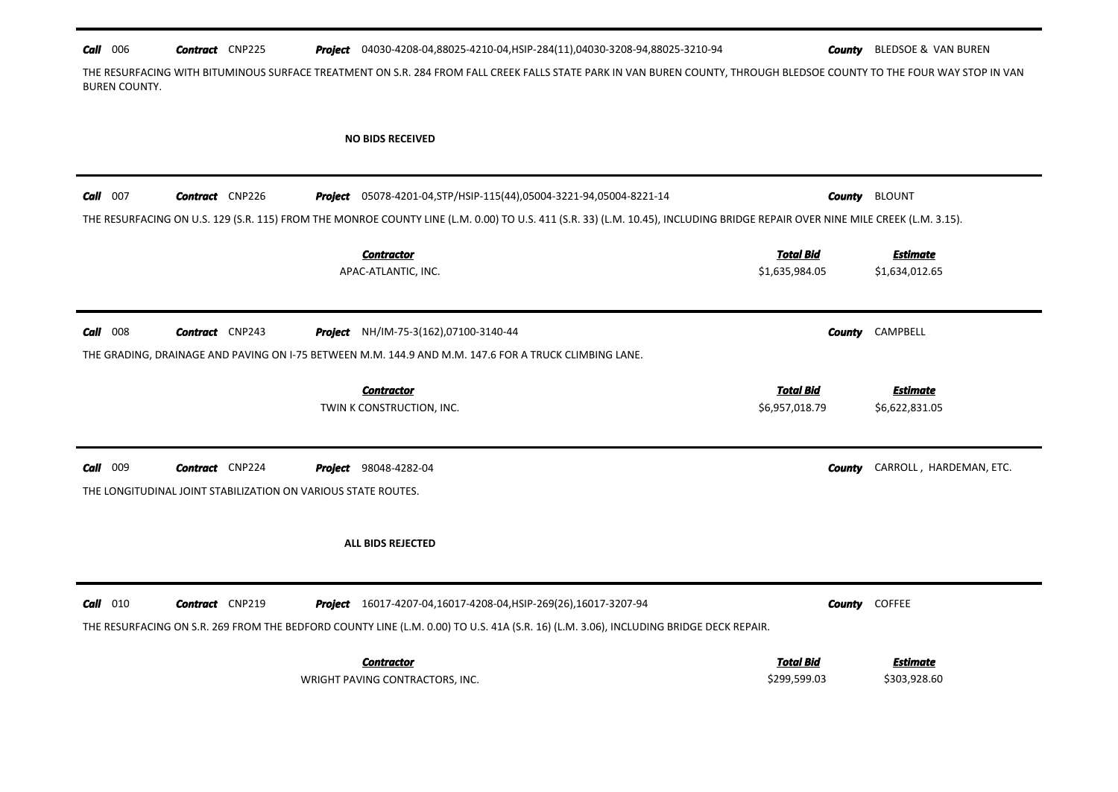| $Call$ 006 |  | <b>Contract</b> CNP225 |  |  | Project 04030-4208-04,88025-4210-04, HSIP-284(11), 04030-3208-94,88025-3210-94 |
|------------|--|------------------------|--|--|--------------------------------------------------------------------------------|
|------------|--|------------------------|--|--|--------------------------------------------------------------------------------|

4**030-4210-04, County** BLEDSOE & VAN BUREN

THE RESURFACING WITH BITUMINOUS SURFACE TREATMENT ON S.R. 284 FROM FALL CREEK FALLS STATE PARK IN VAN BUREN COUNTY, THROUGH BLEDSOE COUNTY TO THE FOUR WAY STOP IN VAN BUREN COUNTY.

#### NO BIDS RECEIVED

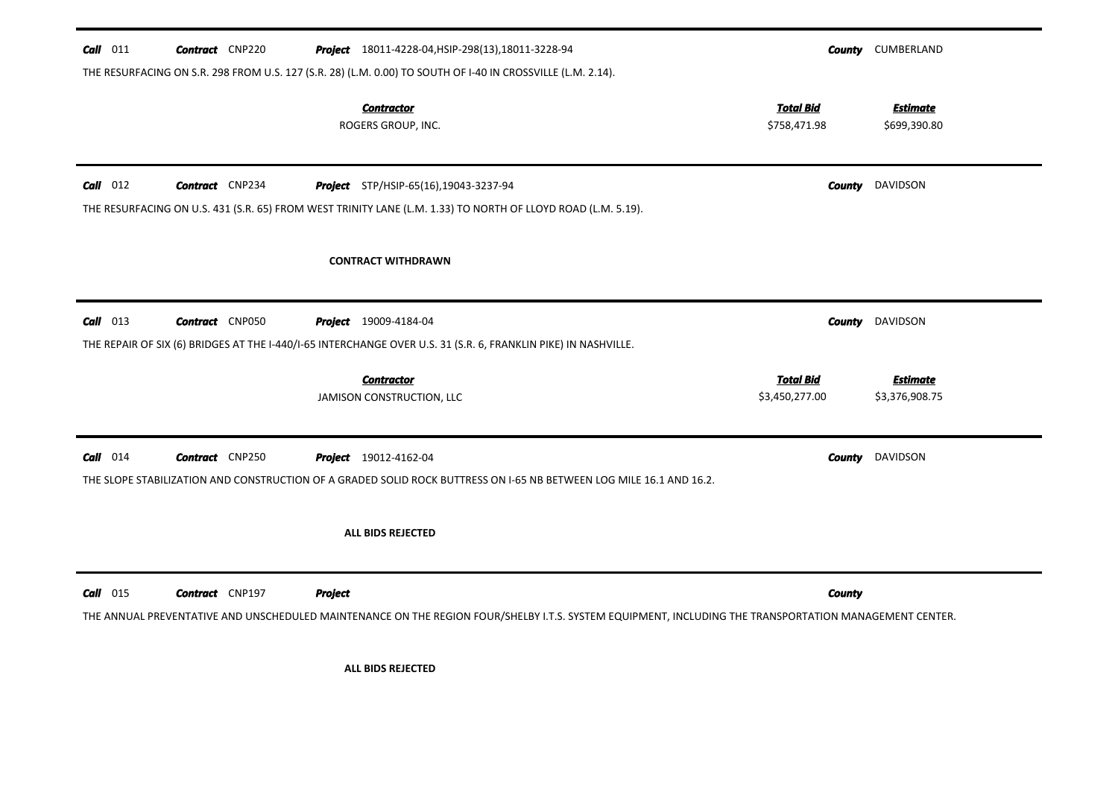| $Call$ 011 | <b>Contract</b> CNP220 |                                         | Project 18011-4228-04, HSIP-298(13), 18011-3228-94                                                                                                     |               | <b>County CUMBERLAND</b>          |
|------------|------------------------|-----------------------------------------|--------------------------------------------------------------------------------------------------------------------------------------------------------|---------------|-----------------------------------|
|            |                        | <b>Contractor</b><br>ROGERS GROUP, INC. | THE RESURFACING ON S.R. 298 FROM U.S. 127 (S.R. 28) (L.M. 0.00) TO SOUTH OF I-40 IN CROSSVILLE (L.M. 2.14).<br><b>Total Bid</b><br>\$758,471.98        |               | <b>Estimate</b><br>\$699,390.80   |
| $Call$ 012 | <b>Contract</b> CNP234 | Project STP/HSIP-65(16),19043-3237-94   | THE RESURFACING ON U.S. 431 (S.R. 65) FROM WEST TRINITY LANE (L.M. 1.33) TO NORTH OF LLOYD ROAD (L.M. 5.19).                                           |               | <b>County</b> DAVIDSON            |
|            |                        | <b>CONTRACT WITHDRAWN</b>               |                                                                                                                                                        |               |                                   |
| $Call$ 013 | <b>Contract</b> CNP050 | <b>Project</b> 19009-4184-04            | THE REPAIR OF SIX (6) BRIDGES AT THE I-440/I-65 INTERCHANGE OVER U.S. 31 (S.R. 6, FRANKLIN PIKE) IN NASHVILLE.                                         |               | <b>County</b> DAVIDSON            |
|            |                        | <b>Contractor</b>                       | <b>Total Bid</b><br>\$3,450,277.00                                                                                                                     |               | <b>Estimate</b><br>\$3,376,908.75 |
|            |                        | JAMISON CONSTRUCTION, LLC               |                                                                                                                                                        |               |                                   |
| $Call$ 014 | <b>Contract</b> CNP250 | <b>Project</b> 19012-4162-04            | THE SLOPE STABILIZATION AND CONSTRUCTION OF A GRADED SOLID ROCK BUTTRESS ON 1-65 NB BETWEEN LOG MILE 16.1 AND 16.2.                                    |               | <b>County</b> DAVIDSON            |
|            |                        | ALL BIDS REJECTED                       |                                                                                                                                                        |               |                                   |
| $Call$ 015 | <b>Contract</b> CNP197 | <b>Project</b>                          | THE ANNUAL PREVENTATIVE AND UNSCHEDULED MAINTENANCE ON THE REGION FOUR/SHELBY I.T.S. SYSTEM EQUIPMENT, INCLUDING THE TRANSPORTATION MANAGEMENT CENTER. | <b>County</b> |                                   |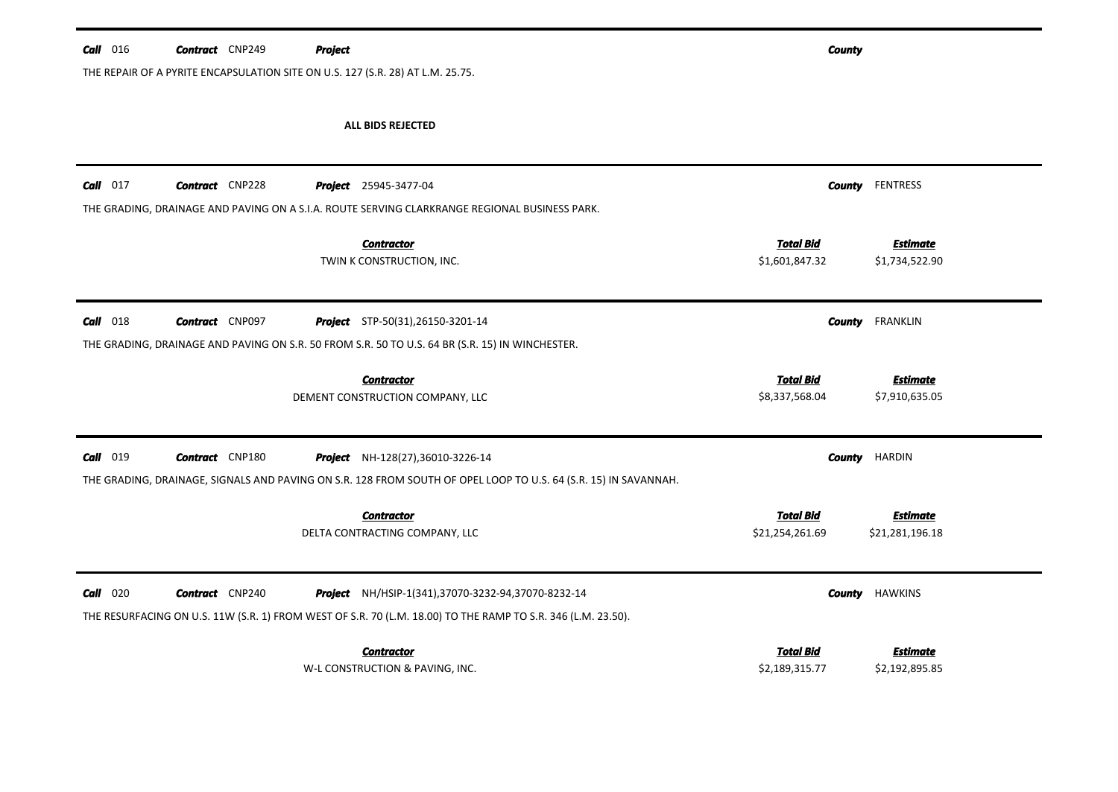| $Call$ 016 | <b>Contract</b> CNP249 | <b>Project</b>                                                                                                  | <b>County</b>                      |                                   |
|------------|------------------------|-----------------------------------------------------------------------------------------------------------------|------------------------------------|-----------------------------------|
|            |                        | THE REPAIR OF A PYRITE ENCAPSULATION SITE ON U.S. 127 (S.R. 28) AT L.M. 25.75.                                  |                                    |                                   |
|            |                        | <b>ALL BIDS REJECTED</b>                                                                                        |                                    |                                   |
| $Call$ 017 | <b>Contract</b> CNP228 | <b>Project</b> 25945-3477-04                                                                                    | <b>County</b>                      | <b>FENTRESS</b>                   |
|            |                        | THE GRADING, DRAINAGE AND PAVING ON A S.I.A. ROUTE SERVING CLARKRANGE REGIONAL BUSINESS PARK.                   |                                    |                                   |
|            |                        | <b>Contractor</b><br>TWIN K CONSTRUCTION, INC.                                                                  | <b>Total Bid</b><br>\$1,601,847.32 | <b>Estimate</b><br>\$1,734,522.90 |
| $Call$ 018 | <b>Contract</b> CNP097 | <b>Project</b> STP-50(31), 26150-3201-14                                                                        | County                             | FRANKLIN                          |
|            |                        | THE GRADING, DRAINAGE AND PAVING ON S.R. 50 FROM S.R. 50 TO U.S. 64 BR (S.R. 15) IN WINCHESTER.                 |                                    |                                   |
|            |                        | <b>Contractor</b><br>DEMENT CONSTRUCTION COMPANY, LLC                                                           | <b>Total Bid</b><br>\$8,337,568.04 | <b>Estimate</b><br>\$7,910,635.05 |
| $Call$ 019 | <b>Contract</b> CNP180 | Project NH-128(27),36010-3226-14                                                                                | <b>County</b>                      | HARDIN                            |
|            |                        | THE GRADING, DRAINAGE, SIGNALS AND PAVING ON S.R. 128 FROM SOUTH OF OPEL LOOP TO U.S. 64 (S.R. 15) IN SAVANNAH. |                                    |                                   |
|            |                        | <b>Contractor</b>                                                                                               | <b>Total Bid</b>                   | <b>Estimate</b>                   |
|            |                        | DELTA CONTRACTING COMPANY, LLC                                                                                  | \$21,254,261.69                    | \$21,281,196.18                   |
| $Call$ 020 | <b>Contract</b> CNP240 | Project NH/HSIP-1(341),37070-3232-94,37070-8232-14                                                              | County                             | <b>HAWKINS</b>                    |
|            |                        | THE RESURFACING ON U.S. 11W (S.R. 1) FROM WEST OF S.R. 70 (L.M. 18.00) TO THE RAMP TO S.R. 346 (L.M. 23.50).    |                                    |                                   |
|            |                        | <b>Contractor</b>                                                                                               | Total Bid                          | <b>Estimate</b>                   |
|            |                        | W-L CONSTRUCTION & PAVING, INC.                                                                                 | \$2,189,315.77                     | \$2,192,895.85                    |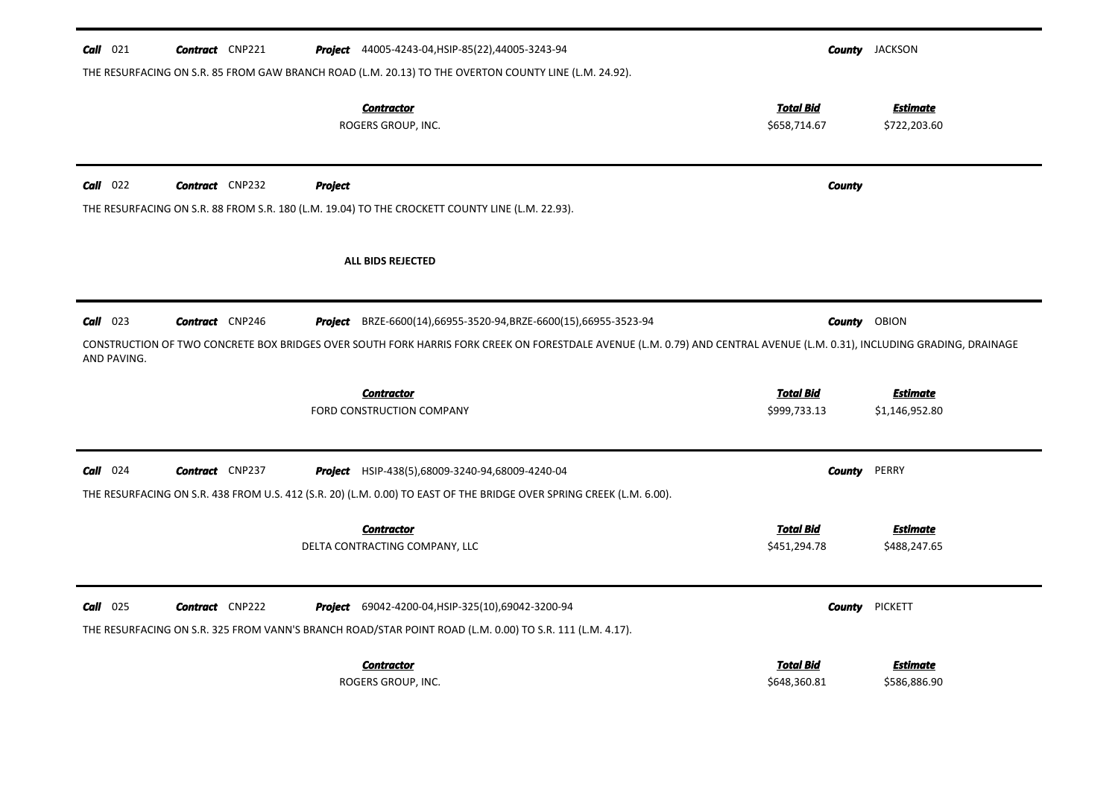| $Call$ 021                | <b>Contract</b> CNP221 |         | <b>Project</b> 44005-4243-04, HSIP-85(22), 44005-3243-94<br>THE RESURFACING ON S.R. 85 FROM GAW BRANCH ROAD (L.M. 20.13) TO THE OVERTON COUNTY LINE (L.M. 24.92).                                                                                  |                                  |               | <b>County</b> JACKSON             |
|---------------------------|------------------------|---------|----------------------------------------------------------------------------------------------------------------------------------------------------------------------------------------------------------------------------------------------------|----------------------------------|---------------|-----------------------------------|
|                           |                        |         | <b>Contractor</b><br>ROGERS GROUP, INC.                                                                                                                                                                                                            | <b>Total Bid</b><br>\$658,714.67 |               | <b>Estimate</b><br>\$722,203.60   |
| Call 022                  | <b>Contract</b> CNP232 | Project | THE RESURFACING ON S.R. 88 FROM S.R. 180 (L.M. 19.04) TO THE CROCKETT COUNTY LINE (L.M. 22.93).                                                                                                                                                    |                                  | <b>County</b> |                                   |
|                           |                        |         | ALL BIDS REJECTED                                                                                                                                                                                                                                  |                                  |               |                                   |
| $Call$ 023<br>AND PAVING. | <b>Contract</b> CNP246 |         | <b>Project</b> BRZE-6600(14),66955-3520-94, BRZE-6600(15),66955-3523-94<br>CONSTRUCTION OF TWO CONCRETE BOX BRIDGES OVER SOUTH FORK HARRIS FORK CREEK ON FORESTDALE AVENUE (L.M. 0.79) AND CENTRAL AVENUE (L.M. 0.31), INCLUDING GRADING, DRAINAGE |                                  |               | <b>County OBION</b>               |
|                           |                        |         | <b>Contractor</b><br>FORD CONSTRUCTION COMPANY                                                                                                                                                                                                     | <b>Total Bid</b><br>\$999,733.13 |               | <b>Estimate</b><br>\$1,146,952.80 |
| Call<br>024               | <b>Contract</b> CNP237 |         | <b>Project</b> HSIP-438(5),68009-3240-94,68009-4240-04<br>THE RESURFACING ON S.R. 438 FROM U.S. 412 (S.R. 20) (L.M. 0.00) TO EAST OF THE BRIDGE OVER SPRING CREEK (L.M. 6.00).                                                                     |                                  | <b>County</b> | PERRY                             |
|                           |                        |         | <b>Contractor</b><br>DELTA CONTRACTING COMPANY, LLC                                                                                                                                                                                                | <b>Total Bid</b><br>\$451,294.78 |               | <b>Estimate</b><br>\$488,247.65   |
| Call 025                  | <b>Contract</b> CNP222 |         | <b>Project</b> 69042-4200-04, HSIP-325(10), 69042-3200-94<br>THE RESURFACING ON S.R. 325 FROM VANN'S BRANCH ROAD/STAR POINT ROAD (L.M. 0.00) TO S.R. 111 (L.M. 4.17).                                                                              |                                  | <b>County</b> | <b>PICKETT</b>                    |
|                           |                        |         | <b>Contractor</b><br>ROGERS GROUP, INC.                                                                                                                                                                                                            | <b>Total Bid</b><br>\$648,360.81 |               | <u>Estimate</u><br>\$586,886.90   |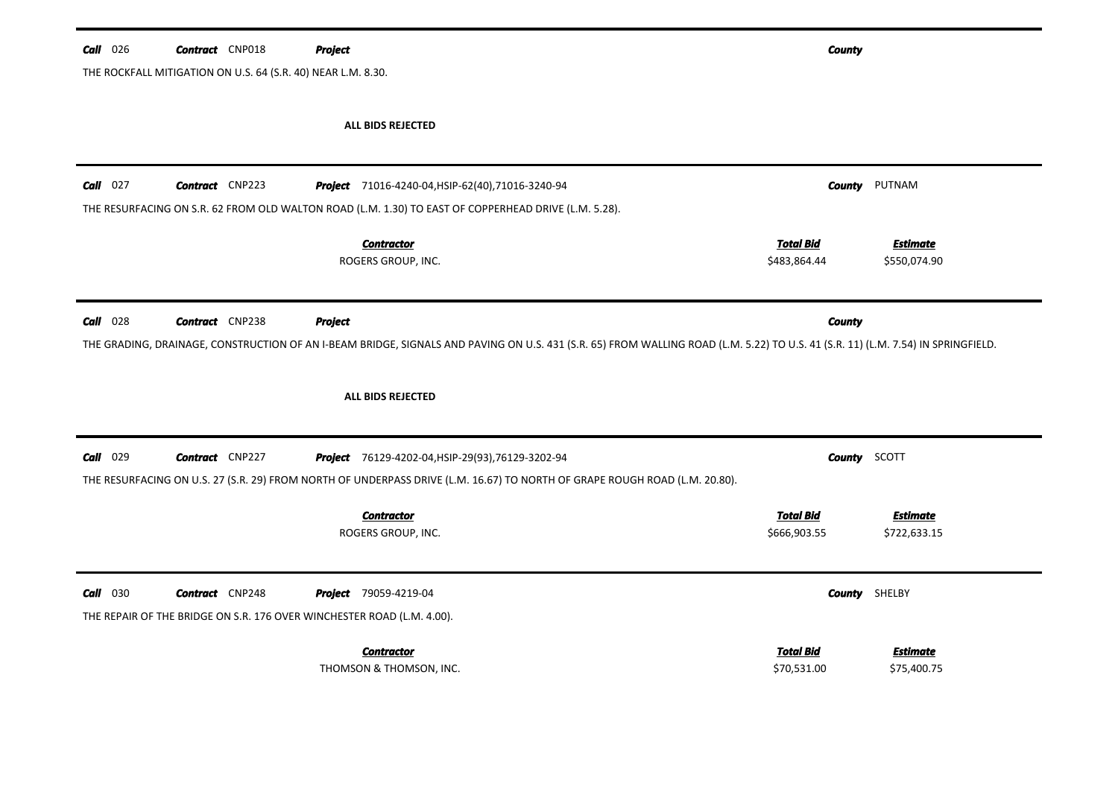| $Call$ 026 | <b>Contract</b> CNP018                                       | Project                                                                                                                                                                          | <b>County</b>    |                 |  |  |  |  |  |
|------------|--------------------------------------------------------------|----------------------------------------------------------------------------------------------------------------------------------------------------------------------------------|------------------|-----------------|--|--|--|--|--|
|            | THE ROCKFALL MITIGATION ON U.S. 64 (S.R. 40) NEAR L.M. 8.30. |                                                                                                                                                                                  |                  |                 |  |  |  |  |  |
|            |                                                              |                                                                                                                                                                                  |                  |                 |  |  |  |  |  |
|            |                                                              | ALL BIDS REJECTED                                                                                                                                                                |                  |                 |  |  |  |  |  |
|            |                                                              |                                                                                                                                                                                  |                  |                 |  |  |  |  |  |
| $Call$ 027 | <b>Contract</b> CNP223                                       | Project 71016-4240-04, HSIP-62(40), 71016-3240-94                                                                                                                                | County           | PUTNAM          |  |  |  |  |  |
|            |                                                              | THE RESURFACING ON S.R. 62 FROM OLD WALTON ROAD (L.M. 1.30) TO EAST OF COPPERHEAD DRIVE (L.M. 5.28).                                                                             |                  |                 |  |  |  |  |  |
|            |                                                              | <b>Contractor</b>                                                                                                                                                                | <b>Total Bid</b> | <b>Estimate</b> |  |  |  |  |  |
|            |                                                              | ROGERS GROUP, INC.                                                                                                                                                               | \$483,864.44     | \$550,074.90    |  |  |  |  |  |
|            |                                                              |                                                                                                                                                                                  |                  |                 |  |  |  |  |  |
| Call 028   | <b>Contract</b> CNP238                                       | <b>Project</b>                                                                                                                                                                   | <b>County</b>    |                 |  |  |  |  |  |
|            |                                                              | THE GRADING, DRAINAGE, CONSTRUCTION OF AN I-BEAM BRIDGE, SIGNALS AND PAVING ON U.S. 431 (S.R. 65) FROM WALLING ROAD (L.M. 5.22) TO U.S. 41 (S.R. 11) (L.M. 7.54) IN SPRINGFIELD. |                  |                 |  |  |  |  |  |
|            |                                                              |                                                                                                                                                                                  |                  |                 |  |  |  |  |  |
|            |                                                              |                                                                                                                                                                                  |                  |                 |  |  |  |  |  |
|            |                                                              | <b>ALL BIDS REJECTED</b>                                                                                                                                                         |                  |                 |  |  |  |  |  |
|            |                                                              |                                                                                                                                                                                  |                  |                 |  |  |  |  |  |
| Call 029   | <b>Contract</b> CNP227                                       | Project 76129-4202-04, HSIP-29(93), 76129-3202-94                                                                                                                                | County           | SCOTT           |  |  |  |  |  |
|            |                                                              | THE RESURFACING ON U.S. 27 (S.R. 29) FROM NORTH OF UNDERPASS DRIVE (L.M. 16.67) TO NORTH OF GRAPE ROUGH ROAD (L.M. 20.80).                                                       |                  |                 |  |  |  |  |  |
|            |                                                              | <b>Contractor</b>                                                                                                                                                                | <b>Total Bid</b> | <b>Estimate</b> |  |  |  |  |  |
|            |                                                              | ROGERS GROUP, INC.                                                                                                                                                               | \$666,903.55     | \$722,633.15    |  |  |  |  |  |
|            |                                                              |                                                                                                                                                                                  |                  |                 |  |  |  |  |  |
| $Call$ 030 | <b>Contract</b> CNP248                                       | Project 79059-4219-04                                                                                                                                                            | County           | SHELBY          |  |  |  |  |  |
|            |                                                              | THE REPAIR OF THE BRIDGE ON S.R. 176 OVER WINCHESTER ROAD (L.M. 4.00).                                                                                                           |                  |                 |  |  |  |  |  |
|            |                                                              |                                                                                                                                                                                  |                  |                 |  |  |  |  |  |
|            |                                                              | <b>Contractor</b>                                                                                                                                                                | <b>Total Bid</b> | <b>Estimate</b> |  |  |  |  |  |
|            |                                                              | THOMSON & THOMSON, INC.                                                                                                                                                          | \$70,531.00      | \$75,400.75     |  |  |  |  |  |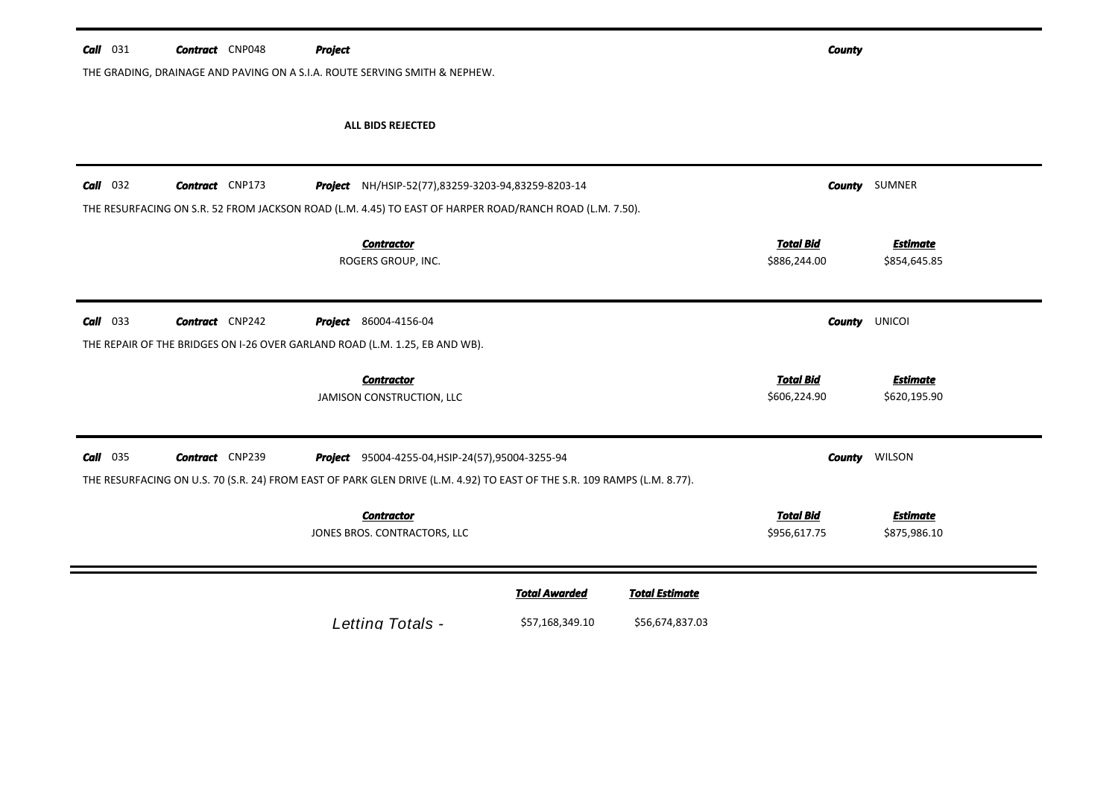| Call<br>031        | <b>Contract</b> CNP048 | <b>Project</b>                                                                                                                                                                |                      |                       | <b>County</b>                    |                                 |
|--------------------|------------------------|-------------------------------------------------------------------------------------------------------------------------------------------------------------------------------|----------------------|-----------------------|----------------------------------|---------------------------------|
|                    |                        | THE GRADING, DRAINAGE AND PAVING ON A S.I.A. ROUTE SERVING SMITH & NEPHEW.                                                                                                    |                      |                       |                                  |                                 |
|                    |                        | ALL BIDS REJECTED                                                                                                                                                             |                      |                       |                                  |                                 |
| $Call$ 032         | <b>Contract</b> CNP173 | Project NH/HSIP-52(77),83259-3203-94,83259-8203-14                                                                                                                            |                      |                       |                                  | <b>County</b> SUMNER            |
|                    |                        | THE RESURFACING ON S.R. 52 FROM JACKSON ROAD (L.M. 4.45) TO EAST OF HARPER ROAD/RANCH ROAD (L.M. 7.50).                                                                       |                      |                       |                                  |                                 |
|                    |                        | <b>Contractor</b><br>ROGERS GROUP, INC.                                                                                                                                       |                      |                       | <b>Total Bid</b><br>\$886,244.00 | <b>Estimate</b><br>\$854,645.85 |
| $Call$ 033         | <b>Contract</b> CNP242 | <b>Project</b> 86004-4156-04<br>THE REPAIR OF THE BRIDGES ON I-26 OVER GARLAND ROAD (L.M. 1.25, EB AND WB).                                                                   |                      |                       |                                  | <b>County UNICOI</b>            |
|                    |                        | <b>Contractor</b><br>JAMISON CONSTRUCTION, LLC                                                                                                                                |                      |                       | <b>Total Bid</b><br>\$606,224.90 | <b>Estimate</b><br>\$620,195.90 |
| <b>Call</b><br>035 | <b>Contract</b> CNP239 | Project 95004-4255-04, HSIP-24(57), 95004-3255-94<br>THE RESURFACING ON U.S. 70 (S.R. 24) FROM EAST OF PARK GLEN DRIVE (L.M. 4.92) TO EAST OF THE S.R. 109 RAMPS (L.M. 8.77). |                      |                       |                                  | <b>County</b> WILSON            |
|                    |                        | <b>Contractor</b><br>JONES BROS. CONTRACTORS, LLC                                                                                                                             |                      |                       | <b>Total Bid</b><br>\$956,617.75 | <b>Estimate</b><br>\$875,986.10 |
|                    |                        |                                                                                                                                                                               | <b>Total Awarded</b> | <b>Total Estimate</b> |                                  |                                 |
|                    |                        | Letting Totals -                                                                                                                                                              | \$57,168,349.10      | \$56,674,837.03       |                                  |                                 |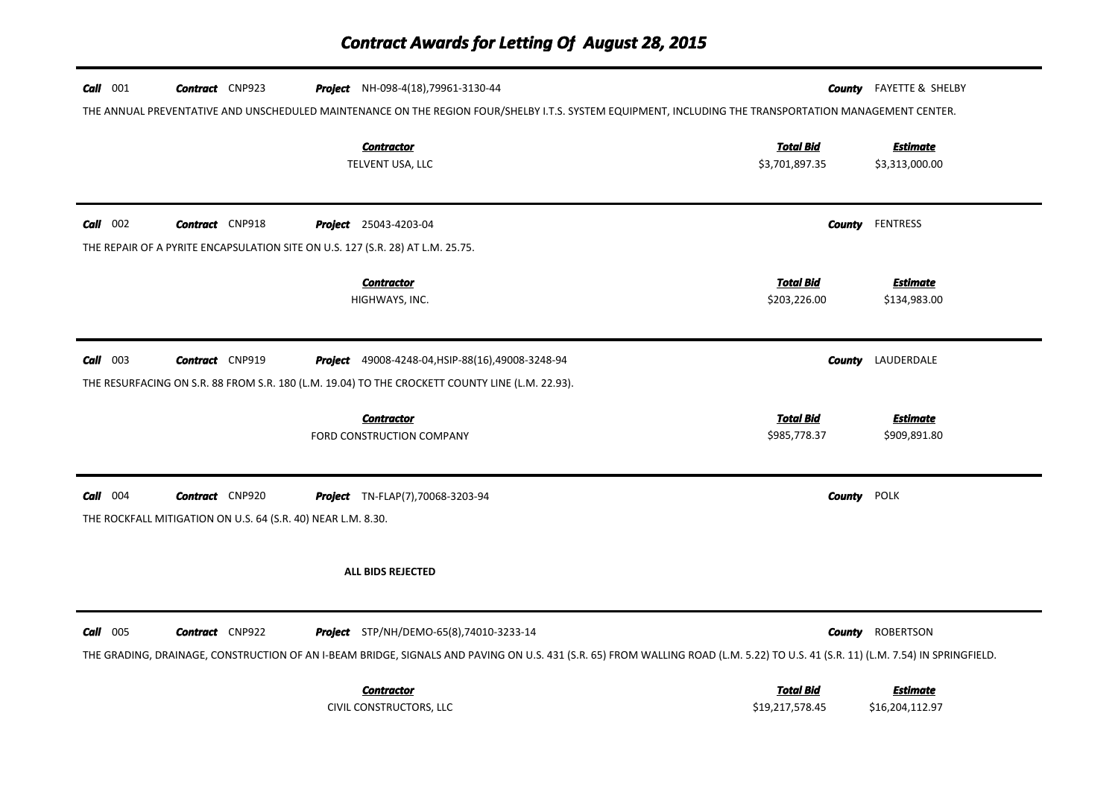| $Call$ 001 | <b>Contract</b> CNP923                                                         | <b>Project</b> NH-098-4(18), 79961-3130-44                                                                                                                                       |                  |                    | <b>County</b> FAYETTE & SHELBY |
|------------|--------------------------------------------------------------------------------|----------------------------------------------------------------------------------------------------------------------------------------------------------------------------------|------------------|--------------------|--------------------------------|
|            |                                                                                | THE ANNUAL PREVENTATIVE AND UNSCHEDULED MAINTENANCE ON THE REGION FOUR/SHELBY I.T.S. SYSTEM EQUIPMENT, INCLUDING THE TRANSPORTATION MANAGEMENT CENTER.                           |                  |                    |                                |
|            |                                                                                | <b>Contractor</b>                                                                                                                                                                | <b>Total Bid</b> |                    | <b>Estimate</b>                |
|            |                                                                                | TELVENT USA, LLC                                                                                                                                                                 | \$3,701,897.35   |                    | \$3,313,000.00                 |
|            |                                                                                |                                                                                                                                                                                  |                  |                    |                                |
| $Call$ 002 | <b>Contract</b> CNP918                                                         | <b>Project</b> 25043-4203-04                                                                                                                                                     |                  |                    | <b>County</b> FENTRESS         |
|            | THE REPAIR OF A PYRITE ENCAPSULATION SITE ON U.S. 127 (S.R. 28) AT L.M. 25.75. |                                                                                                                                                                                  |                  |                    |                                |
|            |                                                                                | <b>Contractor</b>                                                                                                                                                                | <b>Total Bid</b> |                    | <b>Estimate</b>                |
|            |                                                                                | HIGHWAYS, INC.                                                                                                                                                                   | \$203,226.00     |                    | \$134,983.00                   |
|            |                                                                                |                                                                                                                                                                                  |                  |                    |                                |
| $Call$ 003 | <b>Contract</b> CNP919                                                         | Project 49008-4248-04, HSIP-88(16), 49008-3248-94                                                                                                                                |                  |                    | <b>County</b> LAUDERDALE       |
|            |                                                                                | THE RESURFACING ON S.R. 88 FROM S.R. 180 (L.M. 19.04) TO THE CROCKETT COUNTY LINE (L.M. 22.93).                                                                                  |                  |                    |                                |
|            |                                                                                | <b>Contractor</b>                                                                                                                                                                | <b>Total Bid</b> |                    | <b>Estimate</b>                |
|            |                                                                                | FORD CONSTRUCTION COMPANY                                                                                                                                                        | \$985,778.37     |                    | \$909,891.80                   |
|            |                                                                                |                                                                                                                                                                                  |                  |                    |                                |
| $Call$ 004 | <b>Contract</b> CNP920                                                         | <b>Project</b> TN-FLAP(7),70068-3203-94                                                                                                                                          |                  | <b>County</b> POLK |                                |
|            | THE ROCKFALL MITIGATION ON U.S. 64 (S.R. 40) NEAR L.M. 8.30.                   |                                                                                                                                                                                  |                  |                    |                                |
|            |                                                                                |                                                                                                                                                                                  |                  |                    |                                |
|            |                                                                                | <b>ALL BIDS REJECTED</b>                                                                                                                                                         |                  |                    |                                |
|            |                                                                                |                                                                                                                                                                                  |                  |                    |                                |
| $Call$ 005 | <b>Contract</b> CNP922                                                         | <b>Project</b> STP/NH/DEMO-65(8),74010-3233-14                                                                                                                                   |                  |                    | <b>County</b> ROBERTSON        |
|            |                                                                                | THE GRADING, DRAINAGE, CONSTRUCTION OF AN I-BEAM BRIDGE, SIGNALS AND PAVING ON U.S. 431 (S.R. 65) FROM WALLING ROAD (L.M. 5.22) TO U.S. 41 (S.R. 11) (L.M. 7.54) IN SPRINGFIELD. |                  |                    |                                |
|            |                                                                                | <b>Contractor</b>                                                                                                                                                                | <b>Total Bid</b> |                    | <b>Estimate</b>                |
|            |                                                                                | CIVIL CONSTRUCTORS, LLC                                                                                                                                                          | \$19,217,578.45  |                    | \$16,204,112.97                |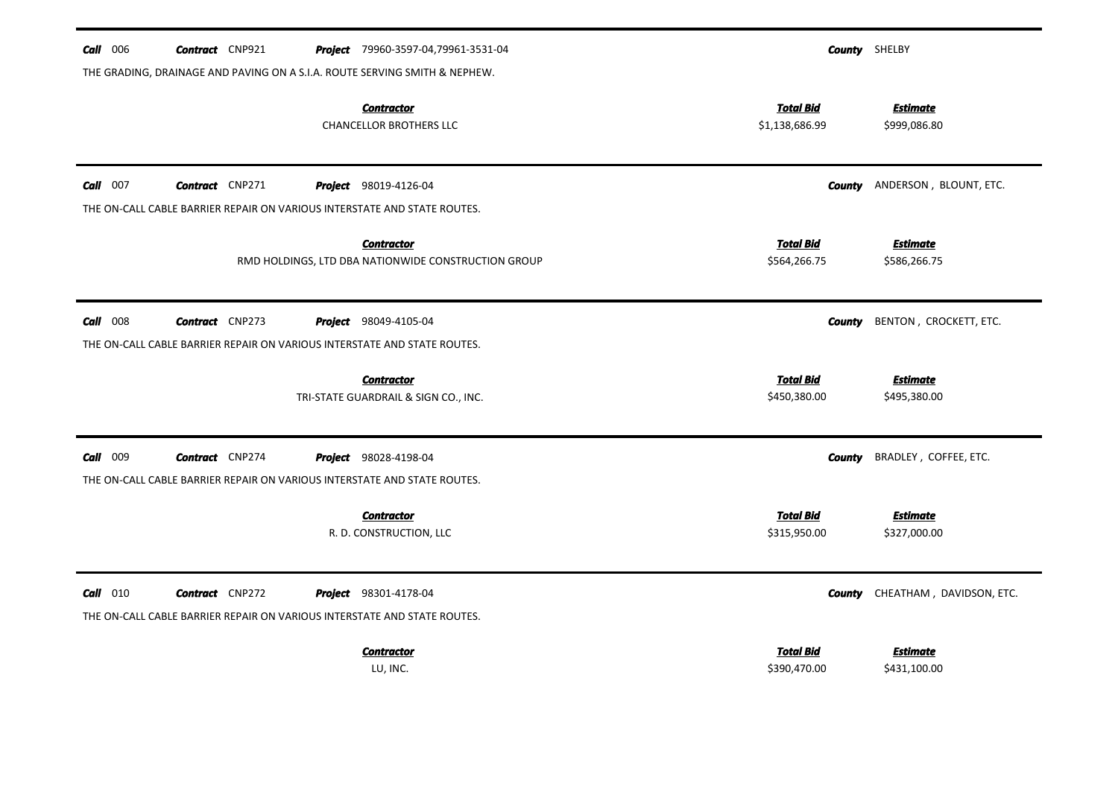| $Call$ 006 | <b>Contract</b> CNP921 | Project 79960-3597-04,79961-3531-04                                        |                                    | <b>County</b> SHELBY            |
|------------|------------------------|----------------------------------------------------------------------------|------------------------------------|---------------------------------|
|            |                        | THE GRADING, DRAINAGE AND PAVING ON A S.I.A. ROUTE SERVING SMITH & NEPHEW. |                                    |                                 |
|            |                        | <b>Contractor</b><br><b>CHANCELLOR BROTHERS LLC</b>                        | <b>Total Bid</b><br>\$1,138,686.99 | <b>Estimate</b><br>\$999,086.80 |
| $Call$ 007 | <b>Contract</b> CNP271 | <b>Project</b> 98019-4126-04                                               | County                             | ANDERSON, BLOUNT, ETC.          |
|            |                        | THE ON-CALL CABLE BARRIER REPAIR ON VARIOUS INTERSTATE AND STATE ROUTES.   |                                    |                                 |
|            |                        | <b>Contractor</b><br>RMD HOLDINGS, LTD DBA NATIONWIDE CONSTRUCTION GROUP   | <b>Total Bid</b><br>\$564,266.75   | <b>Estimate</b><br>\$586,266.75 |
| $Call$ 008 | <b>Contract</b> CNP273 | <b>Project</b> 98049-4105-04                                               | County                             | BENTON, CROCKETT, ETC.          |
|            |                        | THE ON-CALL CABLE BARRIER REPAIR ON VARIOUS INTERSTATE AND STATE ROUTES.   |                                    |                                 |
|            |                        | <b>Contractor</b><br>TRI-STATE GUARDRAIL & SIGN CO., INC.                  | <b>Total Bid</b><br>\$450,380.00   | <b>Estimate</b><br>\$495,380.00 |
| Call 009   | <b>Contract</b> CNP274 | Project 98028-4198-04                                                      | <b>County</b>                      | BRADLEY, COFFEE, ETC.           |
|            |                        | THE ON-CALL CABLE BARRIER REPAIR ON VARIOUS INTERSTATE AND STATE ROUTES.   |                                    |                                 |
|            |                        | <b>Contractor</b><br>R. D. CONSTRUCTION, LLC                               | <b>Total Bid</b><br>\$315,950.00   | <b>Estimate</b><br>\$327,000.00 |
| $Call$ 010 | <b>Contract</b> CNP272 | <b>Project</b> 98301-4178-04                                               | <b>County</b>                      | CHEATHAM, DAVIDSON, ETC.        |
|            |                        | THE ON-CALL CABLE BARRIER REPAIR ON VARIOUS INTERSTATE AND STATE ROUTES.   |                                    |                                 |
|            |                        | <b>Contractor</b><br>LU, INC.                                              | <b>Total Bid</b><br>\$390,470.00   | <b>Estimate</b><br>\$431,100.00 |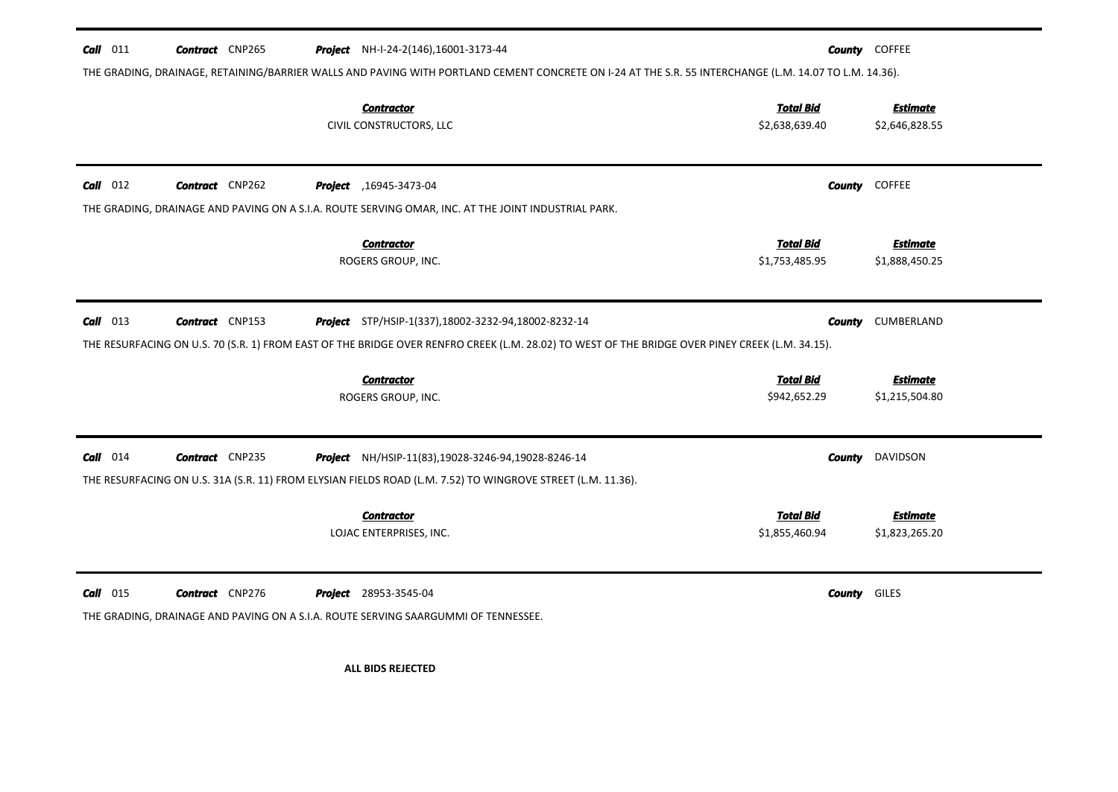| Call 011                                                                                                                                               | <b>Contract</b> CNP265 |  | Project NH-I-24-2(146), 16001-3173-44                                                                                                           |                                  |                     | <b>County</b> COFFEE              |  |  |
|--------------------------------------------------------------------------------------------------------------------------------------------------------|------------------------|--|-------------------------------------------------------------------------------------------------------------------------------------------------|----------------------------------|---------------------|-----------------------------------|--|--|
| THE GRADING, DRAINAGE, RETAINING/BARRIER WALLS AND PAVING WITH PORTLAND CEMENT CONCRETE ON 1-24 AT THE S.R. 55 INTERCHANGE (L.M. 14.07 TO L.M. 14.36). |                        |  |                                                                                                                                                 |                                  |                     |                                   |  |  |
|                                                                                                                                                        |                        |  | <b>Contractor</b>                                                                                                                               | <b>Total Bid</b>                 |                     | <b>Estimate</b>                   |  |  |
|                                                                                                                                                        |                        |  | CIVIL CONSTRUCTORS, LLC                                                                                                                         | \$2,638,639.40                   |                     | \$2,646,828.55                    |  |  |
|                                                                                                                                                        |                        |  |                                                                                                                                                 |                                  |                     |                                   |  |  |
| $Call$ 012                                                                                                                                             | <b>Contract</b> CNP262 |  | Project , 16945-3473-04                                                                                                                         |                                  |                     | <b>County</b> COFFEE              |  |  |
|                                                                                                                                                        |                        |  | THE GRADING, DRAINAGE AND PAVING ON A S.I.A. ROUTE SERVING OMAR, INC. AT THE JOINT INDUSTRIAL PARK.                                             |                                  |                     |                                   |  |  |
|                                                                                                                                                        |                        |  | <b>Contractor</b>                                                                                                                               | <b>Total Bid</b>                 |                     | <b>Estimate</b>                   |  |  |
|                                                                                                                                                        |                        |  | ROGERS GROUP, INC.                                                                                                                              | \$1,753,485.95                   |                     | \$1,888,450.25                    |  |  |
|                                                                                                                                                        |                        |  |                                                                                                                                                 |                                  |                     |                                   |  |  |
| $Call$ 013                                                                                                                                             | <b>Contract</b> CNP153 |  | <b>Project</b> STP/HSIP-1(337), 18002-3232-94, 18002-8232-14                                                                                    |                                  | County              | CUMBERLAND                        |  |  |
|                                                                                                                                                        |                        |  | THE RESURFACING ON U.S. 70 (S.R. 1) FROM EAST OF THE BRIDGE OVER RENFRO CREEK (L.M. 28.02) TO WEST OF THE BRIDGE OVER PINEY CREEK (L.M. 34.15). |                                  |                     |                                   |  |  |
|                                                                                                                                                        |                        |  |                                                                                                                                                 |                                  |                     |                                   |  |  |
|                                                                                                                                                        |                        |  | <b>Contractor</b><br>ROGERS GROUP, INC.                                                                                                         | <b>Total Bid</b><br>\$942,652.29 |                     | <b>Estimate</b><br>\$1,215,504.80 |  |  |
|                                                                                                                                                        |                        |  |                                                                                                                                                 |                                  |                     |                                   |  |  |
| $Call$ 014                                                                                                                                             | <b>Contract</b> CNP235 |  | Project NH/HSIP-11(83), 19028-3246-94, 19028-8246-14                                                                                            |                                  |                     | <b>County</b> DAVIDSON            |  |  |
|                                                                                                                                                        |                        |  | THE RESURFACING ON U.S. 31A (S.R. 11) FROM ELYSIAN FIELDS ROAD (L.M. 7.52) TO WINGROVE STREET (L.M. 11.36).                                     |                                  |                     |                                   |  |  |
|                                                                                                                                                        |                        |  |                                                                                                                                                 |                                  |                     |                                   |  |  |
|                                                                                                                                                        |                        |  | <b>Contractor</b>                                                                                                                               | <b>Total Bid</b>                 |                     | <b>Estimate</b>                   |  |  |
|                                                                                                                                                        |                        |  | LOJAC ENTERPRISES, INC.                                                                                                                         | \$1,855,460.94                   |                     | \$1,823,265.20                    |  |  |
|                                                                                                                                                        |                        |  |                                                                                                                                                 |                                  |                     |                                   |  |  |
| $Call$ 015                                                                                                                                             | <b>Contract</b> CNP276 |  | <b>Project</b> 28953-3545-04                                                                                                                    |                                  | <b>County</b> GILES |                                   |  |  |
|                                                                                                                                                        |                        |  | THE GRADING, DRAINAGE AND PAVING ON A S.I.A. ROUTE SERVING SAARGUMMI OF TENNESSEE.                                                              |                                  |                     |                                   |  |  |
|                                                                                                                                                        |                        |  |                                                                                                                                                 |                                  |                     |                                   |  |  |
|                                                                                                                                                        |                        |  |                                                                                                                                                 |                                  |                     |                                   |  |  |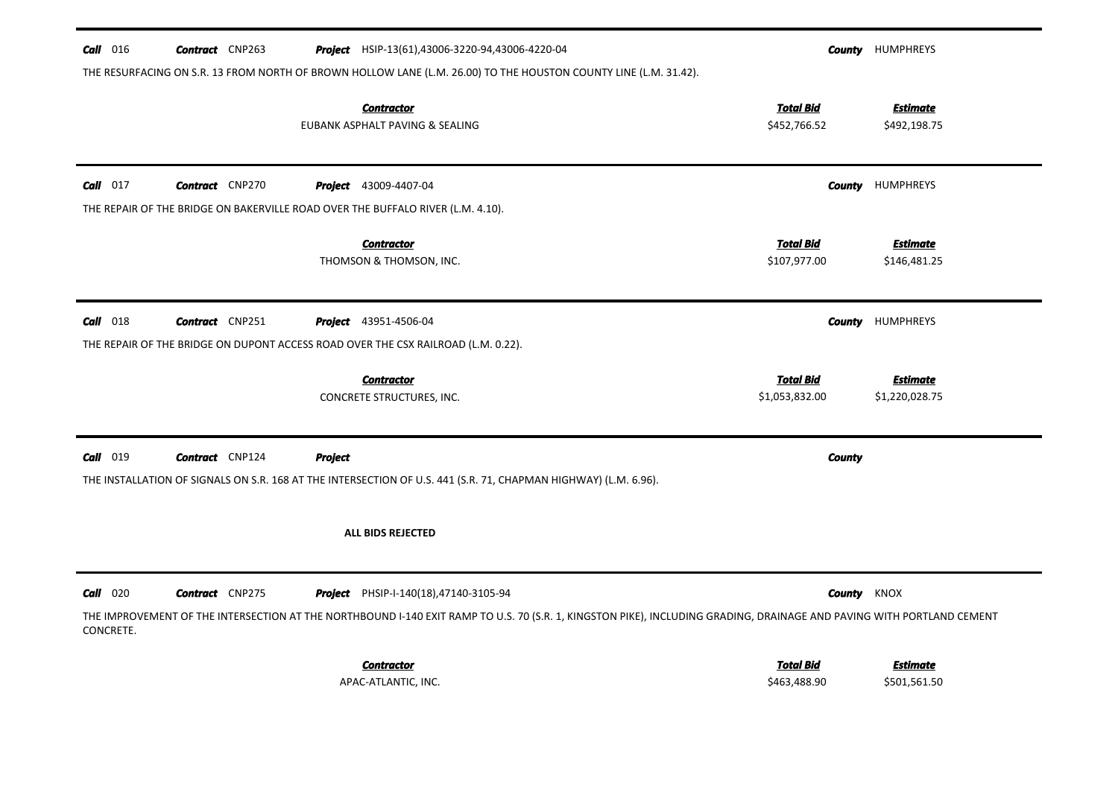| $Call$ 016 | <b>Contract</b> CNP263 |                | <b>Project</b> HSIP-13(61),43006-3220-94,43006-4220-04                                                                                                                   |                                    | <b>County</b> HUMPHREYS           |
|------------|------------------------|----------------|--------------------------------------------------------------------------------------------------------------------------------------------------------------------------|------------------------------------|-----------------------------------|
|            |                        |                | THE RESURFACING ON S.R. 13 FROM NORTH OF BROWN HOLLOW LANE (L.M. 26.00) TO THE HOUSTON COUNTY LINE (L.M. 31.42).<br><b>Contractor</b><br>EUBANK ASPHALT PAVING & SEALING | <b>Total Bid</b><br>\$452,766.52   | <b>Estimate</b><br>\$492,198.75   |
| $Call$ 017 | <b>Contract</b> CNP270 |                | <b>Project</b> 43009-4407-04                                                                                                                                             | County                             | <b>HUMPHREYS</b>                  |
|            |                        |                | THE REPAIR OF THE BRIDGE ON BAKERVILLE ROAD OVER THE BUFFALO RIVER (L.M. 4.10).                                                                                          |                                    |                                   |
|            |                        |                | <b>Contractor</b><br>THOMSON & THOMSON, INC.                                                                                                                             | <b>Total Bid</b><br>\$107,977.00   | <b>Estimate</b><br>\$146,481.25   |
| $Call$ 018 | <b>Contract</b> CNP251 |                | <b>Project</b> 43951-4506-04                                                                                                                                             |                                    | <b>County</b> HUMPHREYS           |
|            |                        |                | THE REPAIR OF THE BRIDGE ON DUPONT ACCESS ROAD OVER THE CSX RAILROAD (L.M. 0.22).                                                                                        |                                    |                                   |
|            |                        |                | <b>Contractor</b><br>CONCRETE STRUCTURES, INC.                                                                                                                           | <b>Total Bid</b><br>\$1,053,832.00 | <b>Estimate</b><br>\$1,220,028.75 |
| $Call$ 019 | <b>Contract</b> CNP124 | <b>Project</b> |                                                                                                                                                                          | <b>County</b>                      |                                   |
|            |                        |                | THE INSTALLATION OF SIGNALS ON S.R. 168 AT THE INTERSECTION OF U.S. 441 (S.R. 71, CHAPMAN HIGHWAY) (L.M. 6.96).                                                          |                                    |                                   |
|            |                        |                | <b>ALL BIDS REJECTED</b>                                                                                                                                                 |                                    |                                   |
| $Call$ 020 | <b>Contract</b> CNP275 |                | <b>Project</b> PHSIP-I-140(18),47140-3105-94                                                                                                                             |                                    | <b>County</b> KNOX                |
| CONCRETE.  |                        |                | THE IMPROVEMENT OF THE INTERSECTION AT THE NORTHBOUND I-140 EXIT RAMP TO U.S. 70 (S.R. 1, KINGSTON PIKE), INCLUDING GRADING, DRAINAGE AND PAVING WITH PORTLAND CEMENT    |                                    |                                   |
|            |                        |                |                                                                                                                                                                          |                                    |                                   |
|            |                        |                | <b>Contractor</b>                                                                                                                                                        | <b>Total Bid</b>                   | <b>Estimate</b>                   |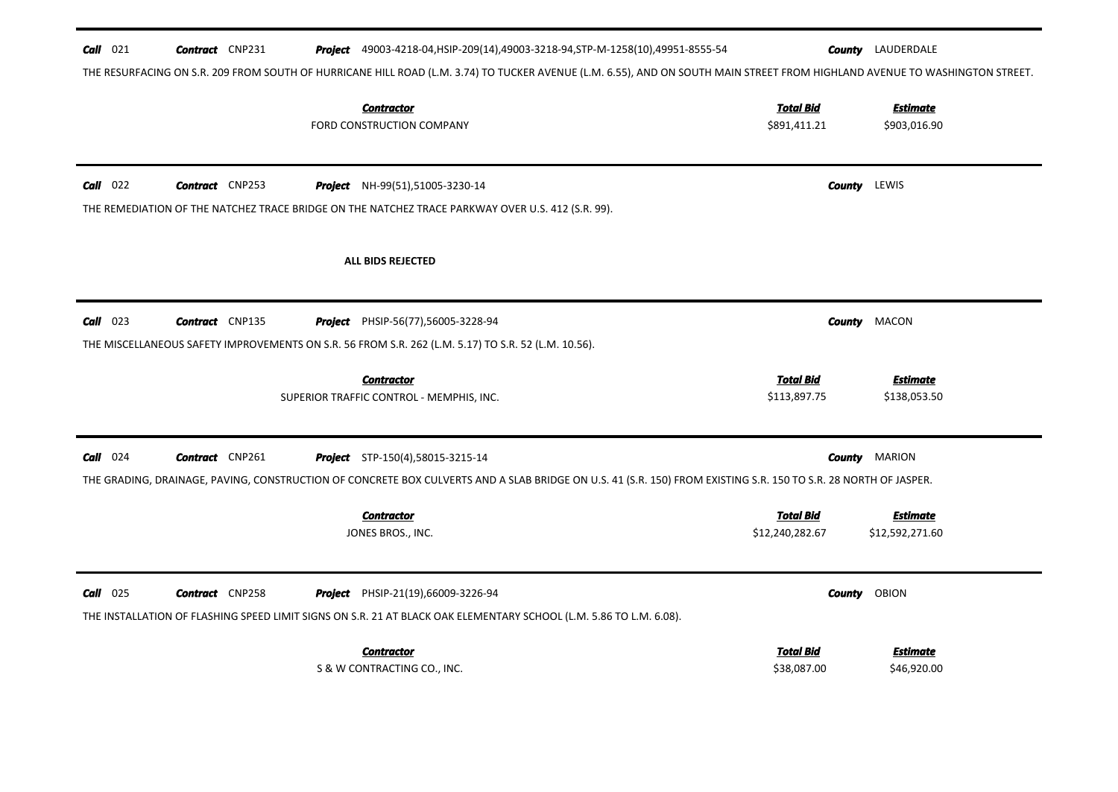| $Call$ 021 | <b>Contract</b> CNP231 | <b>Project</b> 49003-4218-04, HSIP-209(14), 49003-3218-94, STP-M-1258(10), 49951-8555-54                                                                                    |                                     | <b>County</b> LAUDERDALE           |
|------------|------------------------|-----------------------------------------------------------------------------------------------------------------------------------------------------------------------------|-------------------------------------|------------------------------------|
|            |                        | THE RESURFACING ON S.R. 209 FROM SOUTH OF HURRICANE HILL ROAD (L.M. 3.74) TO TUCKER AVENUE (L.M. 6.55), AND ON SOUTH MAIN STREET FROM HIGHLAND AVENUE TO WASHINGTON STREET. |                                     |                                    |
|            |                        | <b>Contractor</b><br>FORD CONSTRUCTION COMPANY                                                                                                                              | <b>Total Bid</b><br>\$891,411.21    | <b>Estimate</b><br>\$903,016.90    |
| $Call$ 022 | <b>Contract</b> CNP253 | Project NH-99(51),51005-3230-14                                                                                                                                             |                                     | <b>County</b> LEWIS                |
|            |                        | THE REMEDIATION OF THE NATCHEZ TRACE BRIDGE ON THE NATCHEZ TRACE PARKWAY OVER U.S. 412 (S.R. 99).                                                                           |                                     |                                    |
|            |                        | <b>ALL BIDS REJECTED</b>                                                                                                                                                    |                                     |                                    |
| $Call$ 023 | <b>Contract</b> CNP135 | Project PHSIP-56(77),56005-3228-94                                                                                                                                          | County                              | MACON                              |
|            |                        | THE MISCELLANEOUS SAFETY IMPROVEMENTS ON S.R. 56 FROM S.R. 262 (L.M. 5.17) TO S.R. 52 (L.M. 10.56).                                                                         |                                     |                                    |
|            |                        | <b>Contractor</b>                                                                                                                                                           | <b>Total Bid</b>                    | <b>Estimate</b>                    |
|            |                        | SUPERIOR TRAFFIC CONTROL - MEMPHIS, INC.                                                                                                                                    | \$113,897.75                        | \$138,053.50                       |
| $Call$ 024 | <b>Contract</b> CNP261 | <b>Project</b> STP-150(4),58015-3215-14                                                                                                                                     |                                     | <b>County MARION</b>               |
|            |                        | THE GRADING, DRAINAGE, PAVING, CONSTRUCTION OF CONCRETE BOX CULVERTS AND A SLAB BRIDGE ON U.S. 41 (S.R. 150) FROM EXISTING S.R. 150 TO S.R. 28 NORTH OF JASPER.             |                                     |                                    |
|            |                        | <b>Contractor</b><br>JONES BROS., INC.                                                                                                                                      | <b>Total Bid</b><br>\$12,240,282.67 | <b>Estimate</b><br>\$12,592,271.60 |
| $Call$ 025 | <b>Contract</b> CNP258 | <b>Project</b> PHSIP-21(19),66009-3226-94<br>THE INSTALLATION OF FLASHING SPEED LIMIT SIGNS ON S.R. 21 AT BLACK OAK ELEMENTARY SCHOOL (L.M. 5.86 TO L.M. 6.08).             |                                     | <b>County</b> OBION                |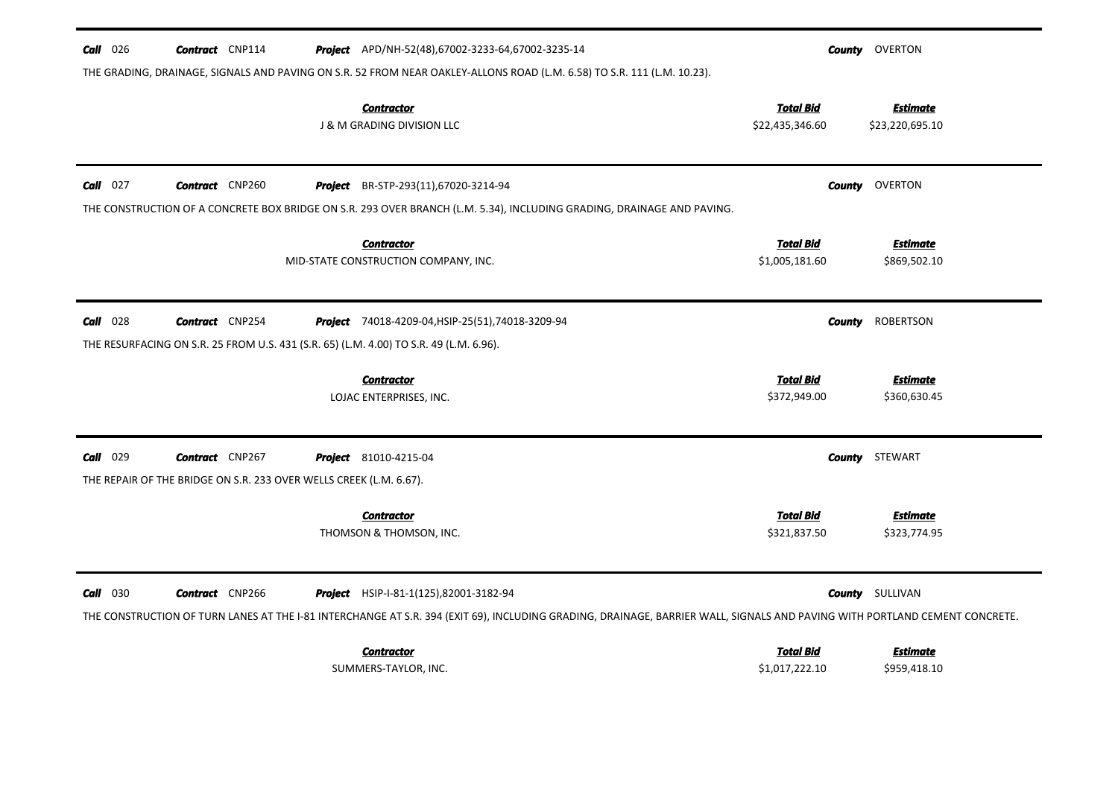| $Call$ 026  | <b>Contract</b> CNP114                                             | <b>Project</b> APD/NH-52(48),67002-3233-64,67002-3235-14                                                                                                                   |                                     | <b>County</b> OVERTON              |
|-------------|--------------------------------------------------------------------|----------------------------------------------------------------------------------------------------------------------------------------------------------------------------|-------------------------------------|------------------------------------|
|             |                                                                    | THE GRADING, DRAINAGE, SIGNALS AND PAVING ON S.R. 52 FROM NEAR OAKLEY-ALLONS ROAD (L.M. 6.58) TO S.R. 111 (L.M. 10.23).                                                    |                                     |                                    |
|             |                                                                    | <b>Contractor</b><br>J & M GRADING DIVISION LLC                                                                                                                            | <b>Total Bid</b><br>\$22,435,346.60 | <b>Estimate</b><br>\$23,220,695.10 |
| $Call$ 027  | <b>Contract</b> CNP260                                             | Project BR-STP-293(11),67020-3214-94                                                                                                                                       | County                              | OVERTON                            |
|             |                                                                    | THE CONSTRUCTION OF A CONCRETE BOX BRIDGE ON S.R. 293 OVER BRANCH (L.M. 5.34), INCLUDING GRADING, DRAINAGE AND PAVING.                                                     |                                     |                                    |
|             |                                                                    | <b>Contractor</b>                                                                                                                                                          | <b>Total Bid</b>                    | <b>Estimate</b>                    |
|             |                                                                    | MID-STATE CONSTRUCTION COMPANY, INC.                                                                                                                                       | \$1,005,181.60                      | \$869,502.10                       |
| $Call$ 028  | <b>Contract</b> CNP254                                             | <b>Project</b> 74018-4209-04, HSIP-25(51), 74018-3209-94                                                                                                                   | <b>County</b>                       | ROBERTSON                          |
|             |                                                                    | THE RESURFACING ON S.R. 25 FROM U.S. 431 (S.R. 65) (L.M. 4.00) TO S.R. 49 (L.M. 6.96).                                                                                     |                                     |                                    |
|             |                                                                    | <b>Contractor</b>                                                                                                                                                          | <b>Total Bid</b>                    | <b>Estimate</b>                    |
|             |                                                                    | LOJAC ENTERPRISES, INC.                                                                                                                                                    | \$372,949.00                        | \$360,630.45                       |
| Call 029    | <b>Contract</b> CNP267                                             | <b>Project</b> 81010-4215-04                                                                                                                                               |                                     | <b>County</b> STEWART              |
|             | THE REPAIR OF THE BRIDGE ON S.R. 233 OVER WELLS CREEK (L.M. 6.67). |                                                                                                                                                                            |                                     |                                    |
|             |                                                                    | <b>Contractor</b>                                                                                                                                                          | <b>Total Bid</b>                    | <b>Estimate</b>                    |
|             |                                                                    | THOMSON & THOMSON, INC.                                                                                                                                                    | \$321,837.50                        | \$323,774.95                       |
| 030<br>Call | <b>Contract</b> CNP266                                             | <b>Project</b> HSIP-I-81-1(125),82001-3182-94                                                                                                                              |                                     | <b>County</b> SULLIVAN             |
|             |                                                                    | THE CONSTRUCTION OF TURN LANES AT THE I-81 INTERCHANGE AT S.R. 394 (EXIT 69), INCLUDING GRADING, DRAINAGE, BARRIER WALL, SIGNALS AND PAVING WITH PORTLAND CEMENT CONCRETE. |                                     |                                    |
|             |                                                                    | <b>Contractor</b>                                                                                                                                                          | <b>Total Bid</b>                    | Estimate                           |
|             |                                                                    | SUMMERS-TAYLOR, INC.                                                                                                                                                       | \$1,017,222.10                      | \$959,418.10                       |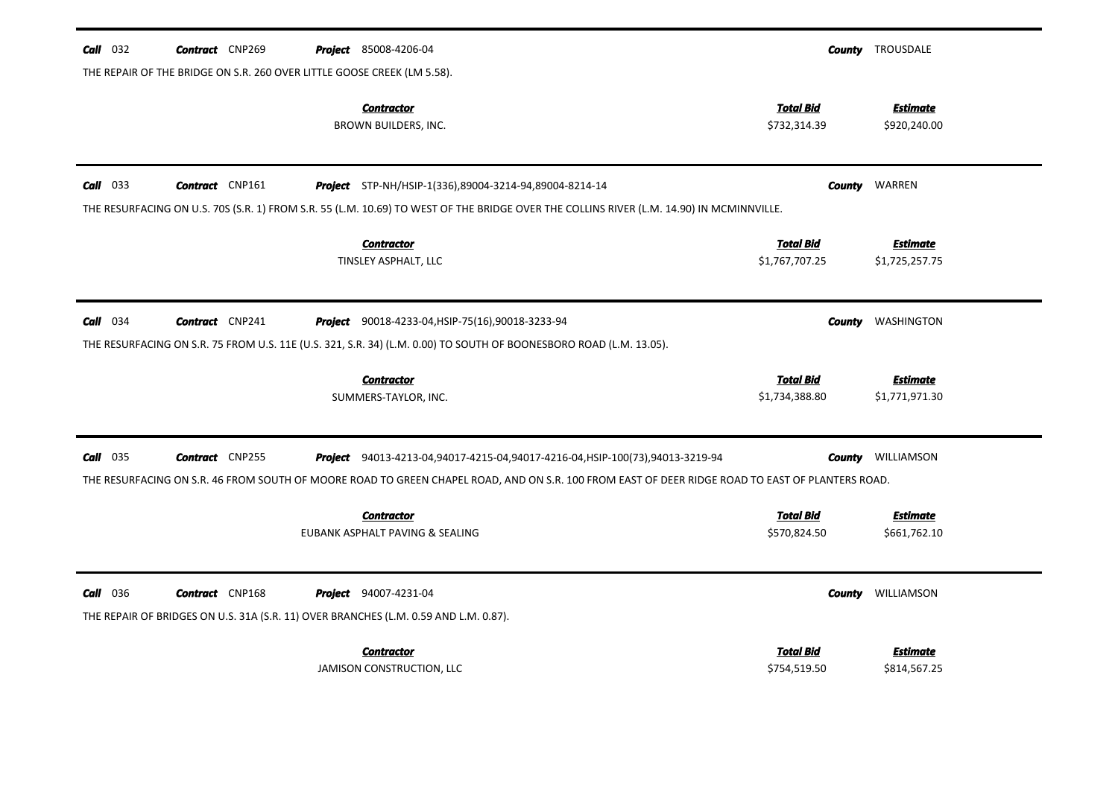| $Call$ 032      | <b>Contract</b> CNP269                                                  | <b>Project</b> 85008-4206-04                                                                                                                     | County                           | TROUSDALE                       |
|-----------------|-------------------------------------------------------------------------|--------------------------------------------------------------------------------------------------------------------------------------------------|----------------------------------|---------------------------------|
|                 | THE REPAIR OF THE BRIDGE ON S.R. 260 OVER LITTLE GOOSE CREEK (LM 5.58). |                                                                                                                                                  |                                  |                                 |
|                 |                                                                         | <b>Contractor</b><br>BROWN BUILDERS, INC.                                                                                                        | <b>Total Bid</b><br>\$732,314.39 | <b>Estimate</b><br>\$920,240.00 |
| $Call$ 033      | <b>Contract</b> CNP161                                                  | <b>Project</b> STP-NH/HSIP-1(336),89004-3214-94,89004-8214-14                                                                                    | <b>County</b>                    | WARREN                          |
|                 |                                                                         | THE RESURFACING ON U.S. 70S (S.R. 1) FROM S.R. 55 (L.M. 10.69) TO WEST OF THE BRIDGE OVER THE COLLINS RIVER (L.M. 14.90) IN MCMINNVILLE.         |                                  |                                 |
|                 |                                                                         | <b>Contractor</b>                                                                                                                                | <b>Total Bid</b>                 | <b>Estimate</b>                 |
|                 |                                                                         | TINSLEY ASPHALT, LLC                                                                                                                             | \$1,767,707.25                   | \$1,725,257.75                  |
|                 |                                                                         |                                                                                                                                                  |                                  |                                 |
| $Call$ 034      | <b>Contract</b> CNP241                                                  | <b>Project</b> 90018-4233-04, HSIP-75(16), 90018-3233-94                                                                                         | County                           | WASHINGTON                      |
|                 |                                                                         | THE RESURFACING ON S.R. 75 FROM U.S. 11E (U.S. 321, S.R. 34) (L.M. 0.00) TO SOUTH OF BOONESBORO ROAD (L.M. 13.05).                               |                                  |                                 |
|                 |                                                                         | <b>Contractor</b>                                                                                                                                | <b>Total Bid</b>                 | <b>Estimate</b>                 |
|                 |                                                                         | SUMMERS-TAYLOR, INC.                                                                                                                             | \$1,734,388.80                   | \$1,771,971.30                  |
|                 |                                                                         |                                                                                                                                                  |                                  |                                 |
| 035<br>Call     | <b>Contract</b> CNP255                                                  | Project 94013-4213-04,94017-4215-04,94017-4216-04, HSIP-100(73),94013-3219-94                                                                    | County                           | WILLIAMSON                      |
|                 |                                                                         | THE RESURFACING ON S.R. 46 FROM SOUTH OF MOORE ROAD TO GREEN CHAPEL ROAD, AND ON S.R. 100 FROM EAST OF DEER RIDGE ROAD TO EAST OF PLANTERS ROAD. |                                  |                                 |
|                 |                                                                         | <b>Contractor</b>                                                                                                                                | <b>Total Bid</b>                 | <b>Estimate</b>                 |
|                 |                                                                         | EUBANK ASPHALT PAVING & SEALING                                                                                                                  | \$570,824.50                     | \$661,762.10                    |
|                 |                                                                         |                                                                                                                                                  |                                  |                                 |
| <b>Call</b> 036 | <b>Contract</b> CNP168                                                  | <b>Project</b> 94007-4231-04                                                                                                                     | County                           | WILLIAMSON                      |
|                 |                                                                         | THE REPAIR OF BRIDGES ON U.S. 31A (S.R. 11) OVER BRANCHES (L.M. 0.59 AND L.M. 0.87).                                                             |                                  |                                 |
|                 |                                                                         | <b>Contractor</b>                                                                                                                                | <b>Total Bid</b>                 | <b>Estimate</b>                 |
|                 |                                                                         | JAMISON CONSTRUCTION, LLC                                                                                                                        | \$754,519.50                     | \$814,567.25                    |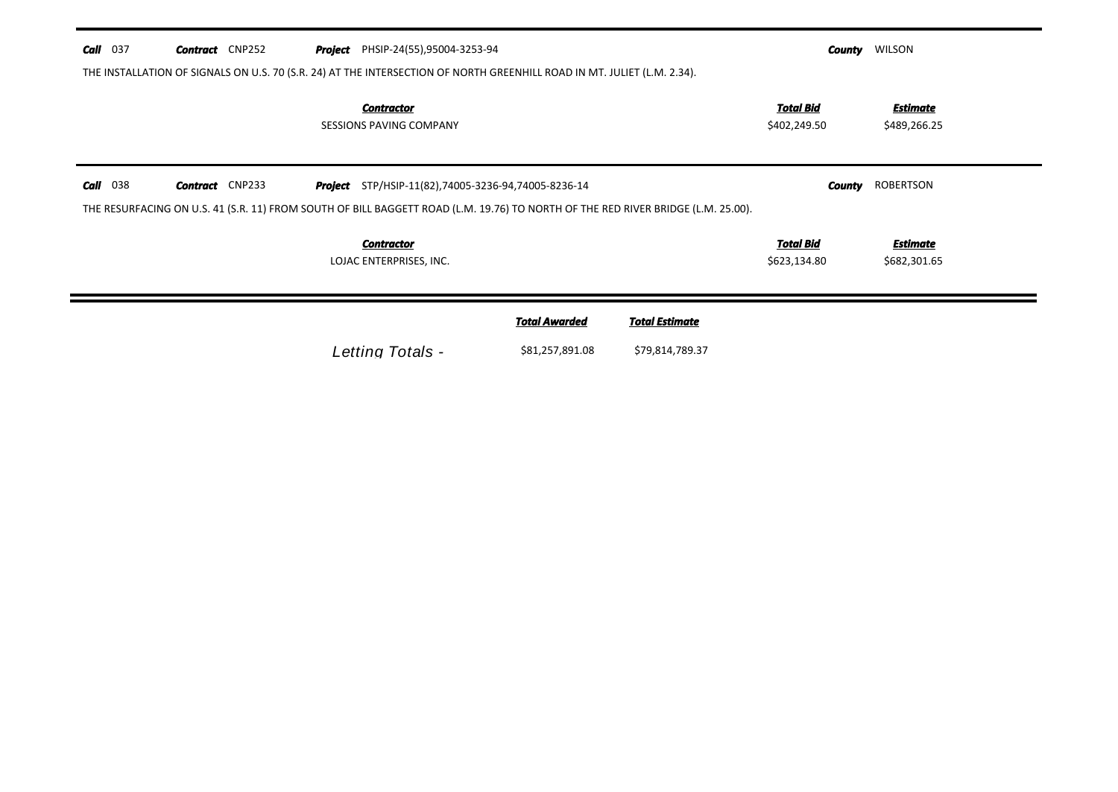| <b>Call</b> 037 | <b>Contract</b> CNP252 | <b>Project</b> PHSIP-24(55),95004-3253-94           |                                                                                                                                  | County                           | WILSON                          |
|-----------------|------------------------|-----------------------------------------------------|----------------------------------------------------------------------------------------------------------------------------------|----------------------------------|---------------------------------|
|                 |                        |                                                     | THE INSTALLATION OF SIGNALS ON U.S. 70 (S.R. 24) AT THE INTERSECTION OF NORTH GREENHILL ROAD IN MT. JULIET (L.M. 2.34).          |                                  |                                 |
|                 |                        | <b>Contractor</b><br><b>SESSIONS PAVING COMPANY</b> |                                                                                                                                  | Total Bid<br>\$402,249.50        | Estimate<br>\$489,266.25        |
| <b>Call</b> 038 | <b>Contract</b> CNP233 |                                                     | <b>Project</b> STP/HSIP-11(82),74005-3236-94,74005-8236-14                                                                       | County                           | ROBERTSON                       |
|                 |                        |                                                     | THE RESURFACING ON U.S. 41 (S.R. 11) FROM SOUTH OF BILL BAGGETT ROAD (L.M. 19.76) TO NORTH OF THE RED RIVER BRIDGE (L.M. 25.00). |                                  |                                 |
|                 |                        | <b>Contractor</b><br>LOJAC ENTERPRISES, INC.        |                                                                                                                                  | <b>Total Bid</b><br>\$623,134.80 | <b>Estimate</b><br>\$682,301.65 |
|                 |                        |                                                     | <b>Total Awarded</b><br><b>Total Estimate</b>                                                                                    |                                  |                                 |
|                 |                        | Letting Totals -                                    | \$81,257,891.08<br>\$79,814,789.37                                                                                               |                                  |                                 |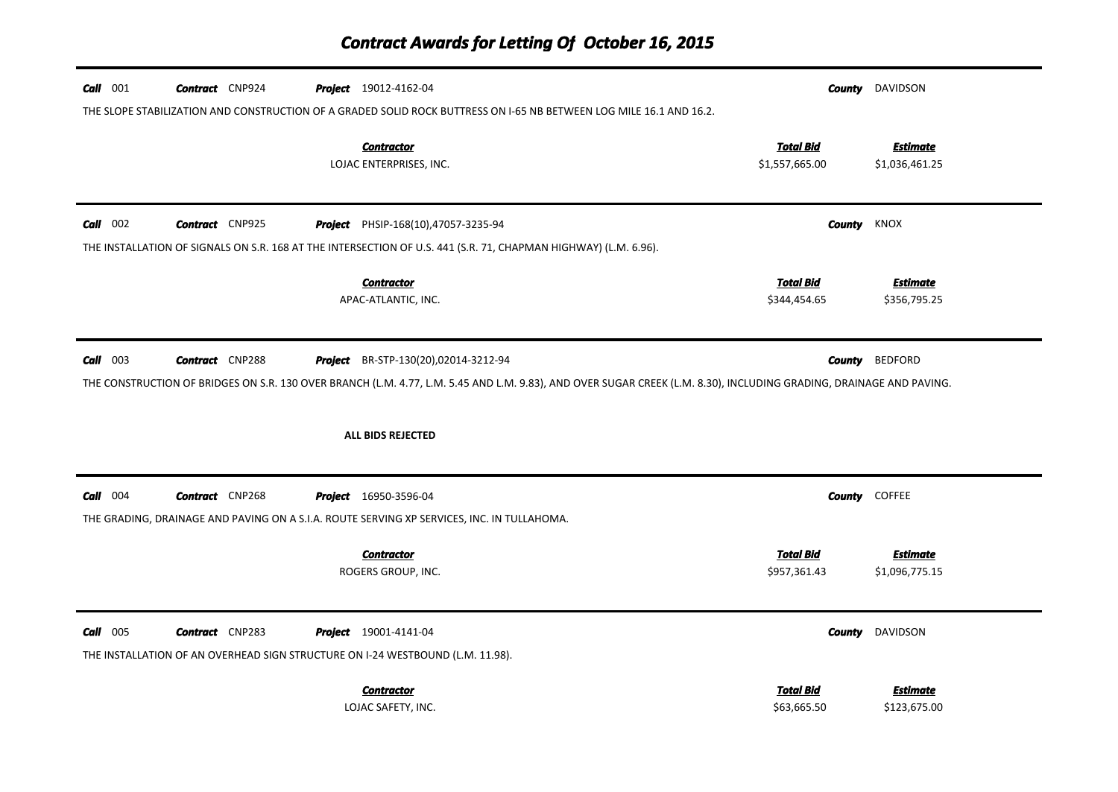# *Contract Awards for Letting Of October 16, 2015*

| <b>Call</b> 001<br><b>Contract</b> CNP924<br>Project 19012-4162-04<br>THE SLOPE STABILIZATION AND CONSTRUCTION OF A GRADED SOLID ROCK BUTTRESS ON 1-65 NB BETWEEN LOG MILE 16.1 AND 16.2.                                                                                       | DAVIDSON<br>County                                                      |  |  |  |  |  |  |
|---------------------------------------------------------------------------------------------------------------------------------------------------------------------------------------------------------------------------------------------------------------------------------|-------------------------------------------------------------------------|--|--|--|--|--|--|
| <b>Contractor</b><br>LOJAC ENTERPRISES, INC.                                                                                                                                                                                                                                    | <b>Total Bid</b><br><b>Estimate</b><br>\$1,557,665.00<br>\$1,036,461.25 |  |  |  |  |  |  |
| $Call$ 002<br><b>Contract</b> CNP925<br>PHSIP-168(10),47057-3235-94<br>Project<br>THE INSTALLATION OF SIGNALS ON S.R. 168 AT THE INTERSECTION OF U.S. 441 (S.R. 71, CHAPMAN HIGHWAY) (L.M. 6.96).                                                                               | County<br>KNOX                                                          |  |  |  |  |  |  |
| <b>Contractor</b><br>APAC-ATLANTIC, INC.                                                                                                                                                                                                                                        | <b>Total Bid</b><br><b>Estimate</b><br>\$344,454.65<br>\$356,795.25     |  |  |  |  |  |  |
| $Call$ 003<br><b>BEDFORD</b><br><b>Contract</b> CNP288<br>Project BR-STP-130(20),02014-3212-94<br>County<br>THE CONSTRUCTION OF BRIDGES ON S.R. 130 OVER BRANCH (L.M. 4.77, L.M. 5.45 AND L.M. 9.83), AND OVER SUGAR CREEK (L.M. 8.30), INCLUDING GRADING, DRAINAGE AND PAVING. |                                                                         |  |  |  |  |  |  |
| ALL BIDS REJECTED                                                                                                                                                                                                                                                               |                                                                         |  |  |  |  |  |  |
| $Call$ 004<br><b>Contract</b> CNP268<br><b>Project</b> 16950-3596-04<br>THE GRADING, DRAINAGE AND PAVING ON A S.I.A. ROUTE SERVING XP SERVICES, INC. IN TULLAHOMA.                                                                                                              | <b>County COFFEE</b>                                                    |  |  |  |  |  |  |
| <b>Contractor</b><br>ROGERS GROUP, INC.                                                                                                                                                                                                                                         | <b>Total Bid</b><br><b>Estimate</b><br>\$957,361.43<br>\$1,096,775.15   |  |  |  |  |  |  |
| $Call$ 005<br><b>Contract</b> CNP283<br><b>Project</b> 19001-4141-04<br>THE INSTALLATION OF AN OVERHEAD SIGN STRUCTURE ON I-24 WESTBOUND (L.M. 11.98).                                                                                                                          | DAVIDSON<br><b>County</b>                                               |  |  |  |  |  |  |
| <b>Contractor</b><br>LOJAC SAFETY, INC.                                                                                                                                                                                                                                         | <b>Total Bid</b><br>Estimate<br>\$63,665.50<br>\$123,675.00             |  |  |  |  |  |  |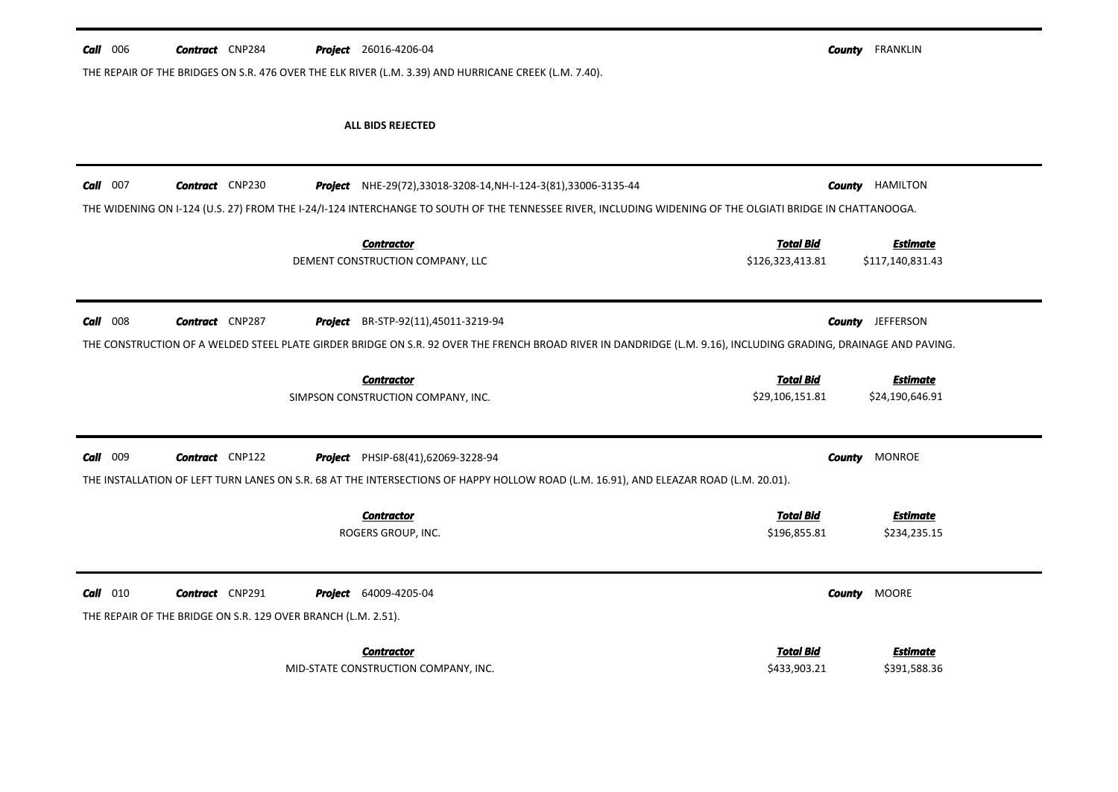| Call<br>006 | <b>Contract</b> CNP284 |                | <b>Project</b> 26016-4206-04                                                                                                                                    | <b>County</b> | <b>FRANKLIN</b>                    |
|-------------|------------------------|----------------|-----------------------------------------------------------------------------------------------------------------------------------------------------------------|---------------|------------------------------------|
|             |                        |                | THE REPAIR OF THE BRIDGES ON S.R. 476 OVER THE ELK RIVER (L.M. 3.39) AND HURRICANE CREEK (L.M. 7.40).                                                           |               |                                    |
|             |                        |                |                                                                                                                                                                 |               |                                    |
|             |                        |                | ALL BIDS REJECTED                                                                                                                                               |               |                                    |
|             |                        |                |                                                                                                                                                                 |               |                                    |
| Call<br>007 | <b>Contract</b> CNP230 | Project        | NHE-29(72),33018-3208-14,NH-I-124-3(81),33006-3135-44                                                                                                           | <b>County</b> | HAMILTON                           |
|             |                        |                | THE WIDENING ON I-124 (U.S. 27) FROM THE I-24/I-124 INTERCHANGE TO SOUTH OF THE TENNESSEE RIVER, INCLUDING WIDENING OF THE OLGIATI BRIDGE IN CHATTANOOGA.       |               |                                    |
|             |                        |                |                                                                                                                                                                 |               |                                    |
|             |                        |                | <b>Total Bid</b><br><b>Contractor</b>                                                                                                                           |               | <b>Estimate</b>                    |
|             |                        |                | DEMENT CONSTRUCTION COMPANY, LLC<br>\$126,323,413.81                                                                                                            |               | \$117,140,831.43                   |
|             |                        |                |                                                                                                                                                                 |               |                                    |
| 008<br>Call | <b>Contract</b> CNP287 | <b>Project</b> | BR-STP-92(11),45011-3219-94                                                                                                                                     | <b>County</b> | <b>JEFFERSON</b>                   |
|             |                        |                | THE CONSTRUCTION OF A WELDED STEEL PLATE GIRDER BRIDGE ON S.R. 92 OVER THE FRENCH BROAD RIVER IN DANDRIDGE (L.M. 9.16), INCLUDING GRADING, DRAINAGE AND PAVING. |               |                                    |
|             |                        |                |                                                                                                                                                                 |               |                                    |
|             |                        |                | <b>Total Bid</b><br><b>Contractor</b><br>SIMPSON CONSTRUCTION COMPANY, INC.<br>\$29,106,151.81                                                                  |               | <b>Estimate</b><br>\$24,190,646.91 |
|             |                        |                |                                                                                                                                                                 |               |                                    |
|             |                        |                |                                                                                                                                                                 |               |                                    |
| 009<br>Call | <b>Contract</b> CNP122 | Project        | PHSIP-68(41),62069-3228-94                                                                                                                                      | <b>County</b> | <b>MONROE</b>                      |
|             |                        |                | THE INSTALLATION OF LEFT TURN LANES ON S.R. 68 AT THE INTERSECTIONS OF HAPPY HOLLOW ROAD (L.M. 16.91), AND ELEAZAR ROAD (L.M. 20.01).                           |               |                                    |
|             |                        |                |                                                                                                                                                                 |               |                                    |
|             |                        |                | <b>Total Bid</b><br><b>Contractor</b>                                                                                                                           |               | <b>Estimate</b>                    |

\$196,855.81 \$234,235.15 ROGERS GROUP, INC. *Estimate* **Call** 010 **Contract** CNP291 *Project* 64009-4205-04 *Contractor* THE REPAIR OF THE BRIDGE ON S.R. 129 OVER BRANCH (L.M. 2.51). *County* 64009-4205-04 MOORE*Total Bid*

\$433,903.21 \$391,588.36 MID-STATE CONSTRUCTION COMPANY, INC.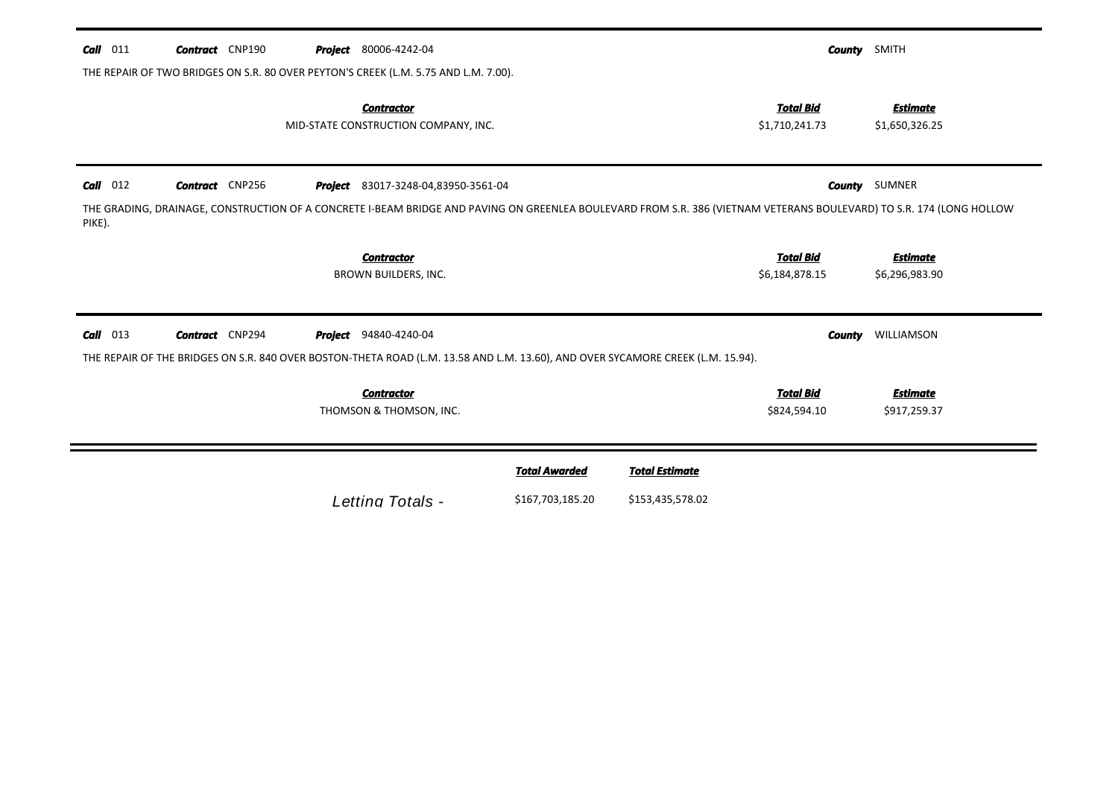| $Call$ 011 | <b>Contract</b> CNP190 |  | <b>Project</b> 80006-4242-04                                                        |                      |                                                                                                                                 |                                    | <b>County</b> SMITH                                                                                                                                                  |
|------------|------------------------|--|-------------------------------------------------------------------------------------|----------------------|---------------------------------------------------------------------------------------------------------------------------------|------------------------------------|----------------------------------------------------------------------------------------------------------------------------------------------------------------------|
|            |                        |  | THE REPAIR OF TWO BRIDGES ON S.R. 80 OVER PEYTON'S CREEK (L.M. 5.75 AND L.M. 7.00). |                      |                                                                                                                                 |                                    |                                                                                                                                                                      |
|            |                        |  | <b>Contractor</b><br>MID-STATE CONSTRUCTION COMPANY, INC.                           |                      |                                                                                                                                 | <b>Total Bid</b><br>\$1,710,241.73 | <b>Estimate</b><br>\$1,650,326.25                                                                                                                                    |
| $Call$ 012 | <b>Contract</b> CNP256 |  | <b>Project</b> 83017-3248-04,83950-3561-04                                          |                      |                                                                                                                                 |                                    | <b>County</b> SUMNER                                                                                                                                                 |
| PIKE).     |                        |  |                                                                                     |                      |                                                                                                                                 |                                    | THE GRADING, DRAINAGE, CONSTRUCTION OF A CONCRETE I-BEAM BRIDGE AND PAVING ON GREENLEA BOULEVARD FROM S.R. 386 (VIETNAM VETERANS BOULEVARD) TO S.R. 174 (LONG HOLLOW |
|            |                        |  | <b>Contractor</b>                                                                   |                      |                                                                                                                                 | <b>Total Bid</b>                   | <b>Estimate</b>                                                                                                                                                      |
|            |                        |  | BROWN BUILDERS, INC.                                                                |                      |                                                                                                                                 | \$6,184,878.15                     | \$6,296,983.90                                                                                                                                                       |
| $Call$ 013 | <b>Contract</b> CNP294 |  | <b>Project</b> 94840-4240-04                                                        |                      |                                                                                                                                 | County                             | WILLIAMSON                                                                                                                                                           |
|            |                        |  |                                                                                     |                      | THE REPAIR OF THE BRIDGES ON S.R. 840 OVER BOSTON-THETA ROAD (L.M. 13.58 AND L.M. 13.60), AND OVER SYCAMORE CREEK (L.M. 15.94). |                                    |                                                                                                                                                                      |
|            |                        |  | <b>Contractor</b>                                                                   |                      |                                                                                                                                 | <b>Total Bid</b>                   | <b>Estimate</b>                                                                                                                                                      |
|            |                        |  | THOMSON & THOMSON, INC.                                                             |                      |                                                                                                                                 | \$824,594.10                       | \$917,259.37                                                                                                                                                         |
|            |                        |  |                                                                                     |                      |                                                                                                                                 |                                    |                                                                                                                                                                      |
|            |                        |  |                                                                                     | <b>Total Awarded</b> | <b>Total Estimate</b>                                                                                                           |                                    |                                                                                                                                                                      |
|            |                        |  | Letting Totals -                                                                    | \$167,703,185.20     | \$153,435,578.02                                                                                                                |                                    |                                                                                                                                                                      |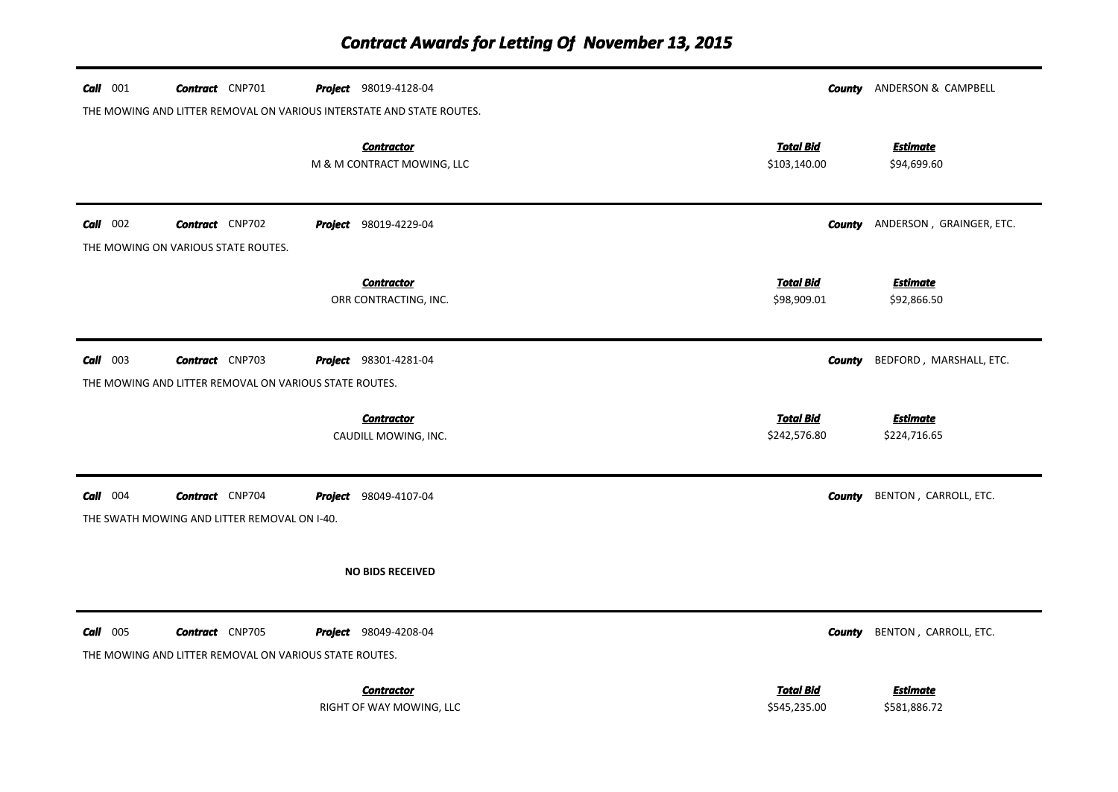| $Call$ 001 | <b>Contract</b> CNP701                                                           | <b>Project</b> 98019-4128-04<br>THE MOWING AND LITTER REMOVAL ON VARIOUS INTERSTATE AND STATE ROUTES. |                                  | <b>County</b> ANDERSON & CAMPBELL      |
|------------|----------------------------------------------------------------------------------|-------------------------------------------------------------------------------------------------------|----------------------------------|----------------------------------------|
|            |                                                                                  | <b>Contractor</b><br>M & M CONTRACT MOWING, LLC                                                       | <b>Total Bid</b><br>\$103,140.00 | <b>Estimate</b><br>\$94,699.60         |
| $Call$ 002 | <b>Contract</b> CNP702<br>THE MOWING ON VARIOUS STATE ROUTES.                    | <b>Project</b> 98019-4229-04                                                                          |                                  | <b>County</b> ANDERSON, GRAINGER, ETC. |
|            |                                                                                  | <b>Contractor</b><br>ORR CONTRACTING, INC.                                                            | <b>Total Bid</b><br>\$98,909.01  | <b>Estimate</b><br>\$92,866.50         |
| $Call$ 003 | <b>Contract</b> CNP703<br>THE MOWING AND LITTER REMOVAL ON VARIOUS STATE ROUTES. | <b>Project</b> 98301-4281-04                                                                          | <b>County</b>                    | BEDFORD, MARSHALL, ETC.                |
|            |                                                                                  | <b>Contractor</b><br>CAUDILL MOWING, INC.                                                             | <b>Total Bid</b><br>\$242,576.80 | <b>Estimate</b><br>\$224,716.65        |
| $Call$ 004 | <b>Contract</b> CNP704<br>THE SWATH MOWING AND LITTER REMOVAL ON I-40.           | <b>Project</b> 98049-4107-04                                                                          | County                           | BENTON, CARROLL, ETC.                  |
|            |                                                                                  | <b>NO BIDS RECEIVED</b>                                                                               |                                  |                                        |
| $Call$ 005 | <b>Contract</b> CNP705<br>THE MOWING AND LITTER REMOVAL ON VARIOUS STATE ROUTES. | <b>Project</b> 98049-4208-04                                                                          | County                           | BENTON, CARROLL, ETC.                  |
|            |                                                                                  | <b>Contractor</b><br>RIGHT OF WAY MOWING, LLC                                                         | <b>Total Bid</b><br>\$545,235.00 | <b>Estimate</b><br>\$581,886.72        |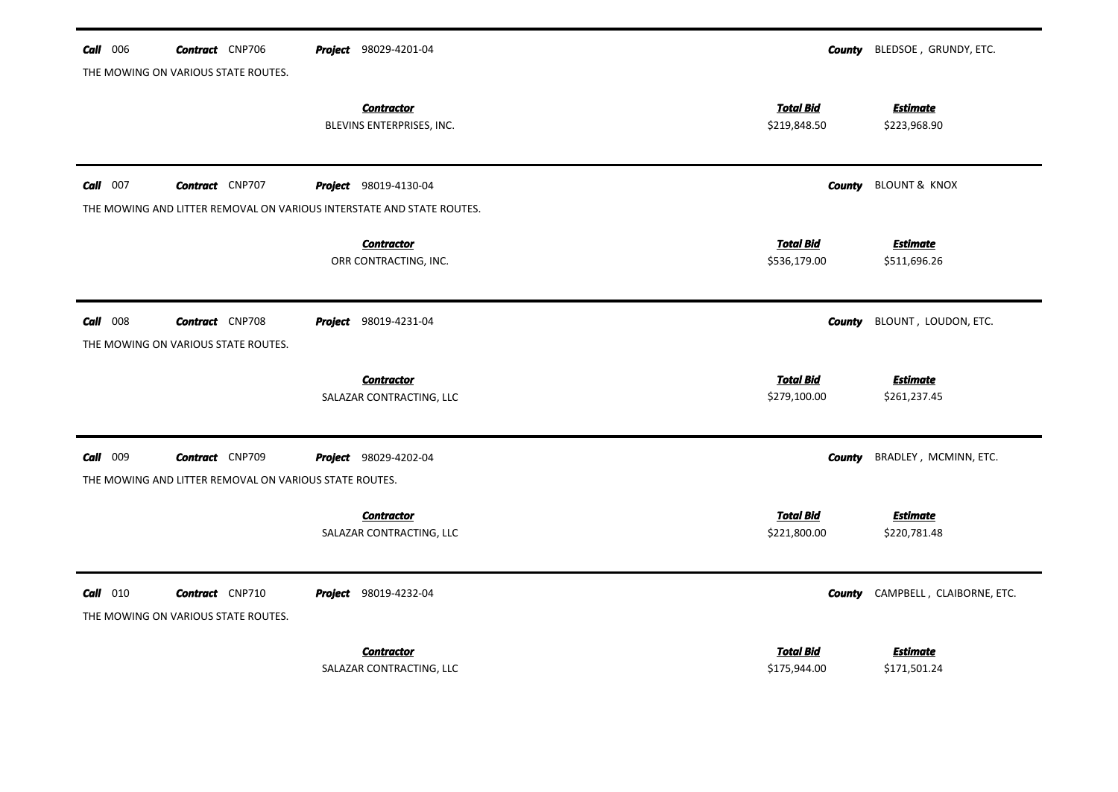| $Call$ 006<br><b>Contract</b> CNP706                                  | <b>Project</b> 98029-4201-04                   |                                  | <b>County</b> BLEDSOE, GRUNDY, ETC. |
|-----------------------------------------------------------------------|------------------------------------------------|----------------------------------|-------------------------------------|
| THE MOWING ON VARIOUS STATE ROUTES.                                   |                                                |                                  |                                     |
|                                                                       | <b>Contractor</b><br>BLEVINS ENTERPRISES, INC. | <b>Total Bid</b><br>\$219,848.50 | <b>Estimate</b><br>\$223,968.90     |
|                                                                       |                                                |                                  |                                     |
| $Call$ 007<br><b>Contract</b> CNP707                                  | <b>Project</b> 98019-4130-04                   | County                           | <b>BLOUNT &amp; KNOX</b>            |
| THE MOWING AND LITTER REMOVAL ON VARIOUS INTERSTATE AND STATE ROUTES. |                                                |                                  |                                     |
|                                                                       | <b>Contractor</b>                              | <b>Total Bid</b>                 | <b>Estimate</b>                     |
|                                                                       | ORR CONTRACTING, INC.                          | \$536,179.00                     | \$511,696.26                        |
|                                                                       |                                                |                                  |                                     |
| $Call$ 008<br><b>Contract</b> CNP708                                  | <b>Project</b> 98019-4231-04                   | <b>County</b>                    | BLOUNT, LOUDON, ETC.                |
| THE MOWING ON VARIOUS STATE ROUTES.                                   |                                                |                                  |                                     |
|                                                                       |                                                |                                  |                                     |
|                                                                       |                                                |                                  |                                     |
|                                                                       | <b>Contractor</b><br>SALAZAR CONTRACTING, LLC  | <b>Total Bid</b><br>\$279,100.00 | <b>Estimate</b><br>\$261,237.45     |
|                                                                       |                                                |                                  |                                     |
| Call 009<br><b>Contract</b> CNP709                                    | Project 98029-4202-04                          | County                           | BRADLEY, MCMINN, ETC.               |
| THE MOWING AND LITTER REMOVAL ON VARIOUS STATE ROUTES.                |                                                |                                  |                                     |
|                                                                       | <b>Contractor</b>                              | <b>Total Bid</b>                 | <b>Estimate</b>                     |
|                                                                       | SALAZAR CONTRACTING, LLC                       | \$221,800.00                     | \$220,781.48                        |
|                                                                       |                                                |                                  |                                     |
| $Call$ 010<br><b>Contract</b> CNP710                                  | Project 98019-4232-04                          | County                           | CAMPBELL, CLAIBORNE, ETC.           |
| THE MOWING ON VARIOUS STATE ROUTES.                                   |                                                |                                  |                                     |
|                                                                       | <b>Contractor</b>                              | Total Bid                        | <u>Estimate</u>                     |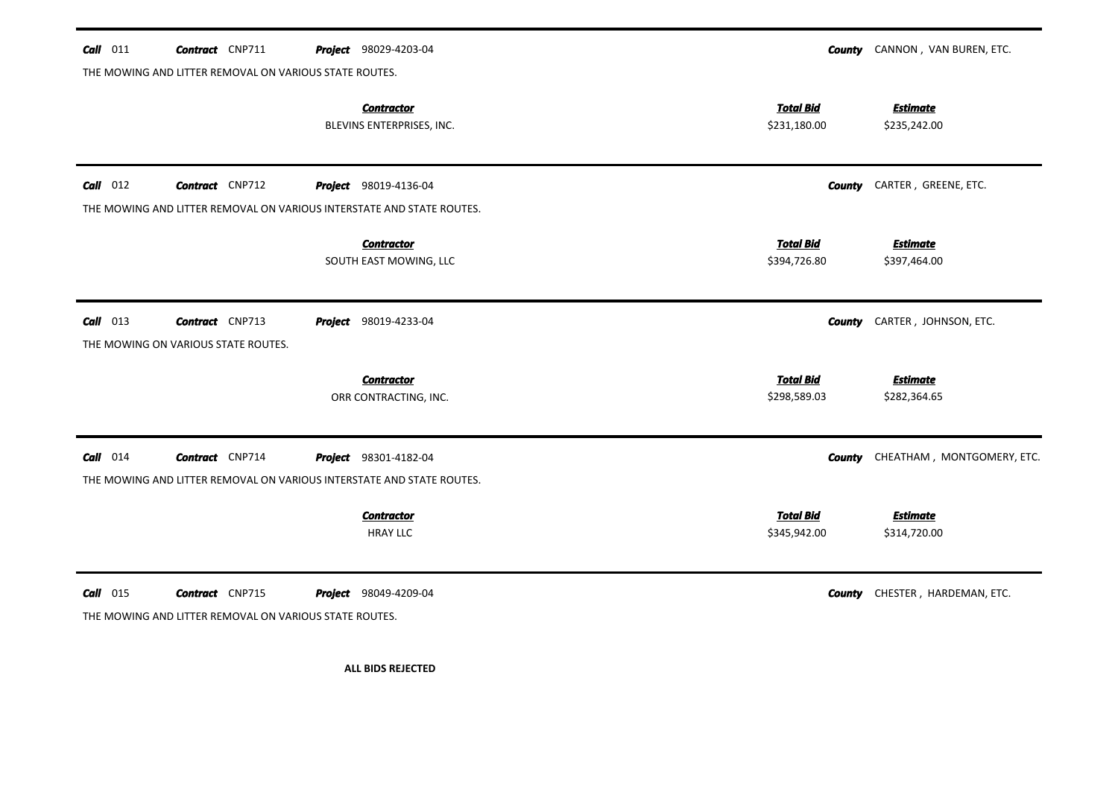| $Call$ 011 | <b>Contract</b> CNP711                                                                          |  | <b>Project</b> 98029-4203-04                   |                                  | <b>County</b> CANNON, VAN BUREN, ETC.    |  |  |  |  |
|------------|-------------------------------------------------------------------------------------------------|--|------------------------------------------------|----------------------------------|------------------------------------------|--|--|--|--|
|            | THE MOWING AND LITTER REMOVAL ON VARIOUS STATE ROUTES.                                          |  |                                                |                                  |                                          |  |  |  |  |
|            |                                                                                                 |  | <b>Contractor</b><br>BLEVINS ENTERPRISES, INC. | <b>Total Bid</b><br>\$231,180.00 | <b>Estimate</b><br>\$235,242.00          |  |  |  |  |
| $Call$ 012 | <b>Contract</b> CNP712                                                                          |  | <b>Project</b> 98019-4136-04                   | County                           | CARTER, GREENE, ETC.                     |  |  |  |  |
|            | THE MOWING AND LITTER REMOVAL ON VARIOUS INTERSTATE AND STATE ROUTES.                           |  |                                                |                                  |                                          |  |  |  |  |
|            |                                                                                                 |  | <b>Contractor</b><br>SOUTH EAST MOWING, LLC    | <b>Total Bid</b><br>\$394,726.80 | <b>Estimate</b><br>\$397,464.00          |  |  |  |  |
| $Call$ 013 | <b>Contract</b> CNP713<br>THE MOWING ON VARIOUS STATE ROUTES.                                   |  | <b>Project</b> 98019-4233-04                   | <b>County</b>                    | CARTER, JOHNSON, ETC.                    |  |  |  |  |
|            |                                                                                                 |  | <b>Contractor</b><br>ORR CONTRACTING, INC.     | <b>Total Bid</b><br>\$298,589.03 | <b>Estimate</b><br>\$282,364.65          |  |  |  |  |
| $Call$ 014 | <b>Contract</b> CNP714<br>THE MOWING AND LITTER REMOVAL ON VARIOUS INTERSTATE AND STATE ROUTES. |  | <b>Project</b> 98301-4182-04                   |                                  | <b>County</b> CHEATHAM, MONTGOMERY, ETC. |  |  |  |  |
|            |                                                                                                 |  | <b>Contractor</b><br><b>HRAY LLC</b>           | <b>Total Bid</b><br>\$345,942.00 | <b>Estimate</b><br>\$314,720.00          |  |  |  |  |
| $Call$ 015 | <b>Contract</b> CNP715<br>THE MOWING AND LITTER REMOVAL ON VARIOUS STATE ROUTES.                |  | <b>Project</b> 98049-4209-04                   |                                  | <b>County</b> CHESTER, HARDEMAN, ETC.    |  |  |  |  |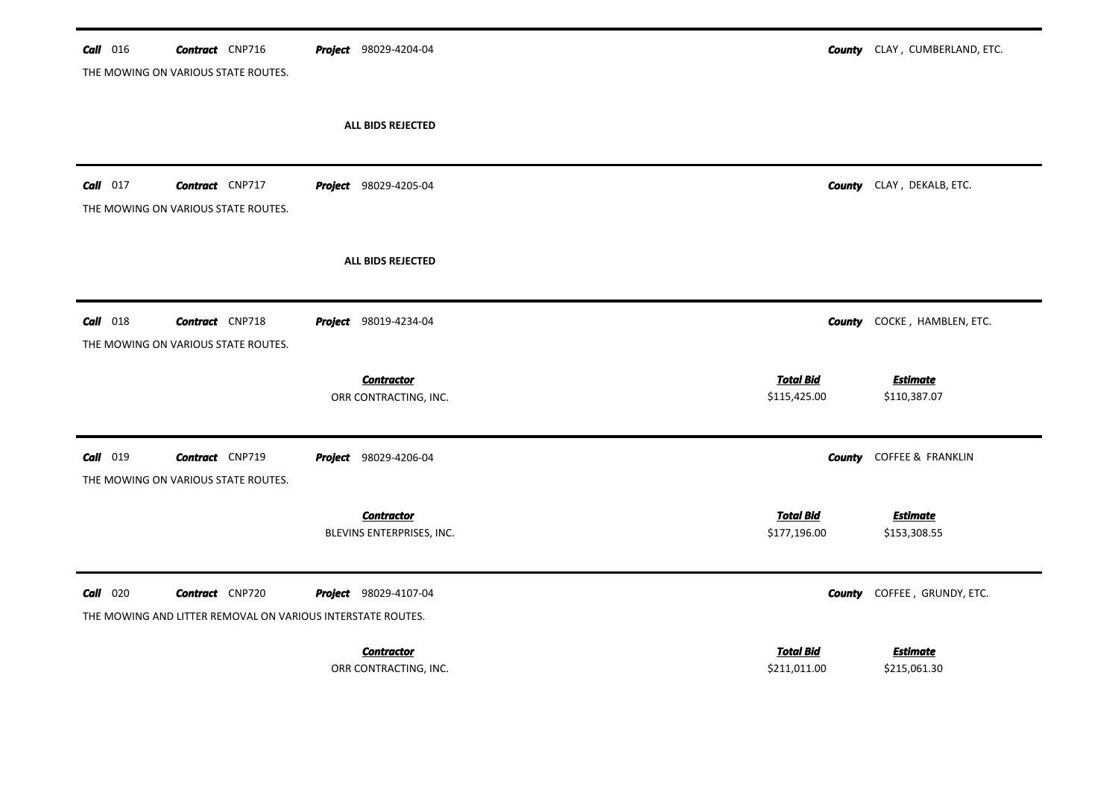| Call 016        | <b>Contract</b> CNP716<br>THE MOWING ON VARIOUS STATE ROUTES.                         | <b>Project</b> 98029-4204-04                   |                                  | <b>County</b> CLAY, CUMBERLAND, ETC. |
|-----------------|---------------------------------------------------------------------------------------|------------------------------------------------|----------------------------------|--------------------------------------|
|                 |                                                                                       |                                                |                                  |                                      |
|                 |                                                                                       | ALL BIDS REJECTED                              |                                  |                                      |
| Call<br>017     | <b>Contract</b> CNP717<br>THE MOWING ON VARIOUS STATE ROUTES.                         | <b>Project</b> 98029-4205-04                   |                                  | <b>County</b> CLAY, DEKALB, ETC.     |
|                 |                                                                                       | ALL BIDS REJECTED                              |                                  |                                      |
| <b>Call</b> 018 | <b>Contract</b> CNP718<br>THE MOWING ON VARIOUS STATE ROUTES.                         | <b>Project</b> 98019-4234-04                   | <b>County</b>                    | COCKE, HAMBLEN, ETC.                 |
|                 |                                                                                       | <b>Contractor</b><br>ORR CONTRACTING, INC.     | <b>Total Bid</b><br>\$115,425.00 | <b>Estimate</b><br>\$110,387.07      |
| Call 019        | <b>Contract</b> CNP719<br>THE MOWING ON VARIOUS STATE ROUTES.                         | Project 98029-4206-04                          | County                           | COFFEE & FRANKLIN                    |
|                 |                                                                                       | <b>Contractor</b><br>BLEVINS ENTERPRISES, INC. | <b>Total Bid</b><br>\$177,196.00 | <u>Estimate</u><br>\$153,308.55      |
| $Call$ 020      | <b>Contract</b> CNP720<br>THE MOWING AND LITTER REMOVAL ON VARIOUS INTERSTATE ROUTES. | Project 98029-4107-04                          | County                           | COFFEE, GRUNDY, ETC.                 |
|                 |                                                                                       | <b>Contractor</b><br>ORR CONTRACTING, INC.     | <b>Total Bid</b><br>\$211,011.00 | <b>Estimate</b><br>\$215,061.30      |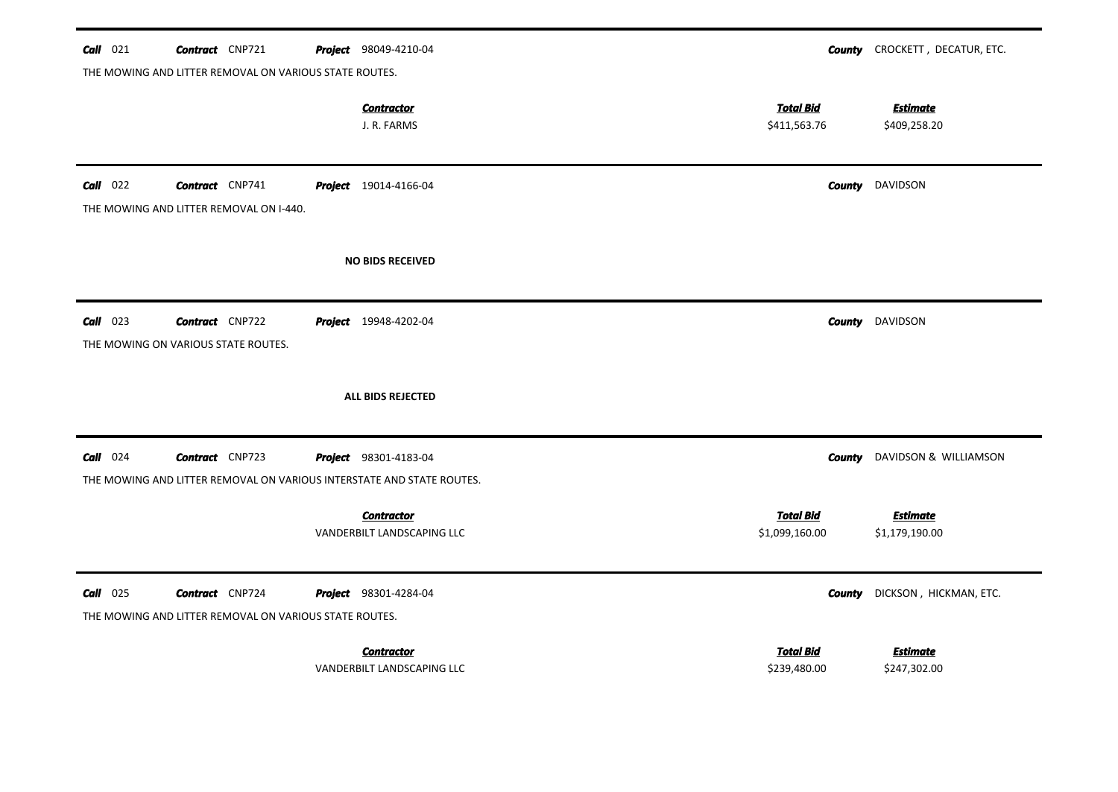| $Call$ 021 | <b>Contract</b> CNP721                                                           |  | <b>Project</b> 98049-4210-04                    |                                    |        | <b>County</b> CROCKETT, DECATUR, ETC. |  |  |  |
|------------|----------------------------------------------------------------------------------|--|-------------------------------------------------|------------------------------------|--------|---------------------------------------|--|--|--|
|            | THE MOWING AND LITTER REMOVAL ON VARIOUS STATE ROUTES.                           |  |                                                 |                                    |        |                                       |  |  |  |
|            |                                                                                  |  | <b>Contractor</b><br>J. R. FARMS                | <b>Total Bid</b><br>\$411,563.76   |        | <b>Estimate</b><br>\$409,258.20       |  |  |  |
| $Call$ 022 | <b>Contract</b> CNP741<br>THE MOWING AND LITTER REMOVAL ON I-440.                |  | <b>Project</b> 19014-4166-04                    |                                    |        | <b>County</b> DAVIDSON                |  |  |  |
|            |                                                                                  |  | <b>NO BIDS RECEIVED</b>                         |                                    |        |                                       |  |  |  |
| $Call$ 023 | <b>Contract</b> CNP722<br>THE MOWING ON VARIOUS STATE ROUTES.                    |  | <b>Project</b> 19948-4202-04                    |                                    |        | <b>County</b> DAVIDSON                |  |  |  |
|            |                                                                                  |  | ALL BIDS REJECTED                               |                                    |        |                                       |  |  |  |
| $Call$ 024 | <b>Contract</b> CNP723                                                           |  | Project 98301-4183-04                           |                                    | County | DAVIDSON & WILLIAMSON                 |  |  |  |
|            | THE MOWING AND LITTER REMOVAL ON VARIOUS INTERSTATE AND STATE ROUTES.            |  |                                                 |                                    |        |                                       |  |  |  |
|            |                                                                                  |  | <b>Contractor</b><br>VANDERBILT LANDSCAPING LLC | <b>Total Bid</b><br>\$1,099,160.00 |        | <b>Estimate</b><br>\$1,179,190.00     |  |  |  |
| $Call$ 025 | <b>Contract</b> CNP724<br>THE MOWING AND LITTER REMOVAL ON VARIOUS STATE ROUTES. |  | Project 98301-4284-04                           |                                    | County | DICKSON, HICKMAN, ETC.                |  |  |  |
|            |                                                                                  |  | <b>Contractor</b><br>VANDERBILT LANDSCAPING LLC | <b>Total Bid</b><br>\$239,480.00   |        | <b>Estimate</b><br>\$247,302.00       |  |  |  |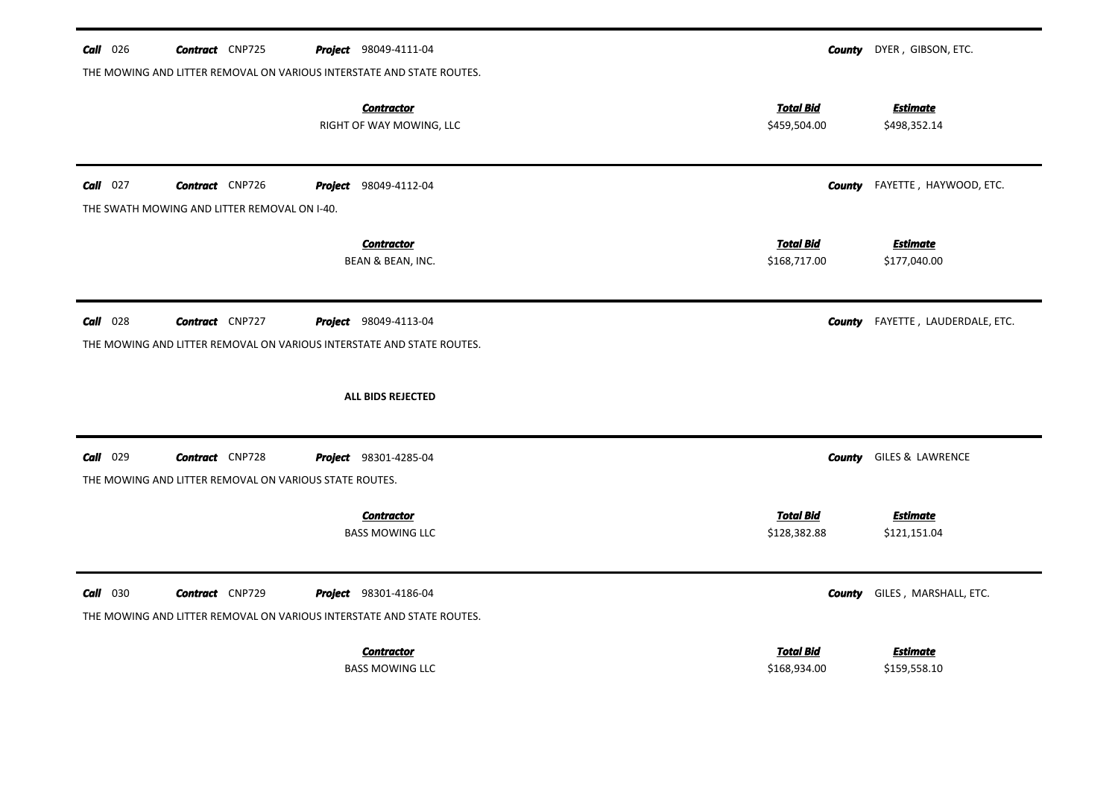| $Call$ 026 | <b>Contract</b> CNP725                                                           | <b>Project</b> 98049-4111-04                                                                          | DYER, GIBSON, ETC.<br>County                                        |
|------------|----------------------------------------------------------------------------------|-------------------------------------------------------------------------------------------------------|---------------------------------------------------------------------|
|            |                                                                                  | THE MOWING AND LITTER REMOVAL ON VARIOUS INTERSTATE AND STATE ROUTES.                                 |                                                                     |
|            |                                                                                  | <b>Contractor</b><br>RIGHT OF WAY MOWING, LLC                                                         | <b>Total Bid</b><br><b>Estimate</b><br>\$459,504.00<br>\$498,352.14 |
| $Call$ 027 | <b>Contract</b> CNP726                                                           | <b>Project</b> 98049-4112-04                                                                          | <b>County</b> FAYETTE, HAYWOOD, ETC.                                |
|            | THE SWATH MOWING AND LITTER REMOVAL ON I-40.                                     |                                                                                                       |                                                                     |
|            |                                                                                  | <b>Contractor</b><br>BEAN & BEAN, INC.                                                                | <b>Total Bid</b><br><b>Estimate</b><br>\$168,717.00<br>\$177,040.00 |
| $Call$ 028 | <b>Contract</b> CNP727                                                           | <b>Project</b> 98049-4113-04<br>THE MOWING AND LITTER REMOVAL ON VARIOUS INTERSTATE AND STATE ROUTES. | FAYETTE, LAUDERDALE, ETC.<br>County                                 |
|            |                                                                                  | ALL BIDS REJECTED                                                                                     |                                                                     |
| Call 029   | <b>Contract</b> CNP728<br>THE MOWING AND LITTER REMOVAL ON VARIOUS STATE ROUTES. | <b>Project</b> 98301-4285-04                                                                          | GILES & LAWRENCE<br>County                                          |
|            |                                                                                  | <b>Contractor</b><br><b>BASS MOWING LLC</b>                                                           | <b>Total Bid</b><br><b>Estimate</b><br>\$128,382.88<br>\$121,151.04 |
| $Call$ 030 | <b>Contract</b> CNP729                                                           | Project 98301-4186-04<br>THE MOWING AND LITTER REMOVAL ON VARIOUS INTERSTATE AND STATE ROUTES.        | GILES, MARSHALL, ETC.<br><b>County</b>                              |
|            |                                                                                  | <b>Contractor</b><br><b>BASS MOWING LLC</b>                                                           | <b>Total Bid</b><br><b>Estimate</b><br>\$168,934.00<br>\$159,558.10 |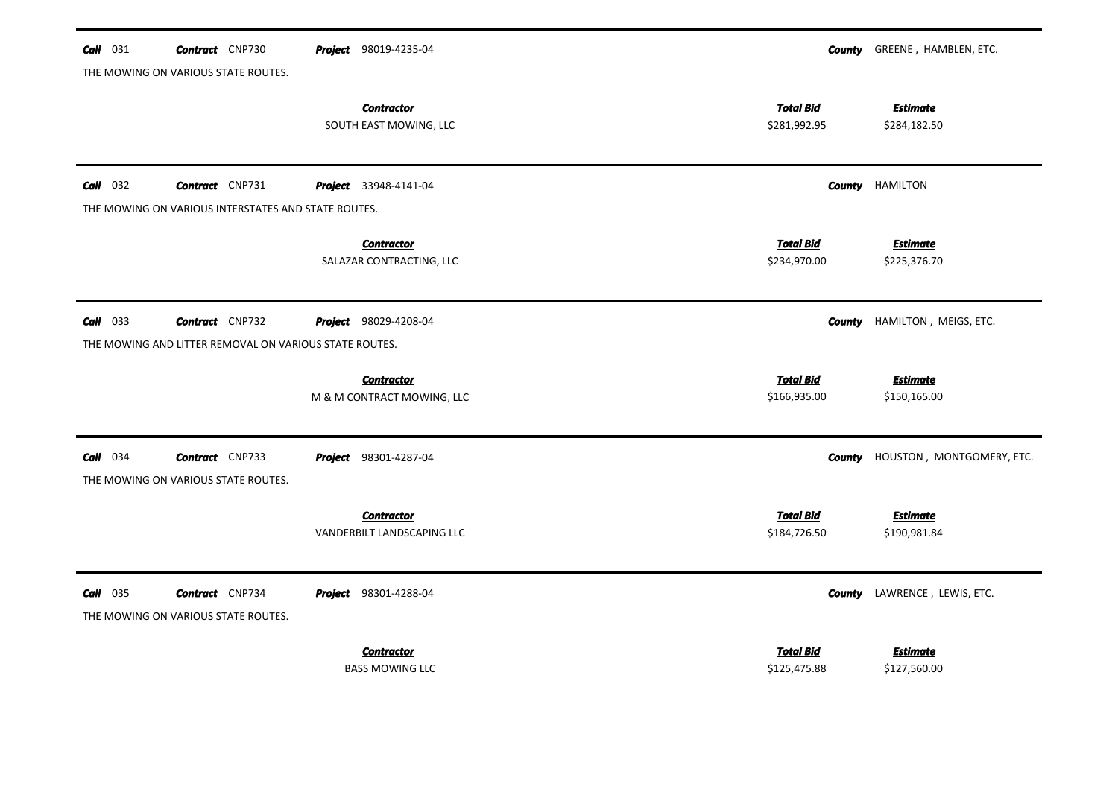| $Call$ 031  | <b>Contract</b> CNP730                                 | <b>Project</b> 98019-4235-04 |                  | <b>County</b> GREENE, HAMBLEN, ETC. |
|-------------|--------------------------------------------------------|------------------------------|------------------|-------------------------------------|
|             | THE MOWING ON VARIOUS STATE ROUTES.                    |                              |                  |                                     |
|             |                                                        | <b>Contractor</b>            | <b>Total Bid</b> | <b>Estimate</b>                     |
|             |                                                        | SOUTH EAST MOWING, LLC       | \$281,992.95     | \$284,182.50                        |
|             |                                                        |                              |                  |                                     |
| $Call$ 032  | <b>Contract</b> CNP731                                 | <b>Project</b> 33948-4141-04 | County           | <b>HAMILTON</b>                     |
|             | THE MOWING ON VARIOUS INTERSTATES AND STATE ROUTES.    |                              |                  |                                     |
|             |                                                        | <b>Contractor</b>            | <b>Total Bid</b> | <b>Estimate</b>                     |
|             |                                                        | SALAZAR CONTRACTING, LLC     | \$234,970.00     | \$225,376.70                        |
|             |                                                        |                              |                  |                                     |
| $Call$ 033  | <b>Contract</b> CNP732                                 | Project 98029-4208-04        | County           | HAMILTON, MEIGS, ETC.               |
|             | THE MOWING AND LITTER REMOVAL ON VARIOUS STATE ROUTES. |                              |                  |                                     |
|             |                                                        |                              |                  |                                     |
|             |                                                        | <b>Contractor</b>            | <b>Total Bid</b> | <b>Estimate</b>                     |
|             |                                                        | M & M CONTRACT MOWING, LLC   | \$166,935.00     | \$150,165.00                        |
| $Call$ 034  | <b>Contract</b> CNP733                                 | Project 98301-4287-04        | County           | HOUSTON, MONTGOMERY, ETC.           |
|             |                                                        |                              |                  |                                     |
|             | THE MOWING ON VARIOUS STATE ROUTES.                    |                              |                  |                                     |
|             |                                                        | <b>Contractor</b>            | <b>Total Bid</b> | <b>Estimate</b>                     |
|             |                                                        | VANDERBILT LANDSCAPING LLC   | \$184,726.50     | \$190,981.84                        |
|             |                                                        |                              |                  |                                     |
| 035<br>Call | <b>Contract</b> CNP734                                 | Project 98301-4288-04        | County           | LAWRENCE, LEWIS, ETC.               |
|             | THE MOWING ON VARIOUS STATE ROUTES.                    |                              |                  |                                     |
|             |                                                        | <b>Contractor</b>            | <b>Total Bid</b> | <b>Estimate</b>                     |
|             |                                                        | <b>BASS MOWING LLC</b>       | \$125,475.88     | \$127,560.00                        |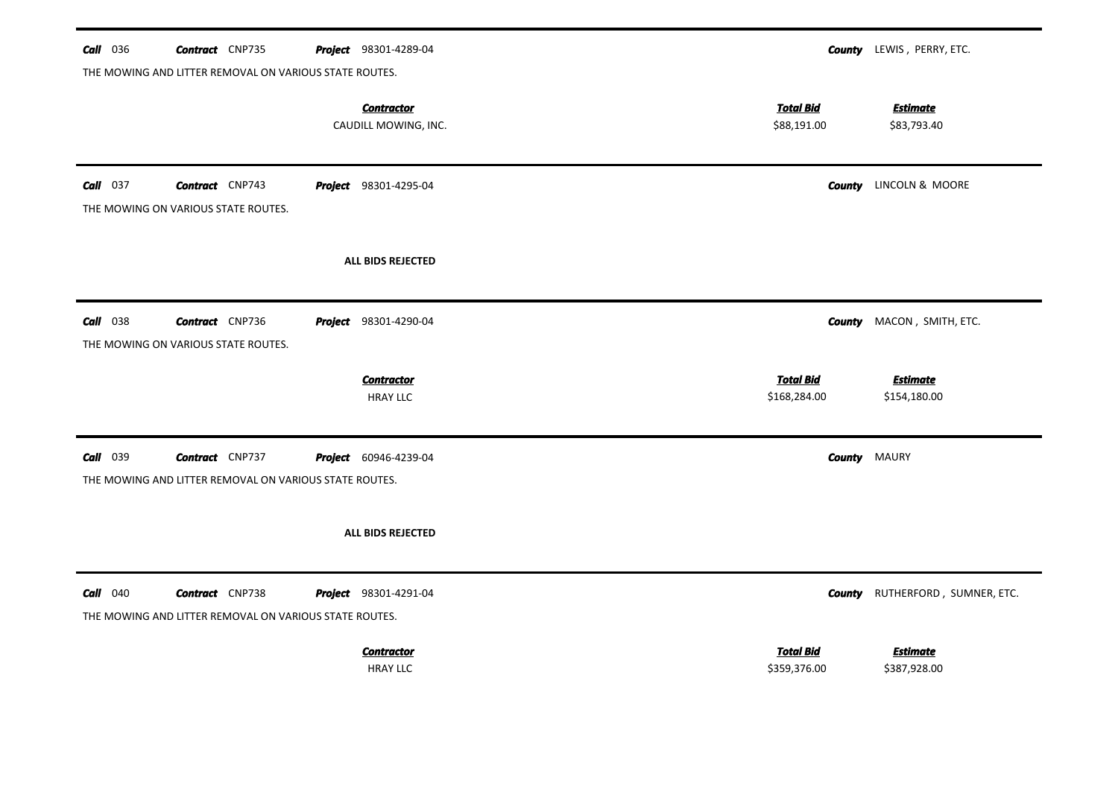| <b>Call</b> 036 | <b>Contract</b> CNP735                                                           | <b>Project</b> 98301-4289-04              |                                  |                     | <b>County</b> LEWIS, PERRY, ETC. |
|-----------------|----------------------------------------------------------------------------------|-------------------------------------------|----------------------------------|---------------------|----------------------------------|
|                 | THE MOWING AND LITTER REMOVAL ON VARIOUS STATE ROUTES.                           | <b>Contractor</b><br>CAUDILL MOWING, INC. | <b>Total Bid</b><br>\$88,191.00  |                     | <b>Estimate</b><br>\$83,793.40   |
| $Call$ 037      | <b>Contract</b> CNP743<br>THE MOWING ON VARIOUS STATE ROUTES.                    | <b>Project</b> 98301-4295-04              |                                  |                     | <b>County</b> LINCOLN & MOORE    |
|                 |                                                                                  | ALL BIDS REJECTED                         |                                  |                     |                                  |
| <b>Call</b> 038 | <b>Contract</b> CNP736<br>THE MOWING ON VARIOUS STATE ROUTES.                    | <b>Project</b> 98301-4290-04              |                                  | <b>County</b>       | MACON, SMITH, ETC.               |
|                 |                                                                                  |                                           |                                  |                     |                                  |
|                 |                                                                                  | <b>Contractor</b><br><b>HRAY LLC</b>      | <b>Total Bid</b><br>\$168,284.00 |                     | <b>Estimate</b><br>\$154,180.00  |
| <b>Call</b> 039 | <b>Contract</b> CNP737<br>THE MOWING AND LITTER REMOVAL ON VARIOUS STATE ROUTES. | <b>Project</b> 60946-4239-04              |                                  | <b>County MAURY</b> |                                  |
|                 |                                                                                  | ALL BIDS REJECTED                         |                                  |                     |                                  |
| <b>Call</b> 040 | <b>Contract</b> CNP738<br>THE MOWING AND LITTER REMOVAL ON VARIOUS STATE ROUTES. | <b>Project</b> 98301-4291-04              |                                  | County              | RUTHERFORD, SUMNER, ETC.         |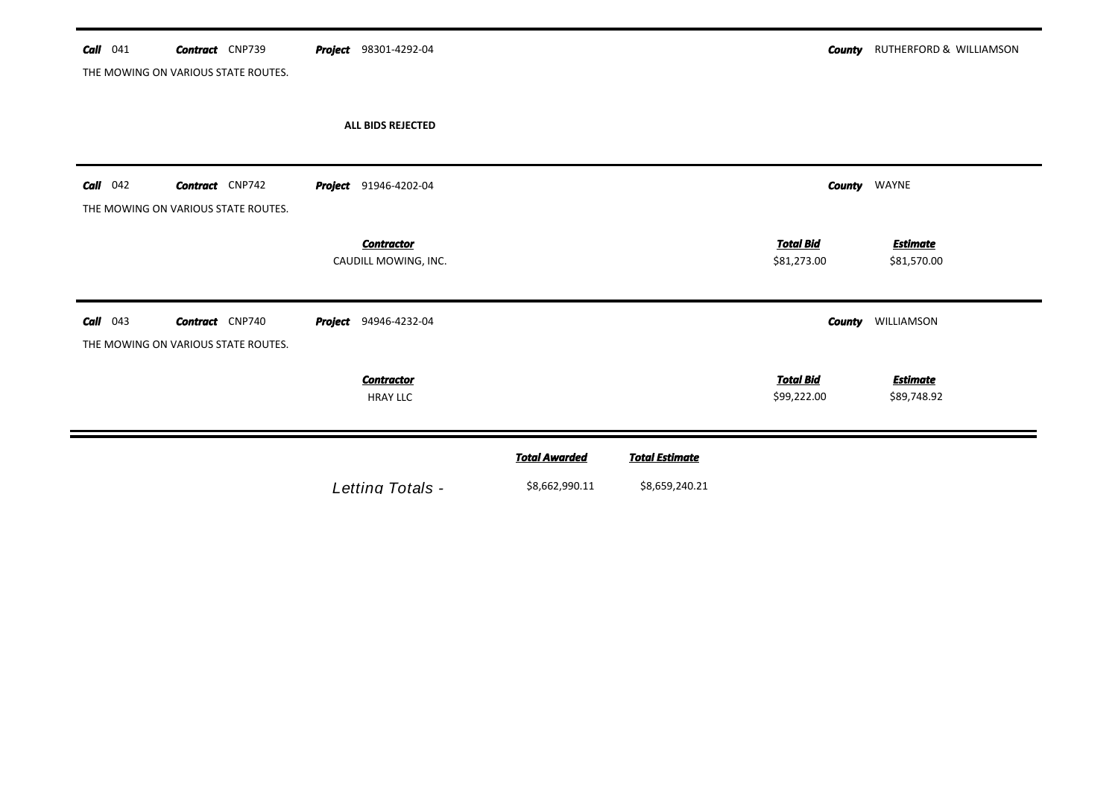| 041<br>Call | <b>Contract</b> CNP739                                        | <b>Project</b> 98301-4292-04              |                      |                       | <b>County</b>                   | RUTHERFORD & WILLIAMSON        |
|-------------|---------------------------------------------------------------|-------------------------------------------|----------------------|-----------------------|---------------------------------|--------------------------------|
|             | THE MOWING ON VARIOUS STATE ROUTES.                           |                                           |                      |                       |                                 |                                |
|             |                                                               | ALL BIDS REJECTED                         |                      |                       |                                 |                                |
| Call<br>042 | <b>Contract</b> CNP742<br>THE MOWING ON VARIOUS STATE ROUTES. | <b>Project</b> 91946-4202-04              |                      |                       |                                 | <b>County</b> WAYNE            |
|             |                                                               | <b>Contractor</b><br>CAUDILL MOWING, INC. |                      |                       | <b>Total Bid</b><br>\$81,273.00 | <b>Estimate</b><br>\$81,570.00 |
| 043<br>Call | <b>Contract</b> CNP740<br>THE MOWING ON VARIOUS STATE ROUTES. | <b>Project</b> 94946-4232-04              |                      |                       | <b>County</b>                   | WILLIAMSON                     |
|             |                                                               | <b>Contractor</b><br><b>HRAY LLC</b>      |                      |                       | <b>Total Bid</b><br>\$99,222.00 | <b>Estimate</b><br>\$89,748.92 |
|             |                                                               |                                           | <b>Total Awarded</b> | <b>Total Estimate</b> |                                 |                                |
|             |                                                               | Letting Totals -                          | \$8,662,990.11       | \$8,659,240.21        |                                 |                                |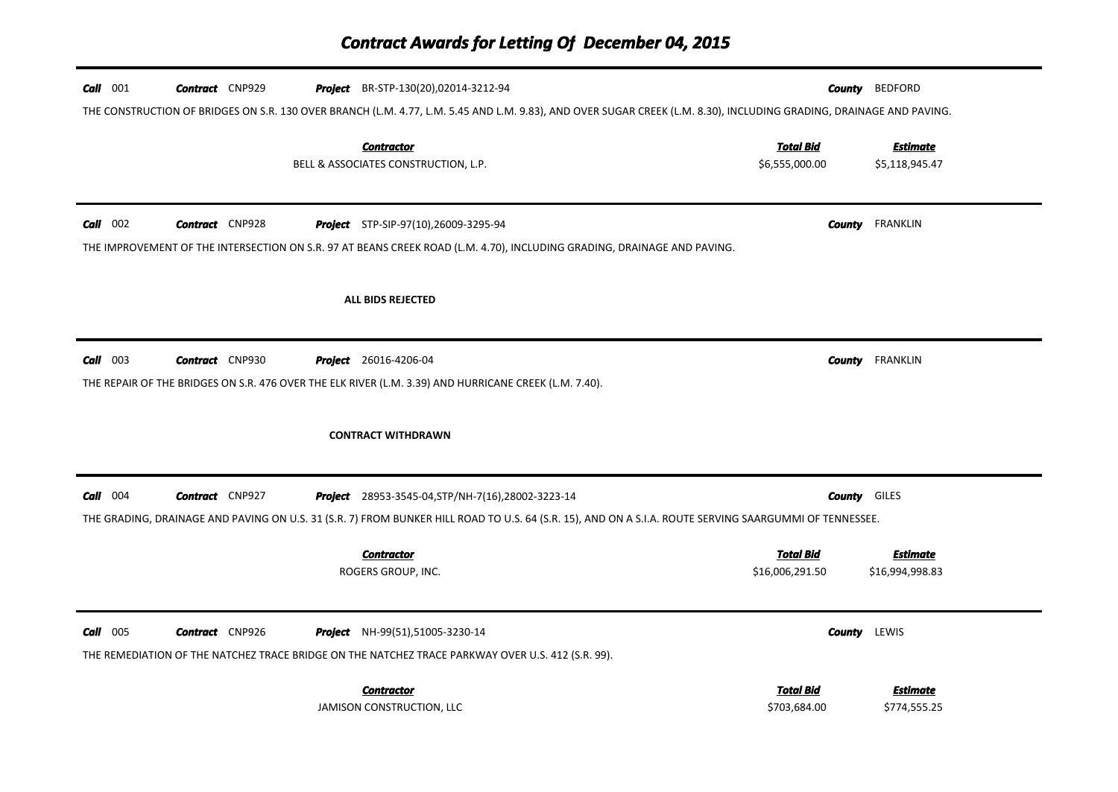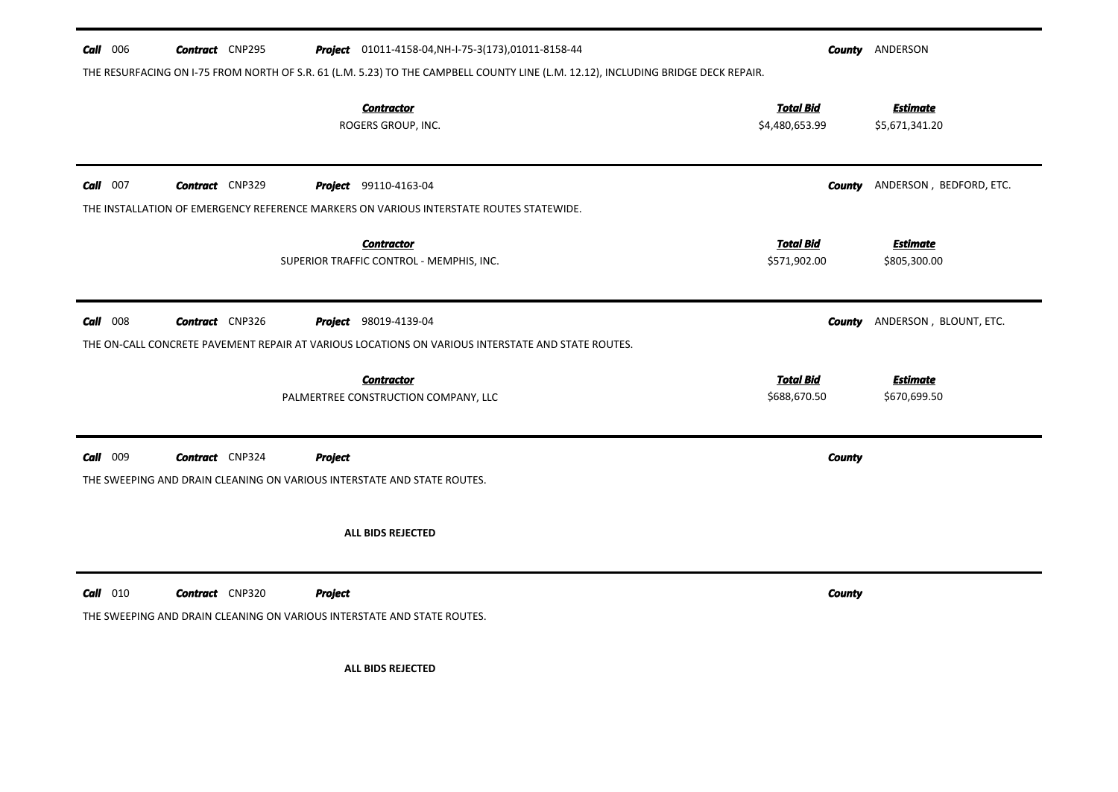| <b>Call</b> 006 | <b>Contract</b> CNP295                                                                            |                | <b>Project</b> 01011-4158-04, NH-I-75-3(173), 01011-8158-44<br>THE RESURFACING ON I-75 FROM NORTH OF S.R. 61 (L.M. 5.23) TO THE CAMPBELL COUNTY LINE (L.M. 12.12), INCLUDING BRIDGE DECK REPAIR. |                                    | <b>County ANDERSON</b>                |
|-----------------|---------------------------------------------------------------------------------------------------|----------------|--------------------------------------------------------------------------------------------------------------------------------------------------------------------------------------------------|------------------------------------|---------------------------------------|
|                 |                                                                                                   |                | <b>Contractor</b><br>ROGERS GROUP, INC.                                                                                                                                                          | <b>Total Bid</b><br>\$4,480,653.99 | <b>Estimate</b><br>\$5,671,341.20     |
| $Call$ 007      | <b>Contract</b> CNP329                                                                            |                | <b>Project</b> 99110-4163-04<br>THE INSTALLATION OF EMERGENCY REFERENCE MARKERS ON VARIOUS INTERSTATE ROUTES STATEWIDE.                                                                          |                                    | <b>County</b> ANDERSON, BEDFORD, ETC. |
|                 |                                                                                                   |                | <b>Contractor</b><br>SUPERIOR TRAFFIC CONTROL - MEMPHIS, INC.                                                                                                                                    | <b>Total Bid</b><br>\$571,902.00   | <b>Estimate</b><br>\$805,300.00       |
| $Call$ 008      | <b>Contract</b> CNP326                                                                            |                | <b>Project</b> 98019-4139-04<br>THE ON-CALL CONCRETE PAVEMENT REPAIR AT VARIOUS LOCATIONS ON VARIOUS INTERSTATE AND STATE ROUTES.                                                                |                                    | <b>County</b> ANDERSON, BLOUNT, ETC.  |
|                 |                                                                                                   |                | <b>Contractor</b><br>PALMERTREE CONSTRUCTION COMPANY, LLC                                                                                                                                        | <b>Total Bid</b><br>\$688,670.50   | <b>Estimate</b><br>\$670,699.50       |
| Call 009        | <b>Contract</b> CNP324<br>THE SWEEPING AND DRAIN CLEANING ON VARIOUS INTERSTATE AND STATE ROUTES. | <b>Project</b> |                                                                                                                                                                                                  | <b>County</b>                      |                                       |
|                 |                                                                                                   |                | ALL BIDS REJECTED                                                                                                                                                                                |                                    |                                       |
| $Call$ 010      | <b>Contract</b> CNP320<br>THE SWEEPING AND DRAIN CLEANING ON VARIOUS INTERSTATE AND STATE ROUTES. | <b>Project</b> |                                                                                                                                                                                                  | <b>County</b>                      |                                       |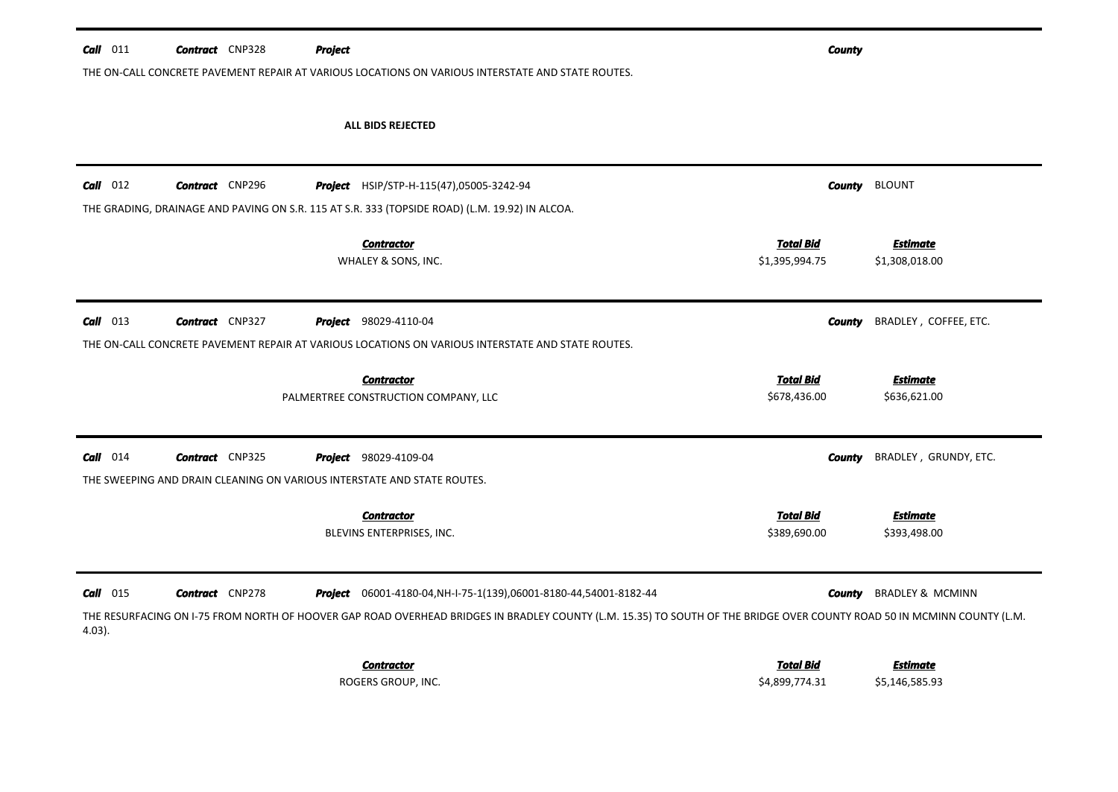| $Call$ 011              | <b>Contract</b> CNP328 | <b>Project</b>               | THE ON-CALL CONCRETE PAVEMENT REPAIR AT VARIOUS LOCATIONS ON VARIOUS INTERSTATE AND STATE ROUTES.                                                                                                                                                     |                                    | <b>County</b> |                                   |
|-------------------------|------------------------|------------------------------|-------------------------------------------------------------------------------------------------------------------------------------------------------------------------------------------------------------------------------------------------------|------------------------------------|---------------|-----------------------------------|
|                         |                        |                              | <b>ALL BIDS REJECTED</b>                                                                                                                                                                                                                              |                                    |               |                                   |
| $Call$ 012              | <b>Contract</b> CNP296 |                              | Project HSIP/STP-H-115(47),05005-3242-94<br>THE GRADING, DRAINAGE AND PAVING ON S.R. 115 AT S.R. 333 (TOPSIDE ROAD) (L.M. 19.92) IN ALCOA.                                                                                                            |                                    | <b>County</b> | <b>BLOUNT</b>                     |
|                         |                        |                              | <b>Contractor</b><br>WHALEY & SONS, INC.                                                                                                                                                                                                              | <b>Total Bid</b><br>\$1,395,994.75 |               | <b>Estimate</b><br>\$1,308,018.00 |
| $Call$ 013              | <b>Contract</b> CNP327 | <b>Project</b> 98029-4110-04 | THE ON-CALL CONCRETE PAVEMENT REPAIR AT VARIOUS LOCATIONS ON VARIOUS INTERSTATE AND STATE ROUTES.                                                                                                                                                     |                                    | <b>County</b> | BRADLEY, COFFEE, ETC.             |
|                         |                        |                              | <b>Contractor</b><br>PALMERTREE CONSTRUCTION COMPANY, LLC                                                                                                                                                                                             | <b>Total Bid</b><br>\$678,436.00   |               | <b>Estimate</b><br>\$636,621.00   |
| $Call$ 014              | <b>Contract</b> CNP325 | <b>Project</b> 98029-4109-04 | THE SWEEPING AND DRAIN CLEANING ON VARIOUS INTERSTATE AND STATE ROUTES.                                                                                                                                                                               |                                    | County        | BRADLEY, GRUNDY, ETC.             |
|                         |                        |                              | <b>Contractor</b><br>BLEVINS ENTERPRISES, INC.                                                                                                                                                                                                        | <b>Total Bid</b><br>\$389,690.00   |               | <b>Estimate</b><br>\$393,498.00   |
| $Call$ 015<br>$4.03$ ). | <b>Contract</b> CNP278 |                              | <b>Project</b> 06001-4180-04, NH-I-75-1(139), 06001-8180-44, 54001-8182-44<br>THE RESURFACING ON I-75 FROM NORTH OF HOOVER GAP ROAD OVERHEAD BRIDGES IN BRADLEY COUNTY (L.M. 15.35) TO SOUTH OF THE BRIDGE OVER COUNTY ROAD 50 IN MCMINN COUNTY (L.M. |                                    | County        | <b>BRADLEY &amp; MCMINN</b>       |
|                         |                        |                              | <b>Contractor</b><br>ROGERS GROUP, INC.                                                                                                                                                                                                               | <b>Total Bid</b><br>\$4,899,774.31 |               | <b>Estimate</b><br>\$5,146,585.93 |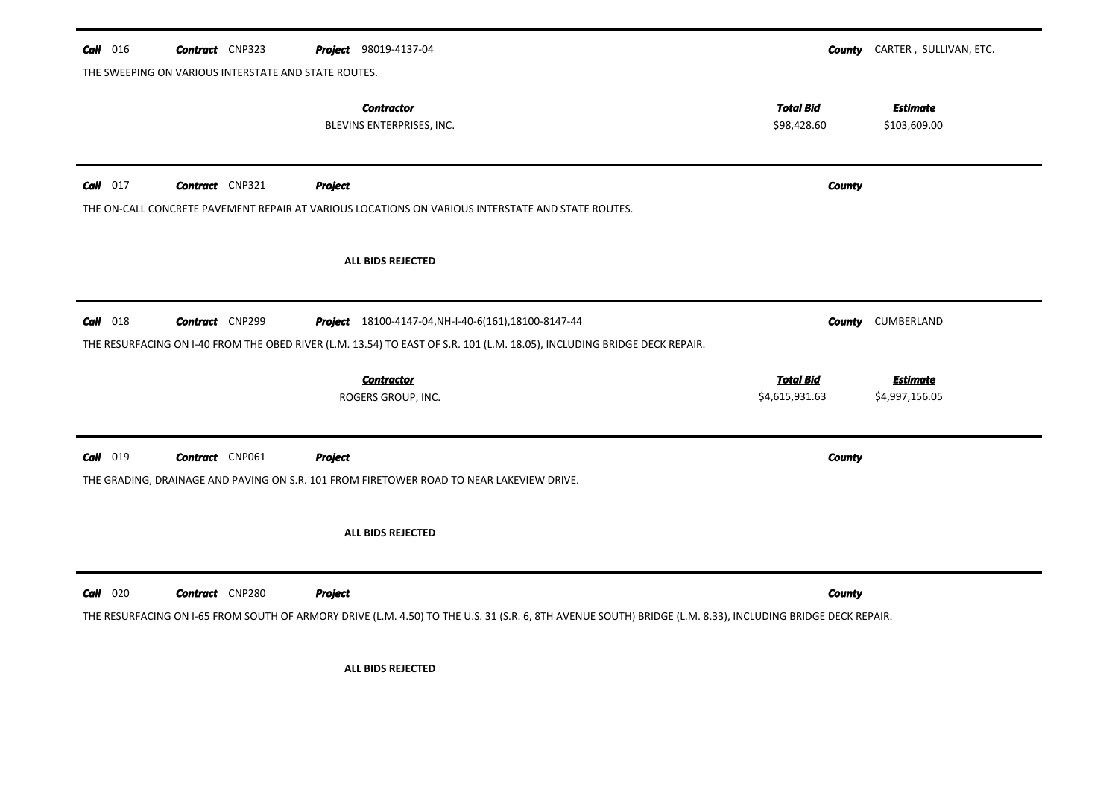| Call 016   | <b>Contract</b> CNP323                               | <b>Project</b> 98019-4137-04                                                                                                                               | County                          | CARTER, SULLIVAN, ETC.          |
|------------|------------------------------------------------------|------------------------------------------------------------------------------------------------------------------------------------------------------------|---------------------------------|---------------------------------|
|            | THE SWEEPING ON VARIOUS INTERSTATE AND STATE ROUTES. |                                                                                                                                                            |                                 |                                 |
|            |                                                      | <b>Contractor</b><br>BLEVINS ENTERPRISES, INC.                                                                                                             | <b>Total Bid</b><br>\$98,428.60 | <b>Estimate</b><br>\$103,609.00 |
| $Call$ 017 | <b>Contract</b> CNP321                               | <b>Project</b>                                                                                                                                             | <b>County</b>                   |                                 |
|            |                                                      | THE ON-CALL CONCRETE PAVEMENT REPAIR AT VARIOUS LOCATIONS ON VARIOUS INTERSTATE AND STATE ROUTES.                                                          |                                 |                                 |
|            |                                                      | <b>ALL BIDS REJECTED</b>                                                                                                                                   |                                 |                                 |
| $Call$ 018 | <b>Contract</b> CNP299                               | <b>Project</b> 18100-4147-04, NH-I-40-6(161), 18100-8147-44                                                                                                | County                          | CUMBERLAND                      |
|            |                                                      | THE RESURFACING ON I-40 FROM THE OBED RIVER (L.M. 13.54) TO EAST OF S.R. 101 (L.M. 18.05), INCLUDING BRIDGE DECK REPAIR.                                   |                                 |                                 |
|            |                                                      | <b>Contractor</b>                                                                                                                                          | <b>Total Bid</b>                | <b>Estimate</b>                 |
|            |                                                      | ROGERS GROUP, INC.                                                                                                                                         | \$4,615,931.63                  | \$4,997,156.05                  |
| Call 019   | <b>Contract</b> CNP061                               | <b>Project</b>                                                                                                                                             | County                          |                                 |
|            |                                                      | THE GRADING, DRAINAGE AND PAVING ON S.R. 101 FROM FIRETOWER ROAD TO NEAR LAKEVIEW DRIVE.                                                                   |                                 |                                 |
|            |                                                      | ALL BIDS REJECTED                                                                                                                                          |                                 |                                 |
| $Call$ 020 | <b>Contract</b> CNP280                               | <b>Project</b>                                                                                                                                             | <b>County</b>                   |                                 |
|            |                                                      | THE RESURFACING ON I-65 FROM SOUTH OF ARMORY DRIVE (L.M. 4.50) TO THE U.S. 31 (S.R. 6, 8TH AVENUE SOUTH) BRIDGE (L.M. 8.33), INCLUDING BRIDGE DECK REPAIR. |                                 |                                 |
|            |                                                      | <b>ALL BIDS REJECTED</b>                                                                                                                                   |                                 |                                 |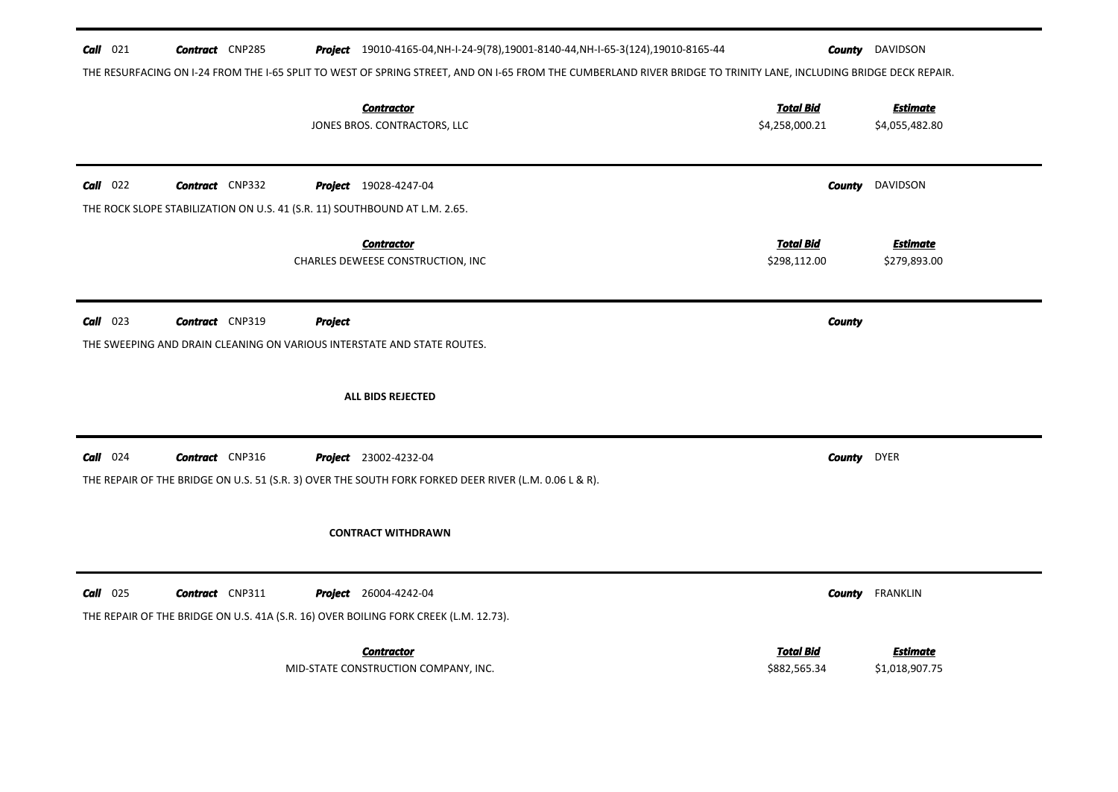| $Call$ 021 | <b>Contract</b> CNP285                                                     |         | Project 19010-4165-04, NH-I-24-9(78), 19001-8140-44, NH-I-65-3(124), 19010-8165-44<br>THE RESURFACING ON I-24 FROM THE I-65 SPLIT TO WEST OF SPRING STREET, AND ON I-65 FROM THE CUMBERLAND RIVER BRIDGE TO TRINITY LANE, INCLUDING BRIDGE DECK REPAIR. |                                    | <b>County</b> DAVIDSON            |
|------------|----------------------------------------------------------------------------|---------|---------------------------------------------------------------------------------------------------------------------------------------------------------------------------------------------------------------------------------------------------------|------------------------------------|-----------------------------------|
|            |                                                                            |         | <b>Contractor</b><br>JONES BROS. CONTRACTORS, LLC                                                                                                                                                                                                       | <b>Total Bid</b><br>\$4,258,000.21 | <b>Estimate</b><br>\$4,055,482.80 |
| $Call$ 022 | <b>Contract</b> CNP332                                                     |         | <b>Project</b> 19028-4247-04                                                                                                                                                                                                                            | County                             | DAVIDSON                          |
|            | THE ROCK SLOPE STABILIZATION ON U.S. 41 (S.R. 11) SOUTHBOUND AT L.M. 2.65. |         | <b>Contractor</b><br>CHARLES DEWEESE CONSTRUCTION, INC                                                                                                                                                                                                  | <b>Total Bid</b><br>\$298,112.00   | <b>Estimate</b><br>\$279,893.00   |
| $Call$ 023 | <b>Contract</b> CNP319                                                     | Project | THE SWEEPING AND DRAIN CLEANING ON VARIOUS INTERSTATE AND STATE ROUTES.<br>ALL BIDS REJECTED                                                                                                                                                            | <b>County</b>                      |                                   |
| $Call$ 024 | <b>Contract</b> CNP316                                                     |         | <b>Project</b> 23002-4232-04<br>THE REPAIR OF THE BRIDGE ON U.S. 51 (S.R. 3) OVER THE SOUTH FORK FORKED DEER RIVER (L.M. 0.06 L & R).                                                                                                                   | County                             | <b>DYER</b>                       |
|            |                                                                            |         | <b>CONTRACT WITHDRAWN</b>                                                                                                                                                                                                                               |                                    |                                   |
| $Call$ 025 | <b>Contract</b> CNP311                                                     |         | <b>Project</b> 26004-4242-04<br>THE REPAIR OF THE BRIDGE ON U.S. 41A (S.R. 16) OVER BOILING FORK CREEK (L.M. 12.73).                                                                                                                                    | <b>County</b>                      | <b>FRANKLIN</b>                   |
|            |                                                                            |         | <b>Contractor</b><br>MID-STATE CONSTRUCTION COMPANY, INC.                                                                                                                                                                                               | <b>Total Bid</b><br>\$882,565.34   | <b>Estimate</b><br>\$1,018,907.75 |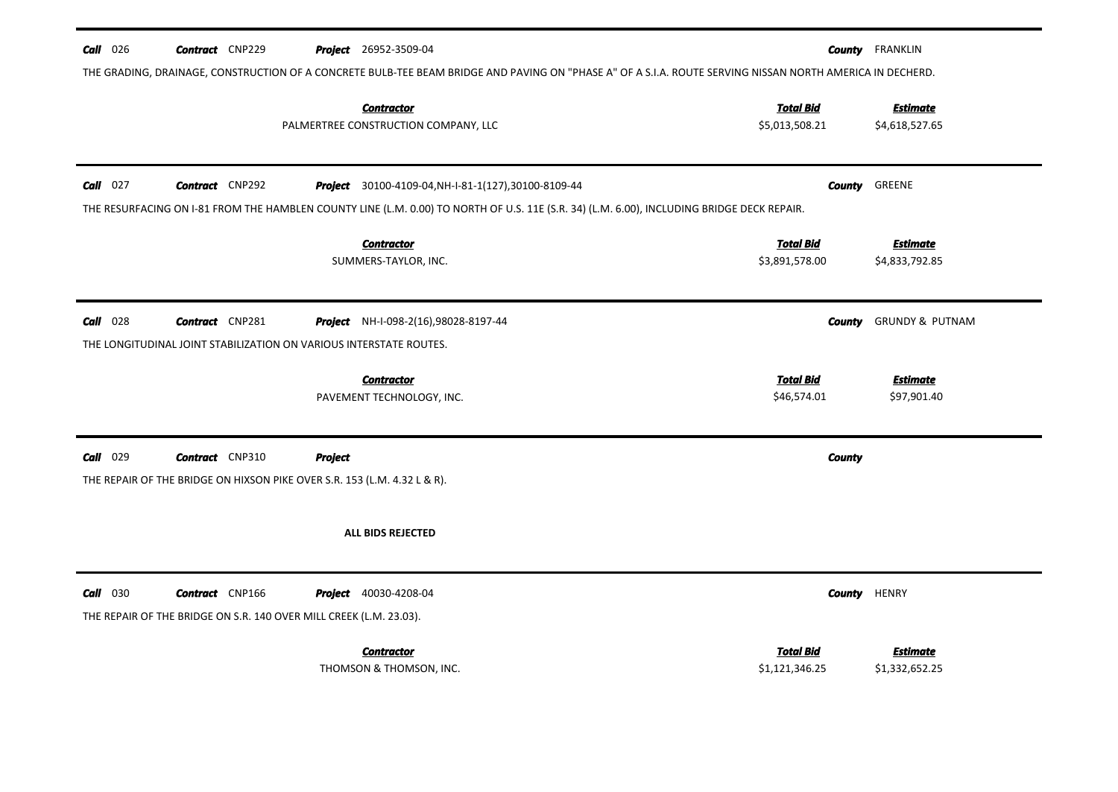| $Call$ 026 | <b>Contract</b> CNP229                                                   |                | <b>Project</b> 26952-3509-04                                                                                                                              |                                 | <b>County</b> FRANKLIN         |
|------------|--------------------------------------------------------------------------|----------------|-----------------------------------------------------------------------------------------------------------------------------------------------------------|---------------------------------|--------------------------------|
|            |                                                                          |                | THE GRADING, DRAINAGE, CONSTRUCTION OF A CONCRETE BULB-TEE BEAM BRIDGE AND PAVING ON "PHASE A" OF A S.I.A. ROUTE SERVING NISSAN NORTH AMERICA IN DECHERD. |                                 |                                |
|            |                                                                          |                | <b>Contractor</b>                                                                                                                                         | <b>Total Bid</b>                | <b>Estimate</b>                |
|            |                                                                          |                | PALMERTREE CONSTRUCTION COMPANY, LLC                                                                                                                      | \$5,013,508.21                  | \$4,618,527.65                 |
|            |                                                                          |                |                                                                                                                                                           |                                 |                                |
| $Call$ 027 | <b>Contract</b> CNP292                                                   |                | Project 30100-4109-04, NH-I-81-1(127), 30100-8109-44                                                                                                      |                                 | <b>County GREENE</b>           |
|            |                                                                          |                | THE RESURFACING ON I-81 FROM THE HAMBLEN COUNTY LINE (L.M. 0.00) TO NORTH OF U.S. 11E (S.R. 34) (L.M. 6.00), INCLUDING BRIDGE DECK REPAIR.                |                                 |                                |
|            |                                                                          |                | <b>Contractor</b>                                                                                                                                         | <b>Total Bid</b>                | <b>Estimate</b>                |
|            |                                                                          |                | SUMMERS-TAYLOR, INC.                                                                                                                                      | \$3,891,578.00                  | \$4,833,792.85                 |
|            |                                                                          |                |                                                                                                                                                           |                                 |                                |
| $Call$ 028 | <b>Contract</b> CNP281                                                   |                | Project NH-I-098-2(16),98028-8197-44                                                                                                                      | County                          | <b>GRUNDY &amp; PUTNAM</b>     |
|            | THE LONGITUDINAL JOINT STABILIZATION ON VARIOUS INTERSTATE ROUTES.       |                |                                                                                                                                                           |                                 |                                |
|            |                                                                          |                |                                                                                                                                                           |                                 |                                |
|            |                                                                          |                | <b>Contractor</b><br>PAVEMENT TECHNOLOGY, INC.                                                                                                            | <b>Total Bid</b><br>\$46,574.01 | <b>Estimate</b><br>\$97,901.40 |
|            |                                                                          |                |                                                                                                                                                           |                                 |                                |
|            |                                                                          |                |                                                                                                                                                           |                                 |                                |
| $Call$ 029 | <b>Contract</b> CNP310                                                   | <b>Project</b> |                                                                                                                                                           | <b>County</b>                   |                                |
|            | THE REPAIR OF THE BRIDGE ON HIXSON PIKE OVER S.R. 153 (L.M. 4.32 L & R). |                |                                                                                                                                                           |                                 |                                |
|            |                                                                          |                |                                                                                                                                                           |                                 |                                |
|            |                                                                          |                | ALL BIDS REJECTED                                                                                                                                         |                                 |                                |
|            |                                                                          |                |                                                                                                                                                           |                                 |                                |
| $Call$ 030 | <b>Contract</b> CNP166                                                   |                | <b>Project</b> 40030-4208-04                                                                                                                              | County                          | <b>HENRY</b>                   |
|            | THE REPAIR OF THE BRIDGE ON S.R. 140 OVER MILL CREEK (L.M. 23.03).       |                |                                                                                                                                                           |                                 |                                |
|            |                                                                          |                | <b>Contractor</b>                                                                                                                                         | <b>Total Bid</b>                | Estimate                       |
|            |                                                                          |                | THOMSON & THOMSON, INC.                                                                                                                                   | \$1,121,346.25                  | \$1,332,652.25                 |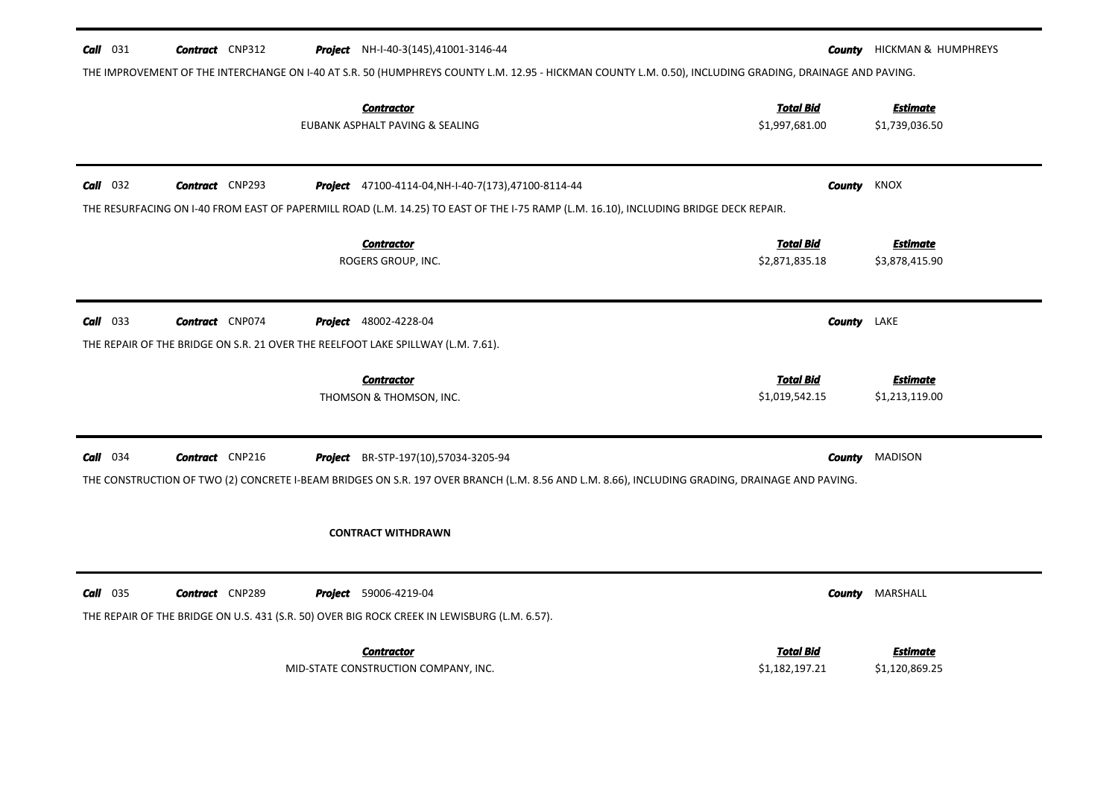|            | <b>Contract</b> CNP312 | <b>Project</b> NH-I-40-3(145),41001-3146-44                                                                                                             |                    | <b>County</b> HICKMAN & HUMPHREYS |
|------------|------------------------|---------------------------------------------------------------------------------------------------------------------------------------------------------|--------------------|-----------------------------------|
|            |                        | THE IMPROVEMENT OF THE INTERCHANGE ON I-40 AT S.R. 50 (HUMPHREYS COUNTY L.M. 12.95 - HICKMAN COUNTY L.M. 0.50), INCLUDING GRADING, DRAINAGE AND PAVING. |                    |                                   |
|            |                        | <b>Contractor</b>                                                                                                                                       | <b>Total Bid</b>   | <b>Estimate</b>                   |
|            |                        | EUBANK ASPHALT PAVING & SEALING                                                                                                                         | \$1,997,681.00     | \$1,739,036.50                    |
| $Call$ 032 | <b>Contract</b> CNP293 | <b>Project</b> 47100-4114-04, NH-I-40-7(173), 47100-8114-44                                                                                             | County             | KNOX                              |
|            |                        | THE RESURFACING ON I-40 FROM EAST OF PAPERMILL ROAD (L.M. 14.25) TO EAST OF THE I-75 RAMP (L.M. 16.10), INCLUDING BRIDGE DECK REPAIR.                   |                    |                                   |
|            |                        | <b>Contractor</b>                                                                                                                                       | <b>Total Bid</b>   | <b>Estimate</b>                   |
|            |                        | ROGERS GROUP, INC.                                                                                                                                      | \$2,871,835.18     | \$3,878,415.90                    |
|            |                        |                                                                                                                                                         |                    |                                   |
| $Call$ 033 | <b>Contract</b> CNP074 | <b>Project</b> 48002-4228-04                                                                                                                            | <b>County</b> LAKE |                                   |
|            |                        | THE REPAIR OF THE BRIDGE ON S.R. 21 OVER THE REELFOOT LAKE SPILLWAY (L.M. 7.61).                                                                        |                    |                                   |
|            |                        | <b>Contractor</b>                                                                                                                                       | <b>Total Bid</b>   | <b>Estimate</b>                   |
|            |                        |                                                                                                                                                         |                    |                                   |
|            |                        | THOMSON & THOMSON, INC.                                                                                                                                 | \$1,019,542.15     | \$1,213,119.00                    |
| $Call$ 034 | <b>Contract</b> CNP216 | Project BR-STP-197(10),57034-3205-94                                                                                                                    | County             | <b>MADISON</b>                    |
|            |                        | THE CONSTRUCTION OF TWO (2) CONCRETE I-BEAM BRIDGES ON S.R. 197 OVER BRANCH (L.M. 8.56 AND L.M. 8.66), INCLUDING GRADING, DRAINAGE AND PAVING.          |                    |                                   |
|            |                        |                                                                                                                                                         |                    |                                   |
|            |                        | <b>CONTRACT WITHDRAWN</b>                                                                                                                               |                    |                                   |
|            | <b>Contract</b> CNP289 | <b>Project</b> 59006-4219-04                                                                                                                            | <b>County</b>      | MARSHALL                          |
|            |                        | THE REPAIR OF THE BRIDGE ON U.S. 431 (S.R. 50) OVER BIG ROCK CREEK IN LEWISBURG (L.M. 6.57).                                                            |                    |                                   |
| $Call$ 035 |                        | <b>Contractor</b>                                                                                                                                       | Total Bid          | <b>Estimate</b>                   |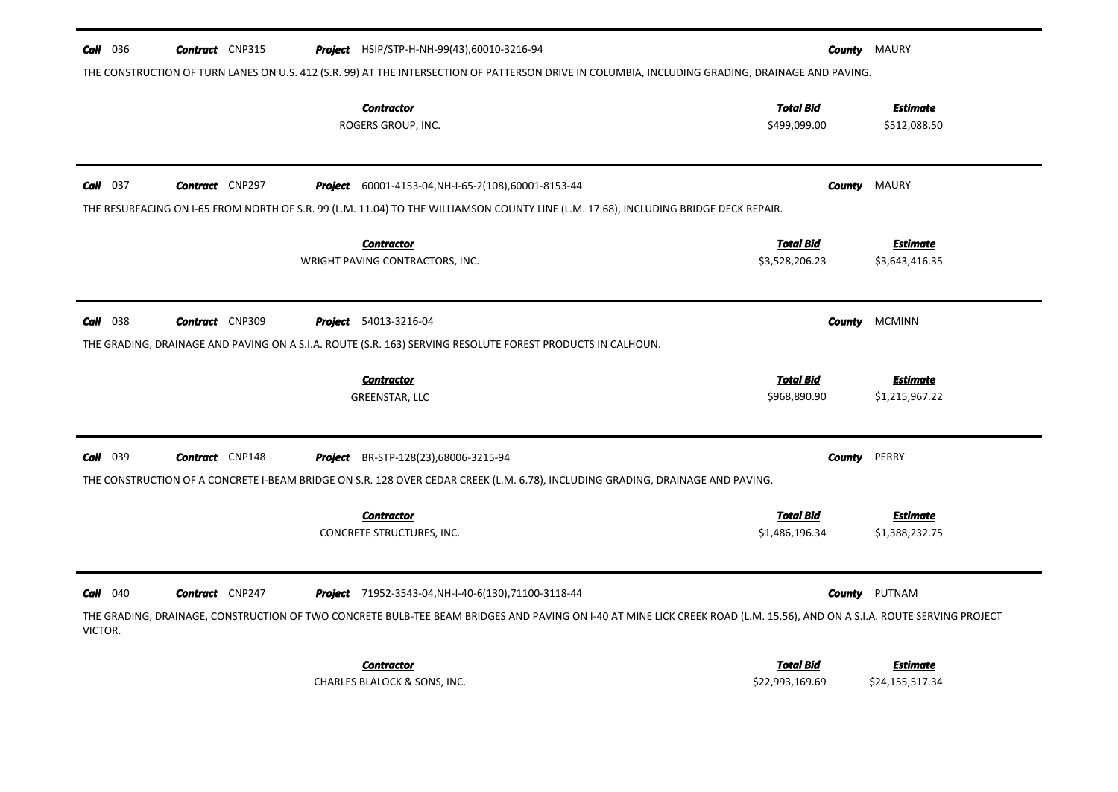| 036<br>Call     | <b>Contract</b> CNP315 | <b>Project</b> HSIP/STP-H-NH-99(43),60010-3216-94                                                                                                                                                                                       |                                     | <b>County</b> MAURY                |
|-----------------|------------------------|-----------------------------------------------------------------------------------------------------------------------------------------------------------------------------------------------------------------------------------------|-------------------------------------|------------------------------------|
|                 |                        | THE CONSTRUCTION OF TURN LANES ON U.S. 412 (S.R. 99) AT THE INTERSECTION OF PATTERSON DRIVE IN COLUMBIA, INCLUDING GRADING, DRAINAGE AND PAVING.                                                                                        |                                     |                                    |
|                 |                        | <b>Contractor</b><br>ROGERS GROUP, INC.                                                                                                                                                                                                 | <b>Total Bid</b><br>\$499,099.00    | <b>Estimate</b><br>\$512,088.50    |
| $Call$ 037      | <b>Contract</b> CNP297 | <b>Project</b> 60001-4153-04, NH-I-65-2(108), 60001-8153-44                                                                                                                                                                             | County                              | <b>MAURY</b>                       |
|                 |                        | THE RESURFACING ON I-65 FROM NORTH OF S.R. 99 (L.M. 11.04) TO THE WILLIAMSON COUNTY LINE (L.M. 17.68), INCLUDING BRIDGE DECK REPAIR.                                                                                                    |                                     |                                    |
|                 |                        | <b>Contractor</b><br>WRIGHT PAVING CONTRACTORS, INC.                                                                                                                                                                                    | <b>Total Bid</b><br>\$3,528,206.23  | <b>Estimate</b><br>\$3,643,416.35  |
| <b>Call</b> 038 | <b>Contract</b> CNP309 | <b>Project</b> 54013-3216-04                                                                                                                                                                                                            | <b>County</b>                       | <b>MCMINN</b>                      |
|                 |                        | THE GRADING, DRAINAGE AND PAVING ON A S.I.A. ROUTE (S.R. 163) SERVING RESOLUTE FOREST PRODUCTS IN CALHOUN.                                                                                                                              |                                     |                                    |
|                 |                        | <b>Contractor</b><br>GREENSTAR, LLC                                                                                                                                                                                                     | <b>Total Bid</b><br>\$968,890.90    | <b>Estimate</b><br>\$1,215,967.22  |
| Call<br>039     | <b>Contract</b> CNP148 | <b>Project</b> BR-STP-128(23),68006-3215-94                                                                                                                                                                                             | <b>County</b>                       | PERRY                              |
|                 |                        | THE CONSTRUCTION OF A CONCRETE I-BEAM BRIDGE ON S.R. 128 OVER CEDAR CREEK (L.M. 6.78), INCLUDING GRADING, DRAINAGE AND PAVING.                                                                                                          |                                     |                                    |
|                 |                        | <b>Contractor</b><br>CONCRETE STRUCTURES, INC.                                                                                                                                                                                          | <b>Total Bid</b><br>\$1,486,196.34  | <b>Estimate</b><br>\$1,388,232.75  |
| $Call$ 040      | <b>Contract</b> CNP247 | <b>Project</b> 71952-3543-04, NH-I-40-6(130), 71100-3118-44<br>THE GRADING, DRAINAGE, CONSTRUCTION OF TWO CONCRETE BULB-TEE BEAM BRIDGES AND PAVING ON I-40 AT MINE LICK CREEK ROAD (L.M. 15.56), AND ON A S.I.A. ROUTE SERVING PROJECT | County                              | PUTNAM                             |
| VICTOR.         |                        | <b>Contractor</b><br>CHARLES BLALOCK & SONS, INC.                                                                                                                                                                                       | <b>Total Bid</b><br>\$22,993,169.69 | <b>Estimate</b><br>\$24,155,517.34 |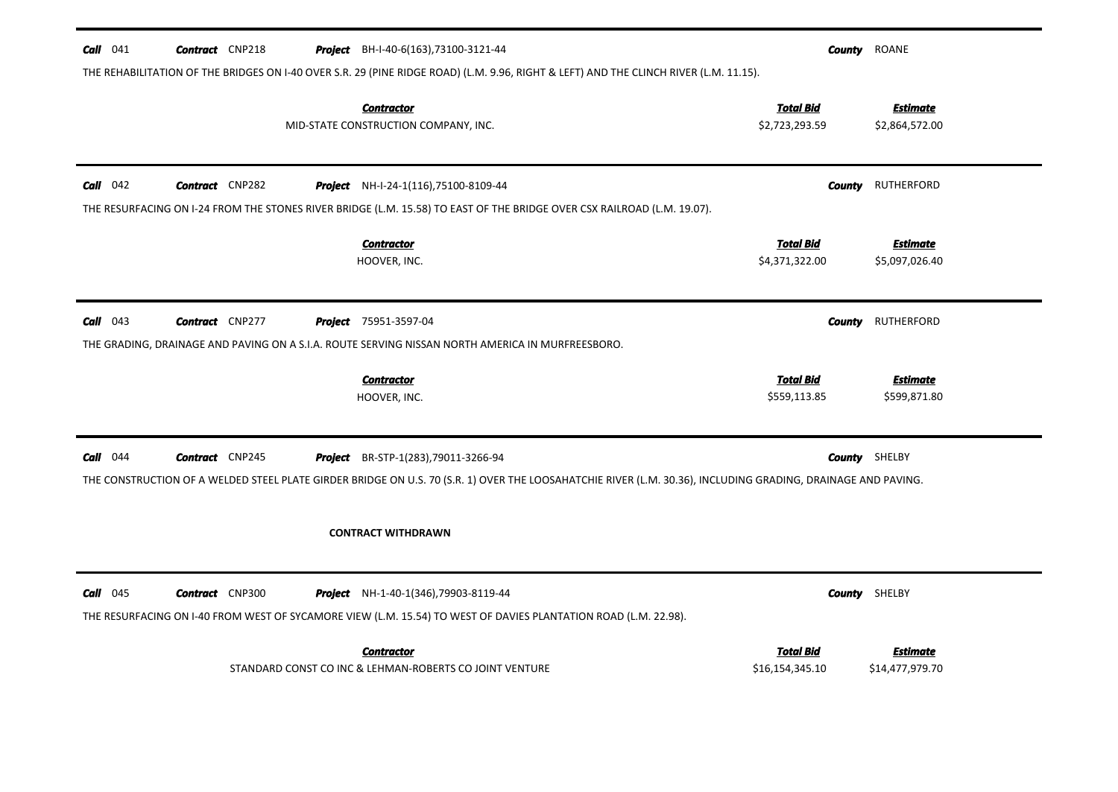| <b>Call</b> 041 | <b>Contract</b> CNP218 | <b>Project</b> BH-I-40-6(163), 73100-3121-44<br>THE REHABILITATION OF THE BRIDGES ON I-40 OVER S.R. 29 (PINE RIDGE ROAD) (L.M. 9.96, RIGHT & LEFT) AND THE CLINCH RIVER (L.M. 11.15).                | County                              | ROANE                              |
|-----------------|------------------------|------------------------------------------------------------------------------------------------------------------------------------------------------------------------------------------------------|-------------------------------------|------------------------------------|
|                 |                        | <b>Contractor</b><br>MID-STATE CONSTRUCTION COMPANY, INC.                                                                                                                                            | <b>Total Bid</b><br>\$2,723,293.59  | <b>Estimate</b><br>\$2,864,572.00  |
| $Call$ 042      | <b>Contract</b> CNP282 | Project NH-I-24-1(116), 75100-8109-44<br>THE RESURFACING ON I-24 FROM THE STONES RIVER BRIDGE (L.M. 15.58) TO EAST OF THE BRIDGE OVER CSX RAILROAD (L.M. 19.07).                                     | County                              | RUTHERFORD                         |
|                 |                        | <b>Contractor</b><br>HOOVER, INC.                                                                                                                                                                    | <b>Total Bid</b><br>\$4,371,322.00  | <b>Estimate</b><br>\$5,097,026.40  |
| $Call$ 043      | <b>Contract</b> CNP277 | <b>Project</b> 75951-3597-04<br>THE GRADING, DRAINAGE AND PAVING ON A S.I.A. ROUTE SERVING NISSAN NORTH AMERICA IN MURFREESBORO.                                                                     | County                              | <b>RUTHERFORD</b>                  |
|                 |                        | <b>Contractor</b><br>HOOVER, INC.                                                                                                                                                                    | <b>Total Bid</b><br>\$559,113.85    | <b>Estimate</b><br>\$599,871.80    |
| $Call$ 044      | <b>Contract</b> CNP245 | Project BR-STP-1(283), 79011-3266-94<br>THE CONSTRUCTION OF A WELDED STEEL PLATE GIRDER BRIDGE ON U.S. 70 (S.R. 1) OVER THE LOOSAHATCHIE RIVER (L.M. 30.36), INCLUDING GRADING, DRAINAGE AND PAVING. |                                     | <b>County</b> SHELBY               |
|                 |                        | <b>CONTRACT WITHDRAWN</b>                                                                                                                                                                            |                                     |                                    |
| $Call$ 045      | <b>Contract</b> CNP300 | Project NH-1-40-1(346), 79903-8119-44<br>THE RESURFACING ON I-40 FROM WEST OF SYCAMORE VIEW (L.M. 15.54) TO WEST OF DAVIES PLANTATION ROAD (L.M. 22.98).                                             |                                     | <b>County</b> SHELBY               |
|                 |                        | <b>Contractor</b><br>STANDARD CONST CO INC & LEHMAN-ROBERTS CO JOINT VENTURE                                                                                                                         | <b>Total Bid</b><br>\$16,154,345.10 | <b>Estimate</b><br>\$14,477,979.70 |